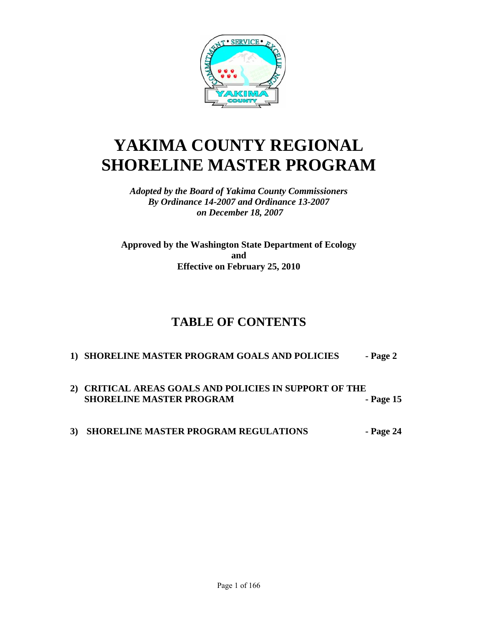

# **YAKIMA COUNTY REGIONAL SHORELINE MASTER PROGRAM**

*Adopted by the Board of Yakima County Commissioners By Ordinance 14-2007 and Ordinance 13-2007 on December 18, 2007* 

**Approved by the Washington State Department of Ecology and Effective on February 25, 2010** 

# **TABLE OF CONTENTS**

# **1) SHORELINE MASTER PROGRAM GOALS AND POLICIES - Page 2**

- **2) CRITICAL AREAS GOALS AND POLICIES IN SUPPORT OF THE SHORELINE MASTER PROGRAM** - Page 15
- 3) SHORELINE MASTER PROGRAM REGULATIONS Page 24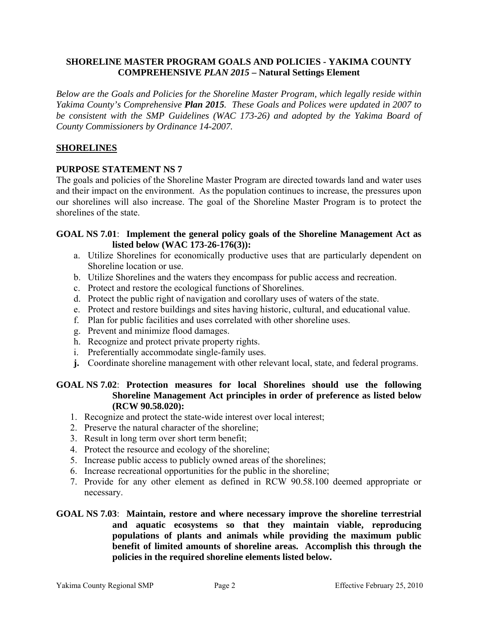# **SHORELINE MASTER PROGRAM GOALS AND POLICIES - YAKIMA COUNTY COMPREHENSIVE** *PLAN 2015* **– Natural Settings Element**

*Below are the Goals and Policies for the Shoreline Master Program, which legally reside within Yakima County's Comprehensive Plan 2015. These Goals and Polices were updated in 2007 to be consistent with the SMP Guidelines (WAC 173-26) and adopted by the Yakima Board of County Commissioners by Ordinance 14-2007.* 

# **SHORELINES**

# **PURPOSE STATEMENT NS 7**

The goals and policies of the Shoreline Master Program are directed towards land and water uses and their impact on the environment. As the population continues to increase, the pressures upon our shorelines will also increase. The goal of the Shoreline Master Program is to protect the shorelines of the state.

### **GOAL NS 7.01**: **Implement the general policy goals of the Shoreline Management Act as listed below (WAC 173-26-176(3)):**

- a. Utilize Shorelines for economically productive uses that are particularly dependent on Shoreline location or use.
- b. Utilize Shorelines and the waters they encompass for public access and recreation.
- c. Protect and restore the ecological functions of Shorelines.
- d. Protect the public right of navigation and corollary uses of waters of the state.
- e. Protect and restore buildings and sites having historic, cultural, and educational value.
- f. Plan for public facilities and uses correlated with other shoreline uses.
- g. Prevent and minimize flood damages.
- h. Recognize and protect private property rights.
- i. Preferentially accommodate single-family uses.
- **j.** Coordinate shoreline management with other relevant local, state, and federal programs.

# **GOAL NS 7.02**: **Protection measures for local Shorelines should use the following Shoreline Management Act principles in order of preference as listed below (RCW 90.58.020):**

- 1. Recognize and protect the state-wide interest over local interest;
- 2. Preserve the natural character of the shoreline;
- 3. Result in long term over short term benefit;
- 4. Protect the resource and ecology of the shoreline;
- 5. Increase public access to publicly owned areas of the shorelines;
- 6. Increase recreational opportunities for the public in the shoreline;
- 7. Provide for any other element as defined in RCW 90.58.100 deemed appropriate or necessary.
- **GOAL NS 7.03**: **Maintain, restore and where necessary improve the shoreline terrestrial and aquatic ecosystems so that they maintain viable, reproducing populations of plants and animals while providing the maximum public benefit of limited amounts of shoreline areas. Accomplish this through the policies in the required shoreline elements listed below.**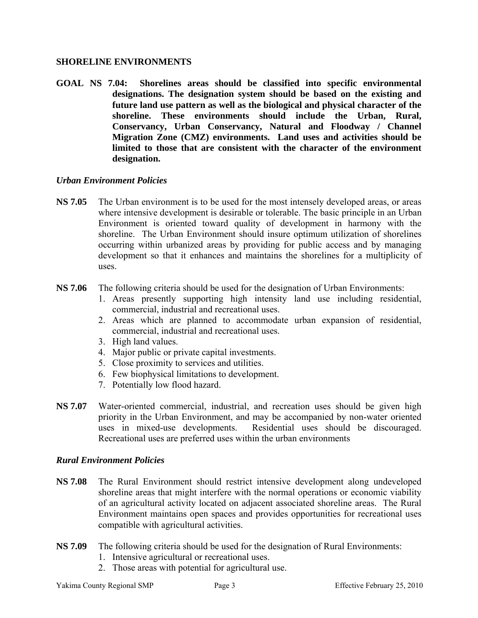# **SHORELINE ENVIRONMENTS**

**GOAL NS 7.04: Shorelines areas should be classified into specific environmental designations. The designation system should be based on the existing and future land use pattern as well as the biological and physical character of the shoreline. These environments should include the Urban, Rural, Conservancy, Urban Conservancy, Natural and Floodway / Channel Migration Zone (CMZ) environments. Land uses and activities should be limited to those that are consistent with the character of the environment designation.**

# *Urban Environment Policies*

- **NS 7.05** The Urban environment is to be used for the most intensely developed areas, or areas where intensive development is desirable or tolerable. The basic principle in an Urban Environment is oriented toward quality of development in harmony with the shoreline. The Urban Environment should insure optimum utilization of shorelines occurring within urbanized areas by providing for public access and by managing development so that it enhances and maintains the shorelines for a multiplicity of uses.
- **NS 7.06** The following criteria should be used for the designation of Urban Environments:
	- 1. Areas presently supporting high intensity land use including residential, commercial, industrial and recreational uses.
	- 2. Areas which are planned to accommodate urban expansion of residential, commercial, industrial and recreational uses.
	- 3. High land values.
	- 4. Major public or private capital investments.
	- 5. Close proximity to services and utilities.
	- 6. Few biophysical limitations to development.
	- 7. Potentially low flood hazard.
- **NS 7.07** Water-oriented commercial, industrial, and recreation uses should be given high priority in the Urban Environment, and may be accompanied by non-water oriented uses in mixed-use developments. Residential uses should be discouraged. Recreational uses are preferred uses within the urban environments

### *Rural Environment Policies*

- **NS 7.08** The Rural Environment should restrict intensive development along undeveloped shoreline areas that might interfere with the normal operations or economic viability of an agricultural activity located on adjacent associated shoreline areas. The Rural Environment maintains open spaces and provides opportunities for recreational uses compatible with agricultural activities.
- **NS 7.09** The following criteria should be used for the designation of Rural Environments:
	- 1. Intensive agricultural or recreational uses.
	- 2. Those areas with potential for agricultural use.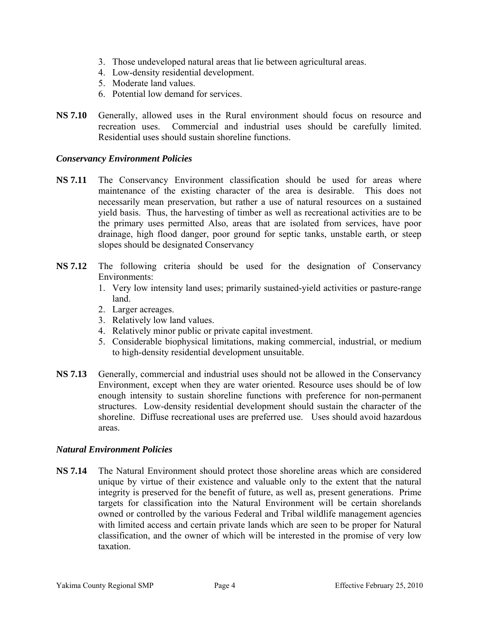- 3. Those undeveloped natural areas that lie between agricultural areas.
- 4. Low-density residential development.
- 5. Moderate land values.
- 6. Potential low demand for services.
- **NS 7.10** Generally, allowed uses in the Rural environment should focus on resource and recreation uses. Commercial and industrial uses should be carefully limited. Residential uses should sustain shoreline functions.

### *Conservancy Environment Policies*

- **NS 7.11** The Conservancy Environment classification should be used for areas where maintenance of the existing character of the area is desirable. This does not necessarily mean preservation, but rather a use of natural resources on a sustained yield basis. Thus, the harvesting of timber as well as recreational activities are to be the primary uses permitted Also, areas that are isolated from services, have poor drainage, high flood danger, poor ground for septic tanks, unstable earth, or steep slopes should be designated Conservancy
- **NS 7.12** The following criteria should be used for the designation of Conservancy Environments:
	- 1. Very low intensity land uses; primarily sustained-yield activities or pasture-range land.
	- 2. Larger acreages.
	- 3. Relatively low land values.
	- 4. Relatively minor public or private capital investment.
	- 5. Considerable biophysical limitations, making commercial, industrial, or medium to high-density residential development unsuitable.
- **NS 7.13** Generally, commercial and industrial uses should not be allowed in the Conservancy Environment, except when they are water oriented. Resource uses should be of low enough intensity to sustain shoreline functions with preference for non-permanent structures. Low-density residential development should sustain the character of the shoreline. Diffuse recreational uses are preferred use. Uses should avoid hazardous areas.

### *Natural Environment Policies*

**NS 7.14** The Natural Environment should protect those shoreline areas which are considered unique by virtue of their existence and valuable only to the extent that the natural integrity is preserved for the benefit of future, as well as, present generations. Prime targets for classification into the Natural Environment will be certain shorelands owned or controlled by the various Federal and Tribal wildlife management agencies with limited access and certain private lands which are seen to be proper for Natural classification, and the owner of which will be interested in the promise of very low taxation.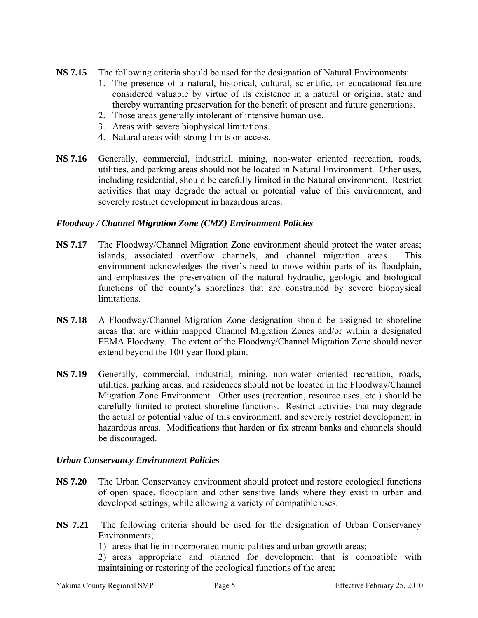- **NS 7.15** The following criteria should be used for the designation of Natural Environments:
	- 1. The presence of a natural, historical, cultural, scientific, or educational feature considered valuable by virtue of its existence in a natural or original state and thereby warranting preservation for the benefit of present and future generations.
	- 2. Those areas generally intolerant of intensive human use.
	- 3. Areas with severe biophysical limitations.
	- 4. Natural areas with strong limits on access.
- **NS 7.16** Generally, commercial, industrial, mining, non-water oriented recreation, roads, utilities, and parking areas should not be located in Natural Environment. Other uses, including residential, should be carefully limited in the Natural environment. Restrict activities that may degrade the actual or potential value of this environment, and severely restrict development in hazardous areas.

### *Floodway / Channel Migration Zone (CMZ) Environment Policies*

- **NS 7.17** The Floodway/Channel Migration Zone environment should protect the water areas; islands, associated overflow channels, and channel migration areas. This environment acknowledges the river's need to move within parts of its floodplain, and emphasizes the preservation of the natural hydraulic, geologic and biological functions of the county's shorelines that are constrained by severe biophysical limitations.
- **NS 7.18** A Floodway/Channel Migration Zone designation should be assigned to shoreline areas that are within mapped Channel Migration Zones and/or within a designated FEMA Floodway. The extent of the Floodway/Channel Migration Zone should never extend beyond the 100-year flood plain.
- **NS 7.19** Generally, commercial, industrial, mining, non-water oriented recreation, roads, utilities, parking areas, and residences should not be located in the Floodway/Channel Migration Zone Environment. Other uses (recreation, resource uses, etc.) should be carefully limited to protect shoreline functions. Restrict activities that may degrade the actual or potential value of this environment, and severely restrict development in hazardous areas. Modifications that harden or fix stream banks and channels should be discouraged.

### *Urban Conservancy Environment Policies*

- **NS 7.20** The Urban Conservancy environment should protect and restore ecological functions of open space, floodplain and other sensitive lands where they exist in urban and developed settings, while allowing a variety of compatible uses.
- **NS 7.21** The following criteria should be used for the designation of Urban Conservancy Environments;
	- 1) areas that lie in incorporated municipalities and urban growth areas;
	- 2) areas appropriate and planned for development that is compatible with maintaining or restoring of the ecological functions of the area;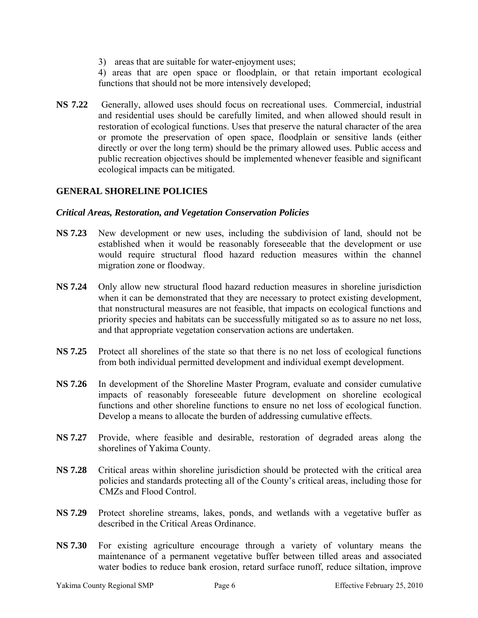3) areas that are suitable for water-enjoyment uses;

4) areas that are open space or floodplain, or that retain important ecological functions that should not be more intensively developed;

**NS 7.22** Generally, allowed uses should focus on recreational uses. Commercial, industrial and residential uses should be carefully limited, and when allowed should result in restoration of ecological functions. Uses that preserve the natural character of the area or promote the preservation of open space, floodplain or sensitive lands (either directly or over the long term) should be the primary allowed uses. Public access and public recreation objectives should be implemented whenever feasible and significant ecological impacts can be mitigated.

# **GENERAL SHORELINE POLICIES**

# *Critical Areas, Restoration, and Vegetation Conservation Policies*

- **NS 7.23** New development or new uses, including the subdivision of land, should not be established when it would be reasonably foreseeable that the development or use would require structural flood hazard reduction measures within the channel migration zone or floodway.
- **NS 7.24** Only allow new structural flood hazard reduction measures in shoreline jurisdiction when it can be demonstrated that they are necessary to protect existing development, that nonstructural measures are not feasible, that impacts on ecological functions and priority species and habitats can be successfully mitigated so as to assure no net loss, and that appropriate vegetation conservation actions are undertaken.
- **NS 7.25** Protect all shorelines of the state so that there is no net loss of ecological functions from both individual permitted development and individual exempt development.
- **NS 7.26** In development of the Shoreline Master Program, evaluate and consider cumulative impacts of reasonably foreseeable future development on shoreline ecological functions and other shoreline functions to ensure no net loss of ecological function. Develop a means to allocate the burden of addressing cumulative effects.
- **NS 7.27** Provide, where feasible and desirable, restoration of degraded areas along the shorelines of Yakima County.
- **NS 7.28** Critical areas within shoreline jurisdiction should be protected with the critical area policies and standards protecting all of the County's critical areas, including those for CMZs and Flood Control.
- **NS 7.29** Protect shoreline streams, lakes, ponds, and wetlands with a vegetative buffer as described in the Critical Areas Ordinance.
- **NS 7.30** For existing agriculture encourage through a variety of voluntary means the maintenance of a permanent vegetative buffer between tilled areas and associated water bodies to reduce bank erosion, retard surface runoff, reduce siltation, improve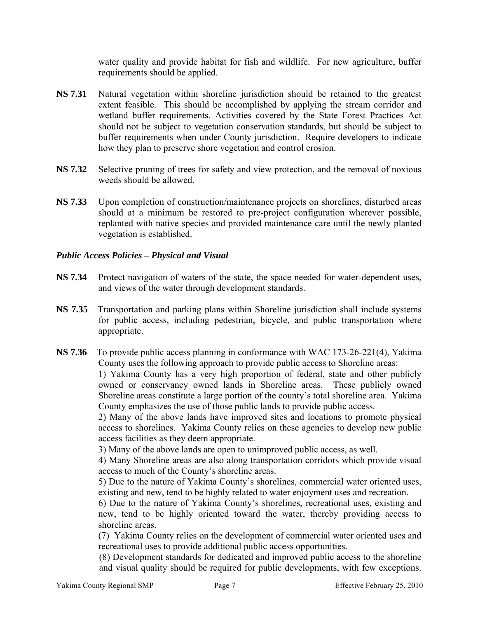water quality and provide habitat for fish and wildlife. For new agriculture, buffer requirements should be applied.

- **NS 7.31** Natural vegetation within shoreline jurisdiction should be retained to the greatest extent feasible. This should be accomplished by applying the stream corridor and wetland buffer requirements. Activities covered by the State Forest Practices Act should not be subject to vegetation conservation standards, but should be subject to buffer requirements when under County jurisdiction. Require developers to indicate how they plan to preserve shore vegetation and control erosion.
- **NS 7.32** Selective pruning of trees for safety and view protection, and the removal of noxious weeds should be allowed.
- **NS 7.33** Upon completion of construction/maintenance projects on shorelines, disturbed areas should at a minimum be restored to pre-project configuration wherever possible, replanted with native species and provided maintenance care until the newly planted vegetation is established.

# *Public Access Policies – Physical and Visual*

- **NS 7.34** Protect navigation of waters of the state, the space needed for water-dependent uses, and views of the water through development standards.
- **NS 7.35** Transportation and parking plans within Shoreline jurisdiction shall include systems for public access, including pedestrian, bicycle, and public transportation where appropriate.
- **NS 7.36** To provide public access planning in conformance with WAC 173-26-221(4), Yakima County uses the following approach to provide public access to Shoreline areas:

 1) Yakima County has a very high proportion of federal, state and other publicly owned or conservancy owned lands in Shoreline areas. These publicly owned Shoreline areas constitute a large portion of the county's total shoreline area. Yakima County emphasizes the use of those public lands to provide public access.

 2) Many of the above lands have improved sites and locations to promote physical access to shorelines. Yakima County relies on these agencies to develop new public access facilities as they deem appropriate.

3) Many of the above lands are open to unimproved public access, as well.

 4) Many Shoreline areas are also along transportation corridors which provide visual access to much of the County's shoreline areas.

 5) Due to the nature of Yakima County's shorelines, commercial water oriented uses, existing and new, tend to be highly related to water enjoyment uses and recreation.

 6) Due to the nature of Yakima County's shorelines, recreational uses, existing and new, tend to be highly oriented toward the water, thereby providing access to shoreline areas.

 (7) Yakima County relies on the development of commercial water oriented uses and recreational uses to provide additional public access opportunities.

(8) Development standards for dedicated and improved public access to the shoreline and visual quality should be required for public developments, with few exceptions.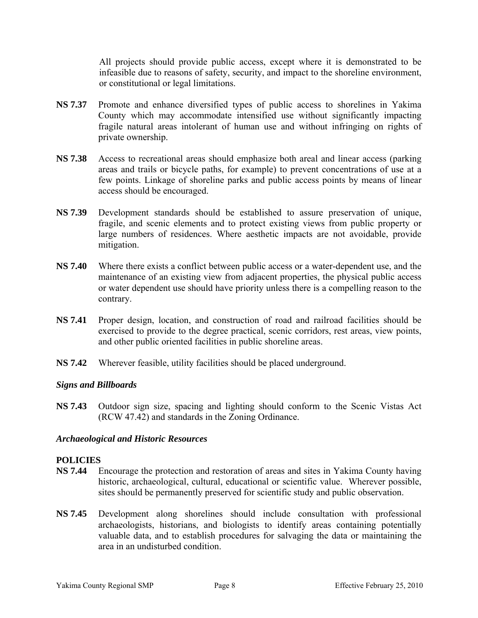All projects should provide public access, except where it is demonstrated to be infeasible due to reasons of safety, security, and impact to the shoreline environment, or constitutional or legal limitations.

- **NS 7.37** Promote and enhance diversified types of public access to shorelines in Yakima County which may accommodate intensified use without significantly impacting fragile natural areas intolerant of human use and without infringing on rights of private ownership.
- **NS 7.38** Access to recreational areas should emphasize both areal and linear access (parking areas and trails or bicycle paths, for example) to prevent concentrations of use at a few points. Linkage of shoreline parks and public access points by means of linear access should be encouraged.
- **NS 7.39** Development standards should be established to assure preservation of unique, fragile, and scenic elements and to protect existing views from public property or large numbers of residences. Where aesthetic impacts are not avoidable, provide mitigation.
- **NS 7.40** Where there exists a conflict between public access or a water-dependent use, and the maintenance of an existing view from adjacent properties, the physical public access or water dependent use should have priority unless there is a compelling reason to the contrary.
- **NS 7.41** Proper design, location, and construction of road and railroad facilities should be exercised to provide to the degree practical, scenic corridors, rest areas, view points, and other public oriented facilities in public shoreline areas.
- **NS 7.42** Wherever feasible, utility facilities should be placed underground.

# *Signs and Billboards*

**NS 7.43** Outdoor sign size, spacing and lighting should conform to the Scenic Vistas Act (RCW 47.42) and standards in the Zoning Ordinance.

### *Archaeological and Historic Resources*

### **POLICIES**

- **NS 7.44** Encourage the protection and restoration of areas and sites in Yakima County having historic, archaeological, cultural, educational or scientific value. Wherever possible, sites should be permanently preserved for scientific study and public observation.
- **NS 7.45** Development along shorelines should include consultation with professional archaeologists, historians, and biologists to identify areas containing potentially valuable data, and to establish procedures for salvaging the data or maintaining the area in an undisturbed condition.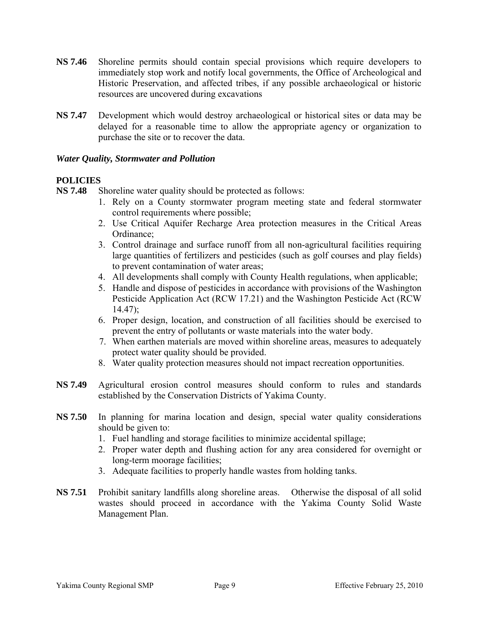- **NS 7.46** Shoreline permits should contain special provisions which require developers to immediately stop work and notify local governments, the Office of Archeological and Historic Preservation, and affected tribes, if any possible archaeological or historic resources are uncovered during excavations
- **NS 7.47** Development which would destroy archaeological or historical sites or data may be delayed for a reasonable time to allow the appropriate agency or organization to purchase the site or to recover the data.

### *Water Quality, Stormwater and Pollution*

# **POLICIES**

**NS 7.48** Shoreline water quality should be protected as follows:

- 1. Rely on a County stormwater program meeting state and federal stormwater control requirements where possible;
- 2. Use Critical Aquifer Recharge Area protection measures in the Critical Areas Ordinance;
- 3. Control drainage and surface runoff from all non-agricultural facilities requiring large quantities of fertilizers and pesticides (such as golf courses and play fields) to prevent contamination of water areas;
- 4. All developments shall comply with County Health regulations, when applicable;
- 5. Handle and dispose of pesticides in accordance with provisions of the Washington Pesticide Application Act (RCW 17.21) and the Washington Pesticide Act (RCW 14.47);
- 6. Proper design, location, and construction of all facilities should be exercised to prevent the entry of pollutants or waste materials into the water body.
- 7. When earthen materials are moved within shoreline areas, measures to adequately protect water quality should be provided.
- 8. Water quality protection measures should not impact recreation opportunities.
- **NS 7.49** Agricultural erosion control measures should conform to rules and standards established by the Conservation Districts of Yakima County.
- **NS 7.50** In planning for marina location and design, special water quality considerations should be given to:
	- 1. Fuel handling and storage facilities to minimize accidental spillage;
	- 2. Proper water depth and flushing action for any area considered for overnight or long-term moorage facilities;
	- 3. Adequate facilities to properly handle wastes from holding tanks.
- **NS 7.51** Prohibit sanitary landfills along shoreline areas. Otherwise the disposal of all solid wastes should proceed in accordance with the Yakima County Solid Waste Management Plan.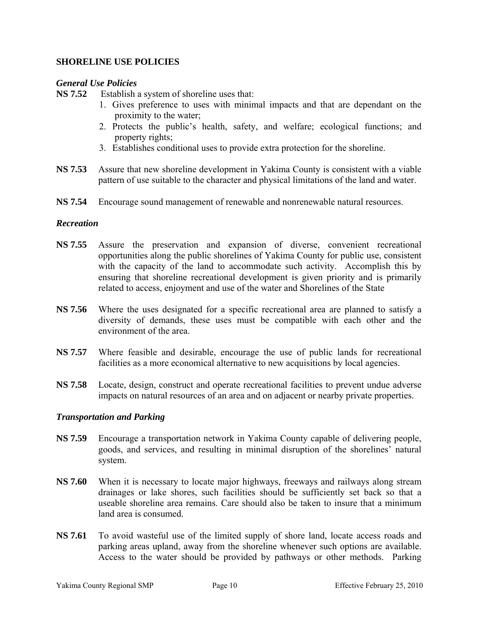# **SHORELINE USE POLICIES**

### *General Use Policies*

**NS 7.52** Establish a system of shoreline uses that:

- 1. Gives preference to uses with minimal impacts and that are dependant on the proximity to the water;
- 2. Protects the public's health, safety, and welfare; ecological functions; and property rights;
- 3. Establishes conditional uses to provide extra protection for the shoreline.
- **NS 7.53** Assure that new shoreline development in Yakima County is consistent with a viable pattern of use suitable to the character and physical limitations of the land and water.
- **NS 7.54** Encourage sound management of renewable and nonrenewable natural resources.

### *Recreation*

- **NS 7.55** Assure the preservation and expansion of diverse, convenient recreational opportunities along the public shorelines of Yakima County for public use, consistent with the capacity of the land to accommodate such activity. Accomplish this by ensuring that shoreline recreational development is given priority and is primarily related to access, enjoyment and use of the water and Shorelines of the State
- **NS 7.56** Where the uses designated for a specific recreational area are planned to satisfy a diversity of demands, these uses must be compatible with each other and the environment of the area.
- **NS 7.57** Where feasible and desirable, encourage the use of public lands for recreational facilities as a more economical alternative to new acquisitions by local agencies.
- **NS 7.58** Locate, design, construct and operate recreational facilities to prevent undue adverse impacts on natural resources of an area and on adjacent or nearby private properties.

### *Transportation and Parking*

- **NS 7.59** Encourage a transportation network in Yakima County capable of delivering people, goods, and services, and resulting in minimal disruption of the shorelines' natural system.
- **NS 7.60** When it is necessary to locate major highways, freeways and railways along stream drainages or lake shores, such facilities should be sufficiently set back so that a useable shoreline area remains. Care should also be taken to insure that a minimum land area is consumed.
- **NS 7.61** To avoid wasteful use of the limited supply of shore land, locate access roads and parking areas upland, away from the shoreline whenever such options are available. Access to the water should be provided by pathways or other methods. Parking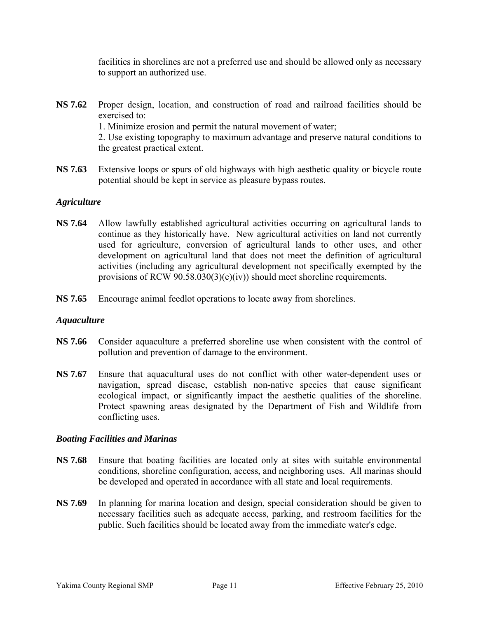facilities in shorelines are not a preferred use and should be allowed only as necessary to support an authorized use.

**NS 7.62** Proper design, location, and construction of road and railroad facilities should be exercised to: 1. Minimize erosion and permit the natural movement of water; 2. Use existing topography to maximum advantage and preserve natural conditions to the greatest practical extent.

**NS 7.63** Extensive loops or spurs of old highways with high aesthetic quality or bicycle route potential should be kept in service as pleasure bypass routes.

# *Agriculture*

- **NS 7.64** Allow lawfully established agricultural activities occurring on agricultural lands to continue as they historically have. New agricultural activities on land not currently used for agriculture, conversion of agricultural lands to other uses, and other development on agricultural land that does not meet the definition of agricultural activities (including any agricultural development not specifically exempted by the provisions of RCW  $90.58.030(3)(e)(iv)$  should meet shoreline requirements.
- **NS 7.65** Encourage animal feedlot operations to locate away from shorelines.

### *Aquaculture*

- **NS 7.66** Consider aquaculture a preferred shoreline use when consistent with the control of pollution and prevention of damage to the environment.
- **NS 7.67** Ensure that aquacultural uses do not conflict with other water-dependent uses or navigation, spread disease, establish non-native species that cause significant ecological impact, or significantly impact the aesthetic qualities of the shoreline. Protect spawning areas designated by the Department of Fish and Wildlife from conflicting uses.

#### *Boating Facilities and Marinas*

- **NS 7.68** Ensure that boating facilities are located only at sites with suitable environmental conditions, shoreline configuration, access, and neighboring uses. All marinas should be developed and operated in accordance with all state and local requirements.
- **NS 7.69** In planning for marina location and design, special consideration should be given to necessary facilities such as adequate access, parking, and restroom facilities for the public. Such facilities should be located away from the immediate water's edge.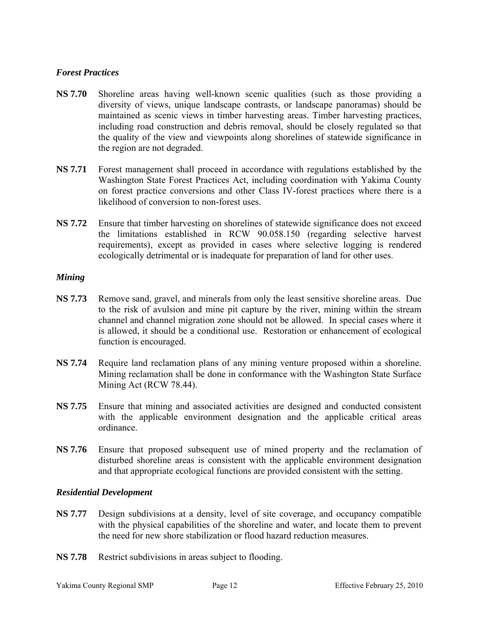# *Forest Practices*

- **NS 7.70** Shoreline areas having well-known scenic qualities (such as those providing a diversity of views, unique landscape contrasts, or landscape panoramas) should be maintained as scenic views in timber harvesting areas. Timber harvesting practices, including road construction and debris removal, should be closely regulated so that the quality of the view and viewpoints along shorelines of statewide significance in the region are not degraded.
- **NS 7.71** Forest management shall proceed in accordance with regulations established by the Washington State Forest Practices Act, including coordination with Yakima County on forest practice conversions and other Class IV-forest practices where there is a likelihood of conversion to non-forest uses.
- **NS 7.72** Ensure that timber harvesting on shorelines of statewide significance does not exceed the limitations established in RCW 90.058.150 (regarding selective harvest requirements), except as provided in cases where selective logging is rendered ecologically detrimental or is inadequate for preparation of land for other uses.

### *Mining*

- **NS 7.73** Remove sand, gravel, and minerals from only the least sensitive shoreline areas. Due to the risk of avulsion and mine pit capture by the river, mining within the stream channel and channel migration zone should not be allowed. In special cases where it is allowed, it should be a conditional use. Restoration or enhancement of ecological function is encouraged.
- **NS 7.74** Require land reclamation plans of any mining venture proposed within a shoreline. Mining reclamation shall be done in conformance with the Washington State Surface Mining Act (RCW 78.44).
- **NS 7.75** Ensure that mining and associated activities are designed and conducted consistent with the applicable environment designation and the applicable critical areas ordinance.
- **NS 7.76** Ensure that proposed subsequent use of mined property and the reclamation of disturbed shoreline areas is consistent with the applicable environment designation and that appropriate ecological functions are provided consistent with the setting.

### *Residential Development*

- **NS 7.77** Design subdivisions at a density, level of site coverage, and occupancy compatible with the physical capabilities of the shoreline and water, and locate them to prevent the need for new shore stabilization or flood hazard reduction measures.
- **NS 7.78** Restrict subdivisions in areas subject to flooding.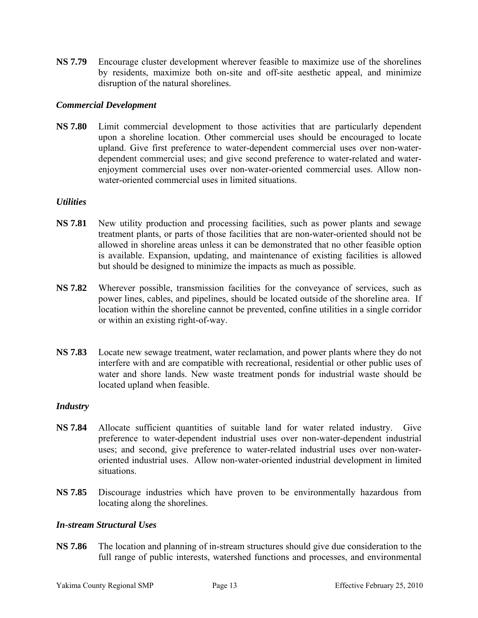**NS 7.79** Encourage cluster development wherever feasible to maximize use of the shorelines by residents, maximize both on-site and off-site aesthetic appeal, and minimize disruption of the natural shorelines.

### *Commercial Development*

**NS 7.80** Limit commercial development to those activities that are particularly dependent upon a shoreline location. Other commercial uses should be encouraged to locate upland. Give first preference to water-dependent commercial uses over non-waterdependent commercial uses; and give second preference to water-related and waterenjoyment commercial uses over non-water-oriented commercial uses. Allow nonwater-oriented commercial uses in limited situations.

### *Utilities*

- **NS 7.81** New utility production and processing facilities, such as power plants and sewage treatment plants, or parts of those facilities that are non-water-oriented should not be allowed in shoreline areas unless it can be demonstrated that no other feasible option is available. Expansion, updating, and maintenance of existing facilities is allowed but should be designed to minimize the impacts as much as possible.
- **NS 7.82** Wherever possible, transmission facilities for the conveyance of services, such as power lines, cables, and pipelines, should be located outside of the shoreline area. If location within the shoreline cannot be prevented, confine utilities in a single corridor or within an existing right-of-way.
- **NS 7.83** Locate new sewage treatment, water reclamation, and power plants where they do not interfere with and are compatible with recreational, residential or other public uses of water and shore lands. New waste treatment ponds for industrial waste should be located upland when feasible.

### *Industry*

- **NS 7.84** Allocate sufficient quantities of suitable land for water related industry. Give preference to water-dependent industrial uses over non-water-dependent industrial uses; and second, give preference to water-related industrial uses over non-wateroriented industrial uses. Allow non-water-oriented industrial development in limited situations.
- **NS 7.85** Discourage industries which have proven to be environmentally hazardous from locating along the shorelines.

# *In-stream Structural Uses*

**NS 7.86** The location and planning of in-stream structures should give due consideration to the full range of public interests, watershed functions and processes, and environmental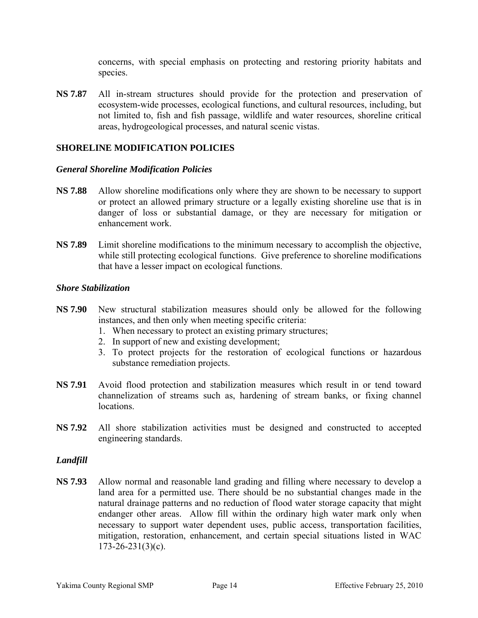concerns, with special emphasis on protecting and restoring priority habitats and species.

**NS 7.87** All in-stream structures should provide for the protection and preservation of ecosystem-wide processes, ecological functions, and cultural resources, including, but not limited to, fish and fish passage, wildlife and water resources, shoreline critical areas, hydrogeological processes, and natural scenic vistas.

# **SHORELINE MODIFICATION POLICIES**

### *General Shoreline Modification Policies*

- **NS 7.88** Allow shoreline modifications only where they are shown to be necessary to support or protect an allowed primary structure or a legally existing shoreline use that is in danger of loss or substantial damage, or they are necessary for mitigation or enhancement work.
- **NS 7.89** Limit shoreline modifications to the minimum necessary to accomplish the objective, while still protecting ecological functions. Give preference to shoreline modifications that have a lesser impact on ecological functions.

### *Shore Stabilization*

- **NS 7.90** New structural stabilization measures should only be allowed for the following instances, and then only when meeting specific criteria:
	- 1. When necessary to protect an existing primary structures;
	- 2. In support of new and existing development;
	- 3. To protect projects for the restoration of ecological functions or hazardous substance remediation projects.
- **NS 7.91** Avoid flood protection and stabilization measures which result in or tend toward channelization of streams such as, hardening of stream banks, or fixing channel locations.
- **NS 7.92** All shore stabilization activities must be designed and constructed to accepted engineering standards.

#### *Landfill*

**NS 7.93** Allow normal and reasonable land grading and filling where necessary to develop a land area for a permitted use. There should be no substantial changes made in the natural drainage patterns and no reduction of flood water storage capacity that might endanger other areas. Allow fill within the ordinary high water mark only when necessary to support water dependent uses, public access, transportation facilities, mitigation, restoration, enhancement, and certain special situations listed in WAC  $173 - 26 - 231(3)(c)$ .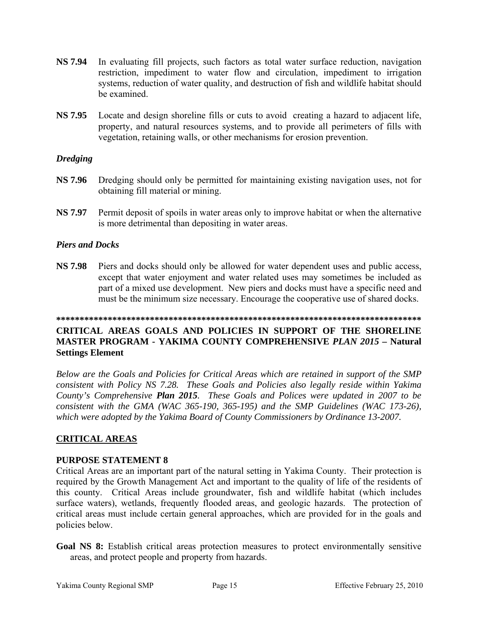- **NS 7.94** In evaluating fill projects, such factors as total water surface reduction, navigation restriction, impediment to water flow and circulation, impediment to irrigation systems, reduction of water quality, and destruction of fish and wildlife habitat should be examined.
- **NS 7.95** Locate and design shoreline fills or cuts to avoid creating a hazard to adjacent life, property, and natural resources systems, and to provide all perimeters of fills with vegetation, retaining walls, or other mechanisms for erosion prevention.

# *Dredging*

- **NS 7.96** Dredging should only be permitted for maintaining existing navigation uses, not for obtaining fill material or mining.
- **NS 7.97** Permit deposit of spoils in water areas only to improve habitat or when the alternative is more detrimental than depositing in water areas.

# *Piers and Docks*

**NS 7.98** Piers and docks should only be allowed for water dependent uses and public access, except that water enjoyment and water related uses may sometimes be included as part of a mixed use development. New piers and docks must have a specific need and must be the minimum size necessary. Encourage the cooperative use of shared docks.

# **\*\*\*\*\*\*\*\*\*\*\*\*\*\*\*\*\*\*\*\*\*\*\*\*\*\*\*\*\*\*\*\*\*\*\*\*\*\*\*\*\*\*\*\*\*\*\*\*\*\*\*\*\*\*\*\*\*\*\*\*\*\*\*\*\*\*\*\*\*\*\*\*\*\*\*\*\*\***

# **CRITICAL AREAS GOALS AND POLICIES IN SUPPORT OF THE SHORELINE MASTER PROGRAM - YAKIMA COUNTY COMPREHENSIVE** *PLAN 2015* **– Natural Settings Element**

*Below are the Goals and Policies for Critical Areas which are retained in support of the SMP consistent with Policy NS 7.28. These Goals and Policies also legally reside within Yakima County's Comprehensive Plan 2015. These Goals and Polices were updated in 2007 to be consistent with the GMA (WAC 365-190, 365-195) and the SMP Guidelines (WAC 173-26), which were adopted by the Yakima Board of County Commissioners by Ordinance 13-2007.* 

# **CRITICAL AREAS**

### **PURPOSE STATEMENT 8**

Critical Areas are an important part of the natural setting in Yakima County. Their protection is required by the Growth Management Act and important to the quality of life of the residents of this county. Critical Areas include groundwater, fish and wildlife habitat (which includes surface waters), wetlands, frequently flooded areas, and geologic hazards. The protection of critical areas must include certain general approaches, which are provided for in the goals and policies below.

Goal NS 8: Establish critical areas protection measures to protect environmentally sensitive areas, and protect people and property from hazards.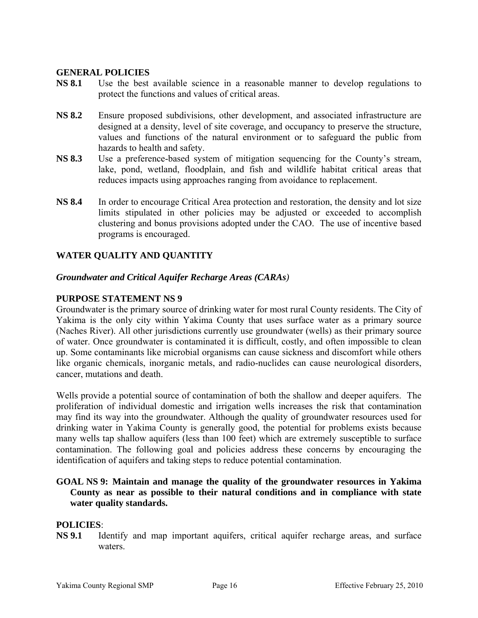### **GENERAL POLICIES**

- **NS 8.1** Use the best available science in a reasonable manner to develop regulations to protect the functions and values of critical areas.
- **NS 8.2** Ensure proposed subdivisions, other development, and associated infrastructure are designed at a density, level of site coverage, and occupancy to preserve the structure, values and functions of the natural environment or to safeguard the public from hazards to health and safety.
- **NS 8.3** Use a preference-based system of mitigation sequencing for the County's stream, lake, pond, wetland, floodplain, and fish and wildlife habitat critical areas that reduces impacts using approaches ranging from avoidance to replacement.
- **NS 8.4** In order to encourage Critical Area protection and restoration, the density and lot size limits stipulated in other policies may be adjusted or exceeded to accomplish clustering and bonus provisions adopted under the CAO. The use of incentive based programs is encouraged.

# **WATER QUALITY AND QUANTITY**

# *Groundwater and Critical Aquifer Recharge Areas (CARAs)*

### **PURPOSE STATEMENT NS 9**

Groundwater is the primary source of drinking water for most rural County residents. The City of Yakima is the only city within Yakima County that uses surface water as a primary source (Naches River). All other jurisdictions currently use groundwater (wells) as their primary source of water. Once groundwater is contaminated it is difficult, costly, and often impossible to clean up. Some contaminants like microbial organisms can cause sickness and discomfort while others like organic chemicals, inorganic metals, and radio-nuclides can cause neurological disorders, cancer, mutations and death.

Wells provide a potential source of contamination of both the shallow and deeper aquifers. The proliferation of individual domestic and irrigation wells increases the risk that contamination may find its way into the groundwater. Although the quality of groundwater resources used for drinking water in Yakima County is generally good, the potential for problems exists because many wells tap shallow aquifers (less than 100 feet) which are extremely susceptible to surface contamination. The following goal and policies address these concerns by encouraging the identification of aquifers and taking steps to reduce potential contamination.

# **GOAL NS 9: Maintain and manage the quality of the groundwater resources in Yakima County as near as possible to their natural conditions and in compliance with state water quality standards.**

### **POLICIES**:

**NS 9.1** Identify and map important aquifers, critical aquifer recharge areas, and surface waters.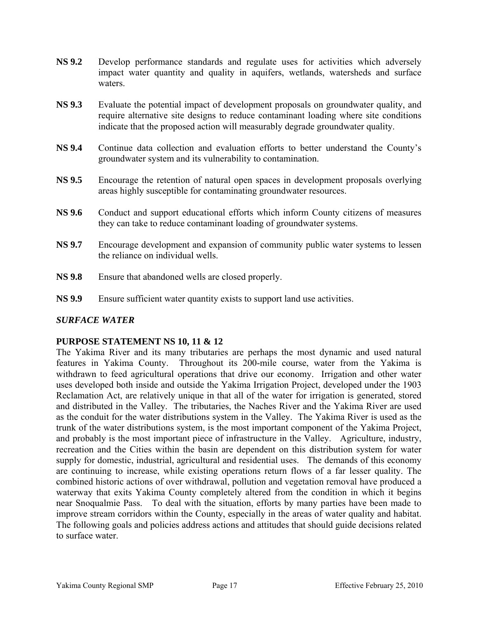- **NS 9.2** Develop performance standards and regulate uses for activities which adversely impact water quantity and quality in aquifers, wetlands, watersheds and surface waters.
- **NS 9.3** Evaluate the potential impact of development proposals on groundwater quality, and require alternative site designs to reduce contaminant loading where site conditions indicate that the proposed action will measurably degrade groundwater quality.
- **NS 9.4** Continue data collection and evaluation efforts to better understand the County's groundwater system and its vulnerability to contamination.
- **NS 9.5** Encourage the retention of natural open spaces in development proposals overlying areas highly susceptible for contaminating groundwater resources.
- **NS 9.6** Conduct and support educational efforts which inform County citizens of measures they can take to reduce contaminant loading of groundwater systems.
- **NS 9.7** Encourage development and expansion of community public water systems to lessen the reliance on individual wells.
- **NS 9.8** Ensure that abandoned wells are closed properly.
- **NS 9.9** Ensure sufficient water quantity exists to support land use activities.

# *SURFACE WATER*

# **PURPOSE STATEMENT NS 10, 11 & 12**

The Yakima River and its many tributaries are perhaps the most dynamic and used natural features in Yakima County. Throughout its 200-mile course, water from the Yakima is withdrawn to feed agricultural operations that drive our economy. Irrigation and other water uses developed both inside and outside the Yakima Irrigation Project, developed under the 1903 Reclamation Act, are relatively unique in that all of the water for irrigation is generated, stored and distributed in the Valley. The tributaries, the Naches River and the Yakima River are used as the conduit for the water distributions system in the Valley. The Yakima River is used as the trunk of the water distributions system, is the most important component of the Yakima Project, and probably is the most important piece of infrastructure in the Valley. Agriculture, industry, recreation and the Cities within the basin are dependent on this distribution system for water supply for domestic, industrial, agricultural and residential uses. The demands of this economy are continuing to increase, while existing operations return flows of a far lesser quality. The combined historic actions of over withdrawal, pollution and vegetation removal have produced a waterway that exits Yakima County completely altered from the condition in which it begins near Snoqualmie Pass. To deal with the situation, efforts by many parties have been made to improve stream corridors within the County, especially in the areas of water quality and habitat. The following goals and policies address actions and attitudes that should guide decisions related to surface water.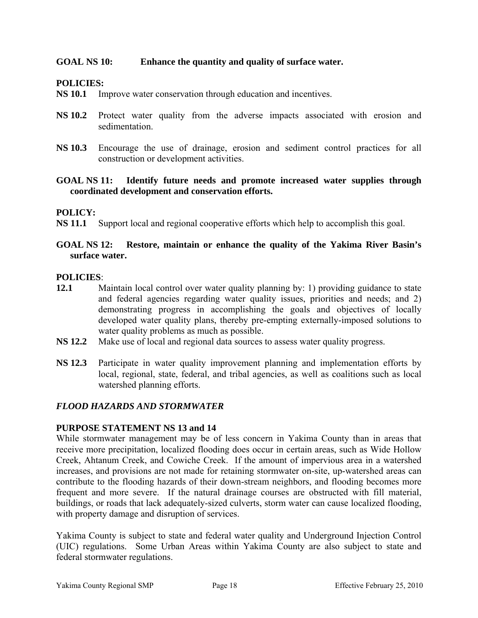# **GOAL NS 10: Enhance the quantity and quality of surface water.**

### **POLICIES:**

- **NS 10.1** Improve water conservation through education and incentives.
- **NS 10.2** Protect water quality from the adverse impacts associated with erosion and sedimentation.
- **NS 10.3** Encourage the use of drainage, erosion and sediment control practices for all construction or development activities.
- **GOAL NS 11: Identify future needs and promote increased water supplies through coordinated development and conservation efforts.**

### **POLICY:**

**NS 11.1** Support local and regional cooperative efforts which help to accomplish this goal.

# **GOAL NS 12: Restore, maintain or enhance the quality of the Yakima River Basin's surface water.**

### **POLICIES**:

- **12.1** Maintain local control over water quality planning by: 1) providing guidance to state and federal agencies regarding water quality issues, priorities and needs; and 2) demonstrating progress in accomplishing the goals and objectives of locally developed water quality plans, thereby pre-empting externally-imposed solutions to water quality problems as much as possible.
- **NS 12.2** Make use of local and regional data sources to assess water quality progress.
- **NS 12.3** Participate in water quality improvement planning and implementation efforts by local, regional, state, federal, and tribal agencies, as well as coalitions such as local watershed planning efforts.

### *FLOOD HAZARDS AND STORMWATER*

### **PURPOSE STATEMENT NS 13 and 14**

While stormwater management may be of less concern in Yakima County than in areas that receive more precipitation, localized flooding does occur in certain areas, such as Wide Hollow Creek, Ahtanum Creek, and Cowiche Creek. If the amount of impervious area in a watershed increases, and provisions are not made for retaining stormwater on-site, up-watershed areas can contribute to the flooding hazards of their down-stream neighbors, and flooding becomes more frequent and more severe. If the natural drainage courses are obstructed with fill material, buildings, or roads that lack adequately-sized culverts, storm water can cause localized flooding, with property damage and disruption of services.

Yakima County is subject to state and federal water quality and Underground Injection Control (UIC) regulations. Some Urban Areas within Yakima County are also subject to state and federal stormwater regulations.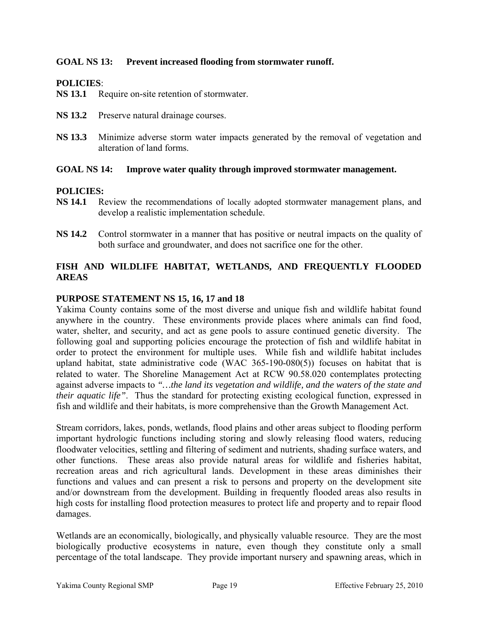# **GOAL NS 13: Prevent increased flooding from stormwater runoff.**

### **POLICIES**:

**NS 13.1** Require on-site retention of stormwater.

- **NS 13.2** Preserve natural drainage courses.
- **NS 13.3** Minimize adverse storm water impacts generated by the removal of vegetation and alteration of land forms.

### **GOAL NS 14: Improve water quality through improved stormwater management.**

### **POLICIES:**

- **NS 14.1** Review the recommendations of locally adopted stormwater management plans, and develop a realistic implementation schedule.
- **NS 14.2** Control stormwater in a manner that has positive or neutral impacts on the quality of both surface and groundwater, and does not sacrifice one for the other.

# **FISH AND WILDLIFE HABITAT, WETLANDS, AND FREQUENTLY FLOODED AREAS**

### **PURPOSE STATEMENT NS 15, 16, 17 and 18**

Yakima County contains some of the most diverse and unique fish and wildlife habitat found anywhere in the country. These environments provide places where animals can find food, water, shelter, and security, and act as gene pools to assure continued genetic diversity. The following goal and supporting policies encourage the protection of fish and wildlife habitat in order to protect the environment for multiple uses. While fish and wildlife habitat includes upland habitat, state administrative code (WAC  $365-190-080(5)$ ) focuses on habitat that is related to water. The Shoreline Management Act at RCW 90.58.020 contemplates protecting against adverse impacts to *"…the land its vegetation and wildlife, and the waters of the state and their aquatic life"*. Thus the standard for protecting existing ecological function, expressed in fish and wildlife and their habitats, is more comprehensive than the Growth Management Act.

Stream corridors, lakes, ponds, wetlands, flood plains and other areas subject to flooding perform important hydrologic functions including storing and slowly releasing flood waters, reducing floodwater velocities, settling and filtering of sediment and nutrients, shading surface waters, and other functions. These areas also provide natural areas for wildlife and fisheries habitat, recreation areas and rich agricultural lands. Development in these areas diminishes their functions and values and can present a risk to persons and property on the development site and/or downstream from the development. Building in frequently flooded areas also results in high costs for installing flood protection measures to protect life and property and to repair flood damages.

Wetlands are an economically, biologically, and physically valuable resource. They are the most biologically productive ecosystems in nature, even though they constitute only a small percentage of the total landscape. They provide important nursery and spawning areas, which in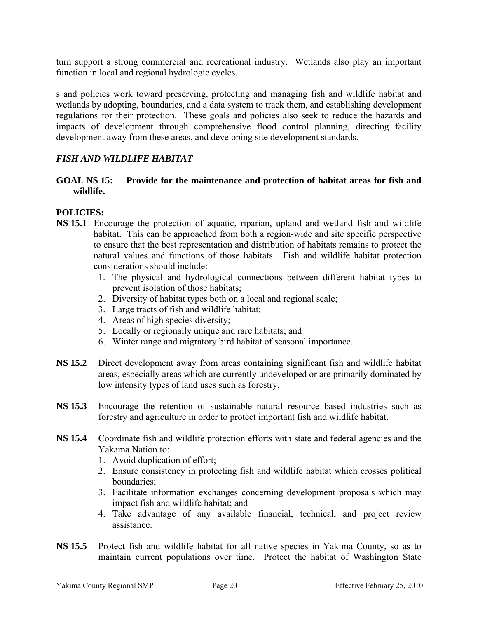turn support a strong commercial and recreational industry. Wetlands also play an important function in local and regional hydrologic cycles.

s and policies work toward preserving, protecting and managing fish and wildlife habitat and wetlands by adopting, boundaries, and a data system to track them, and establishing development regulations for their protection. These goals and policies also seek to reduce the hazards and impacts of development through comprehensive flood control planning, directing facility development away from these areas, and developing site development standards.

# *FISH AND WILDLIFE HABITAT*

# **GOAL NS 15: Provide for the maintenance and protection of habitat areas for fish and wildlife.**

# **POLICIES:**

- **NS 15.1** Encourage the protection of aquatic, riparian, upland and wetland fish and wildlife habitat. This can be approached from both a region-wide and site specific perspective to ensure that the best representation and distribution of habitats remains to protect the natural values and functions of those habitats. Fish and wildlife habitat protection considerations should include:
	- 1. The physical and hydrological connections between different habitat types to prevent isolation of those habitats;
	- 2. Diversity of habitat types both on a local and regional scale;
	- 3. Large tracts of fish and wildlife habitat;
	- 4. Areas of high species diversity;
	- 5. Locally or regionally unique and rare habitats; and
	- 6. Winter range and migratory bird habitat of seasonal importance.
- **NS 15.2** Direct development away from areas containing significant fish and wildlife habitat areas, especially areas which are currently undeveloped or are primarily dominated by low intensity types of land uses such as forestry.
- **NS 15.3** Encourage the retention of sustainable natural resource based industries such as forestry and agriculture in order to protect important fish and wildlife habitat.
- **NS 15.4** Coordinate fish and wildlife protection efforts with state and federal agencies and the Yakama Nation to:
	- 1. Avoid duplication of effort;
	- 2. Ensure consistency in protecting fish and wildlife habitat which crosses political boundaries;
	- 3. Facilitate information exchanges concerning development proposals which may impact fish and wildlife habitat; and
	- 4. Take advantage of any available financial, technical, and project review assistance.
- **NS 15.5** Protect fish and wildlife habitat for all native species in Yakima County, so as to maintain current populations over time. Protect the habitat of Washington State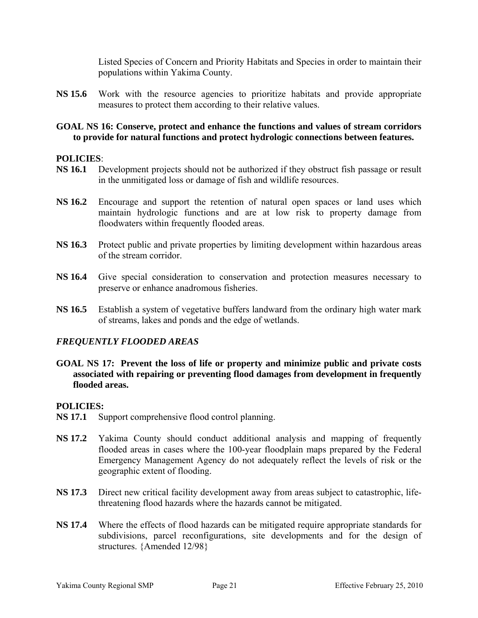Listed Species of Concern and Priority Habitats and Species in order to maintain their populations within Yakima County.

**NS 15.6** Work with the resource agencies to prioritize habitats and provide appropriate measures to protect them according to their relative values.

### **GOAL NS 16: Conserve, protect and enhance the functions and values of stream corridors to provide for natural functions and protect hydrologic connections between features.**

### **POLICIES**:

- **NS 16.1** Development projects should not be authorized if they obstruct fish passage or result in the unmitigated loss or damage of fish and wildlife resources.
- **NS 16.2** Encourage and support the retention of natural open spaces or land uses which maintain hydrologic functions and are at low risk to property damage from floodwaters within frequently flooded areas.
- **NS 16.3** Protect public and private properties by limiting development within hazardous areas of the stream corridor.
- **NS 16.4** Give special consideration to conservation and protection measures necessary to preserve or enhance anadromous fisheries.
- **NS 16.5** Establish a system of vegetative buffers landward from the ordinary high water mark of streams, lakes and ponds and the edge of wetlands.

### *FREQUENTLY FLOODED AREAS*

**GOAL NS 17: Prevent the loss of life or property and minimize public and private costs associated with repairing or preventing flood damages from development in frequently flooded areas.** 

### **POLICIES:**

- **NS 17.1** Support comprehensive flood control planning.
- **NS 17.2** Yakima County should conduct additional analysis and mapping of frequently flooded areas in cases where the 100-year floodplain maps prepared by the Federal Emergency Management Agency do not adequately reflect the levels of risk or the geographic extent of flooding.
- **NS 17.3** Direct new critical facility development away from areas subject to catastrophic, lifethreatening flood hazards where the hazards cannot be mitigated.
- **NS 17.4** Where the effects of flood hazards can be mitigated require appropriate standards for subdivisions, parcel reconfigurations, site developments and for the design of structures. {Amended 12/98}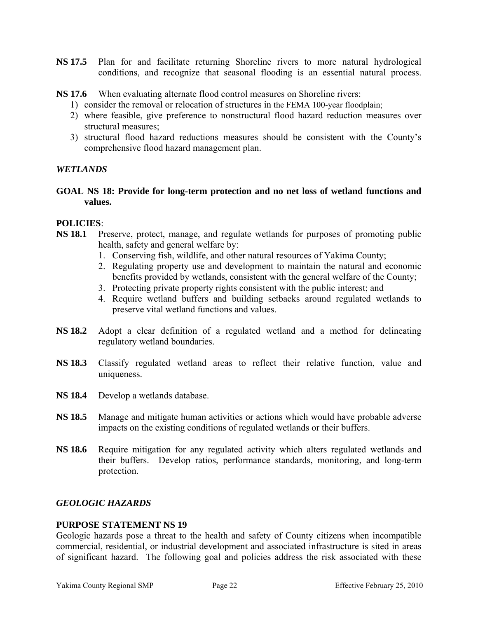- **NS 17.5** Plan for and facilitate returning Shoreline rivers to more natural hydrological conditions, and recognize that seasonal flooding is an essential natural process.
- **NS 17.6** When evaluating alternate flood control measures on Shoreline rivers:
	- 1) consider the removal or relocation of structures in the FEMA 100-year floodplain;
	- 2) where feasible, give preference to nonstructural flood hazard reduction measures over structural measures;
	- 3) structural flood hazard reductions measures should be consistent with the County's comprehensive flood hazard management plan.

# *WETLANDS*

**GOAL NS 18: Provide for long-term protection and no net loss of wetland functions and values.** 

### **POLICIES**:

- **NS 18.1** Preserve, protect, manage, and regulate wetlands for purposes of promoting public health, safety and general welfare by:
	- 1. Conserving fish, wildlife, and other natural resources of Yakima County;
	- 2. Regulating property use and development to maintain the natural and economic benefits provided by wetlands, consistent with the general welfare of the County;
	- 3. Protecting private property rights consistent with the public interest; and
	- 4. Require wetland buffers and building setbacks around regulated wetlands to preserve vital wetland functions and values.
- **NS 18.2** Adopt a clear definition of a regulated wetland and a method for delineating regulatory wetland boundaries.
- **NS 18.3** Classify regulated wetland areas to reflect their relative function, value and uniqueness.
- **NS 18.4** Develop a wetlands database.
- **NS 18.5** Manage and mitigate human activities or actions which would have probable adverse impacts on the existing conditions of regulated wetlands or their buffers.
- **NS 18.6** Require mitigation for any regulated activity which alters regulated wetlands and their buffers. Develop ratios, performance standards, monitoring, and long-term protection.

### *GEOLOGIC HAZARDS*

### **PURPOSE STATEMENT NS 19**

Geologic hazards pose a threat to the health and safety of County citizens when incompatible commercial, residential, or industrial development and associated infrastructure is sited in areas of significant hazard. The following goal and policies address the risk associated with these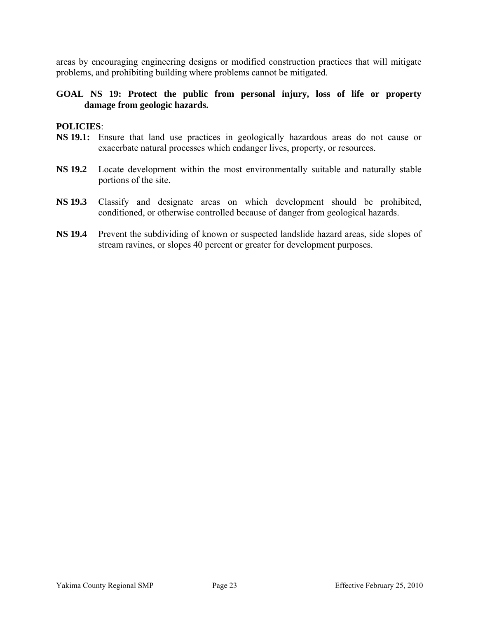areas by encouraging engineering designs or modified construction practices that will mitigate problems, and prohibiting building where problems cannot be mitigated.

### **GOAL NS 19: Protect the public from personal injury, loss of life or property damage from geologic hazards.**

### **POLICIES**:

- **NS 19.1:** Ensure that land use practices in geologically hazardous areas do not cause or exacerbate natural processes which endanger lives, property, or resources.
- **NS 19.2** Locate development within the most environmentally suitable and naturally stable portions of the site.
- **NS 19.3** Classify and designate areas on which development should be prohibited, conditioned, or otherwise controlled because of danger from geological hazards.
- **NS 19.4** Prevent the subdividing of known or suspected landslide hazard areas, side slopes of stream ravines, or slopes 40 percent or greater for development purposes.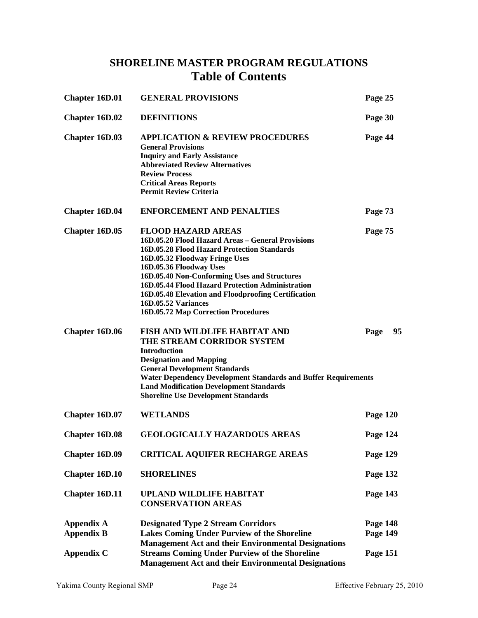# **SHORELINE MASTER PROGRAM REGULATIONS Table of Contents**

| <b>Chapter 16D.01</b> | <b>GENERAL PROVISIONS</b>                                                                                                                                                                                                                                                                                                                                                                                           | Page 25         |
|-----------------------|---------------------------------------------------------------------------------------------------------------------------------------------------------------------------------------------------------------------------------------------------------------------------------------------------------------------------------------------------------------------------------------------------------------------|-----------------|
| <b>Chapter 16D.02</b> | <b>DEFINITIONS</b>                                                                                                                                                                                                                                                                                                                                                                                                  | Page 30         |
| <b>Chapter 16D.03</b> | <b>APPLICATION &amp; REVIEW PROCEDURES</b><br><b>General Provisions</b><br><b>Inquiry and Early Assistance</b><br><b>Abbreviated Review Alternatives</b><br><b>Review Process</b><br><b>Critical Areas Reports</b><br><b>Permit Review Criteria</b>                                                                                                                                                                 | Page 44         |
| <b>Chapter 16D.04</b> | <b>ENFORCEMENT AND PENALTIES</b>                                                                                                                                                                                                                                                                                                                                                                                    | Page 73         |
| Chapter 16D.05        | <b>FLOOD HAZARD AREAS</b><br>16D.05.20 Flood Hazard Areas - General Provisions<br>16D.05.28 Flood Hazard Protection Standards<br>16D.05.32 Floodway Fringe Uses<br>16D.05.36 Floodway Uses<br>16D.05.40 Non-Conforming Uses and Structures<br>16D.05.44 Flood Hazard Protection Administration<br>16D.05.48 Elevation and Floodproofing Certification<br>16D.05.52 Variances<br>16D.05.72 Map Correction Procedures | Page 75         |
| <b>Chapter 16D.06</b> | <b>FISH AND WILDLIFE HABITAT AND</b><br>THE STREAM CORRIDOR SYSTEM<br><b>Introduction</b><br><b>Designation and Mapping</b><br><b>General Development Standards</b><br><b>Water Dependency Development Standards and Buffer Requirements</b><br><b>Land Modification Development Standards</b><br><b>Shoreline Use Development Standards</b>                                                                        | 95<br>Page      |
| Chapter 16D.07        | <b>WETLANDS</b>                                                                                                                                                                                                                                                                                                                                                                                                     | Page 120        |
| <b>Chapter 16D.08</b> | <b>GEOLOGICALLY HAZARDOUS AREAS</b>                                                                                                                                                                                                                                                                                                                                                                                 | Page 124        |
| <b>Chapter 16D.09</b> | <b>CRITICAL AQUIFER RECHARGE AREAS</b>                                                                                                                                                                                                                                                                                                                                                                              | Page 129        |
| Chapter 16D.10        | <b>SHORELINES</b>                                                                                                                                                                                                                                                                                                                                                                                                   | Page 132        |
| <b>Chapter 16D.11</b> | <b>UPLAND WILDLIFE HABITAT</b><br><b>CONSERVATION AREAS</b>                                                                                                                                                                                                                                                                                                                                                         | Page 143        |
| <b>Appendix A</b>     | <b>Designated Type 2 Stream Corridors</b>                                                                                                                                                                                                                                                                                                                                                                           | Page 148        |
| <b>Appendix B</b>     | <b>Lakes Coming Under Purview of the Shoreline</b>                                                                                                                                                                                                                                                                                                                                                                  | Page 149        |
| <b>Appendix C</b>     | <b>Management Act and their Environmental Designations</b><br><b>Streams Coming Under Purview of the Shoreline</b><br><b>Management Act and their Environmental Designations</b>                                                                                                                                                                                                                                    | <b>Page 151</b> |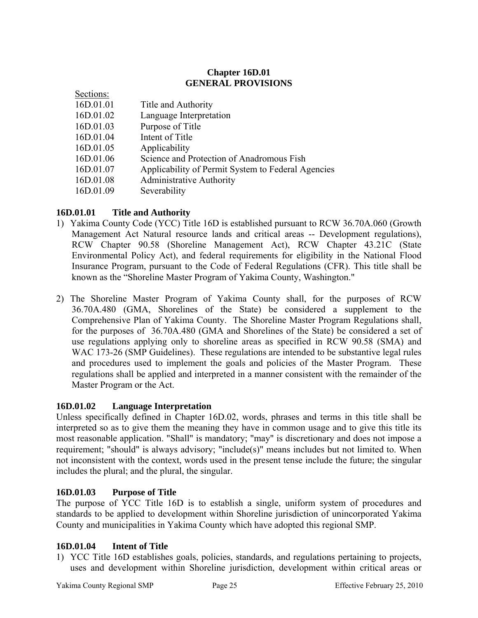# **Chapter 16D.01 GENERAL PROVISIONS**

| Secuons.  |                                                    |
|-----------|----------------------------------------------------|
| 16D.01.01 | Title and Authority                                |
| 16D.01.02 | Language Interpretation                            |
| 16D.01.03 | Purpose of Title                                   |
| 16D.01.04 | Intent of Title                                    |
| 16D.01.05 | Applicability                                      |
| 16D.01.06 | Science and Protection of Anadromous Fish          |
| 16D.01.07 | Applicability of Permit System to Federal Agencies |
| 16D.01.08 | <b>Administrative Authority</b>                    |
| 16D.01.09 | Severability                                       |
|           |                                                    |

# **16D.01.01 Title and Authority**

 $S = \pm 1$ 

- 1) Yakima County Code (YCC) Title 16D is established pursuant to RCW 36.70A.060 (Growth Management Act Natural resource lands and critical areas -- Development regulations), RCW Chapter 90.58 (Shoreline Management Act), RCW Chapter 43.21C (State Environmental Policy Act), and federal requirements for eligibility in the National Flood Insurance Program, pursuant to the Code of Federal Regulations (CFR). This title shall be known as the "Shoreline Master Program of Yakima County, Washington."
- 2) The Shoreline Master Program of Yakima County shall, for the purposes of RCW 36.70A.480 (GMA, Shorelines of the State) be considered a supplement to the Comprehensive Plan of Yakima County. The Shoreline Master Program Regulations shall, for the purposes of 36.70A.480 (GMA and Shorelines of the State) be considered a set of use regulations applying only to shoreline areas as specified in RCW 90.58 (SMA) and WAC 173-26 (SMP Guidelines). These regulations are intended to be substantive legal rules and procedures used to implement the goals and policies of the Master Program. These regulations shall be applied and interpreted in a manner consistent with the remainder of the Master Program or the Act.

# **16D.01.02 Language Interpretation**

Unless specifically defined in Chapter [16D.02,](http://nt2.scbbs.com/cgi-bin/om_isapi.dll?clientID=428448&hitsperheading=on&infobase=procode-5&jump=16A.02&softpage=ref_Doc#JUMPDEST_16A.02) words, phrases and terms in this title shall be interpreted so as to give them the meaning they have in common usage and to give this title its most reasonable application. "Shall" is mandatory; "may" is discretionary and does not impose a requirement; "should" is always advisory; "include(s)" means includes but not limited to. When not inconsistent with the context, words used in the present tense include the future; the singular includes the plural; and the plural, the singular.

# **16D.01.03 Purpose of Title**

The purpose of YCC Title 16D is to establish a single, uniform system of procedures and standards to be applied to development within Shoreline jurisdiction of unincorporated Yakima County and municipalities in Yakima County which have adopted this regional SMP.

# **16D.01.04 Intent of Title**

1) YCC Title 16D establishes goals, policies, standards, and regulations pertaining to projects, uses and development within Shoreline jurisdiction, development within critical areas or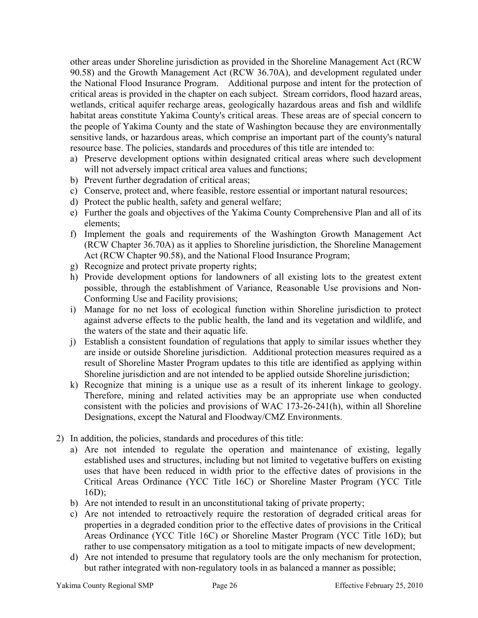other areas under Shoreline jurisdiction as provided in the Shoreline Management Act (RCW 90.58) and the Growth Management Act (RCW 36.70A), and development regulated under the National Flood Insurance Program. Additional purpose and intent for the protection of critical areas is provided in the chapter on each subject. Stream corridors, flood hazard areas, wetlands, critical aquifer recharge areas, geologically hazardous areas and fish and wildlife habitat areas constitute Yakima County's critical areas. These areas are of special concern to the people of Yakima County and the state of Washington because they are environmentally sensitive lands, or hazardous areas, which comprise an important part of the county's natural resource base. The policies, standards and procedures of this title are intended to:

- a) Preserve development options within designated critical areas where such development will not adversely impact critical area values and functions;
- b) Prevent further degradation of critical areas;
- c) Conserve, protect and, where feasible, restore essential or important natural resources;
- d) Protect the public health, safety and general welfare;
- e) Further the goals and objectives of the Yakima County Comprehensive Plan and all of its elements;
- f) Implement the goals and requirements of the Washington Growth Management Act (RCW Chapter 36.70A) as it applies to Shoreline jurisdiction, the Shoreline Management Act (RCW Chapter 90.58), and the National Flood Insurance Program;
- g) Recognize and protect private property rights;
- h) Provide development options for landowners of all existing lots to the greatest extent possible, through the establishment of Variance, Reasonable Use provisions and Non-Conforming Use and Facility provisions;
- i) Manage for no net loss of ecological function within Shoreline jurisdiction to protect against adverse effects to the public health, the land and its vegetation and wildlife, and the waters of the state and their aquatic life.
- j) Establish a consistent foundation of regulations that apply to similar issues whether they are inside or outside Shoreline jurisdiction. Additional protection measures required as a result of Shoreline Master Program updates to this title are identified as applying within Shoreline jurisdiction and are not intended to be applied outside Shoreline jurisdiction;
- k) Recognize that mining is a unique use as a result of its inherent linkage to geology. Therefore, mining and related activities may be an appropriate use when conducted consistent with the policies and provisions of WAC 173-26-241(h), within all Shoreline Designations, except the Natural and Floodway/CMZ Environments.
- 2) In addition, the policies, standards and procedures of this title:
	- a) Are not intended to regulate the operation and maintenance of existing, legally established uses and structures, including but not limited to vegetative buffers on existing uses that have been reduced in width prior to the effective dates of provisions in the Critical Areas Ordinance (YCC Title 16C) or Shoreline Master Program (YCC Title  $16D$ ;
	- b) Are not intended to result in an unconstitutional taking of private property;
	- c) Are not intended to retroactively require the restoration of degraded critical areas for properties in a degraded condition prior to the effective dates of provisions in the Critical Areas Ordinance (YCC Title 16C) or Shoreline Master Program (YCC Title 16D); but rather to use compensatory mitigation as a tool to mitigate impacts of new development;
	- d) Are not intended to presume that regulatory tools are the only mechanism for protection, but rather integrated with non-regulatory tools in as balanced a manner as possible;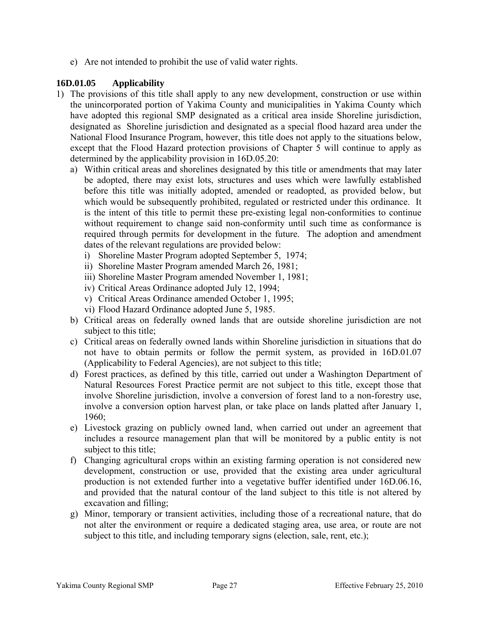e) Are not intended to prohibit the use of valid water rights.

# **16D.01.05 Applicability**

- 1) The provisions of this title shall apply to any new development, construction or use within the unincorporated portion of Yakima County and municipalities in Yakima County which have adopted this regional SMP designated as a critical area inside Shoreline jurisdiction, designated as Shoreline jurisdiction and designated as a special flood hazard area under the National Flood Insurance Program, however, this title does not apply to the situations below, except that the Flood Hazard protection provisions of Chapter 5 will continue to apply as determined by the applicability provision in 16D.05.20:
	- a) Within critical areas and shorelines designated by this title or amendments that may later be adopted, there may exist lots, structures and uses which were lawfully established before this title was initially adopted, amended or readopted, as provided below, but which would be subsequently prohibited, regulated or restricted under this ordinance. It is the intent of this title to permit these pre-existing legal non-conformities to continue without requirement to change said non-conformity until such time as conformance is required through permits for development in the future. The adoption and amendment dates of the relevant regulations are provided below:
		- i) Shoreline Master Program adopted September 5, 1974;
		- ii) Shoreline Master Program amended March 26, 1981;
		- iii) Shoreline Master Program amended November 1, 1981;
		- iv) Critical Areas Ordinance adopted July 12, 1994;
		- v) Critical Areas Ordinance amended October 1, 1995;
		- vi) Flood Hazard Ordinance adopted June 5, 1985.
	- b) Critical areas on federally owned lands that are outside shoreline jurisdiction are not subject to this title;
	- c) Critical areas on federally owned lands within Shoreline jurisdiction in situations that do not have to obtain permits or follow the permit system, as provided in 16D.01.07 (Applicability to Federal Agencies), are not subject to this title;
	- d) Forest practices, as defined by this title, carried out under a Washington Department of Natural Resources Forest Practice permit are not subject to this title, except those that involve Shoreline jurisdiction, involve a conversion of forest land to a non-forestry use, involve a conversion option harvest plan, or take place on lands platted after January 1, 1960;
	- e) Livestock grazing on publicly owned land, when carried out under an agreement that includes a resource management plan that will be monitored by a public entity is not subject to this title;
	- f) Changing agricultural crops within an existing farming operation is not considered new development, construction or use, provided that the existing area under agricultural production is not extended further into a vegetative buffer identified under 16D.06.16, and provided that the natural contour of the land subject to this title is not altered by excavation and filling;
	- g) Minor, temporary or transient activities, including those of a recreational nature, that do not alter the environment or require a dedicated staging area, use area, or route are not subject to this title, and including temporary signs (election, sale, rent, etc.);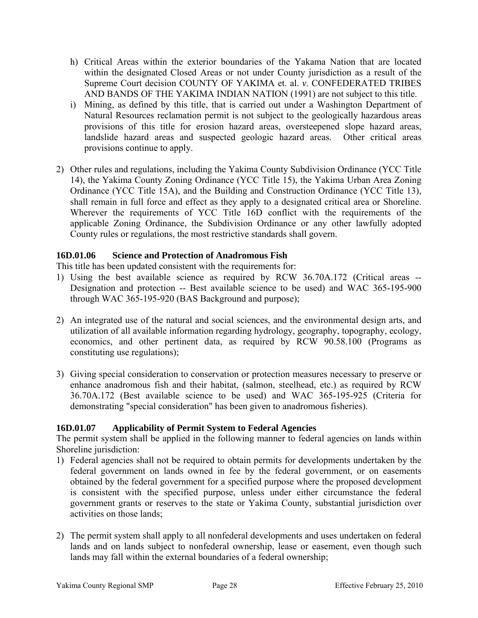- h) Critical Areas within the exterior boundaries of the Yakama Nation that are located within the designated Closed Areas or not under County jurisdiction as a result of the Supreme Court decision COUNTY OF YAKIMA et. al. *v*. CONFEDERATED TRIBES AND BANDS OF THE YAKIMA INDIAN NATION (1991) are not subject to this title.
- i) Mining, as defined by this title, that is carried out under a Washington Department of Natural Resources reclamation permit is not subject to the geologically hazardous areas provisions of this title for erosion hazard areas, oversteepened slope hazard areas, landslide hazard areas and suspected geologic hazard areas. Other critical areas provisions continue to apply.
- 2) Other rules and regulations, including the Yakima County Subdivision Ordinance (YCC Title 14), the Yakima County Zoning Ordinance (YCC Title 15), the Yakima Urban Area Zoning Ordinance (YCC Title 15A), and the Building and Construction Ordinance (YCC Title 13), shall remain in full force and effect as they apply to a designated critical area or Shoreline. Wherever the requirements of YCC Title 16D conflict with the requirements of the applicable Zoning Ordinance, the Subdivision Ordinance or any other lawfully adopted County rules or regulations, the most restrictive standards shall govern.

# **16D.01.06 Science and Protection of Anadromous Fish**

This title has been updated consistent with the requirements for:

- 1) Using the best available science as required by RCW 36.70A.172 (Critical areas -- Designation and protection -- Best available science to be used) and WAC 365-195-900 through WAC 365-195-920 (BAS Background and purpose);
- 2) An integrated use of the natural and social sciences, and the environmental design arts, and utilization of all available information regarding hydrology, geography, topography, ecology, economics, and other pertinent data, as required by RCW 90.58.100 (Programs as constituting use regulations);
- 3) Giving special consideration to conservation or protection measures necessary to preserve or enhance anadromous fish and their habitat, (salmon, steelhead, etc.) as required by RCW 36.70A.172 (Best available science to be used) and WAC 365-195-925 (Criteria for demonstrating "special consideration" has been given to anadromous fisheries).

# **16D.01.07 Applicability of Permit System to Federal Agencies**

The permit system shall be applied in the following manner to federal agencies on lands within Shoreline jurisdiction:

- 1) Federal agencies shall not be required to obtain permits for developments undertaken by the federal government on lands owned in fee by the federal government, or on easements obtained by the federal government for a specified purpose where the proposed development is consistent with the specified purpose, unless under either circumstance the federal government grants or reserves to the state or Yakima County, substantial jurisdiction over activities on those lands;
- 2) The permit system shall apply to all nonfederal developments and uses undertaken on federal lands and on lands subject to nonfederal ownership, lease or easement, even though such lands may fall within the external boundaries of a federal ownership;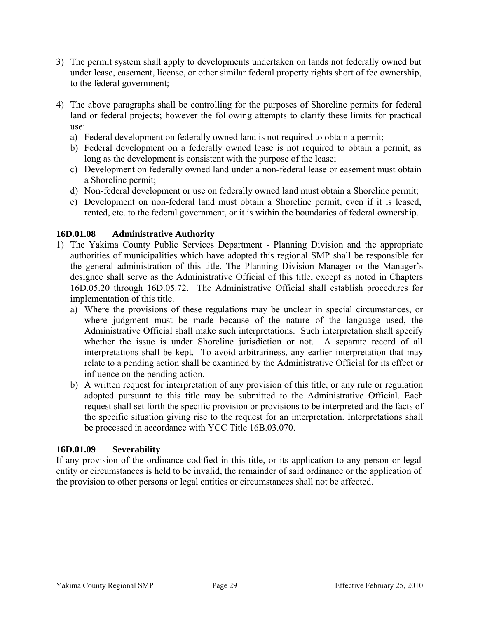- 3) The permit system shall apply to developments undertaken on lands not federally owned but under lease, easement, license, or other similar federal property rights short of fee ownership, to the federal government;
- 4) The above paragraphs shall be controlling for the purposes of Shoreline permits for federal land or federal projects; however the following attempts to clarify these limits for practical use:
	- a) Federal development on federally owned land is not required to obtain a permit;
	- b) Federal development on a federally owned lease is not required to obtain a permit, as long as the development is consistent with the purpose of the lease;
	- c) Development on federally owned land under a non-federal lease or easement must obtain a Shoreline permit;
	- d) Non-federal development or use on federally owned land must obtain a Shoreline permit;
	- e) Development on non-federal land must obtain a Shoreline permit, even if it is leased, rented, etc. to the federal government, or it is within the boundaries of federal ownership.

# **16D.01.08 Administrative Authority**

- 1) The Yakima County Public Services Department Planning Division and the appropriate authorities of municipalities which have adopted this regional SMP shall be responsible for the general administration of this title. The Planning Division Manager or the Manager's designee shall serve as the Administrative Official of this title, except as noted in Chapters 16D.05.20 through 16D.05.72. The Administrative Official shall establish procedures for implementation of this title.
	- a) Where the provisions of these regulations may be unclear in special circumstances, or where judgment must be made because of the nature of the language used, the Administrative Official shall make such interpretations. Such interpretation shall specify whether the issue is under Shoreline jurisdiction or not. A separate record of all interpretations shall be kept. To avoid arbitrariness, any earlier interpretation that may relate to a pending action shall be examined by the Administrative Official for its effect or influence on the pending action.
	- b) A written request for interpretation of any provision of this title, or any rule or regulation adopted pursuant to this title may be submitted to the Administrative Official. Each request shall set forth the specific provision or provisions to be interpreted and the facts of the specific situation giving rise to the request for an interpretation. Interpretations shall be processed in accordance with YCC Title 16B.03.070.

# **16D.01.09 Severability**

If any provision of the ordinance codified in this title, or its application to any person or legal entity or circumstances is held to be invalid, the remainder of said ordinance or the application of the provision to other persons or legal entities or circumstances shall not be affected.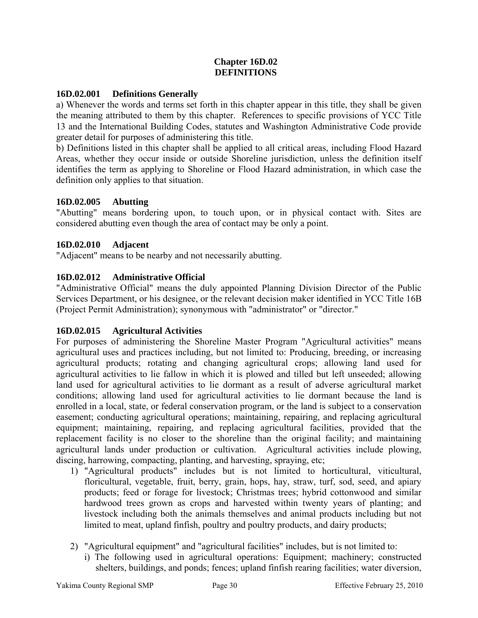# **Chapter 16D.02 DEFINITIONS**

# **16D.02.001 Definitions Generally**

a) Whenever the words and terms set forth in this chapter appear in this title, they shall be given the meaning attributed to them by this chapter.References to specific provisions of YCC Title 13 and the International Building Codes, statutes and Washington Administrative Code provide greater detail for purposes of administering this title.

b) Definitions listed in this chapter shall be applied to all critical areas, including Flood Hazard Areas, whether they occur inside or outside Shoreline jurisdiction, unless the definition itself identifies the term as applying to Shoreline or Flood Hazard administration, in which case the definition only applies to that situation.

### **16D.02.005 Abutting**

"Abutting" means bordering upon, to touch upon, or in physical contact with. Sites are considered abutting even though the area of contact may be only a point.

### **16D.02.010 Adjacent**

"Adjacent" means to be nearby and not necessarily abutting.

# **16D.02.012 Administrative Official**

"Administrative Official" means the duly appointed Planning Division Director of the Public Services Department, or his designee, or the relevant decision maker identified in YCC Title 16B (Project Permit Administration); synonymous with "administrator" or "director."

# **16D.02.015 Agricultural Activities**

For purposes of administering the Shoreline Master Program "Agricultural activities" means agricultural uses and practices including, but not limited to: Producing, breeding, or increasing agricultural products; rotating and changing agricultural crops; allowing land used for agricultural activities to lie fallow in which it is plowed and tilled but left unseeded; allowing land used for agricultural activities to lie dormant as a result of adverse agricultural market conditions; allowing land used for agricultural activities to lie dormant because the land is enrolled in a local, state, or federal conservation program, or the land is subject to a conservation easement; conducting agricultural operations; maintaining, repairing, and replacing agricultural equipment; maintaining, repairing, and replacing agricultural facilities, provided that the replacement facility is no closer to the shoreline than the original facility; and maintaining agricultural lands under production or cultivation. Agricultural activities include plowing, discing, harrowing, compacting, planting, and harvesting, spraying, etc;

- 1) "Agricultural products" includes but is not limited to horticultural, viticultural, floricultural, vegetable, fruit, berry, grain, hops, hay, straw, turf, sod, seed, and apiary products; feed or forage for livestock; Christmas trees; hybrid cottonwood and similar hardwood trees grown as crops and harvested within twenty years of planting; and livestock including both the animals themselves and animal products including but not limited to meat, upland finfish, poultry and poultry products, and dairy products;
- 2) "Agricultural equipment" and "agricultural facilities" includes, but is not limited to:
	- i) The following used in agricultural operations: Equipment; machinery; constructed shelters, buildings, and ponds; fences; upland finfish rearing facilities; water diversion,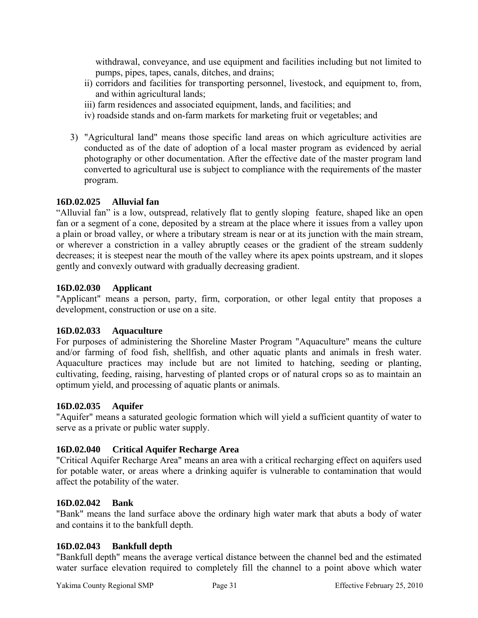withdrawal, conveyance, and use equipment and facilities including but not limited to pumps, pipes, tapes, canals, ditches, and drains;

- ii) corridors and facilities for transporting personnel, livestock, and equipment to, from, and within agricultural lands;
- iii) farm residences and associated equipment, lands, and facilities; and
- iv) roadside stands and on-farm markets for marketing fruit or vegetables; and
- 3) "Agricultural land" means those specific land areas on which agriculture activities are conducted as of the date of adoption of a local master program as evidenced by aerial photography or other documentation. After the effective date of the master program land converted to agricultural use is subject to compliance with the requirements of the master program.

# **16D.02.025 Alluvial fan**

"Alluvial fan" is a low, outspread, relatively flat to gently sloping feature, shaped like an open fan or a segment of a cone, deposited by a stream at the place where it issues from a valley upon a plain or broad valley, or where a tributary stream is near or at its junction with the main stream, or wherever a constriction in a valley abruptly ceases or the gradient of the stream suddenly decreases; it is steepest near the mouth of the valley where its apex points upstream, and it slopes gently and convexly outward with gradually decreasing gradient.

# **16D.02.030 Applicant**

"Applicant" means a person, party, firm, corporation, or other legal entity that proposes a development, construction or use on a site.

# **16D.02.033 Aquaculture**

For purposes of administering the Shoreline Master Program "Aquaculture" means the culture and/or farming of food fish, shellfish, and other aquatic plants and animals in fresh water. Aquaculture practices may include but are not limited to hatching, seeding or planting, cultivating, feeding, raising, harvesting of planted crops or of natural crops so as to maintain an optimum yield, and processing of aquatic plants or animals.

# **16D.02.035 Aquifer**

"Aquifer" means a saturated geologic formation which will yield a sufficient quantity of water to serve as a private or public water supply.

# **16D.02.040 Critical Aquifer Recharge Area**

"Critical Aquifer Recharge Area" means an area with a critical recharging effect on aquifers used for potable water, or areas where a drinking aquifer is vulnerable to contamination that would affect the potability of the water.

# **16D.02.042 Bank**

"Bank" means the land surface above the ordinary high water mark that abuts a body of water and contains it to the bankfull depth.

# **16D.02.043 Bankfull depth**

"Bankfull depth" means the average vertical distance between the channel bed and the estimated water surface elevation required to completely fill the channel to a point above which water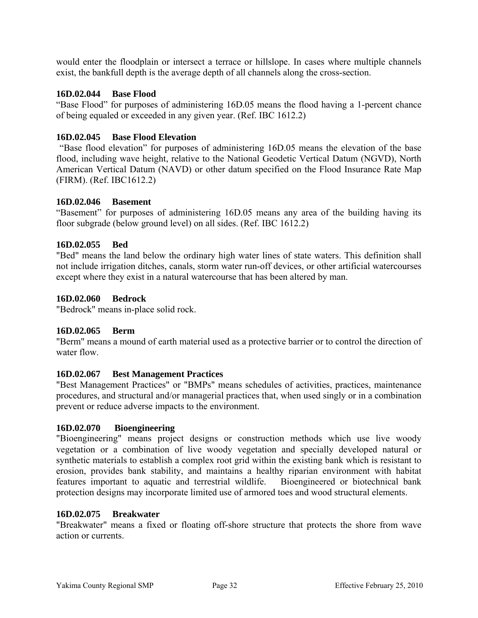would enter the floodplain or intersect a terrace or hillslope. In cases where multiple channels exist, the bankfull depth is the average depth of all channels along the cross-section.

# **16D.02.044 Base Flood**

"Base Flood" for purposes of administering 16D.05 means the flood having a 1-percent chance of being equaled or exceeded in any given year. (Ref. IBC 1612.2)

# **16D.02.045 Base Flood Elevation**

"Base flood elevation" for purposes of administering 16D.05 means the elevation of the base flood, including wave height, relative to the National Geodetic Vertical Datum (NGVD), North American Vertical Datum (NAVD) or other datum specified on the Flood Insurance Rate Map (FIRM). (Ref. IBC1612.2)

### **16D.02.046 Basement**

"Basement" for purposes of administering 16D.05 means any area of the building having its floor subgrade (below ground level) on all sides. (Ref. IBC 1612.2)

# **16D.02.055 Bed**

"Bed" means the land below the ordinary high water lines of state waters. This definition shall not include irrigation ditches, canals, storm water run-off devices, or other artificial watercourses except where they exist in a natural watercourse that has been altered by man.

### **16D.02.060 Bedrock**

"Bedrock" means in-place solid rock.

### **16D.02.065 Berm**

"Berm" means a mound of earth material used as a protective barrier or to control the direction of water flow.

### **16D.02.067 Best Management Practices**

"Best Management Practices" or "BMPs" means schedules of activities, practices, maintenance procedures, and structural and/or managerial practices that, when used singly or in a combination prevent or reduce adverse impacts to the environment.

### **16D.02.070 Bioengineering**

"Bioengineering" means project designs or construction methods which use live woody vegetation or a combination of live woody vegetation and specially developed natural or synthetic materials to establish a complex root grid within the existing bank which is resistant to erosion, provides bank stability, and maintains a healthy riparian environment with habitat features important to aquatic and terrestrial wildlife. Bioengineered or biotechnical bank protection designs may incorporate limited use of armored toes and wood structural elements.

### **16D.02.075 Breakwater**

"Breakwater" means a fixed or floating off-shore structure that protects the shore from wave action or currents.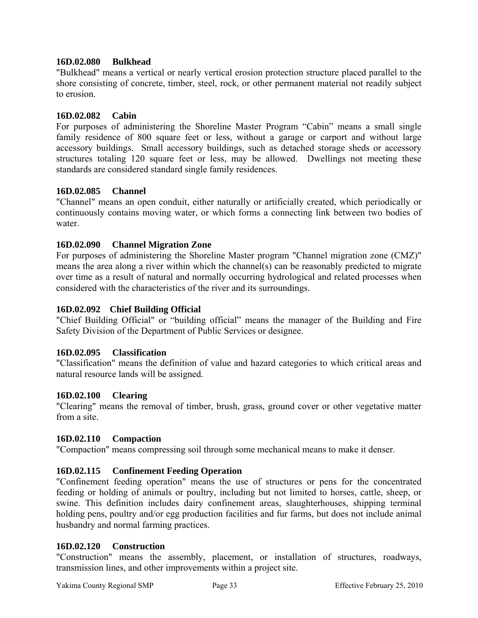# **16D.02.080 Bulkhead**

"Bulkhead" means a vertical or nearly vertical erosion protection structure placed parallel to the shore consisting of concrete, timber, steel, rock, or other permanent material not readily subject to erosion.

# **16D.02.082 Cabin**

For purposes of administering the Shoreline Master Program "Cabin" means a small single family residence of 800 square feet or less, without a garage or carport and without large accessory buildings. Small accessory buildings, such as detached storage sheds or accessory structures totaling 120 square feet or less, may be allowed. Dwellings not meeting these standards are considered standard single family residences.

# **16D.02.085 Channel**

"Channel" means an open conduit, either naturally or artificially created, which periodically or continuously contains moving water, or which forms a connecting link between two bodies of water.

# **16D.02.090 Channel Migration Zone**

For purposes of administering the Shoreline Master program "Channel migration zone (CMZ)" means the area along a river within which the channel(s) can be reasonably predicted to migrate over time as a result of natural and normally occurring hydrological and related processes when considered with the characteristics of the river and its surroundings.

### **16D.02.092 Chief Building Official**

"Chief Building Official" or "building official" means the manager of the Building and Fire Safety Division of the Department of Public Services or designee.

### **16D.02.095 Classification**

"Classification" means the definition of value and hazard categories to which critical areas and natural resource lands will be assigned.

### **16D.02.100 Clearing**

"Clearing" means the removal of timber, brush, grass, ground cover or other vegetative matter from a site.

### **16D.02.110 Compaction**

"Compaction" means compressing soil through some mechanical means to make it denser.

### **16D.02.115 Confinement Feeding Operation**

"Confinement feeding operation" means the use of structures or pens for the concentrated feeding or holding of animals or poultry, including but not limited to horses, cattle, sheep, or swine. This definition includes dairy confinement areas, slaughterhouses, shipping terminal holding pens, poultry and/or egg production facilities and fur farms, but does not include animal husbandry and normal farming practices.

### **16D.02.120 Construction**

"Construction" means the assembly, placement, or installation of structures, roadways, transmission lines, and other improvements within a project site.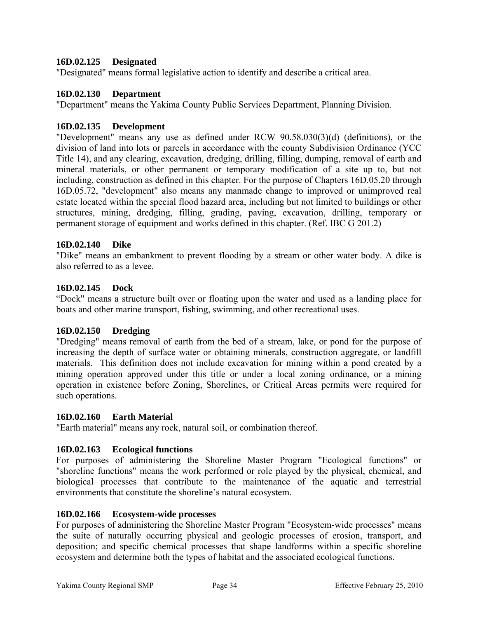# **16D.02.125 Designated**

"Designated" means formal legislative action to identify and describe a critical area.

### **16D.02.130 Department**

"Department" means the Yakima County Public Services Department, Planning Division.

# **16D.02.135 Development**

"Development" means any use as defined under RCW 90.58.030(3)(d) (definitions), or the division of land into lots or parcels in accordance with the county Subdivision Ordinance (YCC Title 14), and any clearing, excavation, dredging, drilling, filling, dumping, removal of earth and mineral materials, or other permanent or temporary modification of a site up to, but not including, construction as defined in this chapter. For the purpose of Chapters 16D.05.20 through 16D.05.72, "development" also means any manmade change to improved or unimproved real estate located within the special flood hazard area, including but not limited to buildings or other structures, mining, dredging, filling, grading, paving, excavation, drilling, temporary or permanent storage of equipment and works defined in this chapter. (Ref. IBC G 201.2)

# **16D.02.140 Dike**

"Dike" means an embankment to prevent flooding by a stream or other water body. A dike is also referred to as a levee.

# **16D.02.145 Dock**

"Dock" means a structure built over or floating upon the water and used as a landing place for boats and other marine transport, fishing, swimming, and other recreational uses.

### **16D.02.150 Dredging**

"Dredging" means removal of earth from the bed of a stream, lake, or pond for the purpose of increasing the depth of surface water or obtaining minerals, construction aggregate, or landfill materials. This definition does not include excavation for mining within a pond created by a mining operation approved under this title or under a local zoning ordinance, or a mining operation in existence before Zoning, Shorelines, or Critical Areas permits were required for such operations.

### **16D.02.160 Earth Material**

"Earth material" means any rock, natural soil, or combination thereof.

### **16D.02.163 Ecological functions**

For purposes of administering the Shoreline Master Program "Ecological functions" or "shoreline functions" means the work performed or role played by the physical, chemical, and biological processes that contribute to the maintenance of the aquatic and terrestrial environments that constitute the shoreline's natural ecosystem.

### **16D.02.166 Ecosystem-wide processes**

For purposes of administering the Shoreline Master Program "Ecosystem-wide processes" means the suite of naturally occurring physical and geologic processes of erosion, transport, and deposition; and specific chemical processes that shape landforms within a specific shoreline ecosystem and determine both the types of habitat and the associated ecological functions.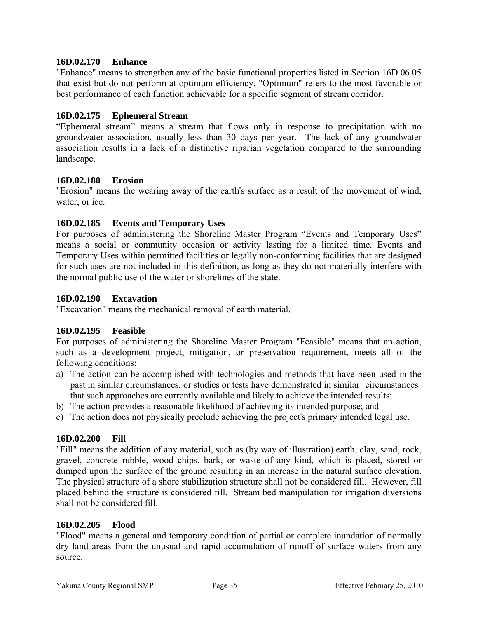# **16D.02.170 Enhance**

"Enhance" means to strengthen any of the basic functional properties listed in Section 16D.06.05 that exist but do not perform at optimum efficiency. "Optimum" refers to the most favorable or best performance of each function achievable for a specific segment of stream corridor.

# **16D.02.175 Ephemeral Stream**

"Ephemeral stream" means a stream that flows only in response to precipitation with no groundwater association, usually less than 30 days per year. The lack of any groundwater association results in a lack of a distinctive riparian vegetation compared to the surrounding landscape.

### **16D.02.180 Erosion**

"Erosion" means the wearing away of the earth's surface as a result of the movement of wind, water, or ice.

# **16D.02.185 Events and Temporary Uses**

For purposes of administering the Shoreline Master Program "Events and Temporary Uses" means a social or community occasion or activity lasting for a limited time. Events and Temporary Uses within permitted facilities or legally non-conforming facilities that are designed for such uses are not included in this definition, as long as they do not materially interfere with the normal public use of the water or shorelines of the state.

### **16D.02.190 Excavation**

"Excavation" means the mechanical removal of earth material.

### **16D.02.195 Feasible**

For purposes of administering the Shoreline Master Program "Feasible" means that an action, such as a development project, mitigation, or preservation requirement, meets all of the following conditions:

- a) The action can be accomplished with technologies and methods that have been used in the past in similar circumstances, or studies or tests have demonstrated in similar circumstances that such approaches are currently available and likely to achieve the intended results;
- b) The action provides a reasonable likelihood of achieving its intended purpose; and
- c) The action does not physically preclude achieving the project's primary intended legal use.

### **16D.02.200 Fill**

"Fill" means the addition of any material, such as (by way of illustration) earth, clay, sand, rock, gravel, concrete rubble, wood chips, bark, or waste of any kind, which is placed, stored or dumped upon the surface of the ground resulting in an increase in the natural surface elevation. The physical structure of a shore stabilization structure shall not be considered fill. However, fill placed behind the structure is considered fill. Stream bed manipulation for irrigation diversions shall not be considered fill.

### **16D.02.205 Flood**

"Flood" means a general and temporary condition of partial or complete inundation of normally dry land areas from the unusual and rapid accumulation of runoff of surface waters from any source.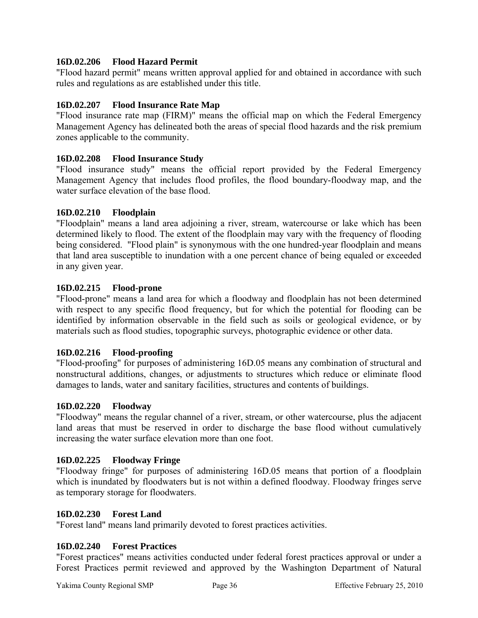# **16D.02.206 Flood Hazard Permit**

"Flood hazard permit" means written approval applied for and obtained in accordance with such rules and regulations as are established under this title.

# **16D.02.207 Flood Insurance Rate Map**

"Flood insurance rate map (FIRM)" means the official map on which the Federal Emergency Management Agency has delineated both the areas of special flood hazards and the risk premium zones applicable to the community.

# **16D.02.208 Flood Insurance Study**

"Flood insurance study" means the official report provided by the Federal Emergency Management Agency that includes flood profiles, the flood boundary-floodway map, and the water surface elevation of the base flood.

# **16D.02.210 Floodplain**

"Floodplain" means a land area adjoining a river, stream, watercourse or lake which has been determined likely to flood. The extent of the floodplain may vary with the frequency of flooding being considered. "Flood plain" is synonymous with the one hundred-year floodplain and means that land area susceptible to inundation with a one percent chance of being equaled or exceeded in any given year.

# **16D.02.215 Flood-prone**

"Flood-prone" means a land area for which a floodway and floodplain has not been determined with respect to any specific flood frequency, but for which the potential for flooding can be identified by information observable in the field such as soils or geological evidence, or by materials such as flood studies, topographic surveys, photographic evidence or other data.

# **16D.02.216 Flood-proofing**

"Flood-proofing" for purposes of administering 16D.05 means any combination of structural and nonstructural additions, changes, or adjustments to structures which reduce or eliminate flood damages to lands, water and sanitary facilities, structures and contents of buildings.

# **16D.02.220 Floodway**

"Floodway" means the regular channel of a river, stream, or other watercourse, plus the adjacent land areas that must be reserved in order to discharge the base flood without cumulatively increasing the water surface elevation more than one foot.

# **16D.02.225 Floodway Fringe**

"Floodway fringe" for purposes of administering 16D.05 means that portion of a floodplain which is inundated by floodwaters but is not within a defined floodway. Floodway fringes serve as temporary storage for floodwaters.

# **16D.02.230 Forest Land**

"Forest land" means land primarily devoted to forest practices activities.

# **16D.02.240 Forest Practices**

"Forest practices" means activities conducted under federal forest practices approval or under a Forest Practices permit reviewed and approved by the Washington Department of Natural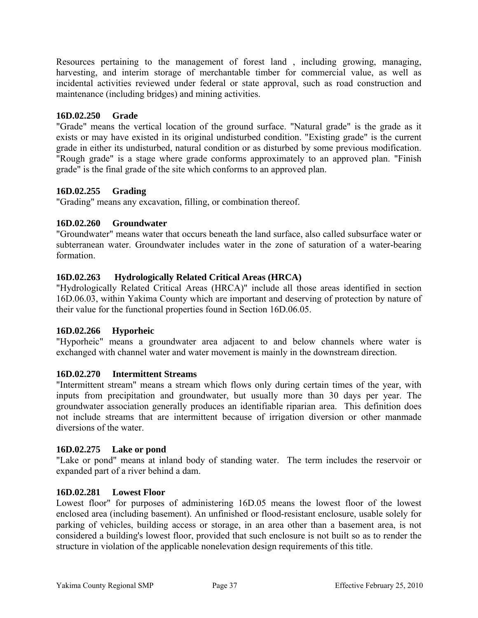Resources pertaining to the management of forest land , including growing, managing, harvesting, and interim storage of merchantable timber for commercial value, as well as incidental activities reviewed under federal or state approval, such as road construction and maintenance (including bridges) and mining activities.

# **16D.02.250 Grade**

"Grade" means the vertical location of the ground surface. "Natural grade" is the grade as it exists or may have existed in its original undisturbed condition. "Existing grade" is the current grade in either its undisturbed, natural condition or as disturbed by some previous modification. "Rough grade" is a stage where grade conforms approximately to an approved plan. "Finish grade" is the final grade of the site which conforms to an approved plan.

# **16D.02.255 Grading**

"Grading" means any excavation, filling, or combination thereof.

# **16D.02.260 Groundwater**

"Groundwater" means water that occurs beneath the land surface, also called subsurface water or subterranean water. Groundwater includes water in the zone of saturation of a water-bearing formation.

# **16D.02.263 Hydrologically Related Critical Areas (HRCA)**

"Hydrologically Related Critical Areas (HRCA)" include all those areas identified in section 16D.06.03, within Yakima County which are important and deserving of protection by nature of their value for the functional properties found in Section 16D.06.05.

# **16D.02.266 Hyporheic**

"Hyporheic" means a groundwater area adjacent to and below channels where water is exchanged with channel water and water movement is mainly in the downstream direction.

# **16D.02.270 Intermittent Streams**

"Intermittent stream" means a stream which flows only during certain times of the year, with inputs from precipitation and groundwater, but usually more than 30 days per year. The groundwater association generally produces an identifiable riparian area. This definition does not include streams that are intermittent because of irrigation diversion or other manmade diversions of the water.

# **16D.02.275 Lake or pond**

"Lake or pond" means at inland body of standing water. The term includes the reservoir or expanded part of a river behind a dam.

#### **16D.02.281 Lowest Floor**

Lowest floor" for purposes of administering 16D.05 means the lowest floor of the lowest enclosed area (including basement). An unfinished or flood-resistant enclosure, usable solely for parking of vehicles, building access or storage, in an area other than a basement area, is not considered a building's lowest floor, provided that such enclosure is not built so as to render the structure in violation of the applicable nonelevation design requirements of this title.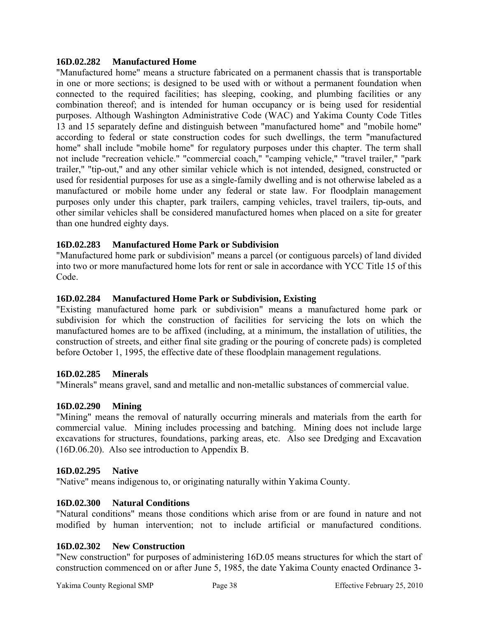## **16D.02.282 Manufactured Home**

"Manufactured home" means a structure fabricated on a permanent chassis that is transportable in one or more sections; is designed to be used with or without a permanent foundation when connected to the required facilities; has sleeping, cooking, and plumbing facilities or any combination thereof; and is intended for human occupancy or is being used for residential purposes. Although Washington Administrative Code (WAC) and Yakima County Code Titles 13 and 15 separately define and distinguish between "manufactured home" and "mobile home" according to federal or state construction codes for such dwellings, the term "manufactured home" shall include "mobile home" for regulatory purposes under this chapter. The term shall not include "recreation vehicle." "commercial coach," "camping vehicle," "travel trailer," "park trailer," "tip-out," and any other similar vehicle which is not intended, designed, constructed or used for residential purposes for use as a single-family dwelling and is not otherwise labeled as a manufactured or mobile home under any federal or state law. For floodplain management purposes only under this chapter, park trailers, camping vehicles, travel trailers, tip-outs, and other similar vehicles shall be considered manufactured homes when placed on a site for greater than one hundred eighty days.

# **16D.02.283 Manufactured Home Park or Subdivision**

"Manufactured home park or subdivision" means a parcel (or contiguous parcels) of land divided into two or more manufactured home lots for rent or sale in accordance with YCC Title 15 of this Code.

## **16D.02.284 Manufactured Home Park or Subdivision, Existing**

"Existing manufactured home park or subdivision" means a manufactured home park or subdivision for which the construction of facilities for servicing the lots on which the manufactured homes are to be affixed (including, at a minimum, the installation of utilities, the construction of streets, and either final site grading or the pouring of concrete pads) is completed before October 1, 1995, the effective date of these floodplain management regulations.

#### **16D.02.285 Minerals**

"Minerals" means gravel, sand and metallic and non-metallic substances of commercial value.

#### **16D.02.290 Mining**

"Mining" means the removal of naturally occurring minerals and materials from the earth for commercial value. Mining includes processing and batching. Mining does not include large excavations for structures, foundations, parking areas, etc. Also see Dredging and Excavation (16D.06.20). Also see introduction to Appendix B.

#### **16D.02.295 Native**

"Native" means indigenous to, or originating naturally within Yakima County.

#### **16D.02.300 Natural Conditions**

"Natural conditions" means those conditions which arise from or are found in nature and not modified by human intervention; not to include artificial or manufactured conditions.

#### **16D.02.302 New Construction**

"New construction" for purposes of administering 16D.05 means structures for which the start of construction commenced on or after June 5, 1985, the date Yakima County enacted Ordinance 3-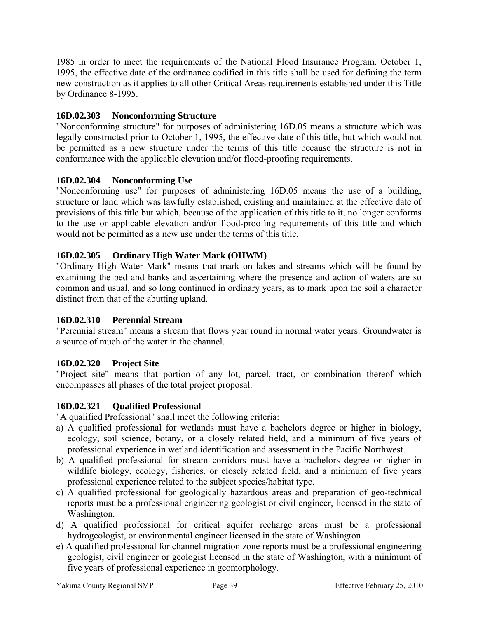1985 in order to meet the requirements of the National Flood Insurance Program. October 1, 1995, the effective date of the ordinance codified in this title shall be used for defining the term new construction as it applies to all other Critical Areas requirements established under this Title by Ordinance 8-1995.

# **16D.02.303 Nonconforming Structure**

"Nonconforming structure" for purposes of administering 16D.05 means a structure which was legally constructed prior to October 1, 1995, the effective date of this title, but which would not be permitted as a new structure under the terms of this title because the structure is not in conformance with the applicable elevation and/or flood-proofing requirements.

# **16D.02.304 Nonconforming Use**

"Nonconforming use" for purposes of administering 16D.05 means the use of a building, structure or land which was lawfully established, existing and maintained at the effective date of provisions of this title but which, because of the application of this title to it, no longer conforms to the use or applicable elevation and/or flood-proofing requirements of this title and which would not be permitted as a new use under the terms of this title.

# **16D.02.305 Ordinary High Water Mark (OHWM)**

"Ordinary High Water Mark" means that mark on lakes and streams which will be found by examining the bed and banks and ascertaining where the presence and action of waters are so common and usual, and so long continued in ordinary years, as to mark upon the soil a character distinct from that of the abutting upland.

# **16D.02.310 Perennial Stream**

"Perennial stream" means a stream that flows year round in normal water years. Groundwater is a source of much of the water in the channel.

# **16D.02.320 Project Site**

"Project site" means that portion of any lot, parcel, tract, or combination thereof which encompasses all phases of the total project proposal.

# **16D.02.321 Qualified Professional**

"A qualified Professional" shall meet the following criteria:

- a) A qualified professional for wetlands must have a bachelors degree or higher in biology, ecology, soil science, botany, or a closely related field, and a minimum of five years of professional experience in wetland identification and assessment in the Pacific Northwest.
- b) A qualified professional for stream corridors must have a bachelors degree or higher in wildlife biology, ecology, fisheries, or closely related field, and a minimum of five years professional experience related to the subject species/habitat type.
- c) A qualified professional for geologically hazardous areas and preparation of geo-technical reports must be a professional engineering geologist or civil engineer, licensed in the state of Washington.
- d) A qualified professional for critical aquifer recharge areas must be a professional hydrogeologist, or environmental engineer licensed in the state of Washington.
- e) A qualified professional for channel migration zone reports must be a professional engineering geologist, civil engineer or geologist licensed in the state of Washington, with a minimum of five years of professional experience in geomorphology.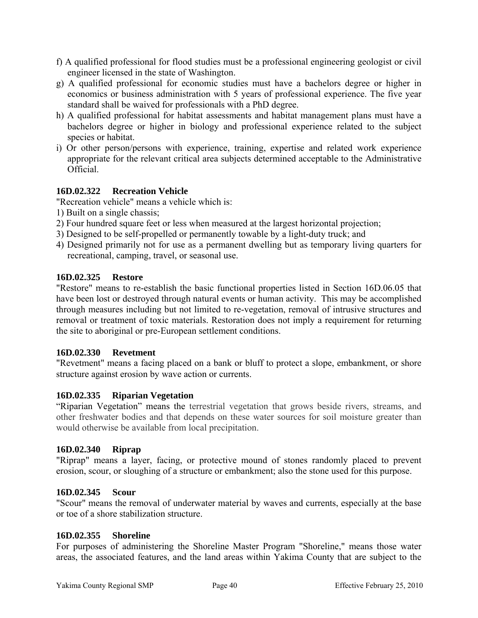- f) A qualified professional for flood studies must be a professional engineering geologist or civil engineer licensed in the state of Washington.
- g) A qualified professional for economic studies must have a bachelors degree or higher in economics or business administration with 5 years of professional experience. The five year standard shall be waived for professionals with a PhD degree.
- h) A qualified professional for habitat assessments and habitat management plans must have a bachelors degree or higher in biology and professional experience related to the subject species or habitat.
- i) Or other person/persons with experience, training, expertise and related work experience appropriate for the relevant critical area subjects determined acceptable to the Administrative Official.

# **16D.02.322 Recreation Vehicle**

"Recreation vehicle" means a vehicle which is:

- 1) Built on a single chassis;
- 2) Four hundred square feet or less when measured at the largest horizontal projection;
- 3) Designed to be self-propelled or permanently towable by a light-duty truck; and
- 4) Designed primarily not for use as a permanent dwelling but as temporary living quarters for recreational, camping, travel, or seasonal use.

## **16D.02.325 Restore**

"Restore" means to re-establish the basic functional properties listed in Section 16D.06.05 that have been lost or destroyed through natural events or human activity. This may be accomplished through measures including but not limited to re-vegetation, removal of intrusive structures and removal or treatment of toxic materials. Restoration does not imply a requirement for returning the site to aboriginal or pre-European settlement conditions.

#### **16D.02.330 Revetment**

"Revetment" means a facing placed on a bank or bluff to protect a slope, embankment, or shore structure against erosion by wave action or currents.

#### **16D.02.335 Riparian Vegetation**

"Riparian Vegetation" means the terrestrial vegetation that grows beside rivers, streams, and other freshwater bodies and that depends on these water sources for soil moisture greater than would otherwise be available from local precipitation.

#### **16D.02.340 Riprap**

"Riprap" means a layer, facing, or protective mound of stones randomly placed to prevent erosion, scour, or sloughing of a structure or embankment; also the stone used for this purpose.

#### **16D.02.345 Scour**

"Scour" means the removal of underwater material by waves and currents, especially at the base or toe of a shore stabilization structure.

#### **16D.02.355 Shoreline**

For purposes of administering the Shoreline Master Program "Shoreline," means those water areas, the associated features, and the land areas within Yakima County that are subject to the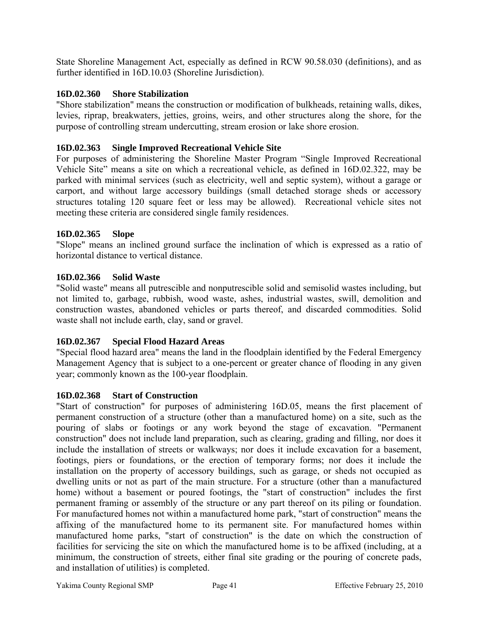State Shoreline Management Act, especially as defined in RCW 90.58.030 (definitions), and as further identified in 16D.10.03 (Shoreline Jurisdiction).

## **16D.02.360 Shore Stabilization**

"Shore stabilization" means the construction or modification of bulkheads, retaining walls, dikes, levies, riprap, breakwaters, jetties, groins, weirs, and other structures along the shore, for the purpose of controlling stream undercutting, stream erosion or lake shore erosion.

## **16D.02.363 Single Improved Recreational Vehicle Site**

For purposes of administering the Shoreline Master Program "Single Improved Recreational Vehicle Site" means a site on which a recreational vehicle, as defined in 16D.02.322, may be parked with minimal services (such as electricity, well and septic system), without a garage or carport, and without large accessory buildings (small detached storage sheds or accessory structures totaling 120 square feet or less may be allowed). Recreational vehicle sites not meeting these criteria are considered single family residences.

## **16D.02.365 Slope**

"Slope" means an inclined ground surface the inclination of which is expressed as a ratio of horizontal distance to vertical distance.

## **16D.02.366 Solid Waste**

"Solid waste" means all putrescible and nonputrescible solid and semisolid wastes including, but not limited to, garbage, rubbish, wood waste, ashes, industrial wastes, swill, demolition and construction wastes, abandoned vehicles or parts thereof, and discarded commodities. Solid waste shall not include earth, clay, sand or gravel.

# **16D.02.367 Special Flood Hazard Areas**

"Special flood hazard area" means the land in the floodplain identified by the Federal Emergency Management Agency that is subject to a one-percent or greater chance of flooding in any given year; commonly known as the 100-year floodplain.

#### **16D.02.368 Start of Construction**

"Start of construction" for purposes of administering 16D.05, means the first placement of permanent construction of a structure (other than a manufactured home) on a site, such as the pouring of slabs or footings or any work beyond the stage of excavation. "Permanent construction" does not include land preparation, such as clearing, grading and filling, nor does it include the installation of streets or walkways; nor does it include excavation for a basement, footings, piers or foundations, or the erection of temporary forms; nor does it include the installation on the property of accessory buildings, such as garage, or sheds not occupied as dwelling units or not as part of the main structure. For a structure (other than a manufactured home) without a basement or poured footings, the "start of construction" includes the first permanent framing or assembly of the structure or any part thereof on its piling or foundation. For manufactured homes not within a manufactured home park, "start of construction" means the affixing of the manufactured home to its permanent site. For manufactured homes within manufactured home parks, "start of construction" is the date on which the construction of facilities for servicing the site on which the manufactured home is to be affixed (including, at a minimum, the construction of streets, either final site grading or the pouring of concrete pads, and installation of utilities) is completed.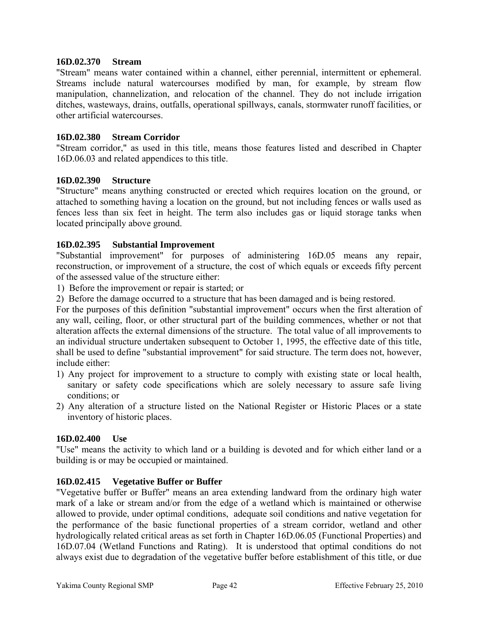#### **16D.02.370 Stream**

"Stream" means water contained within a channel, either perennial, intermittent or ephemeral. Streams include natural watercourses modified by man, for example, by stream flow manipulation, channelization, and relocation of the channel. They do not include irrigation ditches, wasteways, drains, outfalls, operational spillways, canals, stormwater runoff facilities, or other artificial watercourses.

## **16D.02.380 Stream Corridor**

"Stream corridor," as used in this title, means those features listed and described in Chapter 16D.06.03 and related appendices to this title.

## **16D.02.390 Structure**

"Structure" means anything constructed or erected which requires location on the ground, or attached to something having a location on the ground, but not including fences or walls used as fences less than six feet in height. The term also includes gas or liquid storage tanks when located principally above ground.

## **16D.02.395 Substantial Improvement**

"Substantial improvement" for purposes of administering 16D.05 means any repair, reconstruction, or improvement of a structure, the cost of which equals or exceeds fifty percent of the assessed value of the structure either:

1) Before the improvement or repair is started; or

2) Before the damage occurred to a structure that has been damaged and is being restored.

For the purposes of this definition "substantial improvement" occurs when the first alteration of any wall, ceiling, floor, or other structural part of the building commences, whether or not that alteration affects the external dimensions of the structure. The total value of all improvements to an individual structure undertaken subsequent to October 1, 1995, the effective date of this title, shall be used to define "substantial improvement" for said structure. The term does not, however, include either:

- 1) Any project for improvement to a structure to comply with existing state or local health, sanitary or safety code specifications which are solely necessary to assure safe living conditions; or
- 2) Any alteration of a structure listed on the National Register or Historic Places or a state inventory of historic places.

#### **16D.02.400 Use**

"Use" means the activity to which land or a building is devoted and for which either land or a building is or may be occupied or maintained.

# **16D.02.415 Vegetative Buffer or Buffer**

"Vegetative buffer or Buffer" means an area extending landward from the ordinary high water mark of a lake or stream and/or from the edge of a wetland which is maintained or otherwise allowed to provide, under optimal conditions, adequate soil conditions and native vegetation for the performance of the basic functional properties of a stream corridor, wetland and other hydrologically related critical areas as set forth in Chapter 16D.06.05 (Functional Properties) and 16D.07.04 (Wetland Functions and Rating). It is understood that optimal conditions do not always exist due to degradation of the vegetative buffer before establishment of this title, or due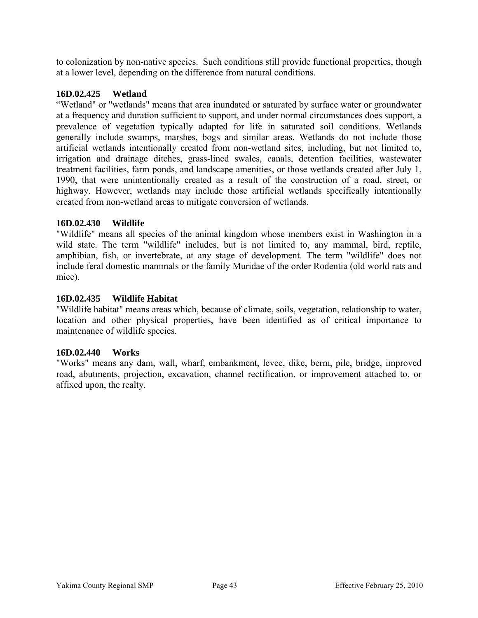to colonization by non-native species. Such conditions still provide functional properties, though at a lower level, depending on the difference from natural conditions.

## **16D.02.425 Wetland**

"Wetland" or "wetlands" means that area inundated or saturated by surface water or groundwater at a frequency and duration sufficient to support, and under normal circumstances does support, a prevalence of vegetation typically adapted for life in saturated soil conditions. Wetlands generally include swamps, marshes, bogs and similar areas. Wetlands do not include those artificial wetlands intentionally created from non-wetland sites, including, but not limited to, irrigation and drainage ditches, grass-lined swales, canals, detention facilities, wastewater treatment facilities, farm ponds, and landscape amenities, or those wetlands created after July 1, 1990, that were unintentionally created as a result of the construction of a road, street, or highway. However, wetlands may include those artificial wetlands specifically intentionally created from non-wetland areas to mitigate conversion of wetlands.

## **16D.02.430 Wildlife**

"Wildlife" means all species of the animal kingdom whose members exist in Washington in a wild state. The term "wildlife" includes, but is not limited to, any mammal, bird, reptile, amphibian, fish, or invertebrate, at any stage of development. The term "wildlife" does not include feral domestic mammals or the family Muridae of the order Rodentia (old world rats and mice).

## **16D.02.435 Wildlife Habitat**

"Wildlife habitat" means areas which, because of climate, soils, vegetation, relationship to water, location and other physical properties, have been identified as of critical importance to maintenance of wildlife species.

#### **16D.02.440 Works**

"Works" means any dam, wall, wharf, embankment, levee, dike, berm, pile, bridge, improved road, abutments, projection, excavation, channel rectification, or improvement attached to, or affixed upon, the realty.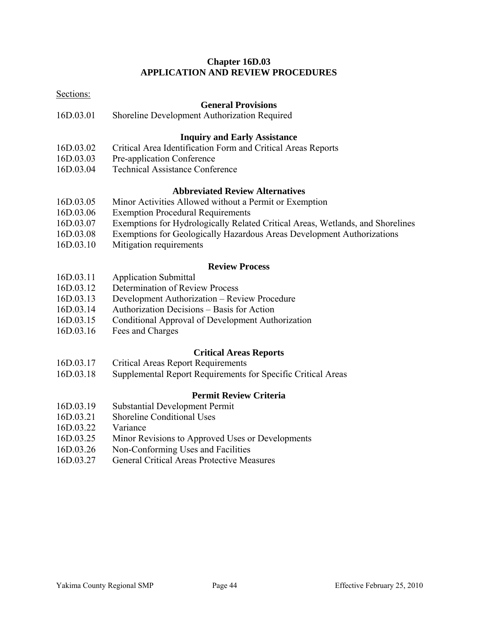# **Chapter 16D.03 APPLICATION AND REVIEW PROCEDURES**

| Sections: |                                                                                |
|-----------|--------------------------------------------------------------------------------|
|           | <b>General Provisions</b>                                                      |
| 16D.03.01 | Shoreline Development Authorization Required                                   |
|           | <b>Inquiry and Early Assistance</b>                                            |
| 16D.03.02 | Critical Area Identification Form and Critical Areas Reports                   |
| 16D.03.03 | Pre-application Conference                                                     |
| 16D.03.04 | <b>Technical Assistance Conference</b>                                         |
|           | <b>Abbreviated Review Alternatives</b>                                         |
| 16D.03.05 | Minor Activities Allowed without a Permit or Exemption                         |
| 16D.03.06 | <b>Exemption Procedural Requirements</b>                                       |
| 16D.03.07 | Exemptions for Hydrologically Related Critical Areas, Wetlands, and Shorelines |
| 16D.03.08 | Exemptions for Geologically Hazardous Areas Development Authorizations         |
| 16D.03.10 | Mitigation requirements                                                        |
|           | <b>Review Process</b>                                                          |
| 16D.03.11 | Application Submittal                                                          |
| 16D.03.12 | Determination of Review Process                                                |
| 16D.03.13 | Development Authorization - Review Procedure                                   |
| 16D.03.14 | Authorization Decisions - Basis for Action                                     |
| 16D.03.15 | Conditional Approval of Development Authorization                              |
| 16D.03.16 | Fees and Charges                                                               |
|           | <b>Critical Areas Reports</b>                                                  |
| 16D.03.17 | <b>Critical Areas Report Requirements</b>                                      |
| 16D.03.18 | Supplemental Report Requirements for Specific Critical Areas                   |
|           | <b>Permit Review Criteria</b>                                                  |
| 16D.03.19 | <b>Substantial Development Permit</b>                                          |
| 16D.03.21 | <b>Shoreline Conditional Uses</b>                                              |
| 16D.03.22 | Variance                                                                       |
| 16D.03.25 | Minor Revisions to Approved Uses or Developments                               |
| 16D.03.26 | Non-Conforming Uses and Facilities                                             |
| 16D.03.27 | <b>General Critical Areas Protective Measures</b>                              |
|           |                                                                                |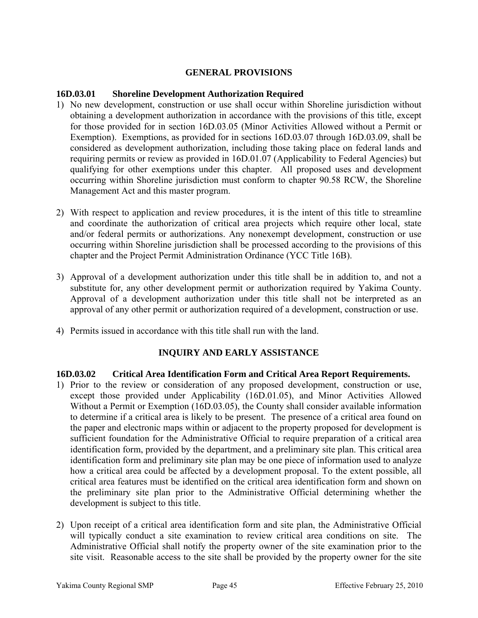## **GENERAL PROVISIONS**

#### **16D.03.01 Shoreline Development Authorization Required**

- 1) No new development, construction or use shall occur within Shoreline jurisdiction without obtaining a development authorization in accordance with the provisions of this title, except for those provided for in section 16D.03.05 (Minor Activities Allowed without a Permit or Exemption). Exemptions, as provided for in sections 16D.03.07 through 16D.03.09, shall be considered as development authorization, including those taking place on federal lands and requiring permits or review as provided in 16D.01.07 (Applicability to Federal Agencies) but qualifying for other exemptions under this chapter. All proposed uses and development occurring within Shoreline jurisdiction must conform to chapter 90.58 RCW, the Shoreline Management Act and this master program.
- 2) With respect to application and review procedures, it is the intent of this title to streamline and coordinate the authorization of critical area projects which require other local, state and/or federal permits or authorizations. Any nonexempt development, construction or use occurring within Shoreline jurisdiction shall be processed according to the provisions of this chapter and the Project Permit Administration Ordinance (YCC Title 16B).
- 3) Approval of a development authorization under this title shall be in addition to, and not a substitute for, any other development permit or authorization required by Yakima County. Approval of a development authorization under this title shall not be interpreted as an approval of any other permit or authorization required of a development, construction or use.
- 4) Permits issued in accordance with this title shall run with the land.

# **INQUIRY AND EARLY ASSISTANCE**

#### **16D.03.02 Critical Area Identification Form and Critical Area Report Requirements.**

- 1) Prior to the review or consideration of any proposed development, construction or use, except those provided under Applicability (16D.01.05), and Minor Activities Allowed Without a Permit or Exemption (16D.03.05), the County shall consider available information to determine if a critical area is likely to be present. The presence of a critical area found on the paper and electronic maps within or adjacent to the property proposed for development is sufficient foundation for the Administrative Official to require preparation of a critical area identification form, provided by the department, and a preliminary site plan. This critical area identification form and preliminary site plan may be one piece of information used to analyze how a critical area could be affected by a development proposal. To the extent possible, all critical area features must be identified on the critical area identification form and shown on the preliminary site plan prior to the Administrative Official determining whether the development is subject to this title.
- 2) Upon receipt of a critical area identification form and site plan, the Administrative Official will typically conduct a site examination to review critical area conditions on site. The Administrative Official shall notify the property owner of the site examination prior to the site visit. Reasonable access to the site shall be provided by the property owner for the site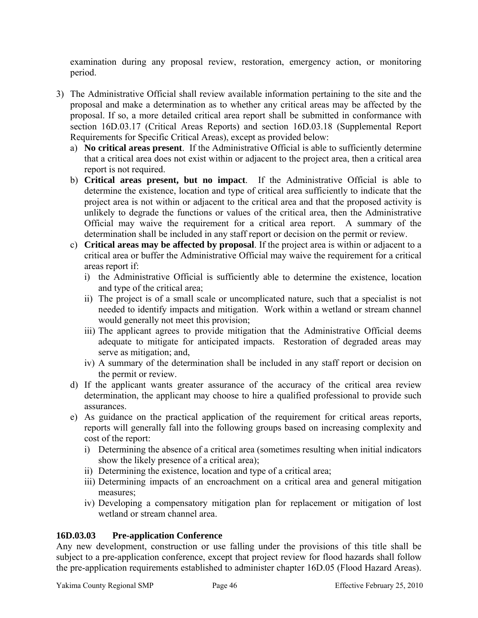examination during any proposal review, restoration, emergency action, or monitoring period.

- 3) The Administrative Official shall review available information pertaining to the site and the proposal and make a determination as to whether any critical areas may be affected by the proposal. If so, a more detailed critical area report shall be submitted in conformance with section 16D.03.17 (Critical Areas Reports) and section 16D.03.18 (Supplemental Report Requirements for Specific Critical Areas), except as provided below:
	- a) **No critical areas present**. If the Administrative Official is able to sufficiently determine that a critical area does not exist within or adjacent to the project area, then a critical area report is not required.
	- b) **Critical areas present, but no impact**. If the Administrative Official is able to determine the existence, location and type of critical area sufficiently to indicate that the project area is not within or adjacent to the critical area and that the proposed activity is unlikely to degrade the functions or values of the critical area, then the Administrative Official may waive the requirement for a critical area report. A summary of the determination shall be included in any staff report or decision on the permit or review.
	- c) **Critical areas may be affected by proposal**. If the project area is within or adjacent to a critical area or buffer the Administrative Official may waive the requirement for a critical areas report if:
		- i) the Administrative Official is sufficiently able to determine the existence, location and type of the critical area;
		- ii) The project is of a small scale or uncomplicated nature, such that a specialist is not needed to identify impacts and mitigation. Work within a wetland or stream channel would generally not meet this provision;
		- iii) The applicant agrees to provide mitigation that the Administrative Official deems adequate to mitigate for anticipated impacts. Restoration of degraded areas may serve as mitigation; and,
		- iv) A summary of the determination shall be included in any staff report or decision on the permit or review.
	- d) If the applicant wants greater assurance of the accuracy of the critical area review determination, the applicant may choose to hire a qualified professional to provide such assurances.
	- e) As guidance on the practical application of the requirement for critical areas reports, reports will generally fall into the following groups based on increasing complexity and cost of the report:
		- i) Determining the absence of a critical area (sometimes resulting when initial indicators show the likely presence of a critical area);
		- ii) Determining the existence, location and type of a critical area;
		- iii) Determining impacts of an encroachment on a critical area and general mitigation measures;
		- iv) Developing a compensatory mitigation plan for replacement or mitigation of lost wetland or stream channel area.

# **16D.03.03 Pre-application Conference**

Any new development, construction or use falling under the provisions of this title shall be subject to a pre-application conference, except that project review for flood hazards shall follow the pre-application requirements established to administer chapter 16D.05 (Flood Hazard Areas).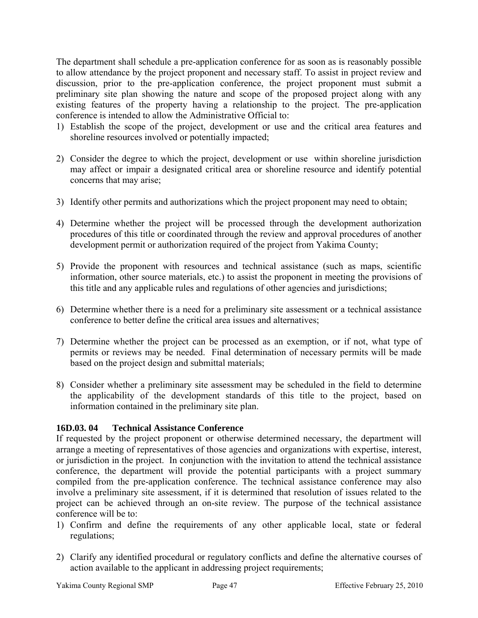The department shall schedule a pre-application conference for as soon as is reasonably possible to allow attendance by the project proponent and necessary staff. To assist in project review and discussion, prior to the pre-application conference, the project proponent must submit a preliminary site plan showing the nature and scope of the proposed project along with any existing features of the property having a relationship to the project. The pre-application conference is intended to allow the Administrative Official to:

- 1) Establish the scope of the project, development or use and the critical area features and shoreline resources involved or potentially impacted;
- 2) Consider the degree to which the project, development or use within shoreline jurisdiction may affect or impair a designated critical area or shoreline resource and identify potential concerns that may arise;
- 3) Identify other permits and authorizations which the project proponent may need to obtain;
- 4) Determine whether the project will be processed through the development authorization procedures of this title or coordinated through the review and approval procedures of another development permit or authorization required of the project from Yakima County;
- 5) Provide the proponent with resources and technical assistance (such as maps, scientific information, other source materials, etc.) to assist the proponent in meeting the provisions of this title and any applicable rules and regulations of other agencies and jurisdictions;
- 6) Determine whether there is a need for a preliminary site assessment or a technical assistance conference to better define the critical area issues and alternatives;
- 7) Determine whether the project can be processed as an exemption, or if not, what type of permits or reviews may be needed. Final determination of necessary permits will be made based on the project design and submittal materials;
- 8) Consider whether a preliminary site assessment may be scheduled in the field to determine the applicability of the development standards of this title to the project, based on information contained in the preliminary site plan.

# **16D.03. 04 Technical Assistance Conference**

If requested by the project proponent or otherwise determined necessary, the department will arrange a meeting of representatives of those agencies and organizations with expertise, interest, or jurisdiction in the project. In conjunction with the invitation to attend the technical assistance conference, the department will provide the potential participants with a project summary compiled from the pre-application conference. The technical assistance conference may also involve a preliminary site assessment, if it is determined that resolution of issues related to the project can be achieved through an on-site review. The purpose of the technical assistance conference will be to:

- 1) Confirm and define the requirements of any other applicable local, state or federal regulations;
- 2) Clarify any identified procedural or regulatory conflicts and define the alternative courses of action available to the applicant in addressing project requirements;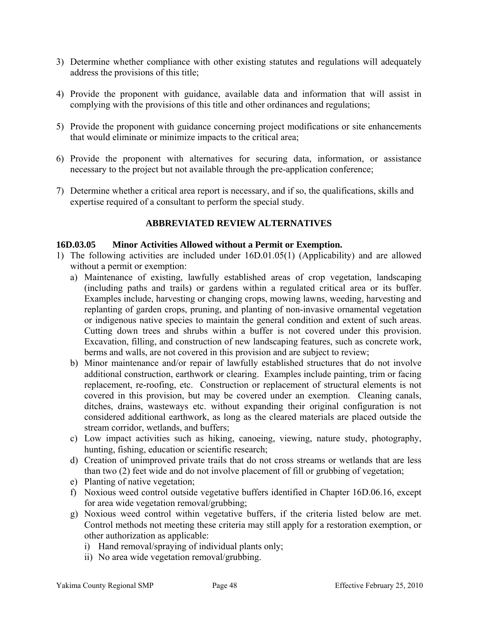- 3) Determine whether compliance with other existing statutes and regulations will adequately address the provisions of this title;
- 4) Provide the proponent with guidance, available data and information that will assist in complying with the provisions of this title and other ordinances and regulations;
- 5) Provide the proponent with guidance concerning project modifications or site enhancements that would eliminate or minimize impacts to the critical area;
- 6) Provide the proponent with alternatives for securing data, information, or assistance necessary to the project but not available through the pre-application conference;
- 7) Determine whether a critical area report is necessary, and if so, the qualifications, skills and expertise required of a consultant to perform the special study.

## **ABBREVIATED REVIEW ALTERNATIVES**

#### **16D.03.05 Minor Activities Allowed without a Permit or Exemption.**

- 1) The following activities are included under 16D.01.05(1) (Applicability) and are allowed without a permit or exemption:
	- a) Maintenance of existing, lawfully established areas of crop vegetation, landscaping (including paths and trails) or gardens within a regulated critical area or its buffer. Examples include, harvesting or changing crops, mowing lawns, weeding, harvesting and replanting of garden crops, pruning, and planting of non-invasive ornamental vegetation or indigenous native species to maintain the general condition and extent of such areas. Cutting down trees and shrubs within a buffer is not covered under this provision. Excavation, filling, and construction of new landscaping features, such as concrete work, berms and walls, are not covered in this provision and are subject to review;
	- b) Minor maintenance and/or repair of lawfully established structures that do not involve additional construction, earthwork or clearing. Examples include painting, trim or facing replacement, re-roofing, etc. Construction or replacement of structural elements is not covered in this provision, but may be covered under an exemption. Cleaning canals, ditches, drains, wasteways etc. without expanding their original configuration is not considered additional earthwork, as long as the cleared materials are placed outside the stream corridor, wetlands, and buffers;
	- c) Low impact activities such as hiking, canoeing, viewing, nature study, photography, hunting, fishing, education or scientific research;
	- d) Creation of unimproved private trails that do not cross streams or wetlands that are less than two (2) feet wide and do not involve placement of fill or grubbing of vegetation;
	- e) Planting of native vegetation;
	- f) Noxious weed control outside vegetative buffers identified in Chapter 16D.06.16, except for area wide vegetation removal/grubbing;
	- g) Noxious weed control within vegetative buffers, if the criteria listed below are met. Control methods not meeting these criteria may still apply for a restoration exemption, or other authorization as applicable:
		- i) Hand removal/spraying of individual plants only;
		- ii) No area wide vegetation removal/grubbing.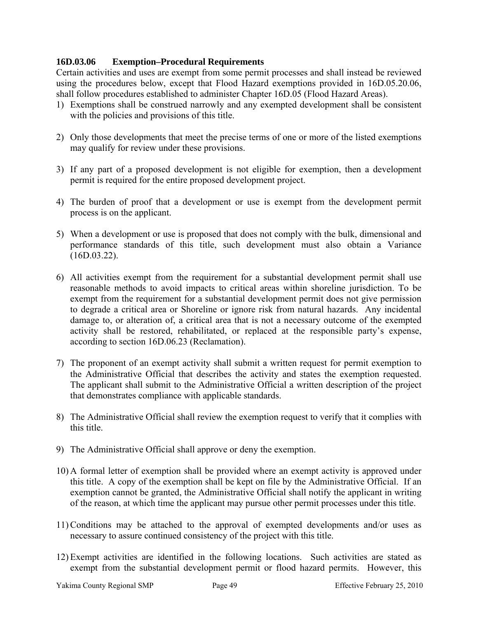# **16D.03.06 Exemption–Procedural Requirements**

Certain activities and uses are exempt from some permit processes and shall instead be reviewed using the procedures below, except that Flood Hazard exemptions provided in 16D.05.20.06, shall follow procedures established to administer Chapter 16D.05 (Flood Hazard Areas).

- 1) Exemptions shall be construed narrowly and any exempted development shall be consistent with the policies and provisions of this title.
- 2) Only those developments that meet the precise terms of one or more of the listed exemptions may qualify for review under these provisions.
- 3) If any part of a proposed development is not eligible for exemption, then a development permit is required for the entire proposed development project.
- 4) The burden of proof that a development or use is exempt from the development permit process is on the applicant.
- 5) When a development or use is proposed that does not comply with the bulk, dimensional and performance standards of this title, such development must also obtain a Variance (16D.03.22).
- 6) All activities exempt from the requirement for a substantial development permit shall use reasonable methods to avoid impacts to critical areas within shoreline jurisdiction. To be exempt from the requirement for a substantial development permit does not give permission to degrade a critical area or Shoreline or ignore risk from natural hazards. Any incidental damage to, or alteration of, a critical area that is not a necessary outcome of the exempted activity shall be restored, rehabilitated, or replaced at the responsible party's expense, according to section 16D.06.23 (Reclamation).
- 7) The proponent of an exempt activity shall submit a written request for permit exemption to the Administrative Official that describes the activity and states the exemption requested. The applicant shall submit to the Administrative Official a written description of the project that demonstrates compliance with applicable standards.
- 8) The Administrative Official shall review the exemption request to verify that it complies with this title.
- 9) The Administrative Official shall approve or deny the exemption.
- 10) A formal letter of exemption shall be provided where an exempt activity is approved under this title. A copy of the exemption shall be kept on file by the Administrative Official. If an exemption cannot be granted, the Administrative Official shall notify the applicant in writing of the reason, at which time the applicant may pursue other permit processes under this title.
- 11) Conditions may be attached to the approval of exempted developments and/or uses as necessary to assure continued consistency of the project with this title.
- 12) Exempt activities are identified in the following locations. Such activities are stated as exempt from the substantial development permit or flood hazard permits. However, this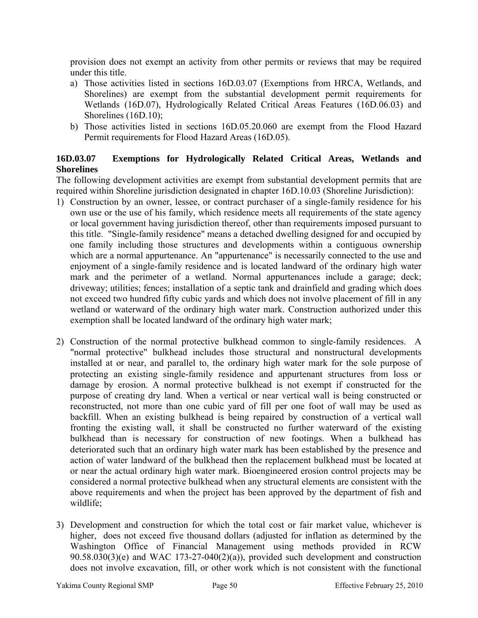provision does not exempt an activity from other permits or reviews that may be required under this title.

- a) Those activities listed in sections 16D.03.07 (Exemptions from HRCA, Wetlands, and Shorelines) are exempt from the substantial development permit requirements for Wetlands (16D.07), Hydrologically Related Critical Areas Features (16D.06.03) and Shorelines (16D.10);
- b) Those activities listed in sections 16D.05.20.060 are exempt from the Flood Hazard Permit requirements for Flood Hazard Areas (16D.05).

# **16D.03.07 Exemptions for Hydrologically Related Critical Areas, Wetlands and Shorelines**

The following development activities are exempt from substantial development permits that are required within Shoreline jurisdiction designated in chapter 16D.10.03 (Shoreline Jurisdiction):

- 1) Construction by an owner, lessee, or contract purchaser of a single-family residence for his own use or the use of his family, which residence meets all requirements of the state agency or local government having jurisdiction thereof, other than requirements imposed pursuant to this title. "Single-family residence" means a detached dwelling designed for and occupied by one family including those structures and developments within a contiguous ownership which are a normal appurtenance. An "appurtenance" is necessarily connected to the use and enjoyment of a single-family residence and is located landward of the ordinary high water mark and the perimeter of a wetland. Normal appurtenances include a garage; deck; driveway; utilities; fences; installation of a septic tank and drainfield and grading which does not exceed two hundred fifty cubic yards and which does not involve placement of fill in any wetland or waterward of the ordinary high water mark. Construction authorized under this exemption shall be located landward of the ordinary high water mark;
- 2) Construction of the normal protective bulkhead common to single-family residences. A "normal protective" bulkhead includes those structural and nonstructural developments installed at or near, and parallel to, the ordinary high water mark for the sole purpose of protecting an existing single-family residence and appurtenant structures from loss or damage by erosion. A normal protective bulkhead is not exempt if constructed for the purpose of creating dry land. When a vertical or near vertical wall is being constructed or reconstructed, not more than one cubic yard of fill per one foot of wall may be used as backfill. When an existing bulkhead is being repaired by construction of a vertical wall fronting the existing wall, it shall be constructed no further waterward of the existing bulkhead than is necessary for construction of new footings. When a bulkhead has deteriorated such that an ordinary high water mark has been established by the presence and action of water landward of the bulkhead then the replacement bulkhead must be located at or near the actual ordinary high water mark. Bioengineered erosion control projects may be considered a normal protective bulkhead when any structural elements are consistent with the above requirements and when the project has been approved by the department of fish and wildlife;
- 3) Development and construction for which the total cost or fair market value, whichever is higher, does not exceed five thousand dollars (adjusted for inflation as determined by the Washington Office of Financial Management using methods provided in RCW  $90.58.030(3)$ (e) and WAC 173-27-040(2)(a)), provided such development and construction does not involve excavation, fill, or other work which is not consistent with the functional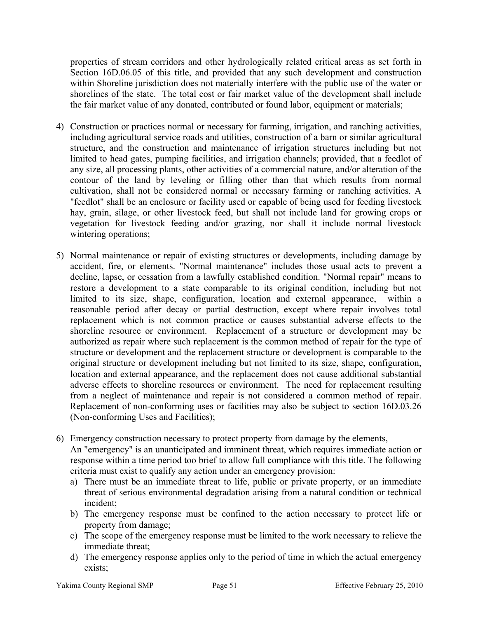properties of stream corridors and other hydrologically related critical areas as set forth in Section 16D.06.05 of this title, and provided that any such development and construction within Shoreline jurisdiction does not materially interfere with the public use of the water or shorelines of the state. The total cost or fair market value of the development shall include the fair market value of any donated, contributed or found labor, equipment or materials;

- 4) Construction or practices normal or necessary for farming, irrigation, and ranching activities, including agricultural service roads and utilities, construction of a barn or similar agricultural structure, and the construction and maintenance of irrigation structures including but not limited to head gates, pumping facilities, and irrigation channels; provided, that a feedlot of any size, all processing plants, other activities of a commercial nature, and/or alteration of the contour of the land by leveling or filling other than that which results from normal cultivation, shall not be considered normal or necessary farming or ranching activities. A "feedlot" shall be an enclosure or facility used or capable of being used for feeding livestock hay, grain, silage, or other livestock feed, but shall not include land for growing crops or vegetation for livestock feeding and/or grazing, nor shall it include normal livestock wintering operations;
- 5) Normal maintenance or repair of existing structures or developments, including damage by accident, fire, or elements. "Normal maintenance" includes those usual acts to prevent a decline, lapse, or cessation from a lawfully established condition. "Normal repair" means to restore a development to a state comparable to its original condition, including but not limited to its size, shape, configuration, location and external appearance, within a reasonable period after decay or partial destruction, except where repair involves total replacement which is not common practice or causes substantial adverse effects to the shoreline resource or environment. Replacement of a structure or development may be authorized as repair where such replacement is the common method of repair for the type of structure or development and the replacement structure or development is comparable to the original structure or development including but not limited to its size, shape, configuration, location and external appearance, and the replacement does not cause additional substantial adverse effects to shoreline resources or environment. The need for replacement resulting from a neglect of maintenance and repair is not considered a common method of repair. Replacement of non-conforming uses or facilities may also be subject to section 16D.03.26 (Non-conforming Uses and Facilities);
- 6) Emergency construction necessary to protect property from damage by the elements, An "emergency" is an unanticipated and imminent threat, which requires immediate action or response within a time period too brief to allow full compliance with this title. The following criteria must exist to qualify any action under an emergency provision:
	- a) There must be an immediate threat to life, public or private property, or an immediate threat of serious environmental degradation arising from a natural condition or technical incident;
	- b) The emergency response must be confined to the action necessary to protect life or property from damage;
	- c) The scope of the emergency response must be limited to the work necessary to relieve the immediate threat;
	- d) The emergency response applies only to the period of time in which the actual emergency exists;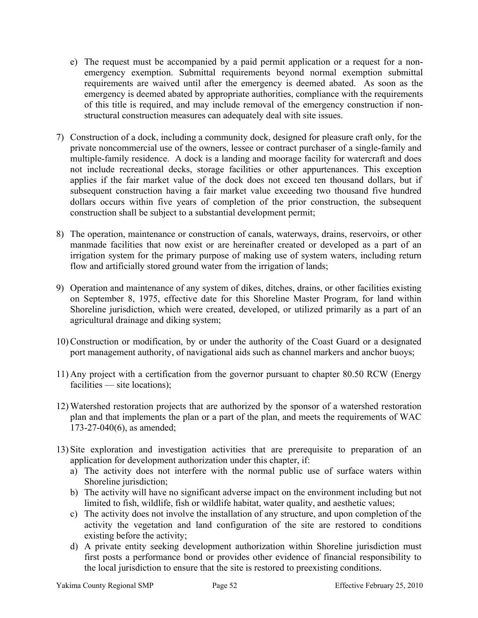- e) The request must be accompanied by a paid permit application or a request for a nonemergency exemption. Submittal requirements beyond normal exemption submittal requirements are waived until after the emergency is deemed abated. As soon as the emergency is deemed abated by appropriate authorities, compliance with the requirements of this title is required, and may include removal of the emergency construction if nonstructural construction measures can adequately deal with site issues.
- 7) Construction of a dock, including a community dock, designed for pleasure craft only, for the private noncommercial use of the owners, lessee or contract purchaser of a single-family and multiple-family residence. A dock is a landing and moorage facility for watercraft and does not include recreational decks, storage facilities or other appurtenances. This exception applies if the fair market value of the dock does not exceed ten thousand dollars, but if subsequent construction having a fair market value exceeding two thousand five hundred dollars occurs within five years of completion of the prior construction, the subsequent construction shall be subject to a substantial development permit;
- 8) The operation, maintenance or construction of canals, waterways, drains, reservoirs, or other manmade facilities that now exist or are hereinafter created or developed as a part of an irrigation system for the primary purpose of making use of system waters, including return flow and artificially stored ground water from the irrigation of lands;
- 9) Operation and maintenance of any system of dikes, ditches, drains, or other facilities existing on September 8, 1975, effective date for this Shoreline Master Program, for land within Shoreline jurisdiction, which were created, developed, or utilized primarily as a part of an agricultural drainage and diking system;
- 10) Construction or modification, by or under the authority of the Coast Guard or a designated port management authority, of navigational aids such as channel markers and anchor buoys;
- 11) Any project with a certification from the governor pursuant to chapter 80.50 RCW (Energy facilities — site locations);
- 12) Watershed restoration projects that are authorized by the sponsor of a watershed restoration plan and that implements the plan or a part of the plan, and meets the requirements of WAC 173-27-040(6), as amended;
- 13) Site exploration and investigation activities that are prerequisite to preparation of an application for development authorization under this chapter, if:
	- a) The activity does not interfere with the normal public use of surface waters within Shoreline jurisdiction;
	- b) The activity will have no significant adverse impact on the environment including but not limited to fish, wildlife, fish or wildlife habitat, water quality, and aesthetic values;
	- c) The activity does not involve the installation of any structure, and upon completion of the activity the vegetation and land configuration of the site are restored to conditions existing before the activity;
	- d) A private entity seeking development authorization within Shoreline jurisdiction must first posts a performance bond or provides other evidence of financial responsibility to the local jurisdiction to ensure that the site is restored to preexisting conditions.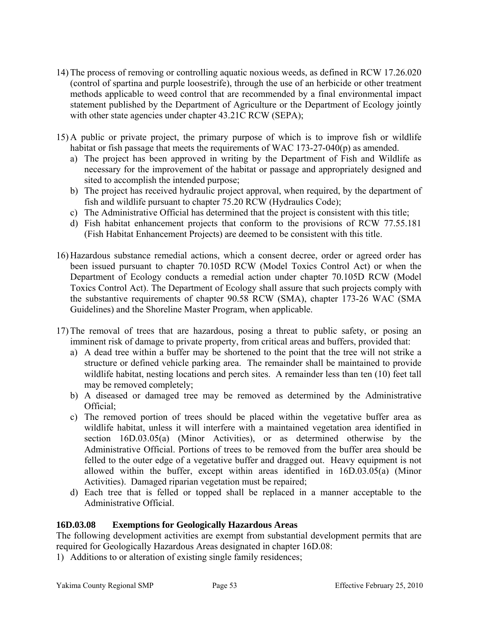- 14) The process of removing or controlling aquatic noxious weeds, as defined in RCW 17.26.020 (control of spartina and purple loosestrife), through the use of an herbicide or other treatment methods applicable to weed control that are recommended by a final environmental impact statement published by the Department of Agriculture or the Department of Ecology jointly with other state agencies under chapter 43.21C RCW (SEPA);
- 15) A public or private project, the primary purpose of which is to improve fish or wildlife habitat or fish passage that meets the requirements of WAC 173-27-040(p) as amended.
	- a) The project has been approved in writing by the Department of Fish and Wildlife as necessary for the improvement of the habitat or passage and appropriately designed and sited to accomplish the intended purpose;
	- b) The project has received hydraulic project approval, when required, by the department of fish and wildlife pursuant to chapter 75.20 RCW (Hydraulics Code);
	- c) The Administrative Official has determined that the project is consistent with this title;
	- d) Fish habitat enhancement projects that conform to the provisions of RCW 77.55.181 (Fish Habitat Enhancement Projects) are deemed to be consistent with this title.
- 16) Hazardous substance remedial actions, which a consent decree, order or agreed order has been issued pursuant to chapter 70.105D RCW (Model Toxics Control Act) or when the Department of Ecology conducts a remedial action under chapter 70.105D RCW (Model Toxics Control Act). The Department of Ecology shall assure that such projects comply with the substantive requirements of chapter 90.58 RCW (SMA), chapter 173-26 WAC (SMA Guidelines) and the Shoreline Master Program, when applicable.
- 17) The removal of trees that are hazardous, posing a threat to public safety, or posing an imminent risk of damage to private property, from critical areas and buffers, provided that:
	- a) A dead tree within a buffer may be shortened to the point that the tree will not strike a structure or defined vehicle parking area. The remainder shall be maintained to provide wildlife habitat, nesting locations and perch sites. A remainder less than ten (10) feet tall may be removed completely;
	- b) A diseased or damaged tree may be removed as determined by the Administrative Official;
	- c) The removed portion of trees should be placed within the vegetative buffer area as wildlife habitat, unless it will interfere with a maintained vegetation area identified in section 16D.03.05(a) (Minor Activities), or as determined otherwise by the Administrative Official. Portions of trees to be removed from the buffer area should be felled to the outer edge of a vegetative buffer and dragged out. Heavy equipment is not allowed within the buffer, except within areas identified in 16D.03.05(a) (Minor Activities). Damaged riparian vegetation must be repaired;
	- d) Each tree that is felled or topped shall be replaced in a manner acceptable to the Administrative Official.

# **16D.03.08 Exemptions for Geologically Hazardous Areas**

The following development activities are exempt from substantial development permits that are required for Geologically Hazardous Areas designated in chapter 16D.08:

1) Additions to or alteration of existing single family residences;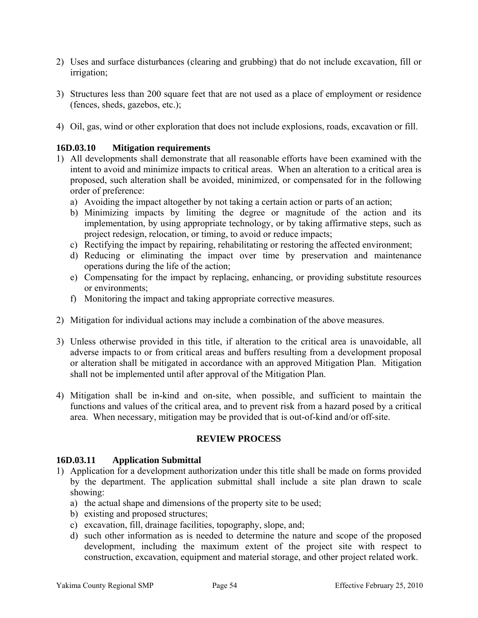- 2) Uses and surface disturbances (clearing and grubbing) that do not include excavation, fill or irrigation;
- 3) Structures less than 200 square feet that are not used as a place of employment or residence (fences, sheds, gazebos, etc.);
- 4) Oil, gas, wind or other exploration that does not include explosions, roads, excavation or fill.

## **16D.03.10 Mitigation requirements**

- 1) All developments shall demonstrate that all reasonable efforts have been examined with the intent to avoid and minimize impacts to critical areas. When an alteration to a critical area is proposed, such alteration shall be avoided, minimized, or compensated for in the following order of preference:
	- a) Avoiding the impact altogether by not taking a certain action or parts of an action;
	- b) Minimizing impacts by limiting the degree or magnitude of the action and its implementation, by using appropriate technology, or by taking affirmative steps, such as project redesign, relocation, or timing, to avoid or reduce impacts;
	- c) Rectifying the impact by repairing, rehabilitating or restoring the affected environment;
	- d) Reducing or eliminating the impact over time by preservation and maintenance operations during the life of the action;
	- e) Compensating for the impact by replacing, enhancing, or providing substitute resources or environments;
	- f) Monitoring the impact and taking appropriate corrective measures.
- 2) Mitigation for individual actions may include a combination of the above measures.
- 3) Unless otherwise provided in this title, if alteration to the critical area is unavoidable, all adverse impacts to or from critical areas and buffers resulting from a development proposal or alteration shall be mitigated in accordance with an approved Mitigation Plan. Mitigation shall not be implemented until after approval of the Mitigation Plan.
- 4) Mitigation shall be in-kind and on-site, when possible, and sufficient to maintain the functions and values of the critical area, and to prevent risk from a hazard posed by a critical area. When necessary, mitigation may be provided that is out-of-kind and/or off-site.

#### **REVIEW PROCESS**

#### **16D.03.11 Application Submittal**

- 1) Application for a development authorization under this title shall be made on forms provided by the department. The application submittal shall include a site plan drawn to scale showing:
	- a) the actual shape and dimensions of the property site to be used;
	- b) existing and proposed structures;
	- c) excavation, fill, drainage facilities, topography, slope, and;
	- d) such other information as is needed to determine the nature and scope of the proposed development, including the maximum extent of the project site with respect to construction, excavation, equipment and material storage, and other project related work.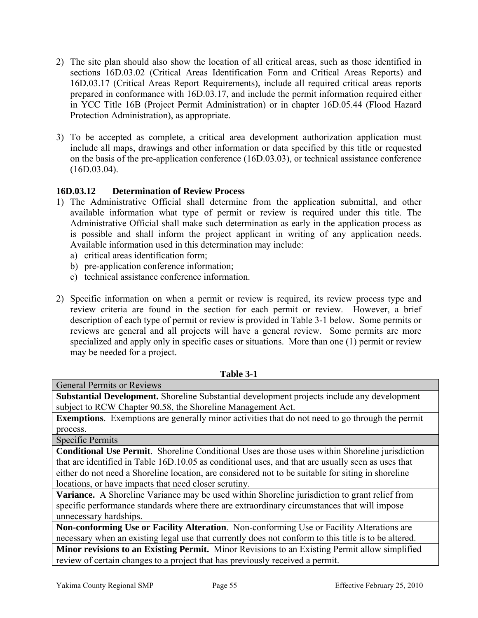- 2) The site plan should also show the location of all critical areas, such as those identified in sections 16D.03.02 (Critical Areas Identification Form and Critical Areas Reports) and 16D.03.17 (Critical Areas Report Requirements), include all required critical areas reports prepared in conformance with 16D.03.17, and include the permit information required either in YCC Title 16B (Project Permit Administration) or in chapter 16D.05.44 (Flood Hazard Protection Administration), as appropriate.
- 3) To be accepted as complete, a critical area development authorization application must include all maps, drawings and other information or data specified by this title or requested on the basis of the pre-application conference (16D.03.03), or technical assistance conference (16D.03.04).

# **16D.03.12 Determination of Review Process**

- 1) The Administrative Official shall determine from the application submittal, and other available information what type of permit or review is required under this title. The Administrative Official shall make such determination as early in the application process as is possible and shall inform the project applicant in writing of any application needs. Available information used in this determination may include:
	- a) critical areas identification form;
	- b) pre-application conference information;
	- c) technical assistance conference information.
- 2) Specific information on when a permit or review is required, its review process type and review criteria are found in the section for each permit or review. However, a brief description of each type of permit or review is provided in Table 3-1 below. Some permits or reviews are general and all projects will have a general review. Some permits are more specialized and apply only in specific cases or situations. More than one (1) permit or review may be needed for a project.

| <b>General Permits or Reviews</b>                                                                      |  |
|--------------------------------------------------------------------------------------------------------|--|
| <b>Substantial Development.</b> Shoreline Substantial development projects include any development     |  |
| subject to RCW Chapter 90.58, the Shoreline Management Act.                                            |  |
| <b>Exemptions.</b> Exemptions are generally minor activities that do not need to go through the permit |  |
| process.                                                                                               |  |
| Specific Permits                                                                                       |  |
| <b>Conditional Use Permit.</b> Shoreline Conditional Uses are those uses within Shoreline jurisdiction |  |
| that are identified in Table 16D.10.05 as conditional uses, and that are usually seen as uses that     |  |
| either do not need a Shoreline location, are considered not to be suitable for siting in shoreline     |  |
| locations, or have impacts that need closer scrutiny.                                                  |  |
| Variance. A Shoreline Variance may be used within Shoreline jurisdiction to grant relief from          |  |
| specific performance standards where there are extraordinary circumstances that will impose            |  |
| unnecessary hardships.                                                                                 |  |
| Non-conforming Use or Facility Alteration. Non-conforming Use or Facility Alterations are              |  |
| necessary when an existing legal use that currently does not conform to this title is to be altered.   |  |
| Minor revisions to an Existing Permit. Minor Revisions to an Existing Permit allow simplified          |  |
| review of certain changes to a project that has previously received a permit.                          |  |

# **Table 3-1**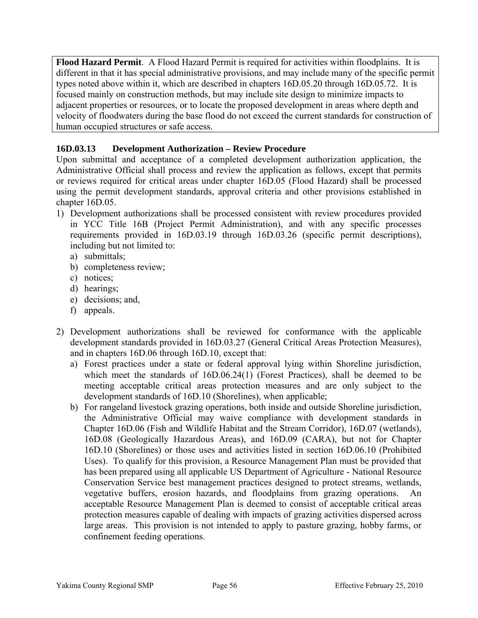**Flood Hazard Permit**. A Flood Hazard Permit is required for activities within floodplains. It is different in that it has special administrative provisions, and may include many of the specific permit types noted above within it, which are described in chapters 16D.05.20 through 16D.05.72. It is focused mainly on construction methods, but may include site design to minimize impacts to adjacent properties or resources, or to locate the proposed development in areas where depth and velocity of floodwaters during the base flood do not exceed the current standards for construction of human occupied structures or safe access.

# **16D.03.13 Development Authorization – Review Procedure**

Upon submittal and acceptance of a completed development authorization application, the Administrative Official shall process and review the application as follows, except that permits or reviews required for critical areas under chapter 16D.05 (Flood Hazard) shall be processed using the permit development standards, approval criteria and other provisions established in chapter 16D.05.

- 1) Development authorizations shall be processed consistent with review procedures provided in YCC Title 16B (Project Permit Administration), and with any specific processes requirements provided in 16D.03.19 through 16D.03.26 (specific permit descriptions), including but not limited to:
	- a) submittals;
	- b) completeness review;
	- c) notices;
	- d) hearings;
	- e) decisions; and,
	- f) appeals.
- 2) Development authorizations shall be reviewed for conformance with the applicable development standards provided in 16D.03.27 (General Critical Areas Protection Measures), and in chapters 16D.06 through 16D.10, except that:
	- a) Forest practices under a state or federal approval lying within Shoreline jurisdiction, which meet the standards of 16D.06.24(1) (Forest Practices), shall be deemed to be meeting acceptable critical areas protection measures and are only subject to the development standards of 16D.10 (Shorelines), when applicable;
	- b) For rangeland livestock grazing operations, both inside and outside Shoreline jurisdiction, the Administrative Official may waive compliance with development standards in Chapter 16D.06 (Fish and Wildlife Habitat and the Stream Corridor), 16D.07 (wetlands), 16D.08 (Geologically Hazardous Areas), and 16D.09 (CARA), but not for Chapter 16D.10 (Shorelines) or those uses and activities listed in section 16D.06.10 (Prohibited Uses). To qualify for this provision, a Resource Management Plan must be provided that has been prepared using all applicable US Department of Agriculture - National Resource Conservation Service best management practices designed to protect streams, wetlands, vegetative buffers, erosion hazards, and floodplains from grazing operations. An acceptable Resource Management Plan is deemed to consist of acceptable critical areas protection measures capable of dealing with impacts of grazing activities dispersed across large areas. This provision is not intended to apply to pasture grazing, hobby farms, or confinement feeding operations.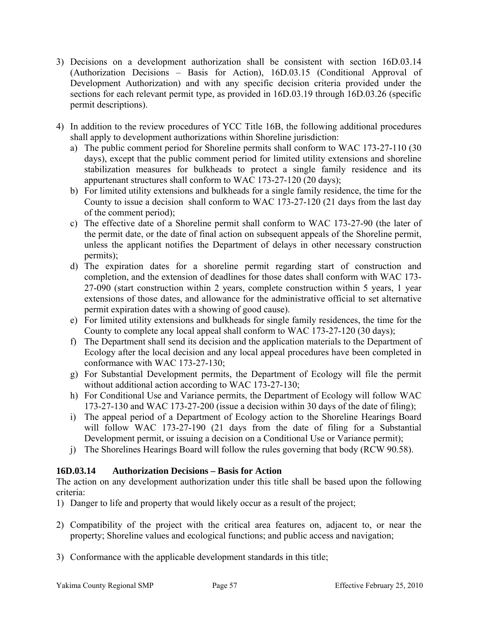- 3) Decisions on a development authorization shall be consistent with section 16D.03.14 (Authorization Decisions – Basis for Action), 16D.03.15 (Conditional Approval of Development Authorization) and with any specific decision criteria provided under the sections for each relevant permit type, as provided in  $16D.03.19$  through  $16D.03.26$  (specific permit descriptions).
- 4) In addition to the review procedures of YCC Title 16B, the following additional procedures shall apply to development authorizations within Shoreline jurisdiction:
	- a) The public comment period for Shoreline permits shall conform to WAC 173-27-110 (30 days), except that the public comment period for limited utility extensions and shoreline stabilization measures for bulkheads to protect a single family residence and its appurtenant structures shall conform to WAC 173-27-120 (20 days);
	- b) For limited utility extensions and bulkheads for a single family residence, the time for the County to issue a decision shall conform to WAC 173-27-120 (21 days from the last day of the comment period);
	- c) The effective date of a Shoreline permit shall conform to WAC 173-27-90 (the later of the permit date, or the date of final action on subsequent appeals of the Shoreline permit, unless the applicant notifies the Department of delays in other necessary construction permits);
	- d) The expiration dates for a shoreline permit regarding start of construction and completion, and the extension of deadlines for those dates shall conform with WAC 173- 27-090 (start construction within 2 years, complete construction within 5 years, 1 year extensions of those dates, and allowance for the administrative official to set alternative permit expiration dates with a showing of good cause).
	- e) For limited utility extensions and bulkheads for single family residences, the time for the County to complete any local appeal shall conform to WAC 173-27-120 (30 days);
	- f) The Department shall send its decision and the application materials to the Department of Ecology after the local decision and any local appeal procedures have been completed in conformance with WAC 173-27-130;
	- g) For Substantial Development permits, the Department of Ecology will file the permit without additional action according to WAC 173-27-130;
	- h) For Conditional Use and Variance permits, the Department of Ecology will follow WAC 173-27-130 and WAC 173-27-200 (issue a decision within 30 days of the date of filing);
	- i) The appeal period of a Department of Ecology action to the Shoreline Hearings Board will follow WAC 173-27-190 (21 days from the date of filing for a Substantial Development permit, or issuing a decision on a Conditional Use or Variance permit);
	- j) The Shorelines Hearings Board will follow the rules governing that body (RCW 90.58).

# **16D.03.14 Authorization Decisions – Basis for Action**

The action on any development authorization under this title shall be based upon the following criteria:

- 1) Danger to life and property that would likely occur as a result of the project;
- 2) Compatibility of the project with the critical area features on, adjacent to, or near the property; Shoreline values and ecological functions; and public access and navigation;
- 3) Conformance with the applicable development standards in this title;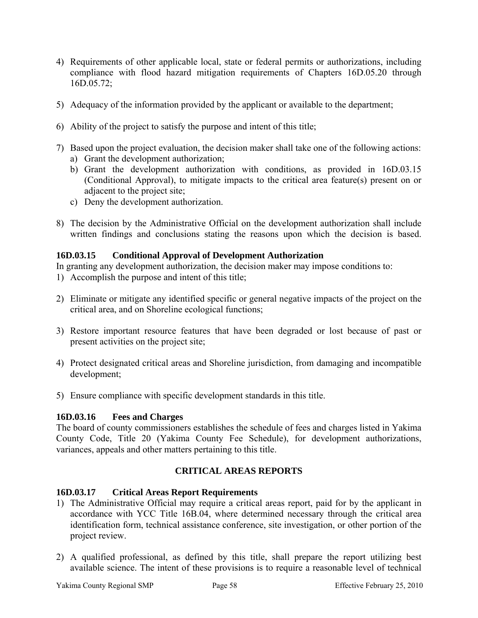- 4) Requirements of other applicable local, state or federal permits or authorizations, including compliance with flood hazard mitigation requirements of Chapters 16D.05.20 through 16D.05.72;
- 5) Adequacy of the information provided by the applicant or available to the department;
- 6) Ability of the project to satisfy the purpose and intent of this title;
- 7) Based upon the project evaluation, the decision maker shall take one of the following actions:
	- a) Grant the development authorization;
	- b) Grant the development authorization with conditions, as provided in 16D.03.15 (Conditional Approval), to mitigate impacts to the critical area feature(s) present on or adjacent to the project site;
	- c) Deny the development authorization.
- 8) The decision by the Administrative Official on the development authorization shall include written findings and conclusions stating the reasons upon which the decision is based.

# **16D.03.15 Conditional Approval of Development Authorization**

In granting any development authorization, the decision maker may impose conditions to:

- 1) Accomplish the purpose and intent of this title;
- 2) Eliminate or mitigate any identified specific or general negative impacts of the project on the critical area, and on Shoreline ecological functions;
- 3) Restore important resource features that have been degraded or lost because of past or present activities on the project site;
- 4) Protect designated critical areas and Shoreline jurisdiction, from damaging and incompatible development;
- 5) Ensure compliance with specific development standards in this title.

# **16D.03.16 Fees and Charges**

The board of county commissioners establishes the schedule of fees and charges listed in Yakima County Code, Title 20 (Yakima County Fee Schedule), for development authorizations, variances, appeals and other matters pertaining to this title.

# **CRITICAL AREAS REPORTS**

# **16D.03.17 Critical Areas Report Requirements**

- 1) The Administrative Official may require a critical areas report, paid for by the applicant in accordance with YCC Title 16B.04, where determined necessary through the critical area identification form, technical assistance conference, site investigation, or other portion of the project review.
- 2) A qualified professional, as defined by this title, shall prepare the report utilizing best available science. The intent of these provisions is to require a reasonable level of technical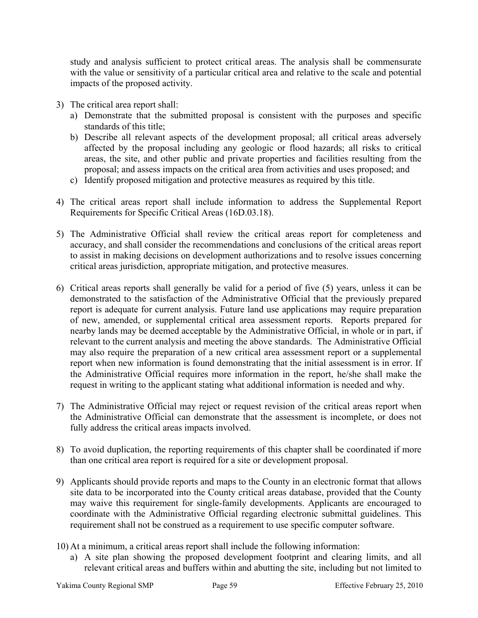study and analysis sufficient to protect critical areas. The analysis shall be commensurate with the value or sensitivity of a particular critical area and relative to the scale and potential impacts of the proposed activity.

- 3) The critical area report shall:
	- a) Demonstrate that the submitted proposal is consistent with the purposes and specific standards of this title;
	- b) Describe all relevant aspects of the development proposal; all critical areas adversely affected by the proposal including any geologic or flood hazards; all risks to critical areas, the site, and other public and private properties and facilities resulting from the proposal; and assess impacts on the critical area from activities and uses proposed; and
	- c) Identify proposed mitigation and protective measures as required by this title.
- 4) The critical areas report shall include information to address the Supplemental Report Requirements for Specific Critical Areas (16D.03.18).
- 5) The Administrative Official shall review the critical areas report for completeness and accuracy, and shall consider the recommendations and conclusions of the critical areas report to assist in making decisions on development authorizations and to resolve issues concerning critical areas jurisdiction, appropriate mitigation, and protective measures.
- 6) Critical areas reports shall generally be valid for a period of five (5) years, unless it can be demonstrated to the satisfaction of the Administrative Official that the previously prepared report is adequate for current analysis. Future land use applications may require preparation of new, amended, or supplemental critical area assessment reports. Reports prepared for nearby lands may be deemed acceptable by the Administrative Official, in whole or in part, if relevant to the current analysis and meeting the above standards. The Administrative Official may also require the preparation of a new critical area assessment report or a supplemental report when new information is found demonstrating that the initial assessment is in error. If the Administrative Official requires more information in the report, he/she shall make the request in writing to the applicant stating what additional information is needed and why.
- 7) The Administrative Official may reject or request revision of the critical areas report when the Administrative Official can demonstrate that the assessment is incomplete, or does not fully address the critical areas impacts involved.
- 8) To avoid duplication, the reporting requirements of this chapter shall be coordinated if more than one critical area report is required for a site or development proposal.
- 9) Applicants should provide reports and maps to the County in an electronic format that allows site data to be incorporated into the County critical areas database, provided that the County may waive this requirement for single-family developments. Applicants are encouraged to coordinate with the Administrative Official regarding electronic submittal guidelines. This requirement shall not be construed as a requirement to use specific computer software.
- 10) At a minimum, a critical areas report shall include the following information:
	- a) A site plan showing the proposed development footprint and clearing limits, and all relevant critical areas and buffers within and abutting the site, including but not limited to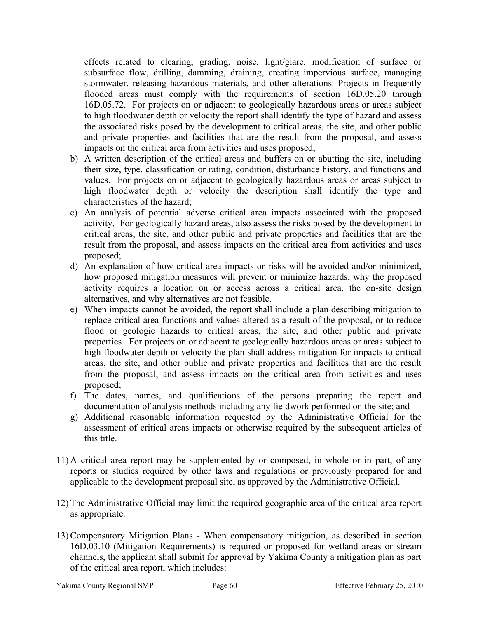effects related to clearing, grading, noise, light/glare, modification of surface or subsurface flow, drilling, damming, draining, creating impervious surface, managing stormwater, releasing hazardous materials, and other alterations. Projects in frequently flooded areas must comply with the requirements of section 16D.05.20 through 16D.05.72. For projects on or adjacent to geologically hazardous areas or areas subject to high floodwater depth or velocity the report shall identify the type of hazard and assess the associated risks posed by the development to critical areas, the site, and other public and private properties and facilities that are the result from the proposal, and assess impacts on the critical area from activities and uses proposed;

- b) A written description of the critical areas and buffers on or abutting the site, including their size, type, classification or rating, condition, disturbance history, and functions and values. For projects on or adjacent to geologically hazardous areas or areas subject to high floodwater depth or velocity the description shall identify the type and characteristics of the hazard;
- c) An analysis of potential adverse critical area impacts associated with the proposed activity. For geologically hazard areas, also assess the risks posed by the development to critical areas, the site, and other public and private properties and facilities that are the result from the proposal, and assess impacts on the critical area from activities and uses proposed;
- d) An explanation of how critical area impacts or risks will be avoided and/or minimized, how proposed mitigation measures will prevent or minimize hazards, why the proposed activity requires a location on or access across a critical area, the on-site design alternatives, and why alternatives are not feasible.
- e) When impacts cannot be avoided, the report shall include a plan describing mitigation to replace critical area functions and values altered as a result of the proposal, or to reduce flood or geologic hazards to critical areas, the site, and other public and private properties. For projects on or adjacent to geologically hazardous areas or areas subject to high floodwater depth or velocity the plan shall address mitigation for impacts to critical areas, the site, and other public and private properties and facilities that are the result from the proposal, and assess impacts on the critical area from activities and uses proposed;
- f) The dates, names, and qualifications of the persons preparing the report and documentation of analysis methods including any fieldwork performed on the site; and
- g) Additional reasonable information requested by the Administrative Official for the assessment of critical areas impacts or otherwise required by the subsequent articles of this title.
- 11) A critical area report may be supplemented by or composed, in whole or in part, of any reports or studies required by other laws and regulations or previously prepared for and applicable to the development proposal site, as approved by the Administrative Official.
- 12) The Administrative Official may limit the required geographic area of the critical area report as appropriate.
- 13) Compensatory Mitigation Plans When compensatory mitigation, as described in section 16D.03.10 (Mitigation Requirements) is required or proposed for wetland areas or stream channels, the applicant shall submit for approval by Yakima County a mitigation plan as part of the critical area report, which includes: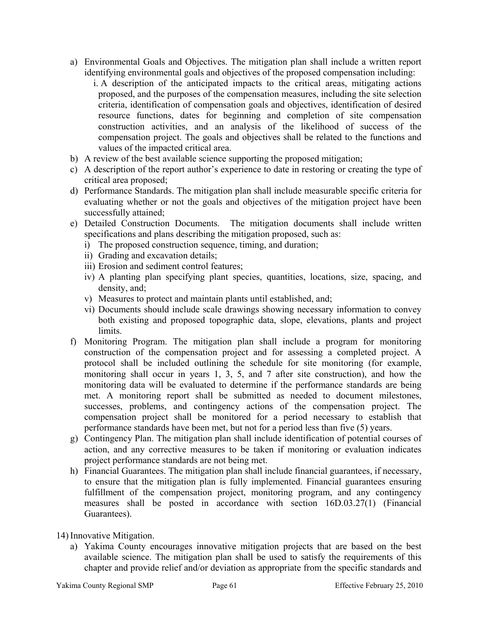- a) Environmental Goals and Objectives. The mitigation plan shall include a written report identifying environmental goals and objectives of the proposed compensation including:
	- i. A description of the anticipated impacts to the critical areas, mitigating actions proposed, and the purposes of the compensation measures, including the site selection criteria, identification of compensation goals and objectives, identification of desired resource functions, dates for beginning and completion of site compensation construction activities, and an analysis of the likelihood of success of the compensation project. The goals and objectives shall be related to the functions and values of the impacted critical area.
- b) A review of the best available science supporting the proposed mitigation;
- c) A description of the report author's experience to date in restoring or creating the type of critical area proposed;
- d) Performance Standards. The mitigation plan shall include measurable specific criteria for evaluating whether or not the goals and objectives of the mitigation project have been successfully attained;
- e) Detailed Construction Documents. The mitigation documents shall include written specifications and plans describing the mitigation proposed, such as:
	- i) The proposed construction sequence, timing, and duration;
	- ii) Grading and excavation details;
	- iii) Erosion and sediment control features;
	- iv) A planting plan specifying plant species, quantities, locations, size, spacing, and density, and;
	- v) Measures to protect and maintain plants until established, and;
	- vi) Documents should include scale drawings showing necessary information to convey both existing and proposed topographic data, slope, elevations, plants and project limits.
- f) Monitoring Program. The mitigation plan shall include a program for monitoring construction of the compensation project and for assessing a completed project. A protocol shall be included outlining the schedule for site monitoring (for example, monitoring shall occur in years 1, 3, 5, and 7 after site construction), and how the monitoring data will be evaluated to determine if the performance standards are being met. A monitoring report shall be submitted as needed to document milestones, successes, problems, and contingency actions of the compensation project. The compensation project shall be monitored for a period necessary to establish that performance standards have been met, but not for a period less than five (5) years.
- g) Contingency Plan. The mitigation plan shall include identification of potential courses of action, and any corrective measures to be taken if monitoring or evaluation indicates project performance standards are not being met.
- h) Financial Guarantees. The mitigation plan shall include financial guarantees, if necessary, to ensure that the mitigation plan is fully implemented. Financial guarantees ensuring fulfillment of the compensation project, monitoring program, and any contingency measures shall be posted in accordance with section 16D.03.27(1) (Financial Guarantees).
- 14) Innovative Mitigation.
	- a) Yakima County encourages innovative mitigation projects that are based on the best available science. The mitigation plan shall be used to satisfy the requirements of this chapter and provide relief and/or deviation as appropriate from the specific standards and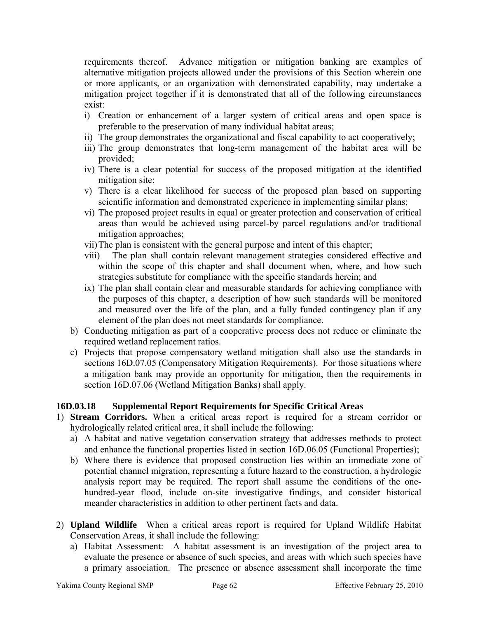requirements thereof. Advance mitigation or mitigation banking are examples of alternative mitigation projects allowed under the provisions of this Section wherein one or more applicants, or an organization with demonstrated capability, may undertake a mitigation project together if it is demonstrated that all of the following circumstances exist:

- i) Creation or enhancement of a larger system of critical areas and open space is preferable to the preservation of many individual habitat areas;
- ii) The group demonstrates the organizational and fiscal capability to act cooperatively;
- iii) The group demonstrates that long-term management of the habitat area will be provided;
- iv) There is a clear potential for success of the proposed mitigation at the identified mitigation site;
- v) There is a clear likelihood for success of the proposed plan based on supporting scientific information and demonstrated experience in implementing similar plans;
- vi) The proposed project results in equal or greater protection and conservation of critical areas than would be achieved using parcel-by parcel regulations and/or traditional mitigation approaches;
- vii)The plan is consistent with the general purpose and intent of this chapter;
- viii) The plan shall contain relevant management strategies considered effective and within the scope of this chapter and shall document when, where, and how such strategies substitute for compliance with the specific standards herein; and
- ix) The plan shall contain clear and measurable standards for achieving compliance with the purposes of this chapter, a description of how such standards will be monitored and measured over the life of the plan, and a fully funded contingency plan if any element of the plan does not meet standards for compliance.
- b) Conducting mitigation as part of a cooperative process does not reduce or eliminate the required wetland replacement ratios.
- c) Projects that propose compensatory wetland mitigation shall also use the standards in sections 16D.07.05 (Compensatory Mitigation Requirements). For those situations where a mitigation bank may provide an opportunity for mitigation, then the requirements in section 16D.07.06 (Wetland Mitigation Banks) shall apply.

# **16D.03.18 Supplemental Report Requirements for Specific Critical Areas**

- 1) **Stream Corridors.** When a critical areas report is required for a stream corridor or hydrologically related critical area, it shall include the following:
	- a) A habitat and native vegetation conservation strategy that addresses methods to protect and enhance the functional properties listed in section 16D.06.05 (Functional Properties);
	- b) Where there is evidence that proposed construction lies within an immediate zone of potential channel migration, representing a future hazard to the construction, a hydrologic analysis report may be required. The report shall assume the conditions of the onehundred-year flood, include on-site investigative findings, and consider historical meander characteristics in addition to other pertinent facts and data.
- 2) **Upland Wildlife** When a critical areas report is required for Upland Wildlife Habitat Conservation Areas, it shall include the following:
	- a) Habitat Assessment: A habitat assessment is an investigation of the project area to evaluate the presence or absence of such species, and areas with which such species have a primary association. The presence or absence assessment shall incorporate the time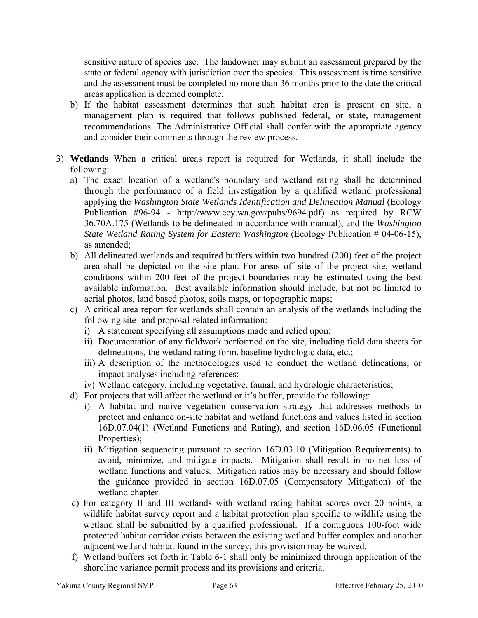sensitive nature of species use. The landowner may submit an assessment prepared by the state or federal agency with jurisdiction over the species. This assessment is time sensitive and the assessment must be completed no more than 36 months prior to the date the critical areas application is deemed complete.

- b) If the habitat assessment determines that such habitat area is present on site, a management plan is required that follows published federal, or state, management recommendations. The Administrative Official shall confer with the appropriate agency and consider their comments through the review process.
- 3) **Wetlands** When a critical areas report is required for Wetlands, it shall include the following:
	- a) The exact location of a wetland's boundary and wetland rating shall be determined through the performance of a field investigation by a qualified wetland professional applying the *Washington State Wetlands Identification and Delineation Manual* (Ecology Publication #96-94 - [http://www.ecy.wa.gov/pubs/9694.pdf\)](http://www.ecy.wa.gov/pubs/9694.pdf) as required by RCW 36.70A.175 (Wetlands to be delineated in accordance with manual), and the *Washington State Wetland Rating System for Eastern Washington (Ecology Publication # 04-06-15),* as amended;
	- b) All delineated wetlands and required buffers within two hundred (200) feet of the project area shall be depicted on the site plan. For areas off-site of the project site, wetland conditions within 200 feet of the project boundaries may be estimated using the best available information. Best available information should include, but not be limited to aerial photos, land based photos, soils maps, or topographic maps;
	- c) A critical area report for wetlands shall contain an analysis of the wetlands including the following site- and proposal-related information:
		- i) A statement specifying all assumptions made and relied upon;
		- ii) Documentation of any fieldwork performed on the site, including field data sheets for delineations, the wetland rating form, baseline hydrologic data, etc.;
		- iii) A description of the methodologies used to conduct the wetland delineations, or impact analyses including references;
		- iv) Wetland category, including vegetative, faunal, and hydrologic characteristics;
	- d) For projects that will affect the wetland or it's buffer, provide the following:
		- i) A habitat and native vegetation conservation strategy that addresses methods to protect and enhance on-site habitat and wetland functions and values listed in section 16D.07.04(1) (Wetland Functions and Rating), and section 16D.06.05 (Functional Properties);
		- ii) Mitigation sequencing pursuant to section 16D.03.10 (Mitigation Requirements) to avoid, minimize, and mitigate impacts. Mitigation shall result in no net loss of wetland functions and values. Mitigation ratios may be necessary and should follow the guidance provided in section 16D.07.05 (Compensatory Mitigation) of the wetland chapter.
	- e) For category II and III wetlands with wetland rating habitat scores over 20 points, a wildlife habitat survey report and a habitat protection plan specific to wildlife using the wetland shall be submitted by a qualified professional. If a contiguous 100-foot wide protected habitat corridor exists between the existing wetland buffer complex and another adjacent wetland habitat found in the survey, this provision may be waived.
	- f) Wetland buffers set forth in Table 6-1 shall only be minimized through application of the shoreline variance permit process and its provisions and criteria.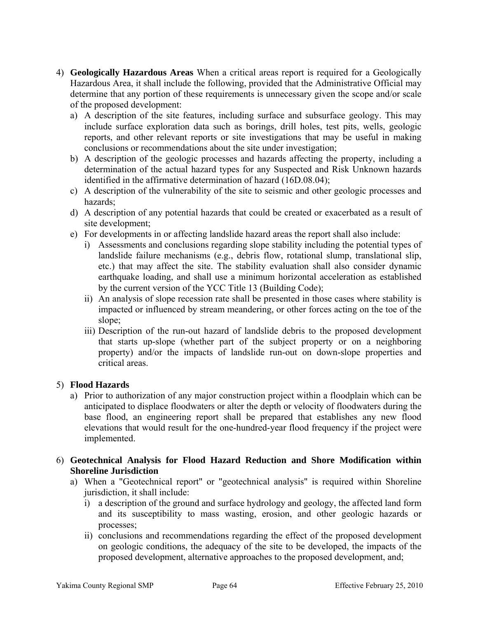- 4) **Geologically Hazardous Areas** When a critical areas report is required for a Geologically Hazardous Area, it shall include the following, provided that the Administrative Official may determine that any portion of these requirements is unnecessary given the scope and/or scale of the proposed development:
	- a) A description of the site features, including surface and subsurface geology. This may include surface exploration data such as borings, drill holes, test pits, wells, geologic reports, and other relevant reports or site investigations that may be useful in making conclusions or recommendations about the site under investigation;
	- b) A description of the geologic processes and hazards affecting the property, including a determination of the actual hazard types for any Suspected and Risk Unknown hazards identified in the affirmative determination of hazard (16D.08.04);
	- c) A description of the vulnerability of the site to seismic and other geologic processes and hazards;
	- d) A description of any potential hazards that could be created or exacerbated as a result of site development;
	- e) For developments in or affecting landslide hazard areas the report shall also include:
		- i) Assessments and conclusions regarding slope stability including the potential types of landslide failure mechanisms (e.g., debris flow, rotational slump, translational slip, etc.) that may affect the site. The stability evaluation shall also consider dynamic earthquake loading, and shall use a minimum horizontal acceleration as established by the current version of the YCC Title 13 (Building Code);
		- ii) An analysis of slope recession rate shall be presented in those cases where stability is impacted or influenced by stream meandering, or other forces acting on the toe of the slope;
		- iii) Description of the run-out hazard of landslide debris to the proposed development that starts up-slope (whether part of the subject property or on a neighboring property) and/or the impacts of landslide run-out on down-slope properties and critical areas.

# 5) **Flood Hazards**

- a) Prior to authorization of any major construction project within a floodplain which can be anticipated to displace floodwaters or alter the depth or velocity of floodwaters during the base flood, an engineering report shall be prepared that establishes any new flood elevations that would result for the one-hundred-year flood frequency if the project were implemented.
- 6) **Geotechnical Analysis for Flood Hazard Reduction and Shore Modification within Shoreline Jurisdiction** 
	- a) When a "Geotechnical report" or "geotechnical analysis" is required within Shoreline jurisdiction, it shall include:
		- i) a description of the ground and surface hydrology and geology, the affected land form and its susceptibility to mass wasting, erosion, and other geologic hazards or processes;
		- ii) conclusions and recommendations regarding the effect of the proposed development on geologic conditions, the adequacy of the site to be developed, the impacts of the proposed development, alternative approaches to the proposed development, and;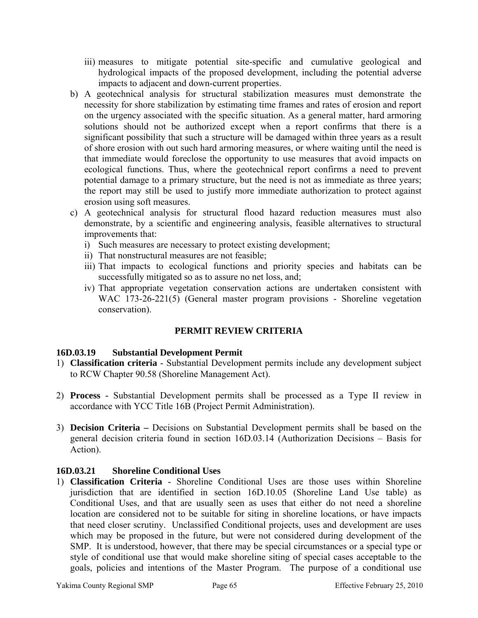- iii) measures to mitigate potential site-specific and cumulative geological and hydrological impacts of the proposed development, including the potential adverse impacts to adjacent and down-current properties.
- b) A geotechnical analysis for structural stabilization measures must demonstrate the necessity for shore stabilization by estimating time frames and rates of erosion and report on the urgency associated with the specific situation. As a general matter, hard armoring solutions should not be authorized except when a report confirms that there is a significant possibility that such a structure will be damaged within three years as a result of shore erosion with out such hard armoring measures, or where waiting until the need is that immediate would foreclose the opportunity to use measures that avoid impacts on ecological functions. Thus, where the geotechnical report confirms a need to prevent potential damage to a primary structure, but the need is not as immediate as three years; the report may still be used to justify more immediate authorization to protect against erosion using soft measures.
- c) A geotechnical analysis for structural flood hazard reduction measures must also demonstrate, by a scientific and engineering analysis, feasible alternatives to structural improvements that:
	- i) Such measures are necessary to protect existing development;
	- ii) That nonstructural measures are not feasible;
	- iii) That impacts to ecological functions and priority species and habitats can be successfully mitigated so as to assure no net loss, and;
	- iv) That appropriate vegetation conservation actions are undertaken consistent with WAC 173-26-221(5) (General master program provisions - Shoreline vegetation conservation).

# **PERMIT REVIEW CRITERIA**

# **16D.03.19 Substantial Development Permit**

- 1) **Classification criteria** Substantial Development permits include any development subject to RCW Chapter 90.58 (Shoreline Management Act).
- 2) **Process -** Substantial Development permits shall be processed as a Type II review in accordance with YCC Title 16B (Project Permit Administration).
- 3) **Decision Criteria** Decisions on Substantial Development permits shall be based on the general decision criteria found in section 16D.03.14 (Authorization Decisions – Basis for Action).

# **16D.03.21 Shoreline Conditional Uses**

1) **Classification Criteria** - Shoreline Conditional Uses are those uses within Shoreline jurisdiction that are identified in section 16D.10.05 (Shoreline Land Use table) as Conditional Uses, and that are usually seen as uses that either do not need a shoreline location are considered not to be suitable for siting in shoreline locations, or have impacts that need closer scrutiny. Unclassified Conditional projects, uses and development are uses which may be proposed in the future, but were not considered during development of the SMP. It is understood, however, that there may be special circumstances or a special type or style of conditional use that would make shoreline siting of special cases acceptable to the goals, policies and intentions of the Master Program. The purpose of a conditional use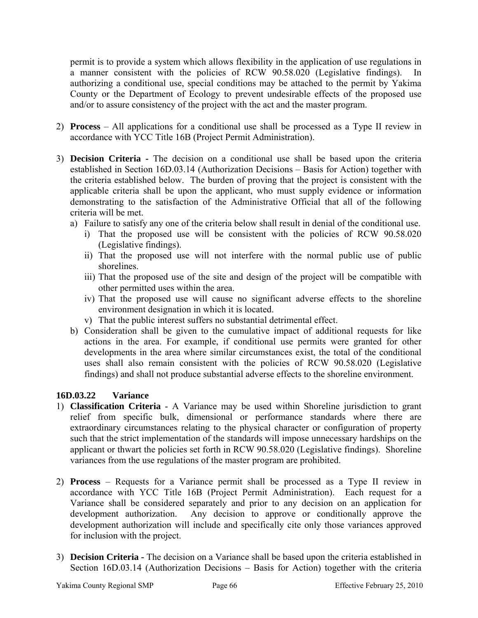permit is to provide a system which allows flexibility in the application of use regulations in a manner consistent with the policies of RCW 90.58.020 (Legislative findings). In authorizing a conditional use, special conditions may be attached to the permit by Yakima County or the Department of Ecology to prevent undesirable effects of the proposed use and/or to assure consistency of the project with the act and the master program.

- 2) **Process**  All applications for a conditional use shall be processed as a Type II review in accordance with YCC Title 16B (Project Permit Administration).
- 3) **Decision Criteria** The decision on a conditional use shall be based upon the criteria established in Section 16D.03.14 (Authorization Decisions – Basis for Action) together with the criteria established below. The burden of proving that the project is consistent with the applicable criteria shall be upon the applicant, who must supply evidence or information demonstrating to the satisfaction of the Administrative Official that all of the following criteria will be met.
	- a) Failure to satisfy any one of the criteria below shall result in denial of the conditional use.
		- i) That the proposed use will be consistent with the policies of RCW 90.58.020 (Legislative findings).
		- ii) That the proposed use will not interfere with the normal public use of public shorelines.
		- iii) That the proposed use of the site and design of the project will be compatible with other permitted uses within the area.
		- iv) That the proposed use will cause no significant adverse effects to the shoreline environment designation in which it is located.
		- v) That the public interest suffers no substantial detrimental effect.
	- b) Consideration shall be given to the cumulative impact of additional requests for like actions in the area. For example, if conditional use permits were granted for other developments in the area where similar circumstances exist, the total of the conditional uses shall also remain consistent with the policies of RCW 90.58.020 (Legislative findings) and shall not produce substantial adverse effects to the shoreline environment.

# **16D.03.22 Variance**

- 1) **Classification Criteria** A Variance may be used within Shoreline jurisdiction to grant relief from specific bulk, dimensional or performance standards where there are extraordinary circumstances relating to the physical character or configuration of property such that the strict implementation of the standards will impose unnecessary hardships on the applicant or thwart the policies set forth in RCW 90.58.020 (Legislative findings). Shoreline variances from the use regulations of the master program are prohibited.
- 2) **Process**  Requests for a Variance permit shall be processed as a Type II review in accordance with YCC Title 16B (Project Permit Administration).Each request for a Variance shall be considered separately and prior to any decision on an application for development authorization. Any decision to approve or conditionally approve the development authorization will include and specifically cite only those variances approved for inclusion with the project.
- 3) **Decision Criteria** The decision on a Variance shall be based upon the criteria established in Section 16D.03.14 (Authorization Decisions – Basis for Action) together with the criteria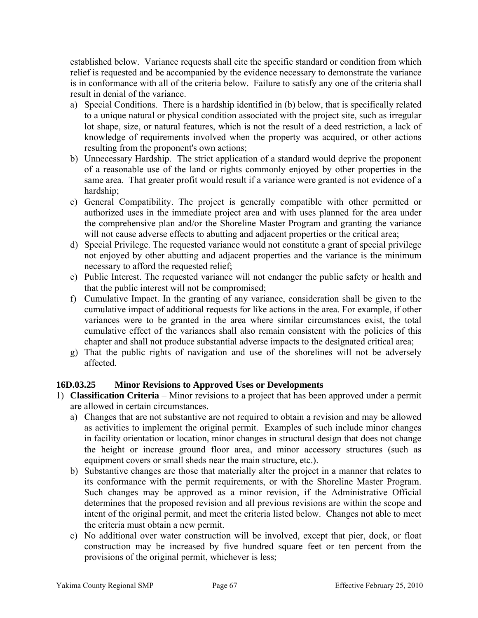established below. Variance requests shall cite the specific standard or condition from which relief is requested and be accompanied by the evidence necessary to demonstrate the variance is in conformance with all of the criteria below. Failure to satisfy any one of the criteria shall result in denial of the variance.

- a) Special Conditions. There is a hardship identified in (b) below, that is specifically related to a unique natural or physical condition associated with the project site, such as irregular lot shape, size, or natural features, which is not the result of a deed restriction, a lack of knowledge of requirements involved when the property was acquired, or other actions resulting from the proponent's own actions;
- b) Unnecessary Hardship. The strict application of a standard would deprive the proponent of a reasonable use of the land or rights commonly enjoyed by other properties in the same area. That greater profit would result if a variance were granted is not evidence of a hardship;
- c) General Compatibility. The project is generally compatible with other permitted or authorized uses in the immediate project area and with uses planned for the area under the comprehensive plan and/or the Shoreline Master Program and granting the variance will not cause adverse effects to abutting and adjacent properties or the critical area;
- d) Special Privilege. The requested variance would not constitute a grant of special privilege not enjoyed by other abutting and adjacent properties and the variance is the minimum necessary to afford the requested relief;
- e) Public Interest. The requested variance will not endanger the public safety or health and that the public interest will not be compromised;
- f) Cumulative Impact. In the granting of any variance, consideration shall be given to the cumulative impact of additional requests for like actions in the area. For example, if other variances were to be granted in the area where similar circumstances exist, the total cumulative effect of the variances shall also remain consistent with the policies of this chapter and shall not produce substantial adverse impacts to the designated critical area;
- g) That the public rights of navigation and use of the shorelines will not be adversely affected.

# **16D.03.25 Minor Revisions to Approved Uses or Developments**

- 1) **Classification Criteria** Minor revisions to a project that has been approved under a permit are allowed in certain circumstances.
	- a) Changes that are not substantive are not required to obtain a revision and may be allowed as activities to implement the original permit. Examples of such include minor changes in facility orientation or location, minor changes in structural design that does not change the height or increase ground floor area, and minor accessory structures (such as equipment covers or small sheds near the main structure, etc.).
	- b) Substantive changes are those that materially alter the project in a manner that relates to its conformance with the permit requirements, or with the Shoreline Master Program. Such changes may be approved as a minor revision, if the Administrative Official determines that the proposed revision and all previous revisions are within the scope and intent of the original permit, and meet the criteria listed below. Changes not able to meet the criteria must obtain a new permit.
	- c) No additional over water construction will be involved, except that pier, dock, or float construction may be increased by five hundred square feet or ten percent from the provisions of the original permit, whichever is less;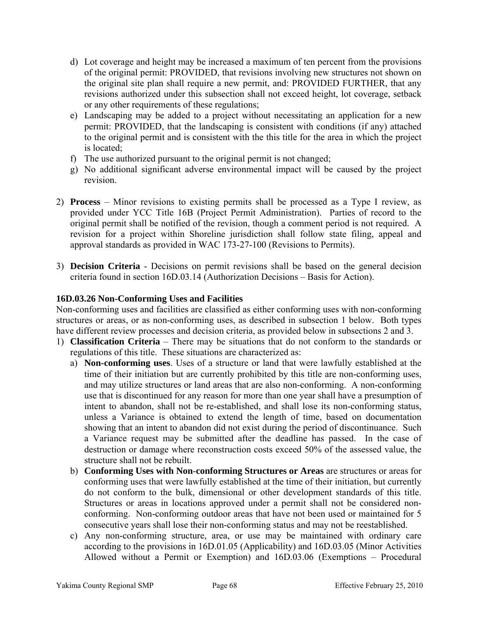- d) Lot coverage and height may be increased a maximum of ten percent from the provisions of the original permit: PROVIDED, that revisions involving new structures not shown on the original site plan shall require a new permit, and: PROVIDED FURTHER, that any revisions authorized under this subsection shall not exceed height, lot coverage, setback or any other requirements of these regulations;
- e) Landscaping may be added to a project without necessitating an application for a new permit: PROVIDED, that the landscaping is consistent with conditions (if any) attached to the original permit and is consistent with the this title for the area in which the project is located;
- f) The use authorized pursuant to the original permit is not changed;
- g) No additional significant adverse environmental impact will be caused by the project revision.
- 2) **Process**  Minor revisions to existing permits shall be processed as a Type I review, as provided under YCC Title 16B (Project Permit Administration). Parties of record to the original permit shall be notified of the revision, though a comment period is not required. A revision for a project within Shoreline jurisdiction shall follow state filing, appeal and approval standards as provided in WAC 173-27-100 (Revisions to Permits).
- 3) **Decision Criteria**  Decisions on permit revisions shall be based on the general decision criteria found in section 16D.03.14 (Authorization Decisions – Basis for Action).

# **16D.03.26 Non-Conforming Uses and Facilities**

Non-conforming uses and facilities are classified as either conforming uses with non-conforming structures or areas, or as non-conforming uses, as described in subsection 1 below. Both types have different review processes and decision criteria, as provided below in subsections 2 and 3.

- 1) **Classification Criteria** There may be situations that do not conform to the standards or regulations of this title. These situations are characterized as:
	- a) **Non-conforming uses**. Uses of a structure or land that were lawfully established at the time of their initiation but are currently prohibited by this title are non-conforming uses, and may utilize structures or land areas that are also non-conforming. A non-conforming use that is discontinued for any reason for more than one year shall have a presumption of intent to abandon, shall not be re-established, and shall lose its non-conforming status, unless a Variance is obtained to extend the length of time, based on documentation showing that an intent to abandon did not exist during the period of discontinuance. Such a Variance request may be submitted after the deadline has passed. In the case of destruction or damage where reconstruction costs exceed 50% of the assessed value, the structure shall not be rebuilt.
	- b) **Conforming Uses with Non**-**conforming Structures or Areas** are structures or areas for conforming uses that were lawfully established at the time of their initiation, but currently do not conform to the bulk, dimensional or other development standards of this title. Structures or areas in locations approved under a permit shall not be considered nonconforming. Non-conforming outdoor areas that have not been used or maintained for 5 consecutive years shall lose their non-conforming status and may not be reestablished.
	- c) Any non-conforming structure, area, or use may be maintained with ordinary care according to the provisions in 16D.01.05 (Applicability) and 16D.03.05 (Minor Activities Allowed without a Permit or Exemption) and 16D.03.06 (Exemptions – Procedural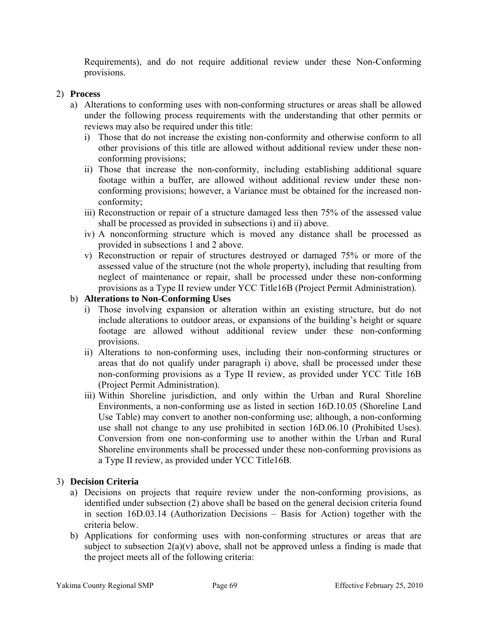Requirements), and do not require additional review under these Non-Conforming provisions.

## 2) **Process**

- a) Alterations to conforming uses with non-conforming structures or areas shall be allowed under the following process requirements with the understanding that other permits or reviews may also be required under this title:
	- i) Those that do not increase the existing non-conformity and otherwise conform to all other provisions of this title are allowed without additional review under these nonconforming provisions;
	- ii) Those that increase the non-conformity, including establishing additional square footage within a buffer, are allowed without additional review under these nonconforming provisions; however, a Variance must be obtained for the increased nonconformity;
	- iii) Reconstruction or repair of a structure damaged less then 75% of the assessed value shall be processed as provided in subsections i) and ii) above.
	- iv) A nonconforming structure which is moved any distance shall be processed as provided in subsections 1 and 2 above.
	- v) Reconstruction or repair of structures destroyed or damaged 75% or more of the assessed value of the structure (not the whole property), including that resulting from neglect of maintenance or repair, shall be processed under these non-conforming provisions as a Type II review under YCC Title16B (Project Permit Administration).

## b) **Alterations to Non-Conforming Uses**

- i) Those involving expansion or alteration within an existing structure, but do not include alterations to outdoor areas, or expansions of the building's height or square footage are allowed without additional review under these non-conforming provisions.
- ii) Alterations to non-conforming uses, including their non-conforming structures or areas that do not qualify under paragraph i) above, shall be processed under these non-conforming provisions as a Type II review, as provided under YCC Title 16B (Project Permit Administration).
- iii) Within Shoreline jurisdiction, and only within the Urban and Rural Shoreline Environments, a non-conforming use as listed in section 16D.10.05 (Shoreline Land Use Table) may convert to another non-conforming use; although, a non-conforming use shall not change to any use prohibited in section 16D.06.10 (Prohibited Uses). Conversion from one non-conforming use to another within the Urban and Rural Shoreline environments shall be processed under these non-conforming provisions as a Type II review, as provided under YCC Title16B.

#### 3) **Decision Criteria**

- a) Decisions on projects that require review under the non-conforming provisions, as identified under subsection (2) above shall be based on the general decision criteria found in section 16D.03.14 (Authorization Decisions – Basis for Action) together with the criteria below.
- b) Applications for conforming uses with non-conforming structures or areas that are subject to subsection  $2(a)(v)$  above, shall not be approved unless a finding is made that the project meets all of the following criteria: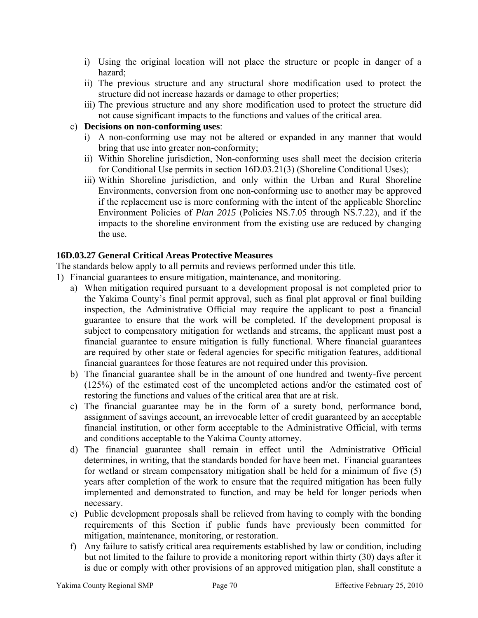- i) Using the original location will not place the structure or people in danger of a hazard;
- ii) The previous structure and any structural shore modification used to protect the structure did not increase hazards or damage to other properties;
- iii) The previous structure and any shore modification used to protect the structure did not cause significant impacts to the functions and values of the critical area.

## c) **Decisions on non-conforming uses**:

- i) A non-conforming use may not be altered or expanded in any manner that would bring that use into greater non-conformity;
- ii) Within Shoreline jurisdiction, Non-conforming uses shall meet the decision criteria for Conditional Use permits in section 16D.03.21(3) (Shoreline Conditional Uses);
- iii) Within Shoreline jurisdiction, and only within the Urban and Rural Shoreline Environments, conversion from one non-conforming use to another may be approved if the replacement use is more conforming with the intent of the applicable Shoreline Environment Policies of *Plan 2015* (Policies NS.7.05 through NS.7.22), and if the impacts to the shoreline environment from the existing use are reduced by changing the use.

# **16D.03.27 General Critical Areas Protective Measures**

The standards below apply to all permits and reviews performed under this title.

- 1) Financial guarantees to ensure mitigation, maintenance, and monitoring.
	- a) When mitigation required pursuant to a development proposal is not completed prior to the Yakima County's final permit approval, such as final plat approval or final building inspection, the Administrative Official may require the applicant to post a financial guarantee to ensure that the work will be completed. If the development proposal is subject to compensatory mitigation for wetlands and streams, the applicant must post a financial guarantee to ensure mitigation is fully functional. Where financial guarantees are required by other state or federal agencies for specific mitigation features, additional financial guarantees for those features are not required under this provision.
	- b) The financial guarantee shall be in the amount of one hundred and twenty-five percent (125%) of the estimated cost of the uncompleted actions and/or the estimated cost of restoring the functions and values of the critical area that are at risk.
	- c) The financial guarantee may be in the form of a surety bond, performance bond, assignment of savings account, an irrevocable letter of credit guaranteed by an acceptable financial institution, or other form acceptable to the Administrative Official, with terms and conditions acceptable to the Yakima County attorney.
	- d) The financial guarantee shall remain in effect until the Administrative Official determines, in writing, that the standards bonded for have been met. Financial guarantees for wetland or stream compensatory mitigation shall be held for a minimum of five (5) years after completion of the work to ensure that the required mitigation has been fully implemented and demonstrated to function, and may be held for longer periods when necessary.
	- e) Public development proposals shall be relieved from having to comply with the bonding requirements of this Section if public funds have previously been committed for mitigation, maintenance, monitoring, or restoration.
	- f) Any failure to satisfy critical area requirements established by law or condition, including but not limited to the failure to provide a monitoring report within thirty (30) days after it is due or comply with other provisions of an approved mitigation plan, shall constitute a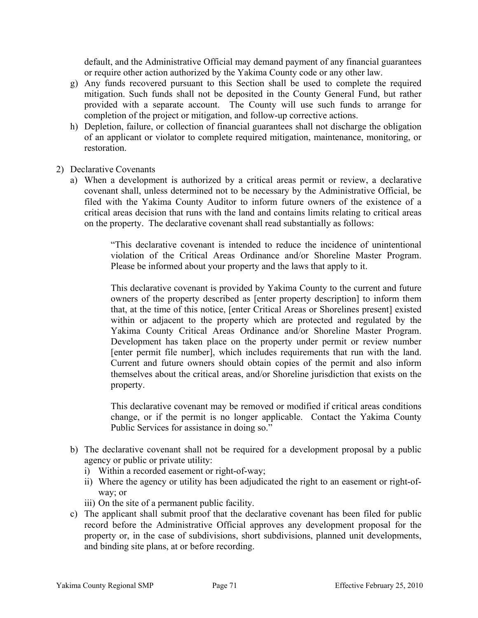default, and the Administrative Official may demand payment of any financial guarantees or require other action authorized by the Yakima County code or any other law.

- g) Any funds recovered pursuant to this Section shall be used to complete the required mitigation. Such funds shall not be deposited in the County General Fund, but rather provided with a separate account. The County will use such funds to arrange for completion of the project or mitigation, and follow-up corrective actions.
- h) Depletion, failure, or collection of financial guarantees shall not discharge the obligation of an applicant or violator to complete required mitigation, maintenance, monitoring, or restoration.
- 2) Declarative Covenants
	- a) When a development is authorized by a critical areas permit or review, a declarative covenant shall, unless determined not to be necessary by the Administrative Official, be filed with the Yakima County Auditor to inform future owners of the existence of a critical areas decision that runs with the land and contains limits relating to critical areas on the property. The declarative covenant shall read substantially as follows:

"This declarative covenant is intended to reduce the incidence of unintentional violation of the Critical Areas Ordinance and/or Shoreline Master Program. Please be informed about your property and the laws that apply to it.

This declarative covenant is provided by Yakima County to the current and future owners of the property described as [enter property description] to inform them that, at the time of this notice, [enter Critical Areas or Shorelines present] existed within or adjacent to the property which are protected and regulated by the Yakima County Critical Areas Ordinance and/or Shoreline Master Program. Development has taken place on the property under permit or review number [enter permit file number], which includes requirements that run with the land. Current and future owners should obtain copies of the permit and also inform themselves about the critical areas, and/or Shoreline jurisdiction that exists on the property.

This declarative covenant may be removed or modified if critical areas conditions change, or if the permit is no longer applicable. Contact the Yakima County Public Services for assistance in doing so."

- b) The declarative covenant shall not be required for a development proposal by a public agency or public or private utility:
	- i) Within a recorded easement or right-of-way;
	- ii) Where the agency or utility has been adjudicated the right to an easement or right-ofway; or

iii) On the site of a permanent public facility.

c) The applicant shall submit proof that the declarative covenant has been filed for public record before the Administrative Official approves any development proposal for the property or, in the case of subdivisions, short subdivisions, planned unit developments, and binding site plans, at or before recording.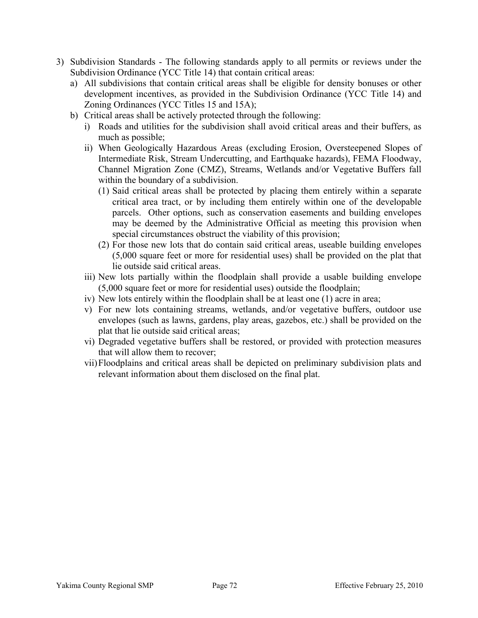- 3) Subdivision Standards The following standards apply to all permits or reviews under the Subdivision Ordinance (YCC Title 14) that contain critical areas:
	- a) All subdivisions that contain critical areas shall be eligible for density bonuses or other development incentives, as provided in the Subdivision Ordinance (YCC Title 14) and Zoning Ordinances (YCC Titles 15 and 15A);
	- b) Critical areas shall be actively protected through the following:
		- i) Roads and utilities for the subdivision shall avoid critical areas and their buffers, as much as possible;
		- ii) When Geologically Hazardous Areas (excluding Erosion, Oversteepened Slopes of Intermediate Risk, Stream Undercutting, and Earthquake hazards), FEMA Floodway, Channel Migration Zone (CMZ), Streams, Wetlands and/or Vegetative Buffers fall within the boundary of a subdivision.
			- (1) Said critical areas shall be protected by placing them entirely within a separate critical area tract, or by including them entirely within one of the developable parcels. Other options, such as conservation easements and building envelopes may be deemed by the Administrative Official as meeting this provision when special circumstances obstruct the viability of this provision;
			- (2) For those new lots that do contain said critical areas, useable building envelopes (5,000 square feet or more for residential uses) shall be provided on the plat that lie outside said critical areas.
		- iii) New lots partially within the floodplain shall provide a usable building envelope (5,000 square feet or more for residential uses) outside the floodplain;
		- iv) New lots entirely within the floodplain shall be at least one (1) acre in area;
		- v) For new lots containing streams, wetlands, and/or vegetative buffers, outdoor use envelopes (such as lawns, gardens, play areas, gazebos, etc.) shall be provided on the plat that lie outside said critical areas;
		- vi) Degraded vegetative buffers shall be restored, or provided with protection measures that will allow them to recover;
		- vii)Floodplains and critical areas shall be depicted on preliminary subdivision plats and relevant information about them disclosed on the final plat.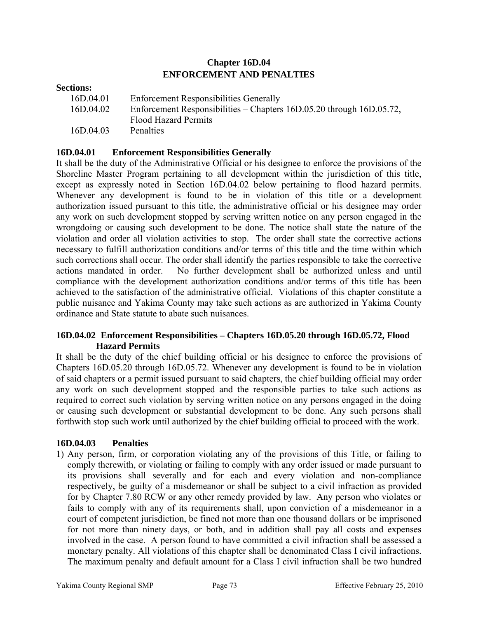# **Chapter 16D.04 ENFORCEMENT AND PENALTIES**

| <b>Sections:</b> |                                                                      |
|------------------|----------------------------------------------------------------------|
| 16D.04.01        | <b>Enforcement Responsibilities Generally</b>                        |
| 16D.04.02        | Enforcement Responsibilities – Chapters 16D.05.20 through 16D.05.72, |
|                  | <b>Flood Hazard Permits</b>                                          |
| 16D.04.03        | Penalties                                                            |

### **16D.04.01 Enforcement Responsibilities Generally**

It shall be the duty of the Administrative Official or his designee to enforce the provisions of the Shoreline Master Program pertaining to all development within the jurisdiction of this title, except as expressly noted in Section 16D.04.02 below pertaining to flood hazard permits. Whenever any development is found to be in violation of this title or a development authorization issued pursuant to this title, the administrative official or his designee may order any work on such development stopped by serving written notice on any person engaged in the wrongdoing or causing such development to be done. The notice shall state the nature of the violation and order all violation activities to stop. The order shall state the corrective actions necessary to fulfill authorization conditions and/or terms of this title and the time within which such corrections shall occur. The order shall identify the parties responsible to take the corrective actions mandated in order. No further development shall be authorized unless and until compliance with the development authorization conditions and/or terms of this title has been achieved to the satisfaction of the administrative official. Violations of this chapter constitute a public nuisance and Yakima County may take such actions as are authorized in Yakima County ordinance and State statute to abate such nuisances.

### **16D.04.02 Enforcement Responsibilities – Chapters 16D.05.20 through 16D.05.72, Flood Hazard Permits**

 It shall be the duty of the chief building official or his designee to enforce the provisions of Chapters 16D.05.20 through 16D.05.72. Whenever any development is found to be in violation of said chapters or a permit issued pursuant to said chapters, the chief building official may order any work on such development stopped and the responsible parties to take such actions as required to correct such violation by serving written notice on any persons engaged in the doing or causing such development or substantial development to be done. Any such persons shall forthwith stop such work until authorized by the chief building official to proceed with the work.

#### **16D.04.03 Penalties**

1) Any person, firm, or corporation violating any of the provisions of this Title, or failing to comply therewith, or violating or failing to comply with any order issued or made pursuant to its provisions shall severally and for each and every violation and non-compliance respectively, be guilty of a misdemeanor or shall be subject to a civil infraction as provided for by Chapter 7.80 RCW or any other remedy provided by law. Any person who violates or fails to comply with any of its requirements shall, upon conviction of a misdemeanor in a court of competent jurisdiction, be fined not more than one thousand dollars or be imprisoned for not more than ninety days, or both, and in addition shall pay all costs and expenses involved in the case. A person found to have committed a civil infraction shall be assessed a monetary penalty. All violations of this chapter shall be denominated Class I civil infractions. The maximum penalty and default amount for a Class I civil infraction shall be two hundred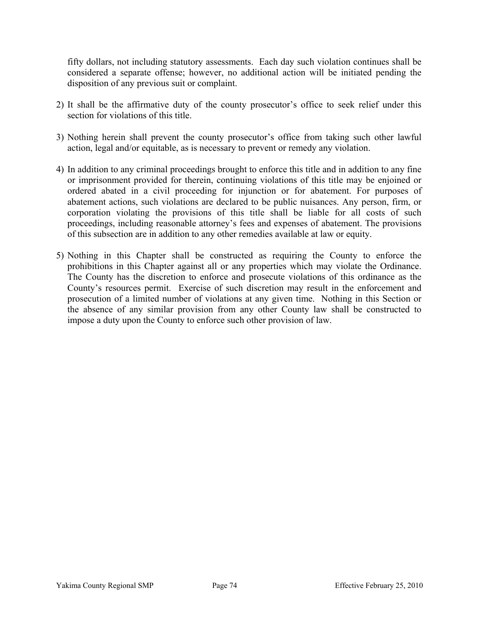fifty dollars, not including statutory assessments. Each day such violation continues shall be considered a separate offense; however, no additional action will be initiated pending the disposition of any previous suit or complaint.

- 2) It shall be the affirmative duty of the county prosecutor's office to seek relief under this section for violations of this title.
- 3) Nothing herein shall prevent the county prosecutor's office from taking such other lawful action, legal and/or equitable, as is necessary to prevent or remedy any violation.
- 4) In addition to any criminal proceedings brought to enforce this title and in addition to any fine or imprisonment provided for therein, continuing violations of this title may be enjoined or ordered abated in a civil proceeding for injunction or for abatement. For purposes of abatement actions, such violations are declared to be public nuisances. Any person, firm, or corporation violating the provisions of this title shall be liable for all costs of such proceedings, including reasonable attorney's fees and expenses of abatement. The provisions of this subsection are in addition to any other remedies available at law or equity.
- 5) Nothing in this Chapter shall be constructed as requiring the County to enforce the prohibitions in this Chapter against all or any properties which may violate the Ordinance. The County has the discretion to enforce and prosecute violations of this ordinance as the County's resources permit. Exercise of such discretion may result in the enforcement and prosecution of a limited number of violations at any given time. Nothing in this Section or the absence of any similar provision from any other County law shall be constructed to impose a duty upon the County to enforce such other provision of law.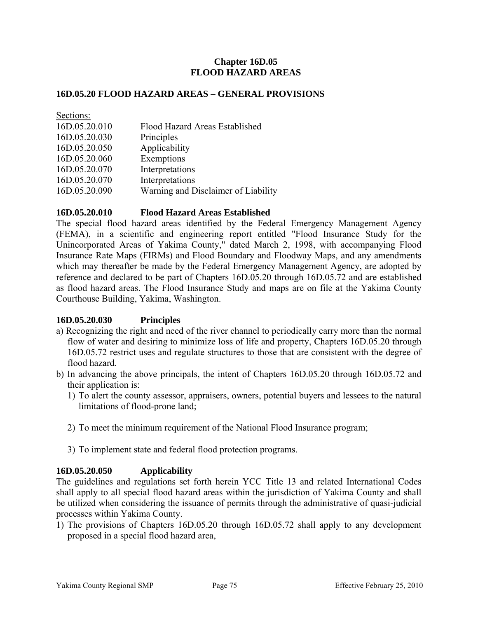## **Chapter 16D.05 FLOOD HAZARD AREAS**

#### **16D.05.20 FLOOD HAZARD AREAS – GENERAL PROVISIONS**

| Sections:     |                                     |
|---------------|-------------------------------------|
| 16D.05.20.010 | Flood Hazard Areas Established      |
| 16D.05.20.030 | Principles                          |
| 16D.05.20.050 | Applicability                       |
| 16D.05.20.060 | Exemptions                          |
| 16D.05.20.070 | Interpretations                     |
| 16D.05.20.070 | Interpretations                     |
| 16D.05.20.090 | Warning and Disclaimer of Liability |
|               |                                     |

### **16D.05.20.010 Flood Hazard Areas Established**

The special flood hazard areas identified by the Federal Emergency Management Agency (FEMA), in a scientific and engineering report entitled "Flood Insurance Study for the Unincorporated Areas of Yakima County," dated March 2, 1998, with accompanying Flood Insurance Rate Maps (FIRMs) and Flood Boundary and Floodway Maps, and any amendments which may thereafter be made by the Federal Emergency Management Agency, are adopted by reference and declared to be part of Chapters 16D.05.20 through 16D.05.72 and are established as flood hazard areas. The Flood Insurance Study and maps are on file at the Yakima County Courthouse Building, Yakima, Washington.

## **16D.05.20.030 Principles**

- a) Recognizing the right and need of the river channel to periodically carry more than the normal flow of water and desiring to minimize loss of life and property, Chapters 16D.05.20 through 16D.05.72 restrict uses and regulate structures to those that are consistent with the degree of flood hazard.
- b) In advancing the above principals, the intent of Chapters 16D.05.20 through 16D.05.72 and their application is:
	- 1) To alert the county assessor, appraisers, owners, potential buyers and lessees to the natural limitations of flood-prone land;
	- 2) To meet the minimum requirement of the National Flood Insurance program;
	- 3) To implement state and federal flood protection programs.

#### **16D.05.20.050 Applicability**

The guidelines and regulations set forth herein YCC Title 13 and related International Codes shall apply to all special flood hazard areas within the jurisdiction of Yakima County and shall be utilized when considering the issuance of permits through the administrative of quasi-judicial processes within Yakima County.

1) The provisions of Chapters 16D.05.20 through 16D.05.72 shall apply to any development proposed in a special flood hazard area,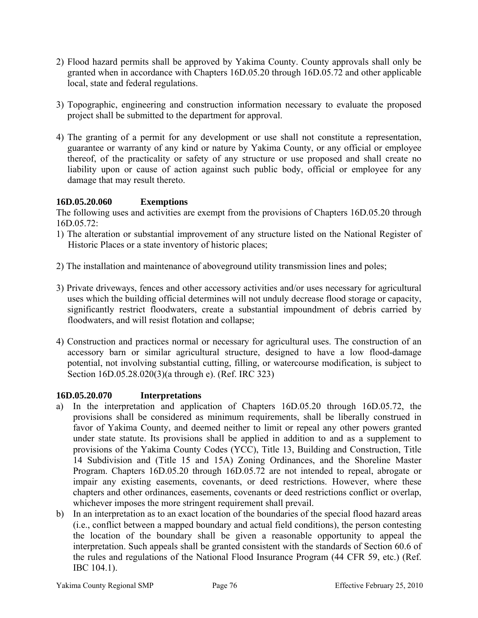- 2) Flood hazard permits shall be approved by Yakima County. County approvals shall only be granted when in accordance with Chapters 16D.05.20 through 16D.05.72 and other applicable local, state and federal regulations.
- 3) Topographic, engineering and construction information necessary to evaluate the proposed project shall be submitted to the department for approval.
- 4) The granting of a permit for any development or use shall not constitute a representation, guarantee or warranty of any kind or nature by Yakima County, or any official or employee thereof, of the practicality or safety of any structure or use proposed and shall create no liability upon or cause of action against such public body, official or employee for any damage that may result thereto.

# **16D.05.20.060 Exemptions**

The following uses and activities are exempt from the provisions of Chapters 16D.05.20 through 16D.05.72:

- 1) The alteration or substantial improvement of any structure listed on the National Register of Historic Places or a state inventory of historic places;
- 2) The installation and maintenance of aboveground utility transmission lines and poles;
- 3) Private driveways, fences and other accessory activities and/or uses necessary for agricultural uses which the building official determines will not unduly decrease flood storage or capacity, significantly restrict floodwaters, create a substantial impoundment of debris carried by floodwaters, and will resist flotation and collapse;
- 4) Construction and practices normal or necessary for agricultural uses. The construction of an accessory barn or similar agricultural structure, designed to have a low flood-damage potential, not involving substantial cutting, filling, or watercourse modification, is subject to Section [16D.05.28.020](http://nt2.scbbs.com/cgi-bin/om_isapi.dll?clientID=440479&infobase=procode-5&jump=16A.05.28.020&softpage=ref_Doc#JUMPDEST_16A.05.28.020)(3)(a through e). (Ref. IRC 323)

## **16D.05.20.070 Interpretations**

- a) In the interpretation and application of Chapters 16D.05.20 through 16D.05.72, the provisions shall be considered as minimum requirements, shall be liberally construed in favor of Yakima County, and deemed neither to limit or repeal any other powers granted under state statute. Its provisions shall be applied in addition to and as a supplement to provisions of the Yakima County Codes (YCC), Title 13, Building and Construction, Title 14 Subdivision and (Title 15 and 15A) Zoning Ordinances, and the Shoreline Master Program. Chapters 16D.05.20 through 16D.05.72 are not intended to repeal, abrogate or impair any existing easements, covenants, or deed restrictions. However, where these chapters and other ordinances, easements, covenants or deed restrictions conflict or overlap, whichever imposes the more stringent requirement shall prevail.
- b) In an interpretation as to an exact location of the boundaries of the special flood hazard areas (i.e., conflict between a mapped boundary and actual field conditions), the person contesting the location of the boundary shall be given a reasonable opportunity to appeal the interpretation. Such appeals shall be granted consistent with the standards of Section 60.6 of the rules and regulations of the National Flood Insurance Program (44 CFR 59, etc.) (Ref. IBC 104.1).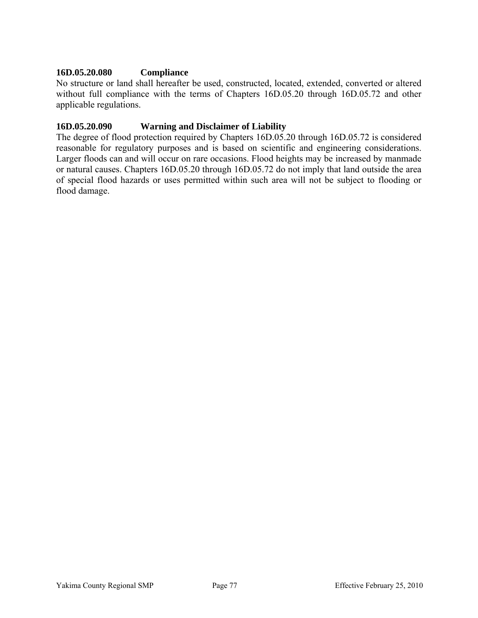### **16D.05.20.080 Compliance**

No structure or land shall hereafter be used, constructed, located, extended, converted or altered without full compliance with the terms of Chapters 16D.05.20 through 16D.05.72 and other applicable regulations.

#### **16D.05.20.090 Warning and Disclaimer of Liability**

The degree of flood protection required by Chapters 16D.05.20 through 16D.05.72 is considered reasonable for regulatory purposes and is based on scientific and engineering considerations. Larger floods can and will occur on rare occasions. Flood heights may be increased by manmade or natural causes. Chapters 16D.05.20 through 16D.05.72 do not imply that land outside the area of special flood hazards or uses permitted within such area will not be subject to flooding or flood damage.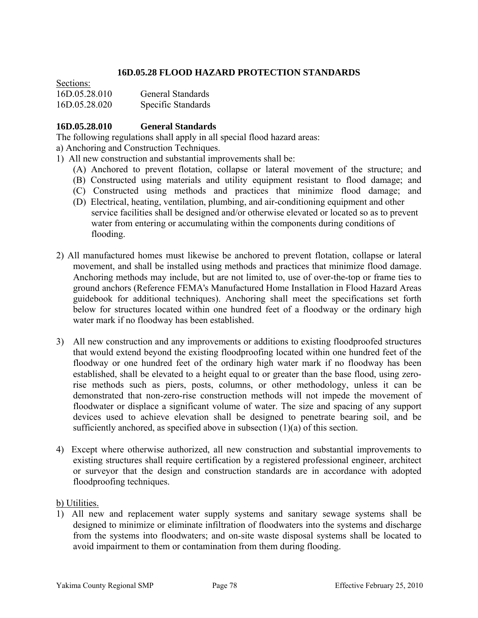### **16D.05.28 FLOOD HAZARD PROTECTION STANDARDS**

| Secuons.      |                          |
|---------------|--------------------------|
| 16D.05.28.010 | <b>General Standards</b> |
| 16D.05.28.020 | Specific Standards       |

 $\mathbf{S}$   $\mathbf{S}$ 

### **16D.05.28.010 General Standards**

The following regulations shall apply in all special flood hazard areas:

a) Anchoring and Construction Techniques.

1) All new construction and substantial improvements shall be:

- (A) Anchored to prevent flotation, collapse or lateral movement of the structure; and
- (B) Constructed using materials and utility equipment resistant to flood damage; and
- (C) Constructed using methods and practices that minimize flood damage; and
- (D) Electrical, heating, ventilation, plumbing, and air-conditioning equipment and other service facilities shall be designed and/or otherwise elevated or located so as to prevent water from entering or accumulating within the components during conditions of flooding.
- 2) All manufactured homes must likewise be anchored to prevent flotation, collapse or lateral movement, and shall be installed using methods and practices that minimize flood damage. Anchoring methods may include, but are not limited to, use of over-the-top or frame ties to ground anchors (Reference FEMA's Manufactured Home Installation in Flood Hazard Areas guidebook for additional techniques). Anchoring shall meet the specifications set forth below for structures located within one hundred feet of a floodway or the ordinary high water mark if no floodway has been established.
- 3) All new construction and any improvements or additions to existing floodproofed structures that would extend beyond the existing floodproofing located within one hundred feet of the floodway or one hundred feet of the ordinary high water mark if no floodway has been established, shall be elevated to a height equal to or greater than the base flood, using zerorise methods such as piers, posts, columns, or other methodology, unless it can be demonstrated that non-zero-rise construction methods will not impede the movement of floodwater or displace a significant volume of water. The size and spacing of any support devices used to achieve elevation shall be designed to penetrate bearing soil, and be sufficiently anchored, as specified above in subsection (1)(a) of this section.
- 4) Except where otherwise authorized, all new construction and substantial improvements to existing structures shall require certification by a registered professional engineer, architect or surveyor that the design and construction standards are in accordance with adopted floodproofing techniques.

### b) Utilities.

1) All new and replacement water supply systems and sanitary sewage systems shall be designed to minimize or eliminate infiltration of floodwaters into the systems and discharge from the systems into floodwaters; and on-site waste disposal systems shall be located to avoid impairment to them or contamination from them during flooding.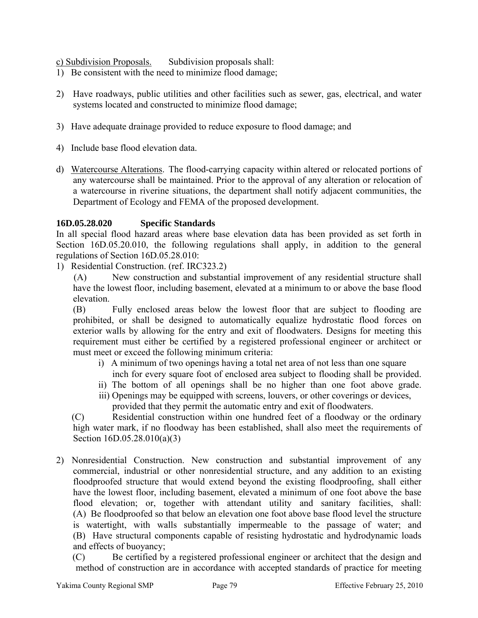c) Subdivision Proposals. Subdivision proposals shall:

- 1) Be consistent with the need to minimize flood damage;
- 2) Have roadways, public utilities and other facilities such as sewer, gas, electrical, and water systems located and constructed to minimize flood damage;
- 3) Have adequate drainage provided to reduce exposure to flood damage; and
- 4) Include base flood elevation data.
- d) Watercourse Alterations. The flood-carrying capacity within altered or relocated portions of any watercourse shall be maintained. Prior to the approval of any alteration or relocation of a watercourse in riverine situations, the department shall notify adjacent communities, the Department of Ecology and FEMA of the proposed development.

## **16D.05.28.020 Specific Standards**

In all special flood hazard areas where base elevation data has been provided as set forth in Section [16D.05.20.010](http://nt2.scbbs.com/cgi-bin/om_isapi.dll?clientID=441086&hitsperheading=on&infobase=procode-5&jump=16A.05.20.010&softpage=ref_Doc#JUMPDEST_16A.05.20.010), the following regulations shall apply, in addition to the general regulations of Section [16D.05.28.010:](http://nt2.scbbs.com/cgi-bin/om_isapi.dll?clientID=441086&hitsperheading=on&infobase=procode-5&jump=16A.05.28.010&softpage=ref_Doc#JUMPDEST_16A.05.28.010)

1) Residential Construction. (ref. IRC323.2)

(A) New construction and substantial improvement of any residential structure shall have the lowest floor, including basement, elevated at a minimum to or above the base flood elevation.

(B) Fully enclosed areas below the lowest floor that are subject to flooding are prohibited, or shall be designed to automatically equalize hydrostatic flood forces on exterior walls by allowing for the entry and exit of floodwaters. Designs for meeting this requirement must either be certified by a registered professional engineer or architect or must meet or exceed the following minimum criteria:

- i) A minimum of two openings having a total net area of not less than one square inch for every square foot of enclosed area subject to flooding shall be provided.
- ii) The bottom of all openings shall be no higher than one foot above grade.
- iii) Openings may be equipped with screens, louvers, or other coverings or devices, provided that they permit the automatic entry and exit of floodwaters.

 (C) Residential construction within one hundred feet of a floodway or the ordinary high water mark, if no floodway has been established, shall also meet the requirements of Section [16D.05.28.010](http://nt2.scbbs.com/cgi-bin/om_isapi.dll?clientID=441086&hitsperheading=on&infobase=procode-5&jump=16A.05.28.010&softpage=ref_Doc#JUMPDEST_16A.05.28.010)(a)(3)

2) Nonresidential Construction. New construction and substantial improvement of any commercial, industrial or other nonresidential structure, and any addition to an existing floodproofed structure that would extend beyond the existing floodproofing, shall either have the lowest floor, including basement, elevated a minimum of one foot above the base flood elevation; or, together with attendant utility and sanitary facilities, shall: (A) Be floodproofed so that below an elevation one foot above base flood level the structure is watertight, with walls substantially impermeable to the passage of water; and (B) Have structural components capable of resisting hydrostatic and hydrodynamic loads and effects of buoyancy;

 (C) Be certified by a registered professional engineer or architect that the design and method of construction are in accordance with accepted standards of practice for meeting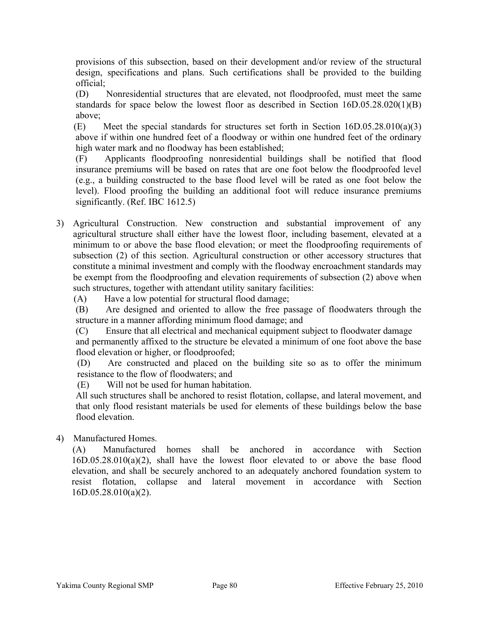provisions of this subsection, based on their development and/or review of the structural design, specifications and plans. Such certifications shall be provided to the building official;

 (D) Nonresidential structures that are elevated, not floodproofed, must meet the same standards for space below the lowest floor as described in Section [16D.05.28.020\(](http://nt2.scbbs.com/cgi-bin/om_isapi.dll?clientID=441086&hitsperheading=on&infobase=procode-5&jump=16A.05.28.020&softpage=ref_Doc#JUMPDEST_16A.05.28.020)1)(B) above;

(E) Meet the special standards for structures set forth in Section [16D.05.28.010\(](http://nt2.scbbs.com/cgi-bin/om_isapi.dll?clientID=441086&hitsperheading=on&infobase=procode-5&jump=16A.05.28.010&softpage=ref_Doc#JUMPDEST_16A.05.28.010)a)(3) above if within one hundred feet of a floodway or within one hundred feet of the ordinary high water mark and no floodway has been established;

 (F) Applicants floodproofing nonresidential buildings shall be notified that flood insurance premiums will be based on rates that are one foot below the floodproofed level (e.g., a building constructed to the base flood level will be rated as one foot below the level). Flood proofing the building an additional foot will reduce insurance premiums significantly. (Ref. IBC 1612.5)

3) Agricultural Construction. New construction and substantial improvement of any agricultural structure shall either have the lowest floor, including basement, elevated at a minimum to or above the base flood elevation; or meet the floodproofing requirements of subsection (2) of this section. Agricultural construction or other accessory structures that constitute a minimal investment and comply with the floodway encroachment standards may be exempt from the floodproofing and elevation requirements of subsection (2) above when such structures, together with attendant utility sanitary facilities:

(A) Have a low potential for structural flood damage;

 (B) Are designed and oriented to allow the free passage of floodwaters through the structure in a manner affording minimum flood damage; and

 (C) Ensure that all electrical and mechanical equipment subject to floodwater damage and permanently affixed to the structure be elevated a minimum of one foot above the base flood elevation or higher, or floodproofed;

 (D) Are constructed and placed on the building site so as to offer the minimum resistance to the flow of floodwaters; and

(E) Will not be used for human habitation.

All such structures shall be anchored to resist flotation, collapse, and lateral movement, and that only flood resistant materials be used for elements of these buildings below the base flood elevation.

4) Manufactured Homes.

 (A) Manufactured homes shall be anchored in accordance with Section [16D.05.28.010\(](http://nt2.scbbs.com/cgi-bin/om_isapi.dll?clientID=441086&hitsperheading=on&infobase=procode-5&jump=16A.05.28.010&softpage=ref_Doc#JUMPDEST_16A.05.28.010)a)(2), shall have the lowest floor elevated to or above the base flood elevation, and shall be securely anchored to an adequately anchored foundation system to resist flotation, collapse and lateral movement in accordance with Section [16D.05.28.010\(](http://nt2.scbbs.com/cgi-bin/om_isapi.dll?clientID=441086&hitsperheading=on&infobase=procode-5&jump=16A.05.28.010&softpage=ref_Doc#JUMPDEST_16A.05.28.010)a)(2).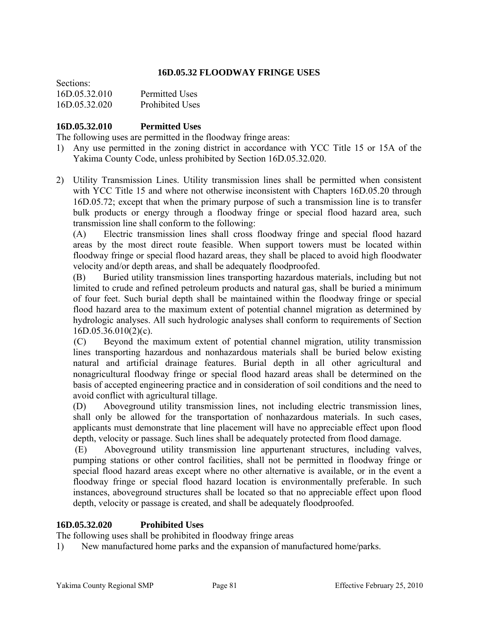### **16D.05.32 FLOODWAY FRINGE USES**

| Sections:     |                        |
|---------------|------------------------|
| 16D.05.32.010 | <b>Permitted Uses</b>  |
| 16D.05.32.020 | <b>Prohibited Uses</b> |

### **16D.05.32.010 Permitted Uses**

The following uses are permitted in the floodway fringe areas:

- 1) Any use permitted in the zoning district in accordance with YCC Title 15 or 15A of the Yakima County Code, unless prohibited by Section [16D.05.32.020](http://nt2.scbbs.com/cgi-bin/om_isapi.dll?clientID=441086&hitsperheading=on&infobase=procode-5&jump=16A.05.32.020&softpage=ref_Doc#JUMPDEST_16A.05.32.020).
- 2) Utility Transmission Lines. Utility transmission lines shall be permitted when consistent with YCC Title 15 and where not otherwise inconsistent with Chapters 16D.05.20 through 16D.05.72; except that when the primary purpose of such a transmission line is to transfer bulk products or energy through a floodway fringe or special flood hazard area, such transmission line shall conform to the following:

 (A) Electric transmission lines shall cross floodway fringe and special flood hazard areas by the most direct route feasible. When support towers must be located within floodway fringe or special flood hazard areas, they shall be placed to avoid high floodwater velocity and/or depth areas, and shall be adequately floodproofed.

 (B) Buried utility transmission lines transporting hazardous materials, including but not limited to crude and refined petroleum products and natural gas, shall be buried a minimum of four feet. Such burial depth shall be maintained within the floodway fringe or special flood hazard area to the maximum extent of potential channel migration as determined by hydrologic analyses. All such hydrologic analyses shall conform to requirements of Section  $16D.05.36.010(2)(c)$  $16D.05.36.010(2)(c)$ .

(C) Beyond the maximum extent of potential channel migration, utility transmission lines transporting hazardous and nonhazardous materials shall be buried below existing natural and artificial drainage features. Burial depth in all other agricultural and nonagricultural floodway fringe or special flood hazard areas shall be determined on the basis of accepted engineering practice and in consideration of soil conditions and the need to avoid conflict with agricultural tillage.

 (D) Aboveground utility transmission lines, not including electric transmission lines, shall only be allowed for the transportation of nonhazardous materials. In such cases, applicants must demonstrate that line placement will have no appreciable effect upon flood depth, velocity or passage. Such lines shall be adequately protected from flood damage.

 (E) Aboveground utility transmission line appurtenant structures, including valves, pumping stations or other control facilities, shall not be permitted in floodway fringe or special flood hazard areas except where no other alternative is available, or in the event a floodway fringe or special flood hazard location is environmentally preferable. In such instances, aboveground structures shall be located so that no appreciable effect upon flood depth, velocity or passage is created, and shall be adequately floodproofed.

#### **16D.05.32.020 Prohibited Uses**

The following uses shall be prohibited in floodway fringe areas

1) New manufactured home parks and the expansion of manufactured home/parks.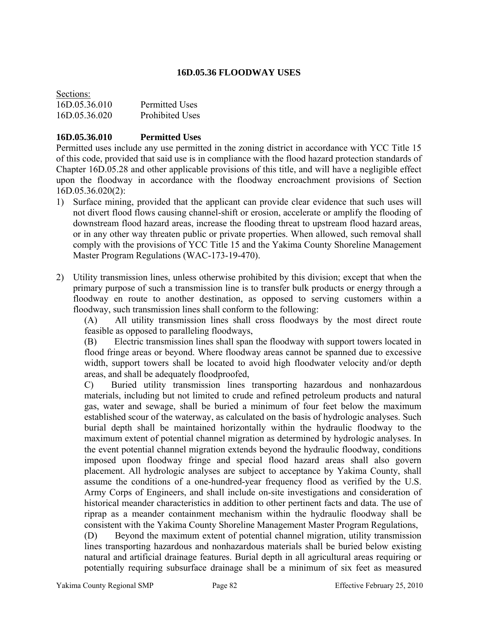## **16D.05.36 FLOODWAY USES**

| Sections:     |                        |
|---------------|------------------------|
| 16D.05.36.010 | <b>Permitted Uses</b>  |
| 16D.05.36.020 | <b>Prohibited Uses</b> |

### **16D.05.36.010 Permitted Uses**

Permitted uses include any use permitted in the zoning district in accordance with YCC Title 15 of this code, provided that said use is in compliance with the flood hazard protection standards of Chapter [16D.05.28](http://nt2.scbbs.com/cgi-bin/om_isapi.dll?clientID=441086&hitsperheading=on&infobase=procode-5&jump=16A.05.28&softpage=ref_Doc#JUMPDEST_16A.05.28) and other applicable provisions of this title, and will have a negligible effect upon the floodway in accordance with the floodway encroachment provisions of Section [16D.05.36.020\(](http://nt2.scbbs.com/cgi-bin/om_isapi.dll?clientID=441086&hitsperheading=on&infobase=procode-5&jump=16A.05.36.020&softpage=ref_Doc#JUMPDEST_16A.05.36.020)2):

- 1) Surface mining, provided that the applicant can provide clear evidence that such uses will not divert flood flows causing channel-shift or erosion, accelerate or amplify the flooding of downstream flood hazard areas, increase the flooding threat to upstream flood hazard areas, or in any other way threaten public or private properties. When allowed, such removal shall comply with the provisions of YCC Title 15 and the Yakima County Shoreline Management Master Program Regulations (WAC-173-19-470).
- 2) Utility transmission lines, unless otherwise prohibited by this division; except that when the primary purpose of such a transmission line is to transfer bulk products or energy through a floodway en route to another destination, as opposed to serving customers within a floodway, such transmission lines shall conform to the following:

 (A) All utility transmission lines shall cross floodways by the most direct route feasible as opposed to paralleling floodways,

 (B) Electric transmission lines shall span the floodway with support towers located in flood fringe areas or beyond. Where floodway areas cannot be spanned due to excessive width, support towers shall be located to avoid high floodwater velocity and/or depth areas, and shall be adequately floodproofed,

C) Buried utility transmission lines transporting hazardous and nonhazardous materials, including but not limited to crude and refined petroleum products and natural gas, water and sewage, shall be buried a minimum of four feet below the maximum established scour of the waterway, as calculated on the basis of hydrologic analyses. Such burial depth shall be maintained horizontally within the hydraulic floodway to the maximum extent of potential channel migration as determined by hydrologic analyses. In the event potential channel migration extends beyond the hydraulic floodway, conditions imposed upon floodway fringe and special flood hazard areas shall also govern placement. All hydrologic analyses are subject to acceptance by Yakima County, shall assume the conditions of a one-hundred-year frequency flood as verified by the U.S. Army Corps of Engineers, and shall include on-site investigations and consideration of historical meander characteristics in addition to other pertinent facts and data. The use of riprap as a meander containment mechanism within the hydraulic floodway shall be consistent with the Yakima County Shoreline Management Master Program Regulations,

(D) Beyond the maximum extent of potential channel migration, utility transmission lines transporting hazardous and nonhazardous materials shall be buried below existing natural and artificial drainage features. Burial depth in all agricultural areas requiring or potentially requiring subsurface drainage shall be a minimum of six feet as measured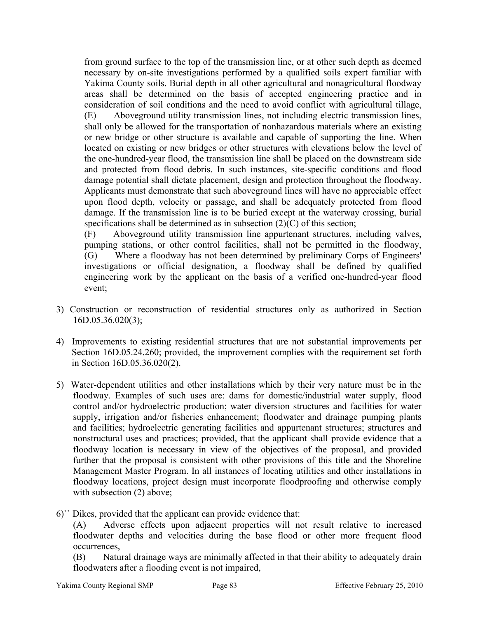from ground surface to the top of the transmission line, or at other such depth as deemed necessary by on-site investigations performed by a qualified soils expert familiar with Yakima County soils. Burial depth in all other agricultural and nonagricultural floodway areas shall be determined on the basis of accepted engineering practice and in consideration of soil conditions and the need to avoid conflict with agricultural tillage, (E) Aboveground utility transmission lines, not including electric transmission lines, shall only be allowed for the transportation of nonhazardous materials where an existing or new bridge or other structure is available and capable of supporting the line. When located on existing or new bridges or other structures with elevations below the level of the one-hundred-year flood, the transmission line shall be placed on the downstream side and protected from flood debris. In such instances, site-specific conditions and flood damage potential shall dictate placement, design and protection throughout the floodway. Applicants must demonstrate that such aboveground lines will have no appreciable effect upon flood depth, velocity or passage, and shall be adequately protected from flood damage. If the transmission line is to be buried except at the waterway crossing, burial specifications shall be determined as in subsection  $(2)(C)$  of this section;

(F) Aboveground utility transmission line appurtenant structures, including valves, pumping stations, or other control facilities, shall not be permitted in the floodway, (G) Where a floodway has not been determined by preliminary Corps of Engineers' investigations or official designation, a floodway shall be defined by qualified engineering work by the applicant on the basis of a verified one-hundred-year flood event;

- 3) Construction or reconstruction of residential structures only as authorized in Section [16D.05.36.020](http://nt2.scbbs.com/cgi-bin/om_isapi.dll?clientID=441086&hitsperheading=on&infobase=procode-5&jump=16A.05.36.020&softpage=ref_Doc#JUMPDEST_16A.05.36.020)(3);
- 4) Improvements to existing residential structures that are not substantial improvements per Section [16D.05.24.260;](http://nt2.scbbs.com/cgi-bin/om_isapi.dll?clientID=441086&hitsperheading=on&infobase=procode-5&jump=16A.05.24.260&softpage=ref_Doc#JUMPDEST_16A.05.24.260) provided, the improvement complies with the requirement set forth in Section [16D.05.36.020\(](http://nt2.scbbs.com/cgi-bin/om_isapi.dll?clientID=441086&hitsperheading=on&infobase=procode-5&jump=16A.05.36.020&softpage=ref_Doc#JUMPDEST_16A.05.36.020)2).
- 5) Water-dependent utilities and other installations which by their very nature must be in the floodway. Examples of such uses are: dams for domestic/industrial water supply, flood control and/or hydroelectric production; water diversion structures and facilities for water supply, irrigation and/or fisheries enhancement; floodwater and drainage pumping plants and facilities; hydroelectric generating facilities and appurtenant structures; structures and nonstructural uses and practices; provided, that the applicant shall provide evidence that a floodway location is necessary in view of the objectives of the proposal, and provided further that the proposal is consistent with other provisions of this title and the Shoreline Management Master Program. In all instances of locating utilities and other installations in floodway locations, project design must incorporate floodproofing and otherwise comply with subsection (2) above;
- 6)`` Dikes, provided that the applicant can provide evidence that:

 (A) Adverse effects upon adjacent properties will not result relative to increased floodwater depths and velocities during the base flood or other more frequent flood occurrences,

 (B) Natural drainage ways are minimally affected in that their ability to adequately drain floodwaters after a flooding event is not impaired,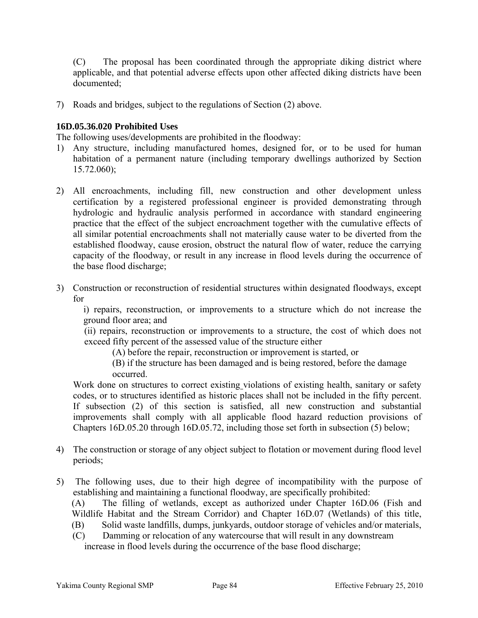(C) The proposal has been coordinated through the appropriate diking district where applicable, and that potential adverse effects upon other affected diking districts have been documented;

7) Roads and bridges, subject to the regulations of Section (2) above.

### **16D.05.36.020 Prohibited Uses**

The following uses/developments are prohibited in the floodway:

- 1) Any structure, including manufactured homes, designed for, or to be used for human habitation of a permanent nature (including temporary dwellings authorized by Section [15.72.060\)](http://nt2.scbbs.com/cgi-bin/om_isapi.dll?clientID=441086&hitsperheading=on&infobase=procode-5&jump=15.72.060&softpage=ref_Doc#JUMPDEST_15.72.060);
- 2) All encroachments, including fill, new construction and other development unless certification by a registered professional engineer is provided demonstrating through hydrologic and hydraulic analysis performed in accordance with standard engineering practice that the effect of the subject encroachment together with the cumulative effects of all similar potential encroachments shall not materially cause water to be diverted from the established floodway, cause erosion, obstruct the natural flow of water, reduce the carrying capacity of the floodway, or result in any increase in flood levels during the occurrence of the base flood discharge;
- 3) Construction or reconstruction of residential structures within designated floodways, except for

 i) repairs, reconstruction, or improvements to a structure which do not increase the ground floor area; and

 (ii) repairs, reconstruction or improvements to a structure, the cost of which does not exceed fifty percent of the assessed value of the structure either

(A) before the repair, reconstruction or improvement is started, or

 (B) if the structure has been damaged and is being restored, before the damage occurred.

Work done on structures to correct existing violations of existing health, sanitary or safety codes, or to structures identified as historic places shall not be included in the fifty percent. If subsection (2) of this section is satisfied, all new construction and substantial improvements shall comply with all applicable flood hazard reduction provisions of Chapters 16D.05.20 through 16D.05.72, including those set forth in subsection (5) below;

- 4) The construction or storage of any object subject to flotation or movement during flood level periods;
- 5) The following uses, due to their high degree of incompatibility with the purpose of establishing and maintaining a functional floodway, are specifically prohibited:

 (A) The filling of wetlands, except as authorized under Chapter 16D.06 (Fish and Wildlife Habitat and the Stream Corridor) and Chapter 16D.07 (Wetlands) of this title,

- (B) Solid waste landfills, dumps, junkyards, outdoor storage of vehicles and/or materials,
- (C) Damming or relocation of any watercourse that will result in any downstream increase in flood levels during the occurrence of the base flood discharge;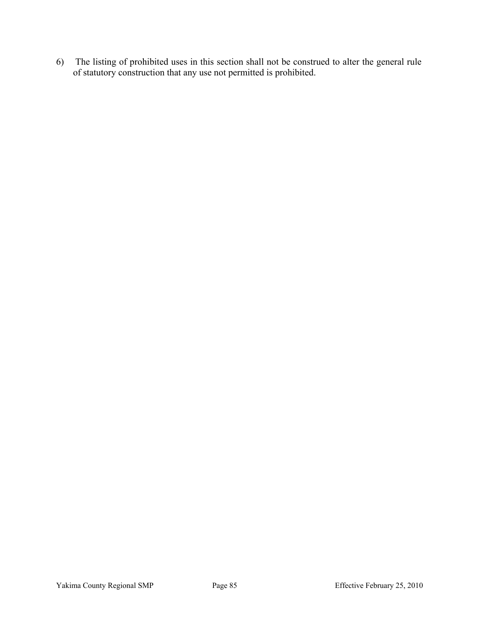6) The listing of prohibited uses in this section shall not be construed to alter the general rule of statutory construction that any use not permitted is prohibited.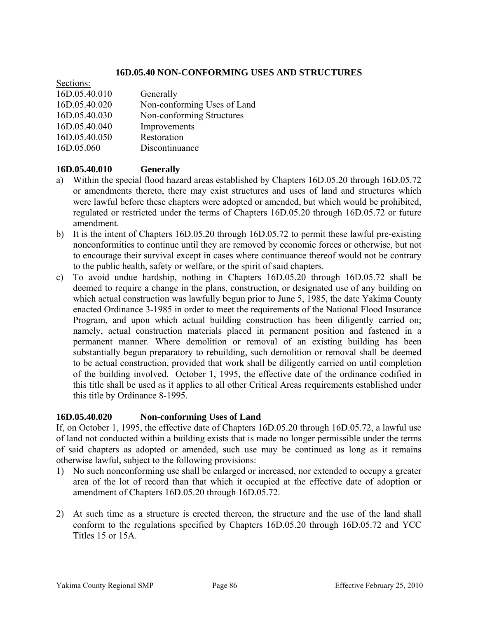#### **16D.05.40 NON-CONFORMING USES AND STRUCTURES**

| Secuons.      |                             |
|---------------|-----------------------------|
| 16D.05.40.010 | Generally                   |
| 16D.05.40.020 | Non-conforming Uses of Land |
| 16D.05.40.030 | Non-conforming Structures   |
| 16D.05.40.040 | Improvements                |
| 16D.05.40.050 | Restoration                 |
| 16D.05.060    | Discontinuance              |

## **16D.05.40.010 Generally**

 $\overline{\phantom{a}}$ 

- a) Within the special flood hazard areas established by Chapters 16D.05.20 through 16D.05.72 or amendments thereto, there may exist structures and uses of land and structures which were lawful before these chapters were adopted or amended, but which would be prohibited, regulated or restricted under the terms of Chapters 16D.05.20 through 16D.05.72 or future amendment.
- b) It is the intent of Chapters 16D.05.20 through 16D.05.72 to permit these lawful pre-existing nonconformities to continue until they are removed by economic forces or otherwise, but not to encourage their survival except in cases where continuance thereof would not be contrary to the public health, safety or welfare, or the spirit of said chapters.
- c) To avoid undue hardship, nothing in Chapters 16D.05.20 through 16D.05.72 shall be deemed to require a change in the plans, construction, or designated use of any building on which actual construction was lawfully begun prior to June 5, 1985, the date Yakima County enacted Ordinance 3-1985 in order to meet the requirements of the National Flood Insurance Program, and upon which actual building construction has been diligently carried on; namely, actual construction materials placed in permanent position and fastened in a permanent manner. Where demolition or removal of an existing building has been substantially begun preparatory to rebuilding, such demolition or removal shall be deemed to be actual construction, provided that work shall be diligently carried on until completion of the building involved. October 1, 1995, the effective date of the ordinance codified in this title shall be used as it applies to all other Critical Areas requirements established under this title by Ordinance 8-1995.

#### **16D.05.40.020 Non-conforming Uses of Land**

If, on October 1, 1995, the effective date of Chapters 16D.05.20 through 16D.05.72, a lawful use of land not conducted within a building exists that is made no longer permissible under the terms of said chapters as adopted or amended, such use may be continued as long as it remains otherwise lawful, subject to the following provisions:

- 1) No such nonconforming use shall be enlarged or increased, nor extended to occupy a greater area of the lot of record than that which it occupied at the effective date of adoption or amendment of Chapters 16D.05.20 through 16D.05.72.
- 2) At such time as a structure is erected thereon, the structure and the use of the land shall conform to the regulations specified by Chapters 16D.05.20 through 16D.05.72 and YCC Titles 15 or 15A.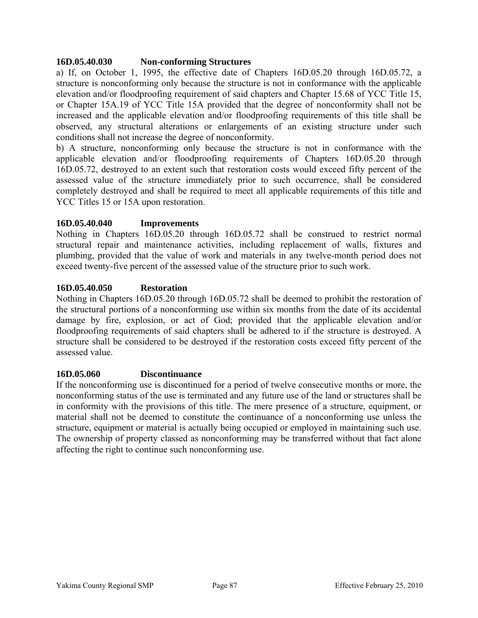#### **16D.05.40.030 Non-conforming Structures**

a) If, on October 1, 1995, the effective date of Chapters 16D.05.20 through 16D.05.72, a structure is nonconforming only because the structure is not in conformance with the applicable elevation and/or floodproofing requirement of said chapters and Chapter [15.68](http://nt2.scbbs.com/cgi-bin/om_isapi.dll?clientID=441086&hitsperheading=on&infobase=procode-5&jump=15.68&softpage=ref_Doc#JUMPDEST_15.68) of YCC Title 15, or Chapter 15A.19 of YCC Title 15A provided that the degree of nonconformity shall not be increased and the applicable elevation and/or floodproofing requirements of this title shall be observed, any structural alterations or enlargements of an existing structure under such conditions shall not increase the degree of nonconformity.

b) A structure, nonconforming only because the structure is not in conformance with the applicable elevation and/or floodproofing requirements of Chapters 16D.05.20 through 16D.05.72, destroyed to an extent such that restoration costs would exceed fifty percent of the assessed value of the structure immediately prior to such occurrence, shall be considered completely destroyed and shall be required to meet all applicable requirements of this title and YCC Titles 15 or 15A upon restoration.

### **16D.05.40.040 Improvements**

Nothing in Chapters 16D.05.20 through 16D.05.72 shall be construed to restrict normal structural repair and maintenance activities, including replacement of walls, fixtures and plumbing, provided that the value of work and materials in any twelve-month period does not exceed twenty-five percent of the assessed value of the structure prior to such work.

### **16D.05.40.050 Restoration**

Nothing in Chapters 16D.05.20 through 16D.05.72 shall be deemed to prohibit the restoration of the structural portions of a nonconforming use within six months from the date of its accidental damage by fire, explosion, or act of God; provided that the applicable elevation and/or floodproofing requirements of said chapters shall be adhered to if the structure is destroyed. A structure shall be considered to be destroyed if the restoration costs exceed fifty percent of the assessed value.

#### **16D.05.060 Discontinuance**

If the nonconforming use is discontinued for a period of twelve consecutive months or more, the nonconforming status of the use is terminated and any future use of the land or structures shall be in conformity with the provisions of this title. The mere presence of a structure, equipment, or material shall not be deemed to constitute the continuance of a nonconforming use unless the structure, equipment or material is actually being occupied or employed in maintaining such use. The ownership of property classed as nonconforming may be transferred without that fact alone affecting the right to continue such nonconforming use.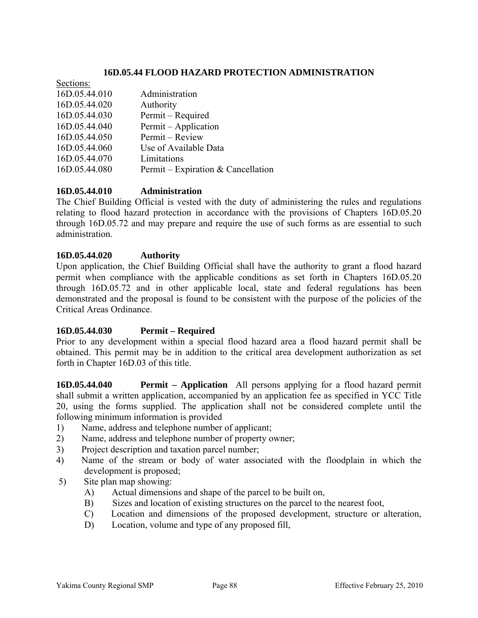### **16D.05.44 FLOOD HAZARD PROTECTION ADMINISTRATION**

| Sections:     |                                    |
|---------------|------------------------------------|
| 16D.05.44.010 | Administration                     |
| 16D.05.44.020 | Authority                          |
| 16D.05.44.030 | Permit - Required                  |
| 16D.05.44.040 | Permit – Application               |
| 16D.05.44.050 | Permit - Review                    |
| 16D.05.44.060 | Use of Available Data              |
| 16D.05.44.070 | Limitations                        |
| 16D.05.44.080 | Permit – Expiration & Cancellation |
|               |                                    |

### **16D.05.44.010 Administration**

The Chief Building Official is vested with the duty of administering the rules and regulations relating to flood hazard protection in accordance with the provisions of Chapters 16D.05.20 through 16D.05.72 and may prepare and require the use of such forms as are essential to such administration.

#### **16D.05.44.020 Authority**

Upon application, the Chief Building Official shall have the authority to grant a flood hazard permit when compliance with the applicable conditions as set forth in Chapters 16D.05.20 through 16D.05.72 and in other applicable local, state and federal regulations has been demonstrated and the proposal is found to be consistent with the purpose of the policies of the Critical Areas Ordinance.

#### **16D.05.44.030 Permit – Required**

Prior to any development within a special flood hazard area a flood hazard permit shall be obtained. This permit may be in addition to the critical area development authorization as set forth in Chapter [16D.03](http://nt2.scbbs.com/cgi-bin/om_isapi.dll?clientID=441086&hitsperheading=on&infobase=procode-5&jump=16A.03&softpage=ref_Doc#JUMPDEST_16A.03) of this title.

**16D.05.44.040 Permit – Application** All persons applying for a flood hazard permit shall submit a written application, accompanied by an application fee as specified in YCC Title 20, using the forms supplied. The application shall not be considered complete until the following minimum information is provided

- 1) Name, address and telephone number of applicant;
- 2) Name, address and telephone number of property owner;
- 3) Project description and taxation parcel number;
- 4) Name of the stream or body of water associated with the floodplain in which the development is proposed;
- 5) Site plan map showing:
	- A) Actual dimensions and shape of the parcel to be built on,
	- B) Sizes and location of existing structures on the parcel to the nearest foot,
	- C) Location and dimensions of the proposed development, structure or alteration,
	- D) Location, volume and type of any proposed fill,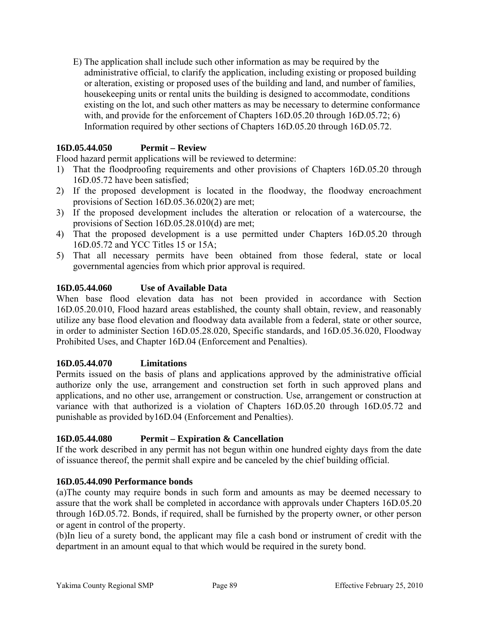E) The application shall include such other information as may be required by the administrative official, to clarify the application, including existing or proposed building or alteration, existing or proposed uses of the building and land, and number of families, housekeeping units or rental units the building is designed to accommodate, conditions existing on the lot, and such other matters as may be necessary to determine conformance with, and provide for the enforcement of Chapters 16D.05.20 through 16D.05.72; 6) Information required by other sections of Chapters 16D.05.20 through 16D.05.72.

### **16D.05.44.050 Permit – Review**

Flood hazard permit applications will be reviewed to determine:

- 1) That the floodproofing requirements and other provisions of Chapters 16D.05.20 through 16D.05.72 have been satisfied;
- 2) If the proposed development is located in the floodway, the floodway encroachment provisions of Section [16D.05.36.020](http://nt2.scbbs.com/cgi-bin/om_isapi.dll?clientID=441086&hitsperheading=on&infobase=procode-5&jump=16A.05.36.020&softpage=ref_Doc#JUMPDEST_16A.05.36.020)(2) are met;
- 3) If the proposed development includes the alteration or relocation of a watercourse, the provisions of Section [16D.05.28.010](http://nt2.scbbs.com/cgi-bin/om_isapi.dll?clientID=441086&hitsperheading=on&infobase=procode-5&jump=16A.05.28.010&softpage=ref_Doc#JUMPDEST_16A.05.28.010)(d) are met;
- 4) That the proposed development is a use permitted under Chapters 16D.05.20 through 16D.05.72 and YCC Titles 15 or 15A;
- 5) That all necessary permits have been obtained from those federal, state or local governmental agencies from which prior approval is required.

### **16D.05.44.060 Use of Available Data**

When base flood elevation data has not been provided in accordance with Section [16D.05.20.010,](http://nt2.scbbs.com/cgi-bin/om_isapi.dll?clientID=441086&hitsperheading=on&infobase=procode-5&jump=16A.05.20.010&softpage=ref_Doc#JUMPDEST_16A.05.20.010) Flood hazard areas established, the county shall obtain, review, and reasonably utilize any base flood elevation and floodway data available from a federal, state or other source, in order to administer Section [16D.05.28.020,](http://nt2.scbbs.com/cgi-bin/om_isapi.dll?clientID=441086&hitsperheading=on&infobase=procode-5&jump=16A.05.28.020&softpage=ref_Doc#JUMPDEST_16A.05.28.020) Specific standards, and 16D.05.36.020, Floodway Prohibited Uses, and Chapter 16D.04 (Enforcement and Penalties).

#### **16D.05.44.070 Limitations**

Permits issued on the basis of plans and applications approved by the administrative official authorize only the use, arrangement and construction set forth in such approved plans and applications, and no other use, arrangement or construction. Use, arrangement or construction at variance with that authorized is a violation of Chapters 16D.05.20 through 16D.05.72 and punishable as provided by16D.04 (Enforcement and Penalties).

#### **16D.05.44.080 Permit – Expiration & Cancellation**

If the work described in any permit has not begun within one hundred eighty days from the date of issuance thereof, the permit shall expire and be canceled by the chief building official.

#### **16D.05.44.090 Performance bonds**

(a)The county may require bonds in such form and amounts as may be deemed necessary to assure that the work shall be completed in accordance with approvals under Chapters 16D.05.20 through 16D.05.72. Bonds, if required, shall be furnished by the property owner, or other person or agent in control of the property.

(b)In lieu of a surety bond, the applicant may file a cash bond or instrument of credit with the department in an amount equal to that which would be required in the surety bond.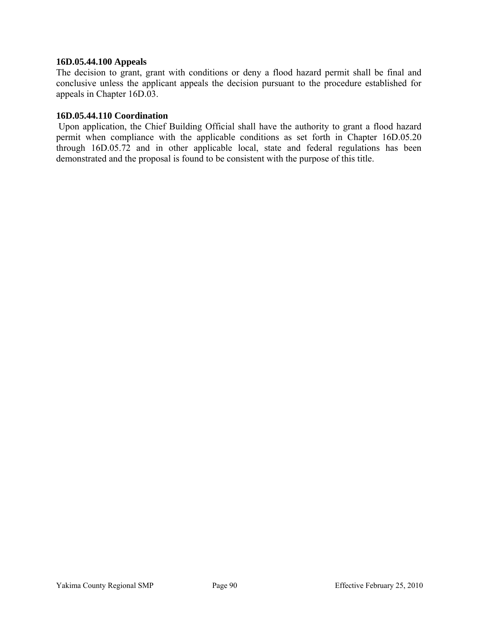#### **16D.05.44.100 Appeals**

The decision to grant, grant with conditions or deny a flood hazard permit shall be final and conclusive unless the applicant appeals the decision pursuant to the procedure established for appeals in Chapter 16D.03.

#### **16D.05.44.110 Coordination**

 Upon application, the Chief Building Official shall have the authority to grant a flood hazard permit when compliance with the applicable conditions as set forth in Chapter 16D.05.20 through 16D.05.72 and in other applicable local, state and federal regulations has been demonstrated and the proposal is found to be consistent with the purpose of this title.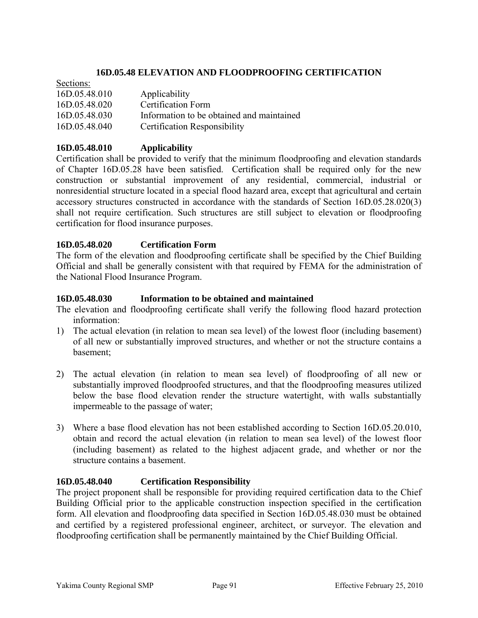### **16D.05.48 ELEVATION AND FLOODPROOFING CERTIFICATION**

| Sections:     |                                           |
|---------------|-------------------------------------------|
| 16D.05.48.010 | Applicability                             |
| 16D.05.48.020 | Certification Form                        |
| 16D.05.48.030 | Information to be obtained and maintained |
| 16D.05.48.040 | <b>Certification Responsibility</b>       |

### **16D.05.48.010 Applicability**

Certification shall be provided to verify that the minimum floodproofing and elevation standards of Chapter 16D.05.28 have been satisfied. Certification shall be required only for the new construction or substantial improvement of any residential, commercial, industrial or nonresidential structure located in a special flood hazard area, except that agricultural and certain accessory structures constructed in accordance with the standards of Section [16D.05.28.020](http://nt2.scbbs.com/cgi-bin/om_isapi.dll?clientID=145778&hitsperheading=on&infobase=procode-5&jump=16A.05.28.020&softpage=ref_Doc#JUMPDEST_16A.05.28.020)(3) shall not require certification. Such structures are still subject to elevation or floodproofing certification for flood insurance purposes.

### **16D.05.48.020 Certification Form**

The form of the elevation and floodproofing certificate shall be specified by the Chief Building Official and shall be generally consistent with that required by FEMA for the administration of the National Flood Insurance Program.

#### **16D.05.48.030 Information to be obtained and maintained**

The elevation and floodproofing certificate shall verify the following flood hazard protection information:

- 1) The actual elevation (in relation to mean sea level) of the lowest floor (including basement) of all new or substantially improved structures, and whether or not the structure contains a basement;
- 2) The actual elevation (in relation to mean sea level) of floodproofing of all new or substantially improved floodproofed structures, and that the floodproofing measures utilized below the base flood elevation render the structure watertight, with walls substantially impermeable to the passage of water;
- 3) Where a base flood elevation has not been established according to Section [16D.05.20.010,](http://nt2.scbbs.com/cgi-bin/om_isapi.dll?clientID=145778&hitsperheading=on&infobase=procode-5&jump=16A.05.20.010&softpage=ref_Doc#JUMPDEST_16A.05.20.010) obtain and record the actual elevation (in relation to mean sea level) of the lowest floor (including basement) as related to the highest adjacent grade, and whether or nor the structure contains a basement.

#### **16D.05.48.040 Certification Responsibility**

The project proponent shall be responsible for providing required certification data to the Chief Building Official prior to the applicable construction inspection specified in the certification form. All elevation and floodproofing data specified in Section [16D.05.48.030](http://nt2.scbbs.com/cgi-bin/om_isapi.dll?clientID=145778&hitsperheading=on&infobase=procode-5&jump=16A.05.48.030&softpage=ref_Doc#JUMPDEST_16A.05.48.030) must be obtained and certified by a registered professional engineer, architect, or surveyor. The elevation and floodproofing certification shall be permanently maintained by the Chief Building Official.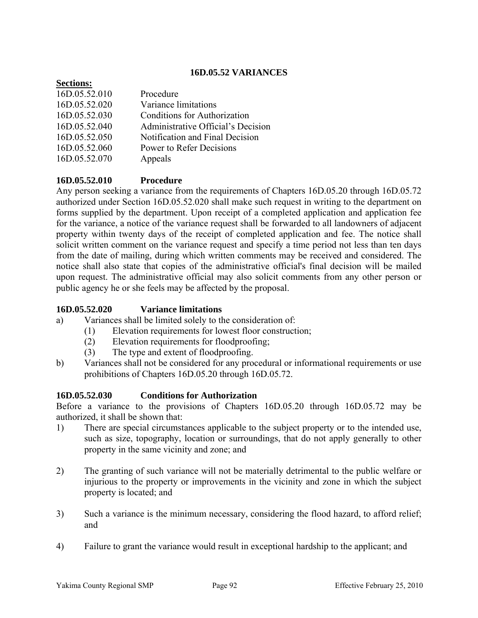### **16D.05.52 VARIANCES**

| <b>Secuons:</b> |                                    |
|-----------------|------------------------------------|
| 16D.05.52.010   | Procedure                          |
| 16D.05.52.020   | Variance limitations               |
| 16D.05.52.030   | Conditions for Authorization       |
| 16D.05.52.040   | Administrative Official's Decision |
| 16D.05.52.050   | Notification and Final Decision    |
| 16D.05.52.060   | Power to Refer Decisions           |
| 16D.05.52.070   | Appeals                            |
|                 |                                    |

### **16D.05.52.010 Procedure**

 $\mathbf{S}$ 

Any person seeking a variance from the requirements of Chapters 16D.05.20 through 16D.05.72 authorized under Section [16D.05.52.020](http://nt2.scbbs.com/cgi-bin/om_isapi.dll?clientID=145778&hitsperheading=on&infobase=procode-5&jump=16A.05.52.020&softpage=ref_Doc#JUMPDEST_16A.05.52.020) shall make such request in writing to the department on forms supplied by the department. Upon receipt of a completed application and application fee for the variance, a notice of the variance request shall be forwarded to all landowners of adjacent property within twenty days of the receipt of completed application and fee. The notice shall solicit written comment on the variance request and specify a time period not less than ten days from the date of mailing, during which written comments may be received and considered. The notice shall also state that copies of the administrative official's final decision will be mailed upon request. The administrative official may also solicit comments from any other person or public agency he or she feels may be affected by the proposal.

#### **16D.05.52.020 Variance limitations**

- a) Variances shall be limited solely to the consideration of:
	- (1) Elevation requirements for lowest floor construction;
		- (2) Elevation requirements for floodproofing;
		- (3) The type and extent of floodproofing.
- b) Variances shall not be considered for any procedural or informational requirements or use prohibitions of Chapters 16D.05.20 through 16D.05.72.

#### **16D.05.52.030 Conditions for Authorization**

Before a variance to the provisions of Chapters 16D.05.20 through 16D.05.72 may be authorized, it shall be shown that:

- 1) There are special circumstances applicable to the subject property or to the intended use, such as size, topography, location or surroundings, that do not apply generally to other property in the same vicinity and zone; and
- 2) The granting of such variance will not be materially detrimental to the public welfare or injurious to the property or improvements in the vicinity and zone in which the subject property is located; and
- 3) Such a variance is the minimum necessary, considering the flood hazard, to afford relief; and
- 4) Failure to grant the variance would result in exceptional hardship to the applicant; and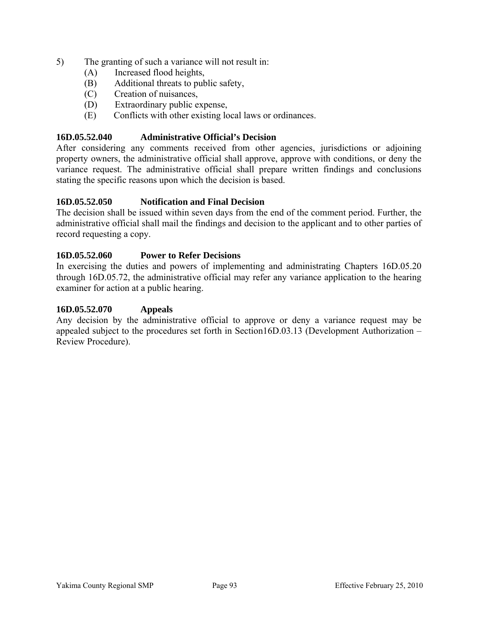- 5) The granting of such a variance will not result in:
	- (A) Increased flood heights,
	- (B) Additional threats to public safety,
	- (C) Creation of nuisances,
	- (D) Extraordinary public expense,
	- (E) Conflicts with other existing local laws or ordinances.

#### **16D.05.52.040 Administrative Official's Decision**

After considering any comments received from other agencies, jurisdictions or adjoining property owners, the administrative official shall approve, approve with conditions, or deny the variance request. The administrative official shall prepare written findings and conclusions stating the specific reasons upon which the decision is based.

### **16D.05.52.050 Notification and Final Decision**

The decision shall be issued within seven days from the end of the comment period. Further, the administrative official shall mail the findings and decision to the applicant and to other parties of record requesting a copy.

### **16D.05.52.060 Power to Refer Decisions**

In exercising the duties and powers of implementing and administrating Chapters 16D.05.20 through 16D.05.72, the administrative official may refer any variance application to the hearing examiner for action at a public hearing.

#### **16D.05.52.070 Appeals**

Any decision by the administrative official to approve or deny a variance request may be appealed subject to the procedures set forth in Section16D.03.13 (Development Authorization – Review Procedure).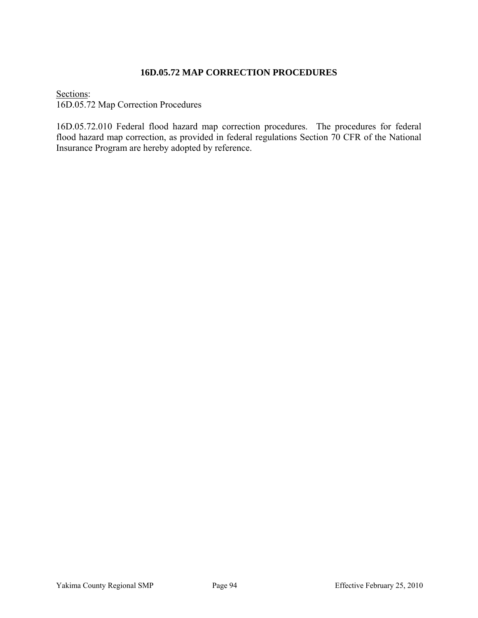### **16D.05.72 MAP CORRECTION PROCEDURES**

Sections: 16D.05.72 Map Correction Procedures

16D.05.72.010 Federal flood hazard map correction procedures. The procedures for federal flood hazard map correction, as provided in federal regulations Section 70 CFR of the National Insurance Program are hereby adopted by reference.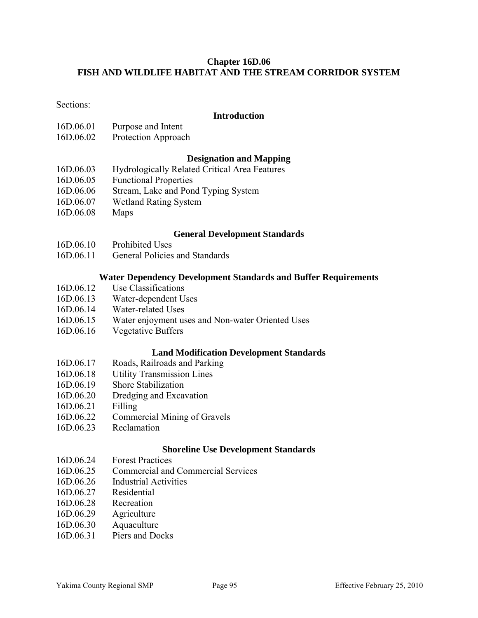### **Chapter 16D.06 FISH AND WILDLIFE HABITAT AND THE STREAM CORRIDOR SYSTEM**

#### Sections:

#### **Introduction**

- 16D.06.01 Purpose and Intent
- 16D.06.02 Protection Approach

#### **Designation and Mapping**

- 16D.06.03 Hydrologically Related Critical Area Features
- 16D.06.05 Functional Properties
- 16D.06.06 Stream, Lake and Pond Typing System
- 16D.06.07 Wetland Rating System
- 16D.06.08 Maps

#### **General Development Standards**

- 16D.06.10 Prohibited Uses
- 16D.06.11 General Policies and Standards

#### **Water Dependency Development Standards and Buffer Requirements**

- 16D.06.12 Use Classifications
- 16D.06.13 Water-dependent Uses
- 16D.06.14 Water-related Uses
- 16D.06.15 Water enjoyment uses and Non-water Oriented Uses
- 16D.06.16 Vegetative Buffers

#### **Land Modification Development Standards**

- 16D.06.17 Roads, Railroads and Parking
- 16D.06.18 Utility Transmission Lines
- 16D.06.19 Shore Stabilization
- 16D.06.20 Dredging and Excavation
- 16D.06.21 Filling
- 16D.06.22 Commercial Mining of Gravels
- 16D.06.23 Reclamation

#### **Shoreline Use Development Standards**

- 16D.06.24 Forest Practices
- 16D.06.25 Commercial and Commercial Services
- 16D.06.26 Industrial Activities
- 16D.06.27 Residential
- 16D.06.28 Recreation
- 16D.06.29 Agriculture
- 16D.06.30 Aquaculture
- 16D.06.31 Piers and Docks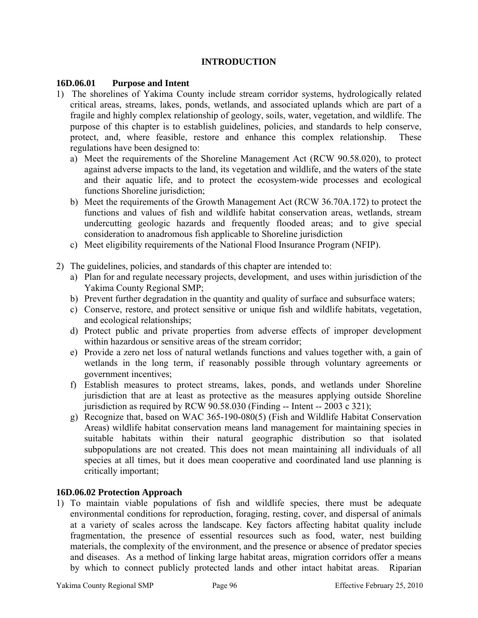# **INTRODUCTION**

### **16D.06.01 Purpose and Intent**

- 1) The shorelines of Yakima County include stream corridor systems, hydrologically related critical areas, streams, lakes, ponds, wetlands, and associated uplands which are part of a fragile and highly complex relationship of geology, soils, water, vegetation, and wildlife. The purpose of this chapter is to establish guidelines, policies, and standards to help conserve, protect, and, where feasible, restore and enhance this complex relationship. These regulations have been designed to:
	- a) Meet the requirements of the Shoreline Management Act (RCW 90.58.020), to protect against adverse impacts to the land, its vegetation and wildlife, and the waters of the state and their aquatic life, and to protect the ecosystem-wide processes and ecological functions Shoreline jurisdiction;
	- b) Meet the requirements of the Growth Management Act (RCW 36.70A.172) to protect the functions and values of fish and wildlife habitat conservation areas, wetlands, stream undercutting geologic hazards and frequently flooded areas; and to give special consideration to anadromous fish applicable to Shoreline jurisdiction
	- c) Meet eligibility requirements of the National Flood Insurance Program (NFIP).
- 2) The guidelines, policies, and standards of this chapter are intended to:
	- a) Plan for and regulate necessary projects, development, and uses within jurisdiction of the Yakima County Regional SMP;
	- b) Prevent further degradation in the quantity and quality of surface and subsurface waters;
	- c) Conserve, restore, and protect sensitive or unique fish and wildlife habitats, vegetation, and ecological relationships;
	- d) Protect public and private properties from adverse effects of improper development within hazardous or sensitive areas of the stream corridor;
	- e) Provide a zero net loss of natural wetlands functions and values together with, a gain of wetlands in the long term, if reasonably possible through voluntary agreements or government incentives;
	- f) Establish measures to protect streams, lakes, ponds, and wetlands under Shoreline jurisdiction that are at least as protective as the measures applying outside Shoreline jurisdiction as required by RCW 90.58.030 (Finding -- Intent -- 2003 c 321);
	- g) Recognize that, based on WAC 365-190-080(5) (Fish and Wildlife Habitat Conservation Areas) wildlife habitat conservation means land management for maintaining species in suitable habitats within their natural geographic distribution so that isolated subpopulations are not created. This does not mean maintaining all individuals of all species at all times, but it does mean cooperative and coordinated land use planning is critically important;

#### **16D.06.02 Protection Approach**

1) To maintain viable populations of fish and wildlife species, there must be adequate environmental conditions for reproduction, foraging, resting, cover, and dispersal of animals at a variety of scales across the landscape. Key factors affecting habitat quality include fragmentation, the presence of essential resources such as food, water, nest building materials, the complexity of the environment, and the presence or absence of predator species and diseases. As a method of linking large habitat areas, migration corridors offer a means by which to connect publicly protected lands and other intact habitat areas. Riparian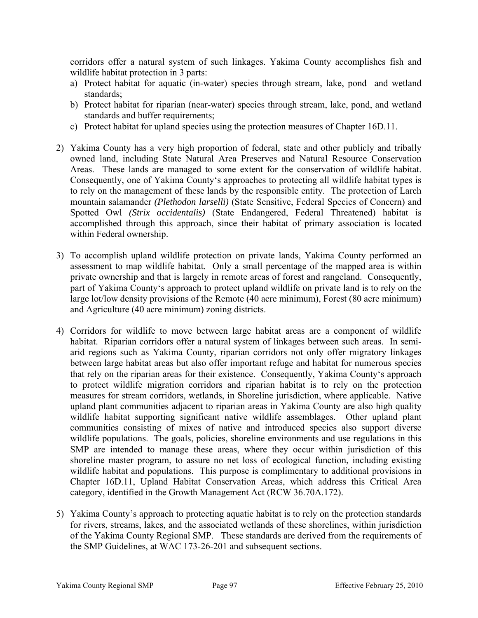corridors offer a natural system of such linkages. Yakima County accomplishes fish and wildlife habitat protection in 3 parts:

- a) Protect habitat for aquatic (in-water) species through stream, lake, pond and wetland standards;
- b) Protect habitat for riparian (near-water) species through stream, lake, pond, and wetland standards and buffer requirements;
- c) Protect habitat for upland species using the protection measures of Chapter 16D.11.
- 2) Yakima County has a very high proportion of federal, state and other publicly and tribally owned land, including State Natural Area Preserves and Natural Resource Conservation Areas. These lands are managed to some extent for the conservation of wildlife habitat. Consequently, one of Yakima County's approaches to protecting all wildlife habitat types is to rely on the management of these lands by the responsible entity. The protection of Larch mountain salamander *(Plethodon larselli)* (State Sensitive, Federal Species of Concern) and Spotted Owl *(Strix occidentalis)* (State Endangered, Federal Threatened) habitat is accomplished through this approach, since their habitat of primary association is located within Federal ownership.
- 3) To accomplish upland wildlife protection on private lands, Yakima County performed an assessment to map wildlife habitat. Only a small percentage of the mapped area is within private ownership and that is largely in remote areas of forest and rangeland. Consequently, part of Yakima County's approach to protect upland wildlife on private land is to rely on the large lot/low density provisions of the Remote (40 acre minimum), Forest (80 acre minimum) and Agriculture (40 acre minimum) zoning districts.
- 4) Corridors for wildlife to move between large habitat areas are a component of wildlife habitat. Riparian corridors offer a natural system of linkages between such areas. In semiarid regions such as Yakima County, riparian corridors not only offer migratory linkages between large habitat areas but also offer important refuge and habitat for numerous species that rely on the riparian areas for their existence. Consequently, Yakima County's approach to protect wildlife migration corridors and riparian habitat is to rely on the protection measures for stream corridors, wetlands, in Shoreline jurisdiction, where applicable. Native upland plant communities adjacent to riparian areas in Yakima County are also high quality wildlife habitat supporting significant native wildlife assemblages. Other upland plant communities consisting of mixes of native and introduced species also support diverse wildlife populations. The goals, policies, shoreline environments and use regulations in this SMP are intended to manage these areas, where they occur within jurisdiction of this shoreline master program, to assure no net loss of ecological function, including existing wildlife habitat and populations. This purpose is complimentary to additional provisions in Chapter 16D.11, Upland Habitat Conservation Areas, which address this Critical Area category, identified in the Growth Management Act (RCW 36.70A.172).
- 5) Yakima County's approach to protecting aquatic habitat is to rely on the protection standards for rivers, streams, lakes, and the associated wetlands of these shorelines, within jurisdiction of the Yakima County Regional SMP. These standards are derived from the requirements of the SMP Guidelines, at WAC 173-26-201 and subsequent sections.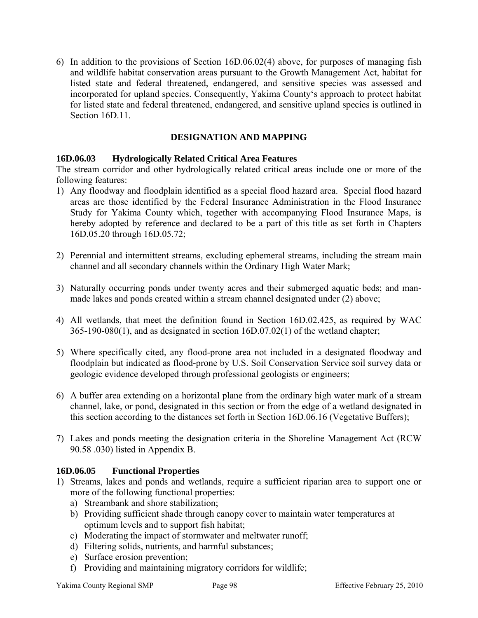6) In addition to the provisions of Section 16D.06.02(4) above, for purposes of managing fish and wildlife habitat conservation areas pursuant to the Growth Management Act, habitat for listed state and federal threatened, endangered, and sensitive species was assessed and incorporated for upland species. Consequently, Yakima County's approach to protect habitat for listed state and federal threatened, endangered, and sensitive upland species is outlined in Section 16D.11.

# **DESIGNATION AND MAPPING**

## **16D.06.03 Hydrologically Related Critical Area Features**

The stream corridor and other hydrologically related critical areas include one or more of the following features:

- 1) Any floodway and floodplain identified as a special flood hazard area. Special flood hazard areas are those identified by the Federal Insurance Administration in the Flood Insurance Study for Yakima County which, together with accompanying Flood Insurance Maps, is hereby adopted by reference and declared to be a part of this title as set forth in Chapters 16D.05.20 through 16D.05.72;
- 2) Perennial and intermittent streams, excluding ephemeral streams, including the stream main channel and all secondary channels within the Ordinary High Water Mark;
- 3) Naturally occurring ponds under twenty acres and their submerged aquatic beds; and manmade lakes and ponds created within a stream channel designated under (2) above;
- 4) All wetlands, that meet the definition found in Section 16D.02.425, as required by WAC 365-190-080(1), and as designated in section 16D.07.02(1) of the wetland chapter;
- 5) Where specifically cited, any flood-prone area not included in a designated floodway and floodplain but indicated as flood-prone by U.S. Soil Conservation Service soil survey data or geologic evidence developed through professional geologists or engineers;
- 6) A buffer area extending on a horizontal plane from the ordinary high water mark of a stream channel, lake, or pond, designated in this section or from the edge of a wetland designated in this section according to the distances set forth in Section 16D.06.16 (Vegetative Buffers);
- 7) Lakes and ponds meeting the designation criteria in the Shoreline Management Act (RCW 90.58 .030) listed in Appendix B.

## **16D.06.05 Functional Properties**

- 1) Streams, lakes and ponds and wetlands, require a sufficient riparian area to support one or more of the following functional properties:
	- a) Streambank and shore stabilization;
	- b) Providing sufficient shade through canopy cover to maintain water temperatures at optimum levels and to support fish habitat;
	- c) Moderating the impact of stormwater and meltwater runoff;
	- d) Filtering solids, nutrients, and harmful substances;
	- e) Surface erosion prevention;
	- f) Providing and maintaining migratory corridors for wildlife;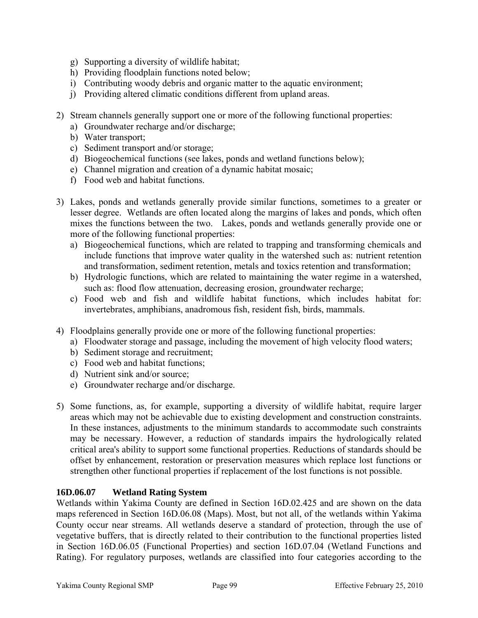- g) Supporting a diversity of wildlife habitat;
- h) Providing floodplain functions noted below;
- i) Contributing woody debris and organic matter to the aquatic environment;
- j) Providing altered climatic conditions different from upland areas.
- 2) Stream channels generally support one or more of the following functional properties:
	- a) Groundwater recharge and/or discharge;
	- b) Water transport;
	- c) Sediment transport and/or storage;
	- d) Biogeochemical functions (see lakes, ponds and wetland functions below);
	- e) Channel migration and creation of a dynamic habitat mosaic;
	- f) Food web and habitat functions.
- 3) Lakes, ponds and wetlands generally provide similar functions, sometimes to a greater or lesser degree. Wetlands are often located along the margins of lakes and ponds, which often mixes the functions between the two. Lakes, ponds and wetlands generally provide one or more of the following functional properties:
	- a) Biogeochemical functions, which are related to trapping and transforming chemicals and include functions that improve water quality in the watershed such as: nutrient retention and transformation, sediment retention, metals and toxics retention and transformation;
	- b) Hydrologic functions, which are related to maintaining the water regime in a watershed, such as: flood flow attenuation, decreasing erosion, groundwater recharge;
	- c) Food web and fish and wildlife habitat functions, which includes habitat for: invertebrates, amphibians, anadromous fish, resident fish, birds, mammals.
- 4) Floodplains generally provide one or more of the following functional properties:
	- a) Floodwater storage and passage, including the movement of high velocity flood waters;
	- b) Sediment storage and recruitment;
	- c) Food web and habitat functions;
	- d) Nutrient sink and/or source;
	- e) Groundwater recharge and/or discharge.
- 5) Some functions, as, for example, supporting a diversity of wildlife habitat, require larger areas which may not be achievable due to existing development and construction constraints. In these instances, adjustments to the minimum standards to accommodate such constraints may be necessary. However, a reduction of standards impairs the hydrologically related critical area's ability to support some functional properties. Reductions of standards should be offset by enhancement, restoration or preservation measures which replace lost functions or strengthen other functional properties if replacement of the lost functions is not possible.

## **16D.06.07 Wetland Rating System**

Wetlands within Yakima County are defined in Section 16D.02.425 and are shown on the data maps referenced in Section 16D.06.08 (Maps). Most, but not all, of the wetlands within Yakima County occur near streams. All wetlands deserve a standard of protection, through the use of vegetative buffers, that is directly related to their contribution to the functional properties listed in Section 16D.06.05 (Functional Properties) and section 16D.07.04 (Wetland Functions and Rating). For regulatory purposes, wetlands are classified into four categories according to the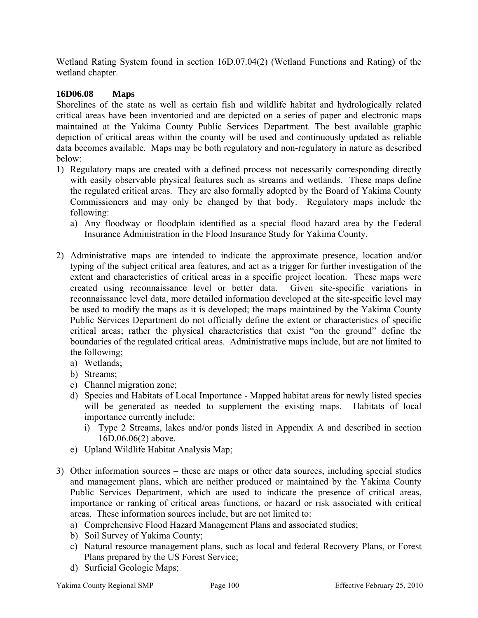Wetland Rating System found in section 16D.07.04(2) (Wetland Functions and Rating) of the wetland chapter.

# **16D06.08 Maps**

Shorelines of the state as well as certain fish and wildlife habitat and hydrologically related critical areas have been inventoried and are depicted on a series of paper and electronic maps maintained at the Yakima County Public Services Department. The best available graphic depiction of critical areas within the county will be used and continuously updated as reliable data becomes available. Maps may be both regulatory and non-regulatory in nature as described below:

- 1) Regulatory maps are created with a defined process not necessarily corresponding directly with easily observable physical features such as streams and wetlands. These maps define the regulated critical areas. They are also formally adopted by the Board of Yakima County Commissioners and may only be changed by that body. Regulatory maps include the following:
	- a) Any floodway or floodplain identified as a special flood hazard area by the Federal Insurance Administration in the Flood Insurance Study for Yakima County.
- 2) Administrative maps are intended to indicate the approximate presence, location and/or typing of the subject critical area features, and act as a trigger for further investigation of the extent and characteristics of critical areas in a specific project location. These maps were created using reconnaissance level or better data. Given site-specific variations in reconnaissance level data, more detailed information developed at the site-specific level may be used to modify the maps as it is developed; the maps maintained by the Yakima County Public Services Department do not officially define the extent or characteristics of specific critical areas; rather the physical characteristics that exist "on the ground" define the boundaries of the regulated critical areas. Administrative maps include, but are not limited to the following;
	- a) Wetlands;
	- b) Streams;
	- c) Channel migration zone;
	- d) Species and Habitats of Local Importance Mapped habitat areas for newly listed species will be generated as needed to supplement the existing maps. Habitats of local importance currently include:
		- i) Type 2 Streams, lakes and/or ponds listed in Appendix A and described in section 16D.06.06(2) above.
	- e) Upland Wildlife Habitat Analysis Map;
- 3) Other information sources these are maps or other data sources, including special studies and management plans, which are neither produced or maintained by the Yakima County Public Services Department, which are used to indicate the presence of critical areas, importance or ranking of critical areas functions, or hazard or risk associated with critical areas. These information sources include, but are not limited to:
	- a) Comprehensive Flood Hazard Management Plans and associated studies;
	- b) Soil Survey of Yakima County;
	- c) Natural resource management plans, such as local and federal Recovery Plans, or Forest Plans prepared by the US Forest Service;
	- d) Surficial Geologic Maps;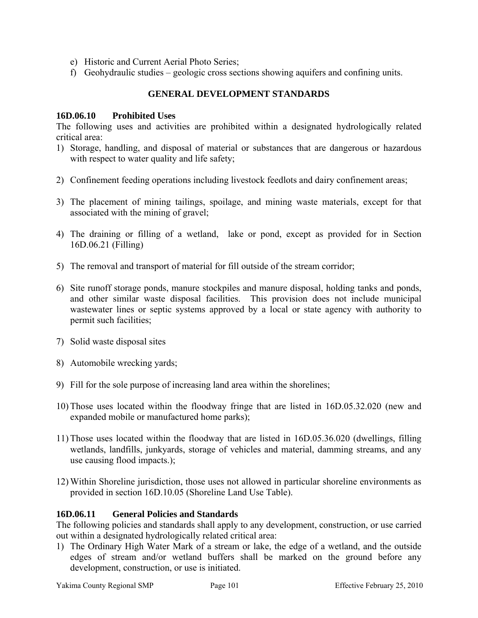- e) Historic and Current Aerial Photo Series;
- f) Geohydraulic studies geologic cross sections showing aquifers and confining units.

### **GENERAL DEVELOPMENT STANDARDS**

#### **16D.06.10 Prohibited Uses**

The following uses and activities are prohibited within a designated hydrologically related critical area:

- 1) Storage, handling, and disposal of material or substances that are dangerous or hazardous with respect to water quality and life safety;
- 2) Confinement feeding operations including livestock feedlots and dairy confinement areas;
- 3) The placement of mining tailings, spoilage, and mining waste materials, except for that associated with the mining of gravel;
- 4) The draining or filling of a wetland, lake or pond, except as provided for in Section 16D.06.21 (Filling)
- 5) The removal and transport of material for fill outside of the stream corridor;
- 6) Site runoff storage ponds, manure stockpiles and manure disposal, holding tanks and ponds, and other similar waste disposal facilities. This provision does not include municipal wastewater lines or septic systems approved by a local or state agency with authority to permit such facilities;
- 7) Solid waste disposal sites
- 8) Automobile wrecking yards;
- 9) Fill for the sole purpose of increasing land area within the shorelines;
- 10) Those uses located within the floodway fringe that are listed in 16D.05.32.020 (new and expanded mobile or manufactured home parks);
- 11) Those uses located within the floodway that are listed in 16D.05.36.020 (dwellings, filling wetlands, landfills, junkyards, storage of vehicles and material, damming streams, and any use causing flood impacts.);
- 12) Within Shoreline jurisdiction, those uses not allowed in particular shoreline environments as provided in section 16D.10.05 (Shoreline Land Use Table).

#### **16D.06.11 General Policies and Standards**

The following policies and standards shall apply to any development, construction, or use carried out within a designated hydrologically related critical area:

1) The Ordinary High Water Mark of a stream or lake, the edge of a wetland, and the outside edges of stream and/or wetland buffers shall be marked on the ground before any development, construction, or use is initiated.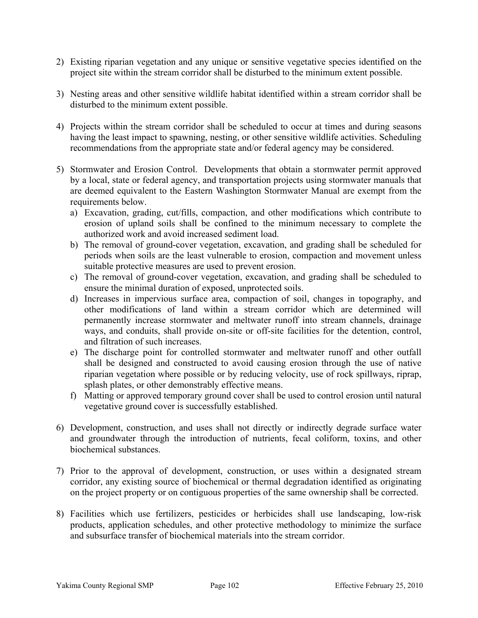- 2) Existing riparian vegetation and any unique or sensitive vegetative species identified on the project site within the stream corridor shall be disturbed to the minimum extent possible.
- 3) Nesting areas and other sensitive wildlife habitat identified within a stream corridor shall be disturbed to the minimum extent possible.
- 4) Projects within the stream corridor shall be scheduled to occur at times and during seasons having the least impact to spawning, nesting, or other sensitive wildlife activities. Scheduling recommendations from the appropriate state and/or federal agency may be considered.
- 5) Stormwater and Erosion Control. Developments that obtain a stormwater permit approved by a local, state or federal agency, and transportation projects using stormwater manuals that are deemed equivalent to the Eastern Washington Stormwater Manual are exempt from the requirements below.
	- a) Excavation, grading, cut/fills, compaction, and other modifications which contribute to erosion of upland soils shall be confined to the minimum necessary to complete the authorized work and avoid increased sediment load.
	- b) The removal of ground-cover vegetation, excavation, and grading shall be scheduled for periods when soils are the least vulnerable to erosion, compaction and movement unless suitable protective measures are used to prevent erosion.
	- c) The removal of ground-cover vegetation, excavation, and grading shall be scheduled to ensure the minimal duration of exposed, unprotected soils.
	- d) Increases in impervious surface area, compaction of soil, changes in topography, and other modifications of land within a stream corridor which are determined will permanently increase stormwater and meltwater runoff into stream channels, drainage ways, and conduits, shall provide on-site or off-site facilities for the detention, control, and filtration of such increases.
	- e) The discharge point for controlled stormwater and meltwater runoff and other outfall shall be designed and constructed to avoid causing erosion through the use of native riparian vegetation where possible or by reducing velocity, use of rock spillways, riprap, splash plates, or other demonstrably effective means.
	- f) Matting or approved temporary ground cover shall be used to control erosion until natural vegetative ground cover is successfully established.
- 6) Development, construction, and uses shall not directly or indirectly degrade surface water and groundwater through the introduction of nutrients, fecal coliform, toxins, and other biochemical substances.
- 7) Prior to the approval of development, construction, or uses within a designated stream corridor, any existing source of biochemical or thermal degradation identified as originating on the project property or on contiguous properties of the same ownership shall be corrected.
- 8) Facilities which use fertilizers, pesticides or herbicides shall use landscaping, low-risk products, application schedules, and other protective methodology to minimize the surface and subsurface transfer of biochemical materials into the stream corridor.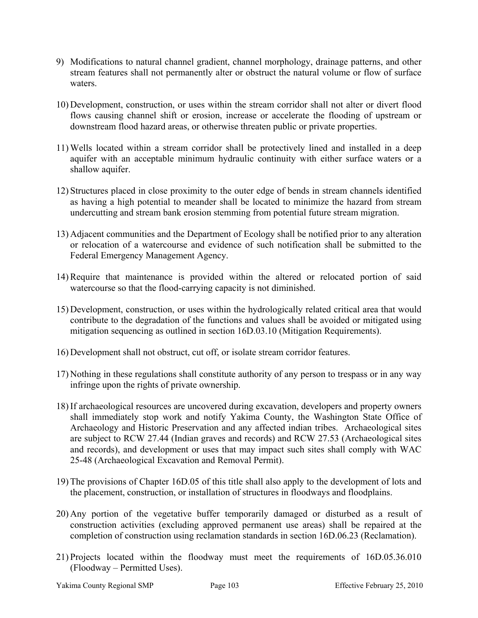- 9) Modifications to natural channel gradient, channel morphology, drainage patterns, and other stream features shall not permanently alter or obstruct the natural volume or flow of surface waters.
- 10) Development, construction, or uses within the stream corridor shall not alter or divert flood flows causing channel shift or erosion, increase or accelerate the flooding of upstream or downstream flood hazard areas, or otherwise threaten public or private properties.
- 11) Wells located within a stream corridor shall be protectively lined and installed in a deep aquifer with an acceptable minimum hydraulic continuity with either surface waters or a shallow aquifer.
- 12) Structures placed in close proximity to the outer edge of bends in stream channels identified as having a high potential to meander shall be located to minimize the hazard from stream undercutting and stream bank erosion stemming from potential future stream migration.
- 13) Adjacent communities and the Department of Ecology shall be notified prior to any alteration or relocation of a watercourse and evidence of such notification shall be submitted to the Federal Emergency Management Agency.
- 14) Require that maintenance is provided within the altered or relocated portion of said watercourse so that the flood-carrying capacity is not diminished.
- 15) Development, construction, or uses within the hydrologically related critical area that would contribute to the degradation of the functions and values shall be avoided or mitigated using mitigation sequencing as outlined in section 16D.03.10 (Mitigation Requirements).
- 16) Development shall not obstruct, cut off, or isolate stream corridor features.
- 17) Nothing in these regulations shall constitute authority of any person to trespass or in any way infringe upon the rights of private ownership.
- 18) If archaeological resources are uncovered during excavation, developers and property owners shall immediately stop work and notify Yakima County, the Washington State Office of Archaeology and Historic Preservation and any affected indian tribes. Archaeological sites are subject to RCW 27.44 (Indian graves and records) and RCW 27.53 (Archaeological sites and records), and development or uses that may impact such sites shall comply with WAC 25-48 (Archaeological Excavation and Removal Permit).
- 19) The provisions of Chapter 16D.05 of this title shall also apply to the development of lots and the placement, construction, or installation of structures in floodways and floodplains.
- 20) Any portion of the vegetative buffer temporarily damaged or disturbed as a result of construction activities (excluding approved permanent use areas) shall be repaired at the completion of construction using reclamation standards in section 16D.06.23 (Reclamation).
- 21) Projects located within the floodway must meet the requirements of 16D.05.36.010 (Floodway – Permitted Uses).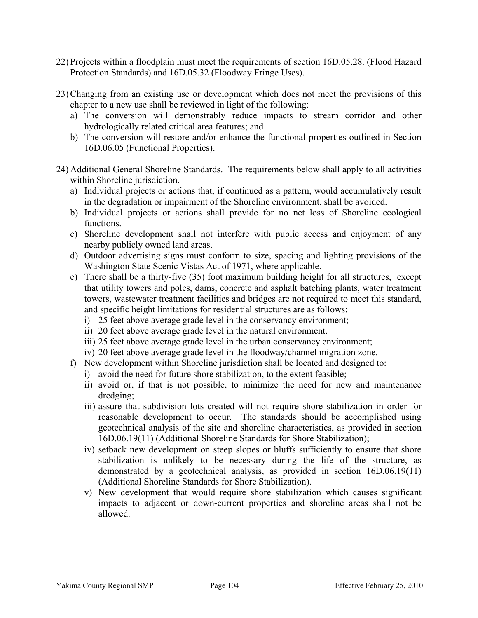- 22) Projects within a floodplain must meet the requirements of section 16D.05.28. (Flood Hazard Protection Standards) and 16D.05.32 (Floodway Fringe Uses).
- 23) Changing from an existing use or development which does not meet the provisions of this chapter to a new use shall be reviewed in light of the following:
	- a) The conversion will demonstrably reduce impacts to stream corridor and other hydrologically related critical area features; and
	- b) The conversion will restore and/or enhance the functional properties outlined in Section 16D.06.05 (Functional Properties).
- 24) Additional General Shoreline Standards. The requirements below shall apply to all activities within Shoreline jurisdiction.
	- a) Individual projects or actions that, if continued as a pattern, would accumulatively result in the degradation or impairment of the Shoreline environment, shall be avoided.
	- b) Individual projects or actions shall provide for no net loss of Shoreline ecological functions.
	- c) Shoreline development shall not interfere with public access and enjoyment of any nearby publicly owned land areas.
	- d) Outdoor advertising signs must conform to size, spacing and lighting provisions of the Washington State Scenic Vistas Act of 1971, where applicable.
	- e) There shall be a thirty-five (35) foot maximum building height for all structures, except that utility towers and poles, dams, concrete and asphalt batching plants, water treatment towers, wastewater treatment facilities and bridges are not required to meet this standard, and specific height limitations for residential structures are as follows:
		- i) 25 feet above average grade level in the conservancy environment;
		- ii) 20 feet above average grade level in the natural environment.
		- iii) 25 feet above average grade level in the urban conservancy environment;
		- iv) 20 feet above average grade level in the floodway/channel migration zone.
	- f) New development within Shoreline jurisdiction shall be located and designed to:
		- i) avoid the need for future shore stabilization, to the extent feasible;
		- ii) avoid or, if that is not possible, to minimize the need for new and maintenance dredging;
		- iii) assure that subdivision lots created will not require shore stabilization in order for reasonable development to occur. The standards should be accomplished using geotechnical analysis of the site and shoreline characteristics, as provided in section 16D.06.19(11) (Additional Shoreline Standards for Shore Stabilization);
		- iv) setback new development on steep slopes or bluffs sufficiently to ensure that shore stabilization is unlikely to be necessary during the life of the structure, as demonstrated by a geotechnical analysis, as provided in section 16D.06.19(11) (Additional Shoreline Standards for Shore Stabilization).
		- v) New development that would require shore stabilization which causes significant impacts to adjacent or down-current properties and shoreline areas shall not be allowed.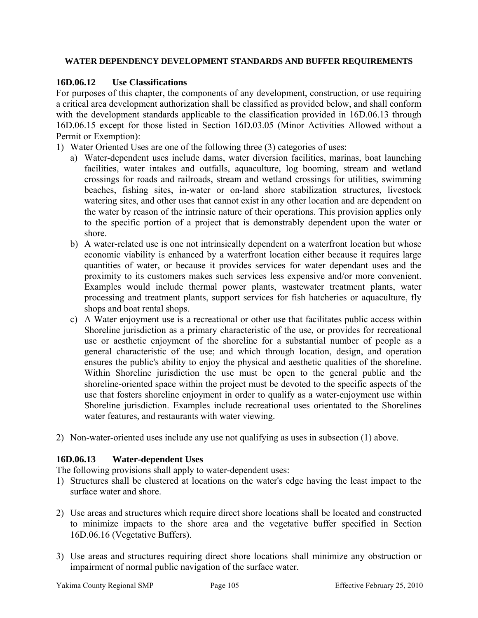#### **WATER DEPENDENCY DEVELOPMENT STANDARDS AND BUFFER REQUIREMENTS**

# **16D.06.12 Use Classifications**

For purposes of this chapter, the components of any development, construction, or use requiring a critical area development authorization shall be classified as provided below, and shall conform with the development standards applicable to the classification provided in 16D.06.13 through 16D.06.15 except for those listed in Section 16D.03.05 (Minor Activities Allowed without a Permit or Exemption):

- 1) Water Oriented Uses are one of the following three (3) categories of uses:
	- a) Water-dependent uses include dams, water diversion facilities, marinas, boat launching facilities, water intakes and outfalls, aquaculture, log booming, stream and wetland crossings for roads and railroads, stream and wetland crossings for utilities, swimming beaches, fishing sites, in-water or on-land shore stabilization structures, livestock watering sites, and other uses that cannot exist in any other location and are dependent on the water by reason of the intrinsic nature of their operations. This provision applies only to the specific portion of a project that is demonstrably dependent upon the water or shore.
	- b) A water-related use is one not intrinsically dependent on a waterfront location but whose economic viability is enhanced by a waterfront location either because it requires large quantities of water, or because it provides services for water dependant uses and the proximity to its customers makes such services less expensive and/or more convenient. Examples would include thermal power plants, wastewater treatment plants, water processing and treatment plants, support services for fish hatcheries or aquaculture, fly shops and boat rental shops.
	- c) A Water enjoyment use is a recreational or other use that facilitates public access within Shoreline jurisdiction as a primary characteristic of the use, or provides for recreational use or aesthetic enjoyment of the shoreline for a substantial number of people as a general characteristic of the use; and which through location, design, and operation ensures the public's ability to enjoy the physical and aesthetic qualities of the shoreline. Within Shoreline jurisdiction the use must be open to the general public and the shoreline-oriented space within the project must be devoted to the specific aspects of the use that fosters shoreline enjoyment in order to qualify as a water-enjoyment use within Shoreline jurisdiction. Examples include recreational uses orientated to the Shorelines water features, and restaurants with water viewing.
- 2) Non-water-oriented uses include any use not qualifying as uses in subsection (1) above.

## **16D.06.13 Water-dependent Uses**

The following provisions shall apply to water-dependent uses:

- 1) Structures shall be clustered at locations on the water's edge having the least impact to the surface water and shore.
- 2) Use areas and structures which require direct shore locations shall be located and constructed to minimize impacts to the shore area and the vegetative buffer specified in Section 16D.06.16 (Vegetative Buffers).
- 3) Use areas and structures requiring direct shore locations shall minimize any obstruction or impairment of normal public navigation of the surface water.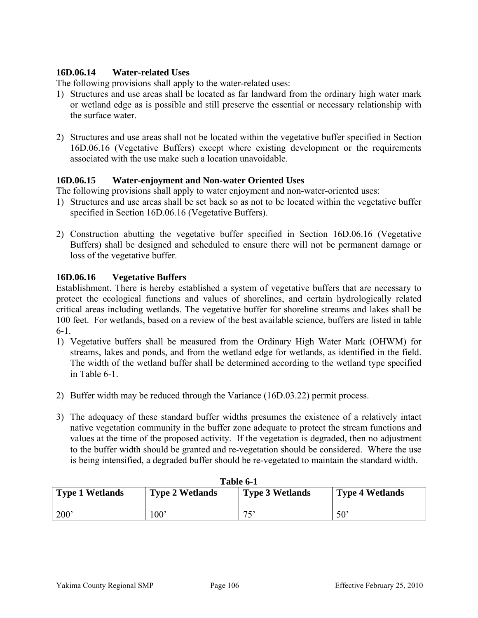# **16D.06.14 Water-related Uses**

The following provisions shall apply to the water-related uses:

- 1) Structures and use areas shall be located as far landward from the ordinary high water mark or wetland edge as is possible and still preserve the essential or necessary relationship with the surface water.
- 2) Structures and use areas shall not be located within the vegetative buffer specified in Section 16D.06.16 (Vegetative Buffers) except where existing development or the requirements associated with the use make such a location unavoidable.

## **16D.06.15 Water-enjoyment and Non-water Oriented Uses**

The following provisions shall apply to water enjoyment and non-water-oriented uses:

- 1) Structures and use areas shall be set back so as not to be located within the vegetative buffer specified in Section 16D.06.16 (Vegetative Buffers).
- 2) Construction abutting the vegetative buffer specified in Section 16D.06.16 (Vegetative Buffers) shall be designed and scheduled to ensure there will not be permanent damage or loss of the vegetative buffer.

# **16D.06.16 Vegetative Buffers**

Establishment. There is hereby established a system of vegetative buffers that are necessary to protect the ecological functions and values of shorelines, and certain hydrologically related critical areas including wetlands. The vegetative buffer for shoreline streams and lakes shall be 100 feet. For wetlands, based on a review of the best available science, buffers are listed in table 6-1.

- 1) Vegetative buffers shall be measured from the Ordinary High Water Mark (OHWM) for streams, lakes and ponds, and from the wetland edge for wetlands, as identified in the field. The width of the wetland buffer shall be determined according to the wetland type specified in Table 6-1.
- 2) Buffer width may be reduced through the Variance (16D.03.22) permit process.
- 3) The adequacy of these standard buffer widths presumes the existence of a relatively intact native vegetation community in the buffer zone adequate to protect the stream functions and values at the time of the proposed activity. If the vegetation is degraded, then no adjustment to the buffer width should be granted and re-vegetation should be considered. Where the use is being intensified, a degraded buffer should be re-vegetated to maintain the standard width.

| TANIC V-T              |                        |                        |                        |
|------------------------|------------------------|------------------------|------------------------|
| <b>Type 1 Wetlands</b> | <b>Type 2 Wetlands</b> | <b>Type 3 Wetlands</b> | <b>Type 4 Wetlands</b> |
| 200'                   | 100'                   | 75'                    | 50                     |

| Table 6-1 |  |
|-----------|--|
|-----------|--|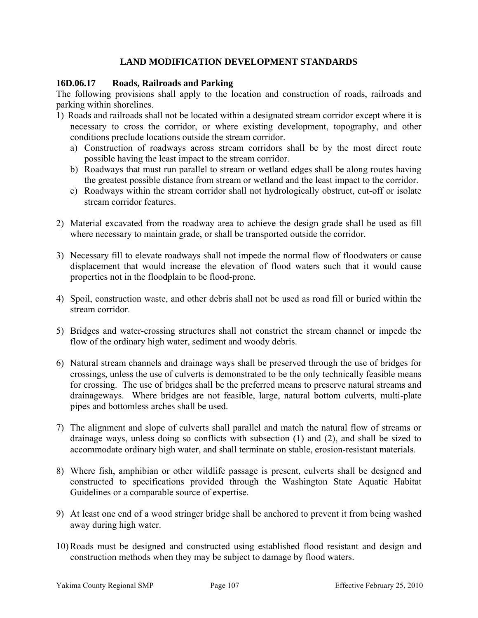# **LAND MODIFICATION DEVELOPMENT STANDARDS**

### **16D.06.17 Roads, Railroads and Parking**

The following provisions shall apply to the location and construction of roads, railroads and parking within shorelines.

- 1) Roads and railroads shall not be located within a designated stream corridor except where it is necessary to cross the corridor, or where existing development, topography, and other conditions preclude locations outside the stream corridor.
	- a) Construction of roadways across stream corridors shall be by the most direct route possible having the least impact to the stream corridor.
	- b) Roadways that must run parallel to stream or wetland edges shall be along routes having the greatest possible distance from stream or wetland and the least impact to the corridor.
	- c) Roadways within the stream corridor shall not hydrologically obstruct, cut-off or isolate stream corridor features.
- 2) Material excavated from the roadway area to achieve the design grade shall be used as fill where necessary to maintain grade, or shall be transported outside the corridor.
- 3) Necessary fill to elevate roadways shall not impede the normal flow of floodwaters or cause displacement that would increase the elevation of flood waters such that it would cause properties not in the floodplain to be flood-prone.
- 4) Spoil, construction waste, and other debris shall not be used as road fill or buried within the stream corridor.
- 5) Bridges and water-crossing structures shall not constrict the stream channel or impede the flow of the ordinary high water, sediment and woody debris.
- 6) Natural stream channels and drainage ways shall be preserved through the use of bridges for crossings, unless the use of culverts is demonstrated to be the only technically feasible means for crossing. The use of bridges shall be the preferred means to preserve natural streams and drainageways. Where bridges are not feasible, large, natural bottom culverts, multi-plate pipes and bottomless arches shall be used.
- 7) The alignment and slope of culverts shall parallel and match the natural flow of streams or drainage ways, unless doing so conflicts with subsection (1) and (2), and shall be sized to accommodate ordinary high water, and shall terminate on stable, erosion-resistant materials.
- 8) Where fish, amphibian or other wildlife passage is present, culverts shall be designed and constructed to specifications provided through the Washington State Aquatic Habitat Guidelines or a comparable source of expertise.
- 9) At least one end of a wood stringer bridge shall be anchored to prevent it from being washed away during high water.
- 10) Roads must be designed and constructed using established flood resistant and design and construction methods when they may be subject to damage by flood waters.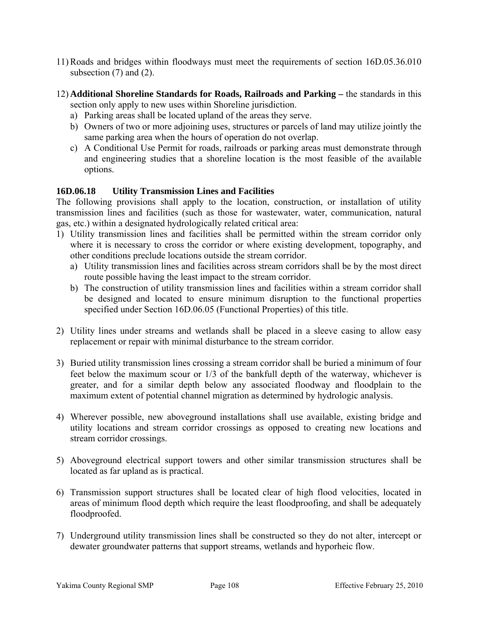- 11) Roads and bridges within floodways must meet the requirements of section 16D.05.36.010 subsection  $(7)$  and  $(2)$ .
- 12) **Additional Shoreline Standards for Roads, Railroads and Parking** the standards in this section only apply to new uses within Shoreline jurisdiction.
	- a) Parking areas shall be located upland of the areas they serve.
	- b) Owners of two or more adjoining uses, structures or parcels of land may utilize jointly the same parking area when the hours of operation do not overlap.
	- c) A Conditional Use Permit for roads, railroads or parking areas must demonstrate through and engineering studies that a shoreline location is the most feasible of the available options.

## **16D.06.18 Utility Transmission Lines and Facilities**

The following provisions shall apply to the location, construction, or installation of utility transmission lines and facilities (such as those for wastewater, water, communication, natural gas, etc.) within a designated hydrologically related critical area:

- 1) Utility transmission lines and facilities shall be permitted within the stream corridor only where it is necessary to cross the corridor or where existing development, topography, and other conditions preclude locations outside the stream corridor.
	- a) Utility transmission lines and facilities across stream corridors shall be by the most direct route possible having the least impact to the stream corridor.
	- b) The construction of utility transmission lines and facilities within a stream corridor shall be designed and located to ensure minimum disruption to the functional properties specified under Section 16D.06.05 (Functional Properties) of this title.
- 2) Utility lines under streams and wetlands shall be placed in a sleeve casing to allow easy replacement or repair with minimal disturbance to the stream corridor.
- 3) Buried utility transmission lines crossing a stream corridor shall be buried a minimum of four feet below the maximum scour or 1/3 of the bankfull depth of the waterway, whichever is greater, and for a similar depth below any associated floodway and floodplain to the maximum extent of potential channel migration as determined by hydrologic analysis.
- 4) Wherever possible, new aboveground installations shall use available, existing bridge and utility locations and stream corridor crossings as opposed to creating new locations and stream corridor crossings.
- 5) Aboveground electrical support towers and other similar transmission structures shall be located as far upland as is practical.
- 6) Transmission support structures shall be located clear of high flood velocities, located in areas of minimum flood depth which require the least floodproofing, and shall be adequately floodproofed.
- 7) Underground utility transmission lines shall be constructed so they do not alter, intercept or dewater groundwater patterns that support streams, wetlands and hyporheic flow.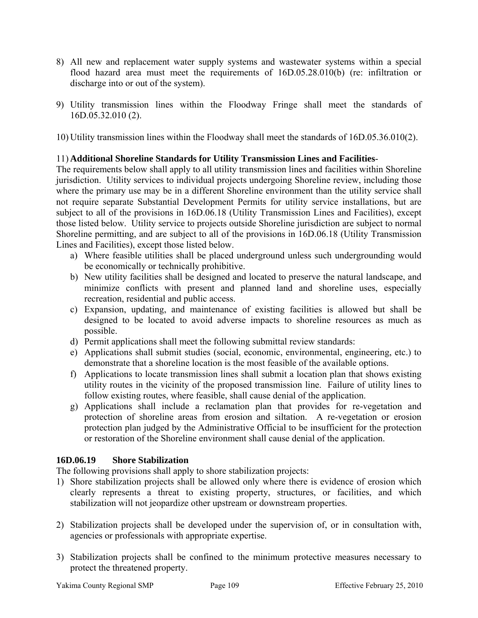- 8) All new and replacement water supply systems and wastewater systems within a special flood hazard area must meet the requirements of 16D.05.28.010(b) (re: infiltration or discharge into or out of the system).
- 9) Utility transmission lines within the Floodway Fringe shall meet the standards of 16D.05.32.010 (2).

10) Utility transmission lines within the Floodway shall meet the standards of 16D.05.36.010(2).

# 11) **Additional Shoreline Standards for Utility Transmission Lines and Facilities**-

The requirements below shall apply to all utility transmission lines and facilities within Shoreline jurisdiction. Utility services to individual projects undergoing Shoreline review, including those where the primary use may be in a different Shoreline environment than the utility service shall not require separate Substantial Development Permits for utility service installations, but are subject to all of the provisions in 16D.06.18 (Utility Transmission Lines and Facilities), except those listed below. Utility service to projects outside Shoreline jurisdiction are subject to normal Shoreline permitting, and are subject to all of the provisions in 16D.06.18 (Utility Transmission Lines and Facilities), except those listed below.

- a) Where feasible utilities shall be placed underground unless such undergrounding would be economically or technically prohibitive.
- b) New utility facilities shall be designed and located to preserve the natural landscape, and minimize conflicts with present and planned land and shoreline uses, especially recreation, residential and public access.
- c) Expansion, updating, and maintenance of existing facilities is allowed but shall be designed to be located to avoid adverse impacts to shoreline resources as much as possible.
- d) Permit applications shall meet the following submittal review standards:
- e) Applications shall submit studies (social, economic, environmental, engineering, etc.) to demonstrate that a shoreline location is the most feasible of the available options.
- f) Applications to locate transmission lines shall submit a location plan that shows existing utility routes in the vicinity of the proposed transmission line. Failure of utility lines to follow existing routes, where feasible, shall cause denial of the application.
- g) Applications shall include a reclamation plan that provides for re-vegetation and protection of shoreline areas from erosion and siltation. A re-vegetation or erosion protection plan judged by the Administrative Official to be insufficient for the protection or restoration of the Shoreline environment shall cause denial of the application.

# **16D.06.19 Shore Stabilization**

The following provisions shall apply to shore stabilization projects:

- 1) Shore stabilization projects shall be allowed only where there is evidence of erosion which clearly represents a threat to existing property, structures, or facilities, and which stabilization will not jeopardize other upstream or downstream properties.
- 2) Stabilization projects shall be developed under the supervision of, or in consultation with, agencies or professionals with appropriate expertise.
- 3) Stabilization projects shall be confined to the minimum protective measures necessary to protect the threatened property.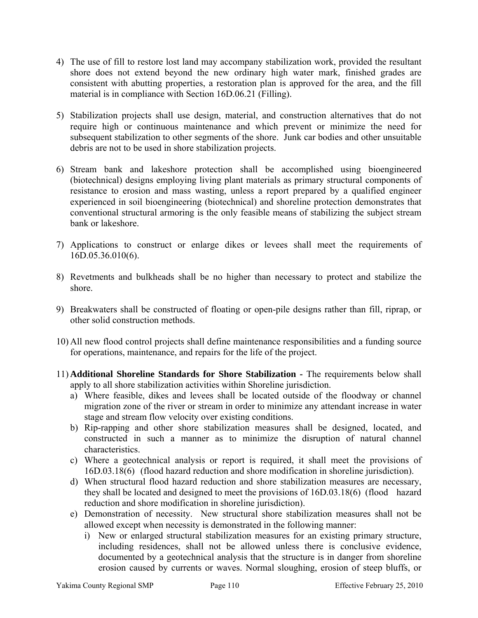- 4) The use of fill to restore lost land may accompany stabilization work, provided the resultant shore does not extend beyond the new ordinary high water mark, finished grades are consistent with abutting properties, a restoration plan is approved for the area, and the fill material is in compliance with Section 16D.06.21 (Filling).
- 5) Stabilization projects shall use design, material, and construction alternatives that do not require high or continuous maintenance and which prevent or minimize the need for subsequent stabilization to other segments of the shore. Junk car bodies and other unsuitable debris are not to be used in shore stabilization projects.
- 6) Stream bank and lakeshore protection shall be accomplished using bioengineered (biotechnical) designs employing living plant materials as primary structural components of resistance to erosion and mass wasting, unless a report prepared by a qualified engineer experienced in soil bioengineering (biotechnical) and shoreline protection demonstrates that conventional structural armoring is the only feasible means of stabilizing the subject stream bank or lakeshore.
- 7) Applications to construct or enlarge dikes or levees shall meet the requirements of 16D.05.36.010(6).
- 8) Revetments and bulkheads shall be no higher than necessary to protect and stabilize the shore.
- 9) Breakwaters shall be constructed of floating or open-pile designs rather than fill, riprap, or other solid construction methods.
- 10) All new flood control projects shall define maintenance responsibilities and a funding source for operations, maintenance, and repairs for the life of the project.
- 11) **Additional Shoreline Standards for Shore Stabilization** The requirements below shall apply to all shore stabilization activities within Shoreline jurisdiction.
	- a) Where feasible, dikes and levees shall be located outside of the floodway or channel migration zone of the river or stream in order to minimize any attendant increase in water stage and stream flow velocity over existing conditions.
	- b) Rip-rapping and other shore stabilization measures shall be designed, located, and constructed in such a manner as to minimize the disruption of natural channel characteristics.
	- c) Where a geotechnical analysis or report is required, it shall meet the provisions of 16D.03.18(6) (flood hazard reduction and shore modification in shoreline jurisdiction).
	- d) When structural flood hazard reduction and shore stabilization measures are necessary, they shall be located and designed to meet the provisions of 16D.03.18(6) (flood hazard reduction and shore modification in shoreline jurisdiction).
	- e) Demonstration of necessity. New structural shore stabilization measures shall not be allowed except when necessity is demonstrated in the following manner:
		- i) New or enlarged structural stabilization measures for an existing primary structure, including residences, shall not be allowed unless there is conclusive evidence, documented by a geotechnical analysis that the structure is in danger from shoreline erosion caused by currents or waves. Normal sloughing, erosion of steep bluffs, or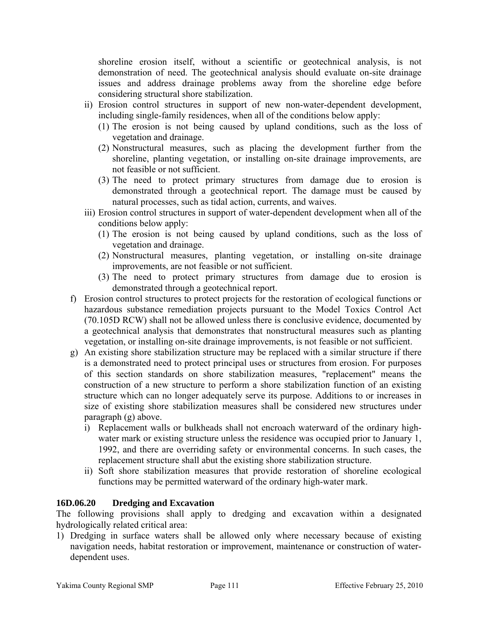shoreline erosion itself, without a scientific or geotechnical analysis, is not demonstration of need. The geotechnical analysis should evaluate on-site drainage issues and address drainage problems away from the shoreline edge before considering structural shore stabilization.

- ii) Erosion control structures in support of new non-water-dependent development, including single-family residences, when all of the conditions below apply:
	- (1) The erosion is not being caused by upland conditions, such as the loss of vegetation and drainage.
	- (2) Nonstructural measures, such as placing the development further from the shoreline, planting vegetation, or installing on-site drainage improvements, are not feasible or not sufficient.
	- (3) The need to protect primary structures from damage due to erosion is demonstrated through a geotechnical report. The damage must be caused by natural processes, such as tidal action, currents, and waives.
- iii) Erosion control structures in support of water-dependent development when all of the conditions below apply:
	- (1) The erosion is not being caused by upland conditions, such as the loss of vegetation and drainage.
	- (2) Nonstructural measures, planting vegetation, or installing on-site drainage improvements, are not feasible or not sufficient.
	- (3) The need to protect primary structures from damage due to erosion is demonstrated through a geotechnical report.
- f) Erosion control structures to protect projects for the restoration of ecological functions or hazardous substance remediation projects pursuant to the Model Toxics Control Act (70.105D RCW) shall not be allowed unless there is conclusive evidence, documented by a geotechnical analysis that demonstrates that nonstructural measures such as planting vegetation, or installing on-site drainage improvements, is not feasible or not sufficient.
- g) An existing shore stabilization structure may be replaced with a similar structure if there is a demonstrated need to protect principal uses or structures from erosion. For purposes of this section standards on shore stabilization measures, "replacement" means the construction of a new structure to perform a shore stabilization function of an existing structure which can no longer adequately serve its purpose. Additions to or increases in size of existing shore stabilization measures shall be considered new structures under paragraph (g) above.
	- i) Replacement walls or bulkheads shall not encroach waterward of the ordinary highwater mark or existing structure unless the residence was occupied prior to January 1, 1992, and there are overriding safety or environmental concerns. In such cases, the replacement structure shall abut the existing shore stabilization structure.
	- ii) Soft shore stabilization measures that provide restoration of shoreline ecological functions may be permitted waterward of the ordinary high-water mark.

# **16D.06.20 Dredging and Excavation**

The following provisions shall apply to dredging and excavation within a designated hydrologically related critical area:

1) Dredging in surface waters shall be allowed only where necessary because of existing navigation needs, habitat restoration or improvement, maintenance or construction of waterdependent uses.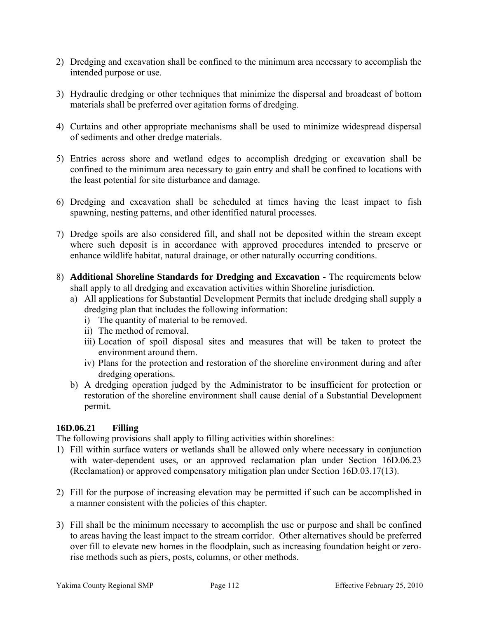- 2) Dredging and excavation shall be confined to the minimum area necessary to accomplish the intended purpose or use.
- 3) Hydraulic dredging or other techniques that minimize the dispersal and broadcast of bottom materials shall be preferred over agitation forms of dredging.
- 4) Curtains and other appropriate mechanisms shall be used to minimize widespread dispersal of sediments and other dredge materials.
- 5) Entries across shore and wetland edges to accomplish dredging or excavation shall be confined to the minimum area necessary to gain entry and shall be confined to locations with the least potential for site disturbance and damage.
- 6) Dredging and excavation shall be scheduled at times having the least impact to fish spawning, nesting patterns, and other identified natural processes.
- 7) Dredge spoils are also considered fill, and shall not be deposited within the stream except where such deposit is in accordance with approved procedures intended to preserve or enhance wildlife habitat, natural drainage, or other naturally occurring conditions.
- 8) **Additional Shoreline Standards for Dredging and Excavation** The requirements below shall apply to all dredging and excavation activities within Shoreline jurisdiction.
	- a) All applications for Substantial Development Permits that include dredging shall supply a dredging plan that includes the following information:
		- i) The quantity of material to be removed.
		- ii) The method of removal.
		- iii) Location of spoil disposal sites and measures that will be taken to protect the environment around them.
		- iv) Plans for the protection and restoration of the shoreline environment during and after dredging operations.
	- b) A dredging operation judged by the Administrator to be insufficient for protection or restoration of the shoreline environment shall cause denial of a Substantial Development permit.

# **16D.06.21 Filling**

The following provisions shall apply to filling activities within shorelines:

- 1) Fill within surface waters or wetlands shall be allowed only where necessary in conjunction with water-dependent uses, or an approved reclamation plan under Section 16D.06.23 (Reclamation) or approved compensatory mitigation plan under Section 16D.03.17(13).
- 2) Fill for the purpose of increasing elevation may be permitted if such can be accomplished in a manner consistent with the policies of this chapter.
- 3) Fill shall be the minimum necessary to accomplish the use or purpose and shall be confined to areas having the least impact to the stream corridor. Other alternatives should be preferred over fill to elevate new homes in the floodplain, such as increasing foundation height or zerorise methods such as piers, posts, columns, or other methods.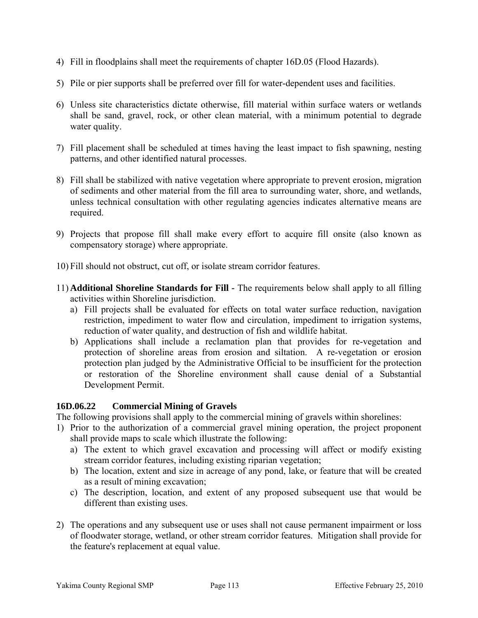- 4) Fill in floodplains shall meet the requirements of chapter 16D.05 (Flood Hazards).
- 5) Pile or pier supports shall be preferred over fill for water-dependent uses and facilities.
- 6) Unless site characteristics dictate otherwise, fill material within surface waters or wetlands shall be sand, gravel, rock, or other clean material, with a minimum potential to degrade water quality.
- 7) Fill placement shall be scheduled at times having the least impact to fish spawning, nesting patterns, and other identified natural processes.
- 8) Fill shall be stabilized with native vegetation where appropriate to prevent erosion, migration of sediments and other material from the fill area to surrounding water, shore, and wetlands, unless technical consultation with other regulating agencies indicates alternative means are required.
- 9) Projects that propose fill shall make every effort to acquire fill onsite (also known as compensatory storage) where appropriate.
- 10) Fill should not obstruct, cut off, or isolate stream corridor features.
- 11) **Additional Shoreline Standards for Fill** The requirements below shall apply to all filling activities within Shoreline jurisdiction.
	- a) Fill projects shall be evaluated for effects on total water surface reduction, navigation restriction, impediment to water flow and circulation, impediment to irrigation systems, reduction of water quality, and destruction of fish and wildlife habitat.
	- b) Applications shall include a reclamation plan that provides for re-vegetation and protection of shoreline areas from erosion and siltation. A re-vegetation or erosion protection plan judged by the Administrative Official to be insufficient for the protection or restoration of the Shoreline environment shall cause denial of a Substantial Development Permit.

# **16D.06.22 Commercial Mining of Gravels**

The following provisions shall apply to the commercial mining of gravels within shorelines:

- 1) Prior to the authorization of a commercial gravel mining operation, the project proponent shall provide maps to scale which illustrate the following:
	- a) The extent to which gravel excavation and processing will affect or modify existing stream corridor features, including existing riparian vegetation;
	- b) The location, extent and size in acreage of any pond, lake, or feature that will be created as a result of mining excavation;
	- c) The description, location, and extent of any proposed subsequent use that would be different than existing uses.
- 2) The operations and any subsequent use or uses shall not cause permanent impairment or loss of floodwater storage, wetland, or other stream corridor features. Mitigation shall provide for the feature's replacement at equal value.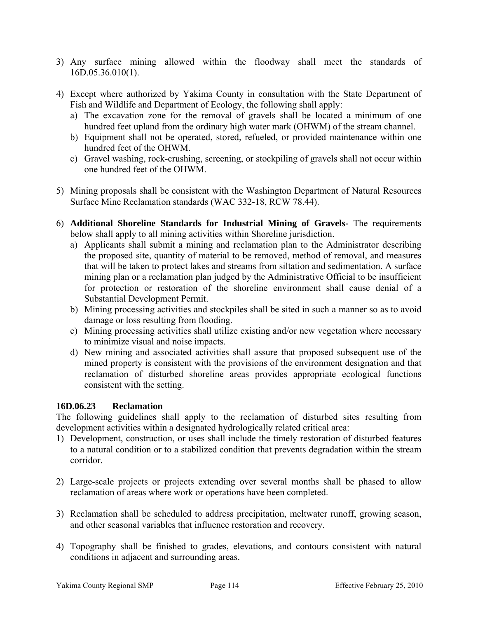- 3) Any surface mining allowed within the floodway shall meet the standards of 16D.05.36.010(1).
- 4) Except where authorized by Yakima County in consultation with the State Department of Fish and Wildlife and Department of Ecology, the following shall apply:
	- a) The excavation zone for the removal of gravels shall be located a minimum of one hundred feet upland from the ordinary high water mark (OHWM) of the stream channel.
	- b) Equipment shall not be operated, stored, refueled, or provided maintenance within one hundred feet of the OHWM.
	- c) Gravel washing, rock-crushing, screening, or stockpiling of gravels shall not occur within one hundred feet of the OHWM.
- 5) Mining proposals shall be consistent with the Washington Department of Natural Resources Surface Mine Reclamation standards (WAC 332-18, RCW 78.44).
- 6) **Additional Shoreline Standards for Industrial Mining of Gravels-** The requirements below shall apply to all mining activities within Shoreline jurisdiction.
	- a) Applicants shall submit a mining and reclamation plan to the Administrator describing the proposed site, quantity of material to be removed, method of removal, and measures that will be taken to protect lakes and streams from siltation and sedimentation. A surface mining plan or a reclamation plan judged by the Administrative Official to be insufficient for protection or restoration of the shoreline environment shall cause denial of a Substantial Development Permit.
	- b) Mining processing activities and stockpiles shall be sited in such a manner so as to avoid damage or loss resulting from flooding.
	- c) Mining processing activities shall utilize existing and/or new vegetation where necessary to minimize visual and noise impacts.
	- d) New mining and associated activities shall assure that proposed subsequent use of the mined property is consistent with the provisions of the environment designation and that reclamation of disturbed shoreline areas provides appropriate ecological functions consistent with the setting.

#### **16D.06.23 Reclamation**

The following guidelines shall apply to the reclamation of disturbed sites resulting from development activities within a designated hydrologically related critical area:

- 1) Development, construction, or uses shall include the timely restoration of disturbed features to a natural condition or to a stabilized condition that prevents degradation within the stream corridor.
- 2) Large-scale projects or projects extending over several months shall be phased to allow reclamation of areas where work or operations have been completed.
- 3) Reclamation shall be scheduled to address precipitation, meltwater runoff, growing season, and other seasonal variables that influence restoration and recovery.
- 4) Topography shall be finished to grades, elevations, and contours consistent with natural conditions in adjacent and surrounding areas.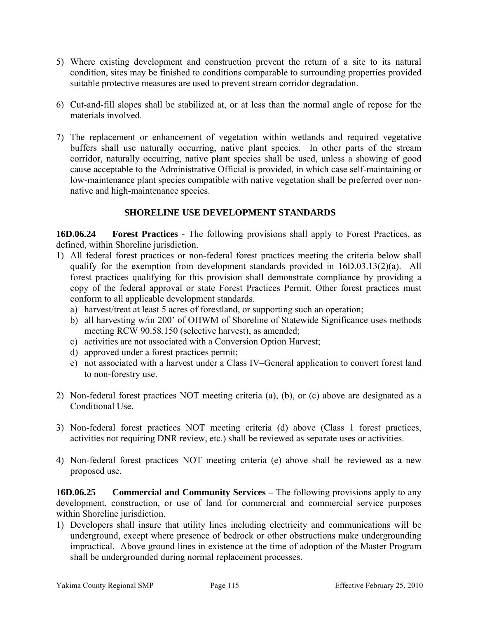- 5) Where existing development and construction prevent the return of a site to its natural condition, sites may be finished to conditions comparable to surrounding properties provided suitable protective measures are used to prevent stream corridor degradation.
- 6) Cut-and-fill slopes shall be stabilized at, or at less than the normal angle of repose for the materials involved.
- 7) The replacement or enhancement of vegetation within wetlands and required vegetative buffers shall use naturally occurring, native plant species. In other parts of the stream corridor, naturally occurring, native plant species shall be used, unless a showing of good cause acceptable to the Administrative Official is provided, in which case self-maintaining or low-maintenance plant species compatible with native vegetation shall be preferred over nonnative and high-maintenance species.

# **SHORELINE USE DEVELOPMENT STANDARDS**

**16D.06.24 Forest Practices** - The following provisions shall apply to Forest Practices, as defined, within Shoreline jurisdiction.

- 1) All federal forest practices or non-federal forest practices meeting the criteria below shall qualify for the exemption from development standards provided in 16D.03.13(2)(a). All forest practices qualifying for this provision shall demonstrate compliance by providing a copy of the federal approval or state Forest Practices Permit. Other forest practices must conform to all applicable development standards.
	- a) harvest/treat at least 5 acres of forestland, or supporting such an operation;
	- b) all harvesting w/in 200' of OHWM of Shoreline of Statewide Significance uses methods meeting RCW 90.58.150 (selective harvest), as amended;
	- c) activities are not associated with a Conversion Option Harvest;
	- d) approved under a forest practices permit;
	- e) not associated with a harvest under a Class IV–General application to convert forest land to non-forestry use.
- 2) Non-federal forest practices NOT meeting criteria (a), (b), or (c) above are designated as a Conditional Use.
- 3) Non-federal forest practices NOT meeting criteria (d) above (Class 1 forest practices, activities not requiring DNR review, etc.) shall be reviewed as separate uses or activities.
- 4) Non-federal forest practices NOT meeting criteria (e) above shall be reviewed as a new proposed use.

**16D.06.25 Commercial and Community Services –** The following provisions apply to any development, construction, or use of land for commercial and commercial service purposes within Shoreline jurisdiction.

1) Developers shall insure that utility lines including electricity and communications will be underground, except where presence of bedrock or other obstructions make undergrounding impractical. Above ground lines in existence at the time of adoption of the Master Program shall be undergrounded during normal replacement processes.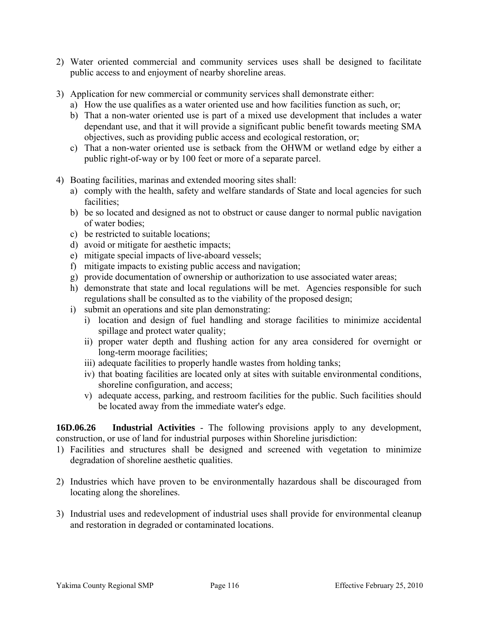- 2) Water oriented commercial and community services uses shall be designed to facilitate public access to and enjoyment of nearby shoreline areas.
- 3) Application for new commercial or community services shall demonstrate either:
	- a) How the use qualifies as a water oriented use and how facilities function as such, or;
	- b) That a non-water oriented use is part of a mixed use development that includes a water dependant use, and that it will provide a significant public benefit towards meeting SMA objectives, such as providing public access and ecological restoration, or;
	- c) That a non-water oriented use is setback from the OHWM or wetland edge by either a public right-of-way or by 100 feet or more of a separate parcel.
- 4) Boating facilities, marinas and extended mooring sites shall:
	- a) comply with the health, safety and welfare standards of State and local agencies for such facilities;
	- b) be so located and designed as not to obstruct or cause danger to normal public navigation of water bodies;
	- c) be restricted to suitable locations;
	- d) avoid or mitigate for aesthetic impacts;
	- e) mitigate special impacts of live-aboard vessels;
	- f) mitigate impacts to existing public access and navigation;
	- g) provide documentation of ownership or authorization to use associated water areas;
	- h) demonstrate that state and local regulations will be met. Agencies responsible for such regulations shall be consulted as to the viability of the proposed design;
	- i) submit an operations and site plan demonstrating:
		- i) location and design of fuel handling and storage facilities to minimize accidental spillage and protect water quality;
		- ii) proper water depth and flushing action for any area considered for overnight or long-term moorage facilities;
		- iii) adequate facilities to properly handle wastes from holding tanks;
		- iv) that boating facilities are located only at sites with suitable environmental conditions, shoreline configuration, and access;
		- v) adequate access, parking, and restroom facilities for the public. Such facilities should be located away from the immediate water's edge.

**16D.06.26 Industrial Activities** - The following provisions apply to any development, construction, or use of land for industrial purposes within Shoreline jurisdiction:

- 1) Facilities and structures shall be designed and screened with vegetation to minimize degradation of shoreline aesthetic qualities.
- 2) Industries which have proven to be environmentally hazardous shall be discouraged from locating along the shorelines.
- 3) Industrial uses and redevelopment of industrial uses shall provide for environmental cleanup and restoration in degraded or contaminated locations.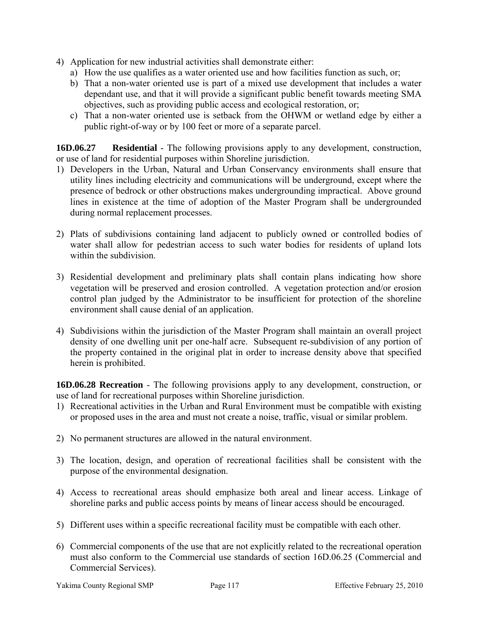- 4) Application for new industrial activities shall demonstrate either:
	- a) How the use qualifies as a water oriented use and how facilities function as such, or;
	- b) That a non-water oriented use is part of a mixed use development that includes a water dependant use, and that it will provide a significant public benefit towards meeting SMA objectives, such as providing public access and ecological restoration, or;
	- c) That a non-water oriented use is setback from the OHWM or wetland edge by either a public right-of-way or by 100 feet or more of a separate parcel.

**16D.06.27 Residential** - The following provisions apply to any development, construction, or use of land for residential purposes within Shoreline jurisdiction.

- 1) Developers in the Urban, Natural and Urban Conservancy environments shall ensure that utility lines including electricity and communications will be underground, except where the presence of bedrock or other obstructions makes undergrounding impractical. Above ground lines in existence at the time of adoption of the Master Program shall be undergrounded during normal replacement processes.
- 2) Plats of subdivisions containing land adjacent to publicly owned or controlled bodies of water shall allow for pedestrian access to such water bodies for residents of upland lots within the subdivision.
- 3) Residential development and preliminary plats shall contain plans indicating how shore vegetation will be preserved and erosion controlled. A vegetation protection and/or erosion control plan judged by the Administrator to be insufficient for protection of the shoreline environment shall cause denial of an application.
- 4) Subdivisions within the jurisdiction of the Master Program shall maintain an overall project density of one dwelling unit per one-half acre. Subsequent re-subdivision of any portion of the property contained in the original plat in order to increase density above that specified herein is prohibited.

**16D.06.28 Recreation** - The following provisions apply to any development, construction, or use of land for recreational purposes within Shoreline jurisdiction.

- 1) Recreational activities in the Urban and Rural Environment must be compatible with existing or proposed uses in the area and must not create a noise, traffic, visual or similar problem.
- 2) No permanent structures are allowed in the natural environment.
- 3) The location, design, and operation of recreational facilities shall be consistent with the purpose of the environmental designation.
- 4) Access to recreational areas should emphasize both areal and linear access. Linkage of shoreline parks and public access points by means of linear access should be encouraged.
- 5) Different uses within a specific recreational facility must be compatible with each other.
- 6) Commercial components of the use that are not explicitly related to the recreational operation must also conform to the Commercial use standards of section 16D.06.25 (Commercial and Commercial Services).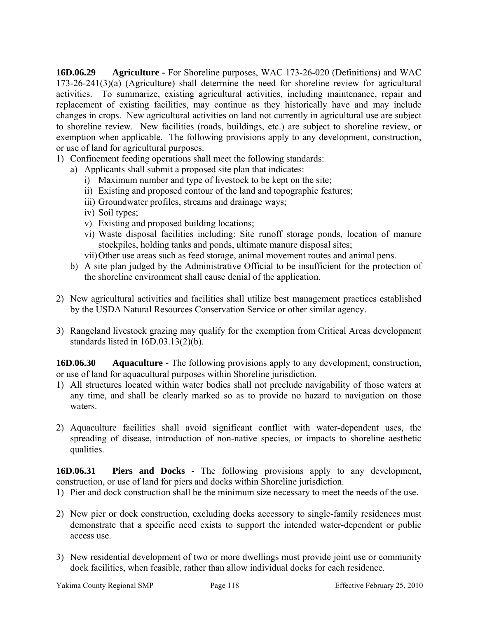**16D.06.29 Agriculture -** For Shoreline purposes, WAC 173-26-020 (Definitions) and WAC 173-26-241(3)(a) (Agriculture) shall determine the need for shoreline review for agricultural activities. To summarize, existing agricultural activities, including maintenance, repair and replacement of existing facilities, may continue as they historically have and may include changes in crops. New agricultural activities on land not currently in agricultural use are subject to shoreline review. New facilities (roads, buildings, etc.) are subject to shoreline review, or exemption when applicable. The following provisions apply to any development, construction, or use of land for agricultural purposes.

- 1) Confinement feeding operations shall meet the following standards:
	- a) Applicants shall submit a proposed site plan that indicates:
		- i) Maximum number and type of livestock to be kept on the site;
		- ii) Existing and proposed contour of the land and topographic features;
		- iii) Groundwater profiles, streams and drainage ways;
		- iv) Soil types;
		- v) Existing and proposed building locations;
		- vi) Waste disposal facilities including: Site runoff storage ponds, location of manure stockpiles, holding tanks and ponds, ultimate manure disposal sites;
		- vii)Other use areas such as feed storage, animal movement routes and animal pens.
	- b) A site plan judged by the Administrative Official to be insufficient for the protection of the shoreline environment shall cause denial of the application.
- 2) New agricultural activities and facilities shall utilize best management practices established by the USDA Natural Resources Conservation Service or other similar agency.
- 3) Rangeland livestock grazing may qualify for the exemption from Critical Areas development standards listed in 16D.03.13(2)(b).

**16D.06.30 Aquaculture -** The following provisions apply to any development, construction, or use of land for aquacultural purposes within Shoreline jurisdiction.

- 1) All structures located within water bodies shall not preclude navigability of those waters at any time, and shall be clearly marked so as to provide no hazard to navigation on those waters.
- 2) Aquaculture facilities shall avoid significant conflict with water-dependent uses, the spreading of disease, introduction of non-native species, or impacts to shoreline aesthetic qualities.

**16D.06.31 Piers and Docks -** The following provisions apply to any development, construction, or use of land for piers and docks within Shoreline jurisdiction.

- 1) Pier and dock construction shall be the minimum size necessary to meet the needs of the use.
- 2) New pier or dock construction, excluding docks accessory to single-family residences must demonstrate that a specific need exists to support the intended water-dependent or public access use.
- 3) New residential development of two or more dwellings must provide joint use or community dock facilities, when feasible, rather than allow individual docks for each residence.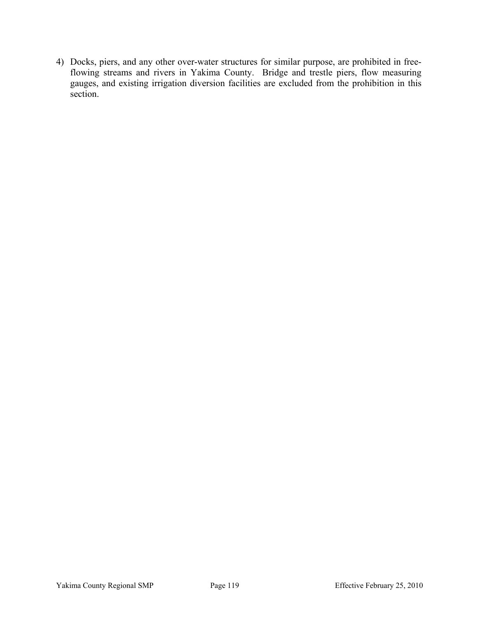4) Docks, piers, and any other over-water structures for similar purpose, are prohibited in freeflowing streams and rivers in Yakima County. Bridge and trestle piers, flow measuring gauges, and existing irrigation diversion facilities are excluded from the prohibition in this section.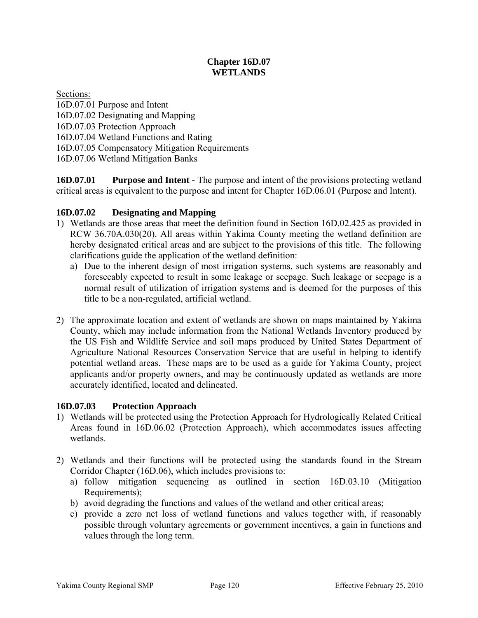# **Chapter 16D.07 WETLANDS**

Sections: 16D.07.01 Purpose and Intent 16D.07.02 Designating and Mapping 16D.07.03 Protection Approach 16D.07.04 Wetland Functions and Rating 16D.07.05 Compensatory Mitigation Requirements 16D.07.06 Wetland Mitigation Banks

**16D.07.01 Purpose and Intent -** The purpose and intent of the provisions protecting wetland critical areas is equivalent to the purpose and intent for Chapter 16D.06.01 (Purpose and Intent).

# **16D.07.02 Designating and Mapping**

- 1) Wetlands are those areas that meet the definition found in Section 16D.02.425 as provided in RCW 36.70A.030(20). All areas within Yakima County meeting the wetland definition are hereby designated critical areas and are subject to the provisions of this title. The following clarifications guide the application of the wetland definition:
	- a) Due to the inherent design of most irrigation systems, such systems are reasonably and foreseeably expected to result in some leakage or seepage. Such leakage or seepage is a normal result of utilization of irrigation systems and is deemed for the purposes of this title to be a non-regulated, artificial wetland.
- 2) The approximate location and extent of wetlands are shown on maps maintained by Yakima County, which may include information from the National Wetlands Inventory produced by the US Fish and Wildlife Service and soil maps produced by United States Department of Agriculture National Resources Conservation Service that are useful in helping to identify potential wetland areas. These maps are to be used as a guide for Yakima County, project applicants and/or property owners, and may be continuously updated as wetlands are more accurately identified, located and delineated.

# **16D.07.03 Protection Approach**

- 1) Wetlands will be protected using the Protection Approach for Hydrologically Related Critical Areas found in 16D.06.02 (Protection Approach), which accommodates issues affecting wetlands.
- 2) Wetlands and their functions will be protected using the standards found in the Stream Corridor Chapter (16D.06), which includes provisions to:
	- a) follow mitigation sequencing as outlined in section 16D.03.10 (Mitigation Requirements);
	- b) avoid degrading the functions and values of the wetland and other critical areas;
	- c) provide a zero net loss of wetland functions and values together with, if reasonably possible through voluntary agreements or government incentives, a gain in functions and values through the long term.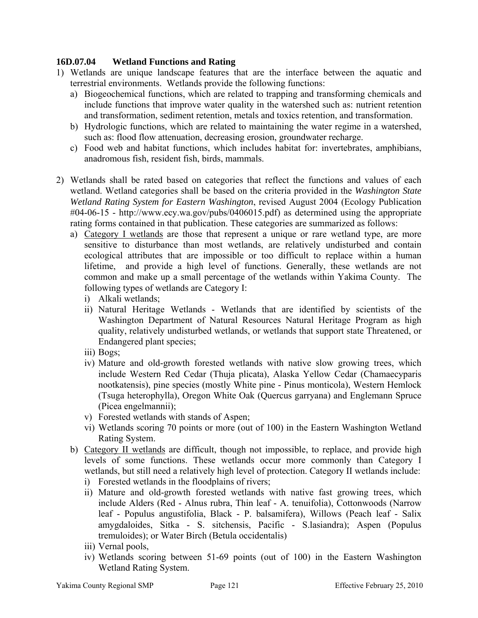# **16D.07.04 Wetland Functions and Rating**

- 1) Wetlands are unique landscape features that are the interface between the aquatic and terrestrial environments. Wetlands provide the following functions:
	- a) Biogeochemical functions, which are related to trapping and transforming chemicals and include functions that improve water quality in the watershed such as: nutrient retention and transformation, sediment retention, metals and toxics retention, and transformation.
	- b) Hydrologic functions, which are related to maintaining the water regime in a watershed, such as: flood flow attenuation, decreasing erosion, groundwater recharge.
	- c) Food web and habitat functions, which includes habitat for: invertebrates, amphibians, anadromous fish, resident fish, birds, mammals.
- 2) Wetlands shall be rated based on categories that reflect the functions and values of each wetland. Wetland categories shall be based on the criteria provided in the *Washington State Wetland Rating System for Eastern Washington*, revised August 2004 (Ecology Publication #04-06-15 - <http://www.ecy.wa.gov/pubs/0406015.pdf>) as determined using the appropriate rating forms contained in that publication. These categories are summarized as follows:
	- a) Category I wetlands are those that represent a unique or rare wetland type, are more sensitive to disturbance than most wetlands, are relatively undisturbed and contain ecological attributes that are impossible or too difficult to replace within a human lifetime, and provide a high level of functions. Generally, these wetlands are not common and make up a small percentage of the wetlands within Yakima County. The following types of wetlands are Category I:
		- i) Alkali wetlands;
		- ii) Natural Heritage Wetlands Wetlands that are identified by scientists of the Washington Department of Natural Resources Natural Heritage Program as high quality, relatively undisturbed wetlands, or wetlands that support state Threatened, or Endangered plant species;
		- iii) Bogs;
		- iv) Mature and old-growth forested wetlands with native slow growing trees, which include Western Red Cedar (Thuja plicata), Alaska Yellow Cedar (Chamaecyparis nootkatensis), pine species (mostly White pine - Pinus monticola), Western Hemlock (Tsuga heterophylla), Oregon White Oak (Quercus garryana) and Englemann Spruce (Picea engelmannii);
		- v) Forested wetlands with stands of Aspen;
		- vi) Wetlands scoring 70 points or more (out of 100) in the Eastern Washington Wetland Rating System.
	- b) Category II wetlands are difficult, though not impossible, to replace, and provide high levels of some functions. These wetlands occur more commonly than Category I wetlands, but still need a relatively high level of protection. Category II wetlands include:
		- i) Forested wetlands in the floodplains of rivers;
		- ii) Mature and old-growth forested wetlands with native fast growing trees, which include Alders (Red - Alnus rubra, Thin leaf - A. tenuifolia), Cottonwoods (Narrow leaf - Populus angustifolia, Black - P. balsamifera), Willows (Peach leaf - Salix amygdaloides, Sitka - S. sitchensis, Pacific - S.lasiandra); Aspen (Populus tremuloides); or Water Birch (Betula occidentalis)
		- iii) Vernal pools,
		- iv) Wetlands scoring between 51-69 points (out of 100) in the Eastern Washington Wetland Rating System.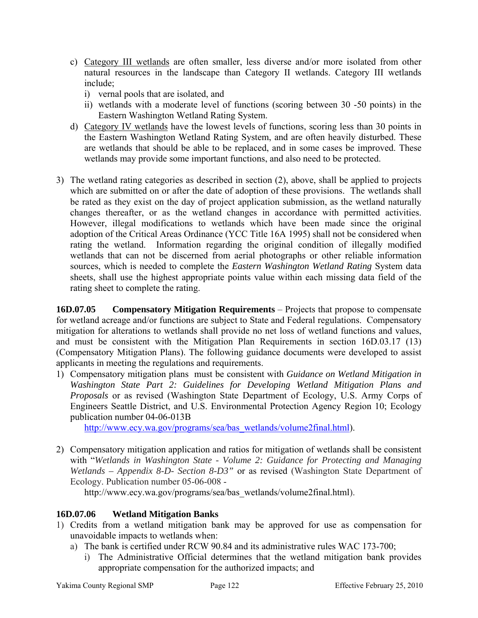- c) Category III wetlands are often smaller, less diverse and/or more isolated from other natural resources in the landscape than Category II wetlands. Category III wetlands include;
	- i) vernal pools that are isolated, and
	- ii) wetlands with a moderate level of functions (scoring between 30 -50 points) in the Eastern Washington Wetland Rating System.
- d) Category IV wetlands have the lowest levels of functions, scoring less than 30 points in the Eastern Washington Wetland Rating System, and are often heavily disturbed. These are wetlands that should be able to be replaced, and in some cases be improved. These wetlands may provide some important functions, and also need to be protected.
- 3) The wetland rating categories as described in section (2), above, shall be applied to projects which are submitted on or after the date of adoption of these provisions. The wetlands shall be rated as they exist on the day of project application submission, as the wetland naturally changes thereafter, or as the wetland changes in accordance with permitted activities. However, illegal modifications to wetlands which have been made since the original adoption of the Critical Areas Ordinance (YCC Title 16A 1995) shall not be considered when rating the wetland. Information regarding the original condition of illegally modified wetlands that can not be discerned from aerial photographs or other reliable information sources, which is needed to complete the *Eastern Washington Wetland Rating* System data sheets, shall use the highest appropriate points value within each missing data field of the rating sheet to complete the rating.

**16D.07.05 Compensatory Mitigation Requirements** – Projects that propose to compensate for wetland acreage and/or functions are subject to State and Federal regulations. Compensatory mitigation for alterations to wetlands shall provide no net loss of wetland functions and values, and must be consistent with the Mitigation Plan Requirements in section 16D.03.17 (13) (Compensatory Mitigation Plans). The following guidance documents were developed to assist applicants in meeting the regulations and requirements.

1) Compensatory mitigation plans must be consistent with *Guidance on Wetland Mitigation in Washington State Part 2: Guidelines for Developing Wetland Mitigation Plans and Proposals* or as revised (Washington State Department of Ecology, U.S. Army Corps of Engineers Seattle District, and U.S. Environmental Protection Agency Region 10; Ecology publication number 04-06-013B

[http://www.ecy.wa.gov/programs/sea/bas\\_wetlands/volume2final.html\)](http://www.ecy.wa.gov/programs/sea/bas_wetlands/volume2final.html).

2) Compensatory mitigation application and ratios for mitigation of wetlands shall be consistent with "*Wetlands in Washington State - Volume 2: Guidance for Protecting and Managing Wetlands – Appendix 8-D- Section 8-D3"* or as revised (Washington State Department of Ecology. Publication number 05-06-008 -

[http://www.ecy.wa.gov/programs/sea/bas\\_wetlands/volume2final.html\)](http://www.ecy.wa.gov/programs/sea/bas_wetlands/volume2final.html).

# **16D.07.06 Wetland Mitigation Banks**

- 1) Credits from a wetland mitigation bank may be approved for use as compensation for unavoidable impacts to wetlands when:
	- a) The bank is certified under RCW 90.84 and its administrative rules WAC 173-700;
		- i) The Administrative Official determines that the wetland mitigation bank provides appropriate compensation for the authorized impacts; and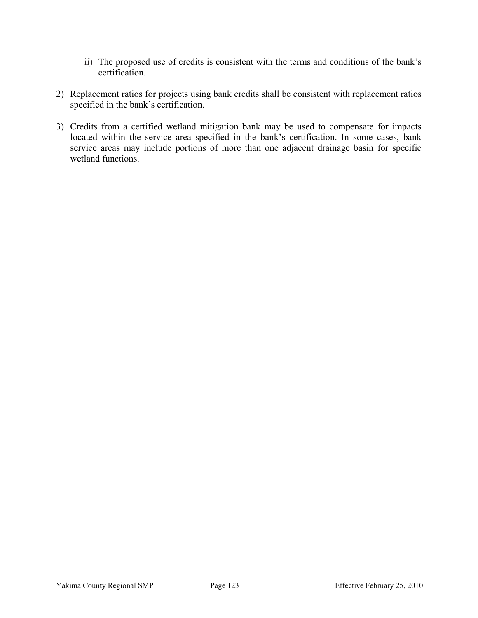- ii) The proposed use of credits is consistent with the terms and conditions of the bank's certification.
- 2) Replacement ratios for projects using bank credits shall be consistent with replacement ratios specified in the bank's certification.
- 3) Credits from a certified wetland mitigation bank may be used to compensate for impacts located within the service area specified in the bank's certification. In some cases, bank service areas may include portions of more than one adjacent drainage basin for specific wetland functions.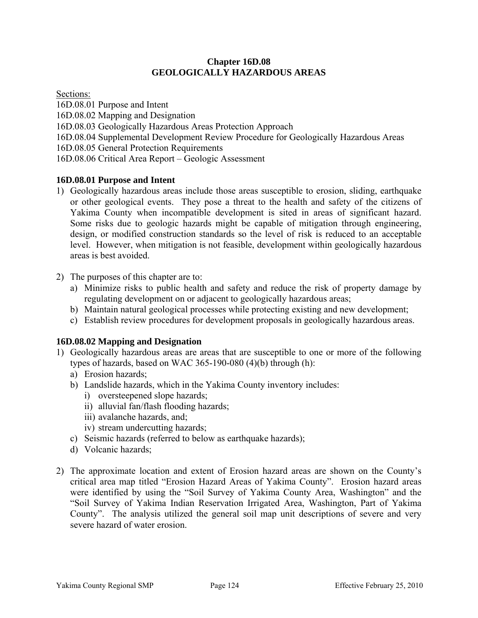#### **Chapter 16D.08 GEOLOGICALLY HAZARDOUS AREAS**

Sections:

16D.08.01 Purpose and Intent 16D.08.02 Mapping and Designation 16D.08.03 Geologically Hazardous Areas Protection Approach 16D.08.04 Supplemental Development Review Procedure for Geologically Hazardous Areas 16D.08.05 General Protection Requirements 16D.08.06 Critical Area Report – Geologic Assessment

# **16D.08.01 Purpose and Intent**

- 1) Geologically hazardous areas include those areas susceptible to erosion, sliding, earthquake or other geological events. They pose a threat to the health and safety of the citizens of Yakima County when incompatible development is sited in areas of significant hazard. Some risks due to geologic hazards might be capable of mitigation through engineering, design, or modified construction standards so the level of risk is reduced to an acceptable level. However, when mitigation is not feasible, development within geologically hazardous areas is best avoided.
- 2) The purposes of this chapter are to:
	- a) Minimize risks to public health and safety and reduce the risk of property damage by regulating development on or adjacent to geologically hazardous areas;
	- b) Maintain natural geological processes while protecting existing and new development;
	- c) Establish review procedures for development proposals in geologically hazardous areas.

# **16D.08.02 Mapping and Designation**

- 1) Geologically hazardous areas are areas that are susceptible to one or more of the following types of hazards, based on WAC 365-190-080 (4)(b) through (h):
	- a) Erosion hazards;
	- b) Landslide hazards, which in the Yakima County inventory includes:
		- i) oversteepened slope hazards;
		- ii) alluvial fan/flash flooding hazards;
		- iii) avalanche hazards, and;
		- iv) stream undercutting hazards;
	- c) Seismic hazards (referred to below as earthquake hazards);
	- d) Volcanic hazards;
- 2) The approximate location and extent of Erosion hazard areas are shown on the County's critical area map titled "Erosion Hazard Areas of Yakima County". Erosion hazard areas were identified by using the "Soil Survey of Yakima County Area, Washington" and the "Soil Survey of Yakima Indian Reservation Irrigated Area, Washington, Part of Yakima County". The analysis utilized the general soil map unit descriptions of severe and very severe hazard of water erosion.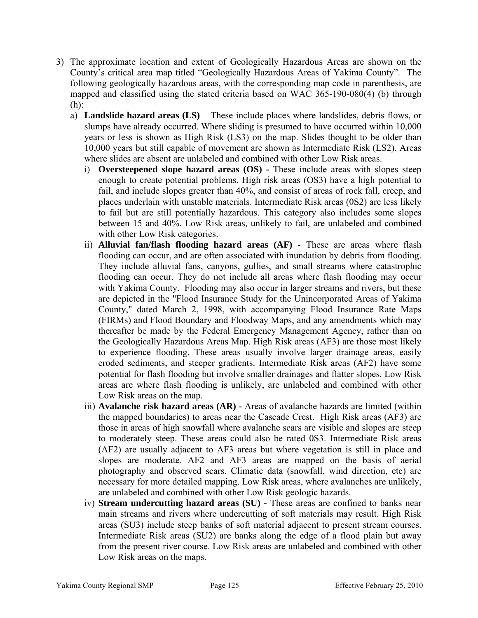- 3) The approximate location and extent of Geologically Hazardous Areas are shown on the County's critical area map titled "Geologically Hazardous Areas of Yakima County". The following geologically hazardous areas, with the corresponding map code in parenthesis, are mapped and classified using the stated criteria based on WAC 365-190-080(4) (b) through (h):
	- a) **Landslide hazard areas (LS)** These include places where landslides, debris flows, or slumps have already occurred. Where sliding is presumed to have occurred within 10,000 years or less is shown as High Risk (LS3) on the map. Slides thought to be older than 10,000 years but still capable of movement are shown as Intermediate Risk (LS2). Areas where slides are absent are unlabeled and combined with other Low Risk areas.
		- i) **Oversteepened slope hazard areas (OS) -** These include areas with slopes steep enough to create potential problems. High risk areas (OS3) have a high potential to fail, and include slopes greater than 40%, and consist of areas of rock fall, creep, and places underlain with unstable materials. Intermediate Risk areas (0S2) are less likely to fail but are still potentially hazardous. This category also includes some slopes between 15 and 40%. Low Risk areas, unlikely to fail, are unlabeled and combined with other Low Risk categories.
		- ii) **Alluvial fan/flash flooding hazard areas (AF) -** These are areas where flash flooding can occur, and are often associated with inundation by debris from flooding. They include alluvial fans, canyons, gullies, and small streams where catastrophic flooding can occur. They do not include all areas where flash flooding may occur with Yakima County. Flooding may also occur in larger streams and rivers, but these are depicted in the "Flood Insurance Study for the Unincorporated Areas of Yakima County," dated March 2, 1998, with accompanying Flood Insurance Rate Maps (FIRMs) and Flood Boundary and Floodway Maps, and any amendments which may thereafter be made by the Federal Emergency Management Agency, rather than on the Geologically Hazardous Areas Map. High Risk areas (AF3) are those most likely to experience flooding. These areas usually involve larger drainage areas, easily eroded sediments, and steeper gradients. Intermediate Risk areas (AF2) have some potential for flash flooding but involve smaller drainages and flatter slopes. Low Risk areas are where flash flooding is unlikely, are unlabeled and combined with other Low Risk areas on the map.
		- iii) **Avalanche risk hazard areas (AR) -** Areas of avalanche hazards are limited (within the mapped boundaries) to areas near the Cascade Crest. High Risk areas (AF3) are those in areas of high snowfall where avalanche scars are visible and slopes are steep to moderately steep. These areas could also be rated 0S3. Intermediate Risk areas (AF2) are usually adjacent to AF3 areas but where vegetation is still in place and slopes are moderate. AF2 and AF3 areas are mapped on the basis of aerial photography and observed scars. Climatic data (snowfall, wind direction, etc) are necessary for more detailed mapping. Low Risk areas, where avalanches are unlikely, are unlabeled and combined with other Low Risk geologic hazards.
		- iv) **Stream undercutting hazard areas (SU) -** These areas are confined to banks near main streams and rivers where undercutting of soft materials may result. High Risk areas (SU3) include steep banks of soft material adjacent to present stream courses. Intermediate Risk areas (SU2) are banks along the edge of a flood plain but away from the present river course. Low Risk areas are unlabeled and combined with other Low Risk areas on the maps.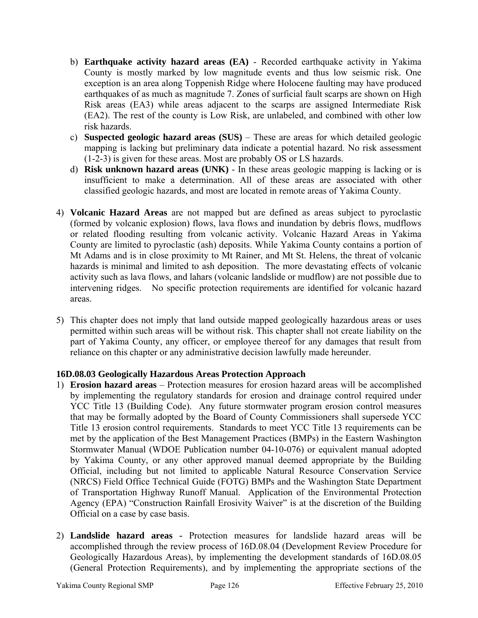- b) **Earthquake activity hazard areas (EA)** Recorded earthquake activity in Yakima County is mostly marked by low magnitude events and thus low seismic risk. One exception is an area along Toppenish Ridge where Holocene faulting may have produced earthquakes of as much as magnitude 7. Zones of surficial fault scarps are shown on High Risk areas (EA3) while areas adjacent to the scarps are assigned Intermediate Risk (EA2). The rest of the county is Low Risk, are unlabeled, and combined with other low risk hazards.
- c) **Suspected geologic hazard areas (SUS)** These are areas for which detailed geologic mapping is lacking but preliminary data indicate a potential hazard. No risk assessment (1-2-3) is given for these areas. Most are probably OS or LS hazards.
- d) **Risk unknown hazard areas (UNK)** In these areas geologic mapping is lacking or is insufficient to make a determination. All of these areas are associated with other classified geologic hazards, and most are located in remote areas of Yakima County.
- 4) **Volcanic Hazard Areas** are not mapped but are defined as areas subject to pyroclastic (formed by volcanic explosion) flows, lava flows and inundation by debris flows, mudflows or related flooding resulting from volcanic activity. Volcanic Hazard Areas in Yakima County are limited to pyroclastic (ash) deposits. While Yakima County contains a portion of Mt Adams and is in close proximity to Mt Rainer, and Mt St. Helens, the threat of volcanic hazards is minimal and limited to ash deposition. The more devastating effects of volcanic activity such as lava flows, and lahars (volcanic landslide or mudflow) are not possible due to intervening ridges. No specific protection requirements are identified for volcanic hazard areas.
- 5) This chapter does not imply that land outside mapped geologically hazardous areas or uses permitted within such areas will be without risk. This chapter shall not create liability on the part of Yakima County, any officer, or employee thereof for any damages that result from reliance on this chapter or any administrative decision lawfully made hereunder.

# **16D.08.03 Geologically Hazardous Areas Protection Approach**

- 1) **Erosion hazard areas**  Protection measures for erosion hazard areas will be accomplished by implementing the regulatory standards for erosion and drainage control required under YCC Title 13 (Building Code). Any future stormwater program erosion control measures that may be formally adopted by the Board of County Commissioners shall supersede YCC Title 13 erosion control requirements. Standards to meet YCC Title 13 requirements can be met by the application of the Best Management Practices (BMPs) in the Eastern Washington Stormwater Manual (WDOE Publication number 04-10-076) or equivalent manual adopted by Yakima County, or any other approved manual deemed appropriate by the Building Official, including but not limited to applicable Natural Resource Conservation Service (NRCS) Field Office Technical Guide (FOTG) BMPs and the Washington State Department of Transportation Highway Runoff Manual. Application of the Environmental Protection Agency (EPA) "Construction Rainfall Erosivity Waiver" is at the discretion of the Building Official on a case by case basis.
- 2) **Landslide hazard areas** Protection measures for landslide hazard areas will be accomplished through the review process of 16D.08.04 (Development Review Procedure for Geologically Hazardous Areas), by implementing the development standards of 16D.08.05 (General Protection Requirements), and by implementing the appropriate sections of the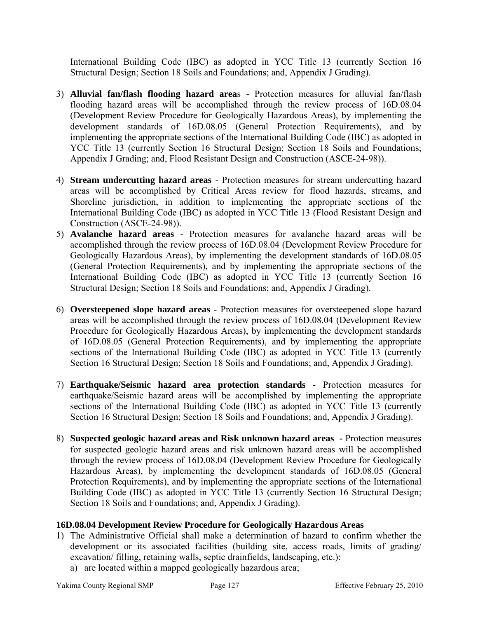International Building Code (IBC) as adopted in YCC Title 13 (currently Section 16 Structural Design; Section 18 Soils and Foundations; and, Appendix J Grading).

- 3) **Alluvial fan/flash flooding hazard area**s Protection measures for alluvial fan/flash flooding hazard areas will be accomplished through the review process of 16D.08.04 (Development Review Procedure for Geologically Hazardous Areas), by implementing the development standards of 16D.08.05 (General Protection Requirements), and by implementing the appropriate sections of the International Building Code (IBC) as adopted in YCC Title 13 (currently Section 16 Structural Design; Section 18 Soils and Foundations; Appendix J Grading; and, Flood Resistant Design and Construction (ASCE-24-98)).
- 4) **Stream undercutting hazard areas** Protection measures for stream undercutting hazard areas will be accomplished by Critical Areas review for flood hazards, streams, and Shoreline jurisdiction, in addition to implementing the appropriate sections of the International Building Code (IBC) as adopted in YCC Title 13 (Flood Resistant Design and Construction (ASCE-24-98)).
- 5) **Avalanche hazard areas** Protection measures for avalanche hazard areas will be accomplished through the review process of 16D.08.04 (Development Review Procedure for Geologically Hazardous Areas), by implementing the development standards of 16D.08.05 (General Protection Requirements), and by implementing the appropriate sections of the International Building Code (IBC) as adopted in YCC Title 13 (currently Section 16 Structural Design; Section 18 Soils and Foundations; and, Appendix J Grading).
- 6) **Oversteepened slope hazard areas** Protection measures for oversteepened slope hazard areas will be accomplished through the review process of 16D.08.04 (Development Review Procedure for Geologically Hazardous Areas), by implementing the development standards of 16D.08.05 (General Protection Requirements), and by implementing the appropriate sections of the International Building Code (IBC) as adopted in YCC Title 13 (currently Section 16 Structural Design; Section 18 Soils and Foundations; and, Appendix J Grading).
- 7) **Earthquake/Seismic hazard area protection standards** Protection measures for earthquake/Seismic hazard areas will be accomplished by implementing the appropriate sections of the International Building Code (IBC) as adopted in YCC Title 13 (currently Section 16 Structural Design; Section 18 Soils and Foundations; and, Appendix J Grading).
- 8) **Suspected geologic hazard areas and Risk unknown hazard areas** Protection measures for suspected geologic hazard areas and risk unknown hazard areas will be accomplished through the review process of 16D.08.04 (Development Review Procedure for Geologically Hazardous Areas), by implementing the development standards of 16D.08.05 (General Protection Requirements), and by implementing the appropriate sections of the International Building Code (IBC) as adopted in YCC Title 13 (currently Section 16 Structural Design; Section 18 Soils and Foundations; and, Appendix J Grading).

# **16D.08.04 Development Review Procedure for Geologically Hazardous Areas**

- 1) The Administrative Official shall make a determination of hazard to confirm whether the development or its associated facilities (building site, access roads, limits of grading/ excavation/ filling, retaining walls, septic drainfields, landscaping, etc.):
	- a) are located within a mapped geologically hazardous area;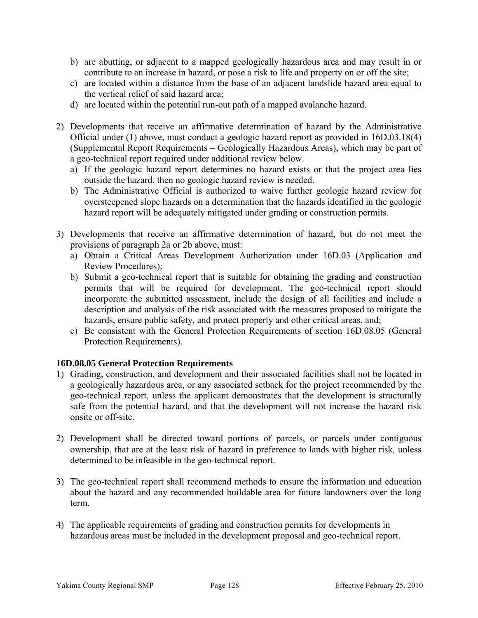- b) are abutting, or adjacent to a mapped geologically hazardous area and may result in or contribute to an increase in hazard, or pose a risk to life and property on or off the site;
- c) are located within a distance from the base of an adjacent landslide hazard area equal to the vertical relief of said hazard area;
- d) are located within the potential run-out path of a mapped avalanche hazard.
- 2) Developments that receive an affirmative determination of hazard by the Administrative Official under (1) above, must conduct a geologic hazard report as provided in 16D.03.18(4) (Supplemental Report Requirements – Geologically Hazardous Areas), which may be part of a geo-technical report required under additional review below.
	- a) If the geologic hazard report determines no hazard exists or that the project area lies outside the hazard, then no geologic hazard review is needed.
	- b) The Administrative Official is authorized to waive further geologic hazard review for oversteepened slope hazards on a determination that the hazards identified in the geologic hazard report will be adequately mitigated under grading or construction permits.
- 3) Developments that receive an affirmative determination of hazard, but do not meet the provisions of paragraph 2a or 2b above, must:
	- a) Obtain a Critical Areas Development Authorization under 16D.03 (Application and Review Procedures);
	- b) Submit a geo-technical report that is suitable for obtaining the grading and construction permits that will be required for development. The geo-technical report should incorporate the submitted assessment, include the design of all facilities and include a description and analysis of the risk associated with the measures proposed to mitigate the hazards, ensure public safety, and protect property and other critical areas, and;
	- c) Be consistent with the General Protection Requirements of section 16D.08.05 (General Protection Requirements).

# **16D.08.05 General Protection Requirements**

- 1) Grading, construction, and development and their associated facilities shall not be located in a geologically hazardous area, or any associated setback for the project recommended by the geo-technical report, unless the applicant demonstrates that the development is structurally safe from the potential hazard, and that the development will not increase the hazard risk onsite or off-site.
- 2) Development shall be directed toward portions of parcels, or parcels under contiguous ownership, that are at the least risk of hazard in preference to lands with higher risk, unless determined to be infeasible in the geo-technical report.
- 3) The geo-technical report shall recommend methods to ensure the information and education about the hazard and any recommended buildable area for future landowners over the long term.
- 4) The applicable requirements of grading and construction permits for developments in hazardous areas must be included in the development proposal and geo-technical report.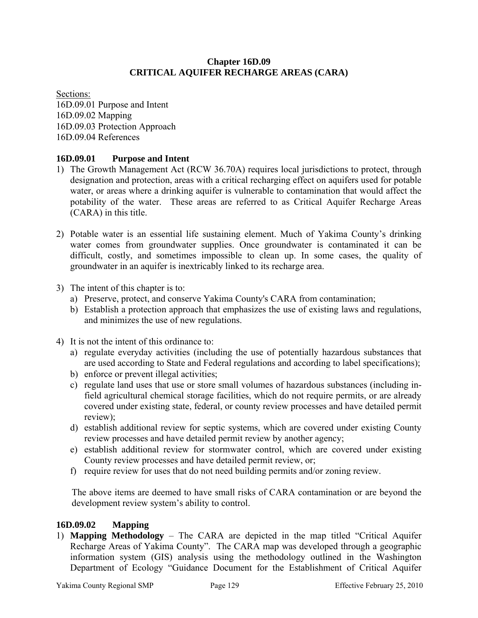### **Chapter 16D.09 CRITICAL AQUIFER RECHARGE AREAS (CARA)**

Sections: 16D.09.01 Purpose and Intent 16D.09.02 Mapping 16D.09.03 Protection Approach 16D.09.04 References

# **16D.09.01 Purpose and Intent**

- 1) The Growth Management Act (RCW 36.70A) requires local jurisdictions to protect, through designation and protection, areas with a critical recharging effect on aquifers used for potable water, or areas where a drinking aquifer is vulnerable to contamination that would affect the potability of the water. These areas are referred to as Critical Aquifer Recharge Areas (CARA) in this title.
- 2) Potable water is an essential life sustaining element. Much of Yakima County's drinking water comes from groundwater supplies. Once groundwater is contaminated it can be difficult, costly, and sometimes impossible to clean up. In some cases, the quality of groundwater in an aquifer is inextricably linked to its recharge area.
- 3) The intent of this chapter is to:
	- a) Preserve, protect, and conserve Yakima County's CARA from contamination;
	- b) Establish a protection approach that emphasizes the use of existing laws and regulations, and minimizes the use of new regulations.
- 4) It is not the intent of this ordinance to:
	- a) regulate everyday activities (including the use of potentially hazardous substances that are used according to State and Federal regulations and according to label specifications);
	- b) enforce or prevent illegal activities;
	- c) regulate land uses that use or store small volumes of hazardous substances (including infield agricultural chemical storage facilities, which do not require permits, or are already covered under existing state, federal, or county review processes and have detailed permit review);
	- d) establish additional review for septic systems, which are covered under existing County review processes and have detailed permit review by another agency;
	- e) establish additional review for stormwater control, which are covered under existing County review processes and have detailed permit review, or;
	- f) require review for uses that do not need building permits and/or zoning review.

The above items are deemed to have small risks of CARA contamination or are beyond the development review system's ability to control.

# **16D.09.02 Mapping**

1) **Mapping Methodology** – The CARA are depicted in the map titled "Critical Aquifer Recharge Areas of Yakima County". The CARA map was developed through a geographic information system (GIS) analysis using the methodology outlined in the Washington Department of Ecology "Guidance Document for the Establishment of Critical Aquifer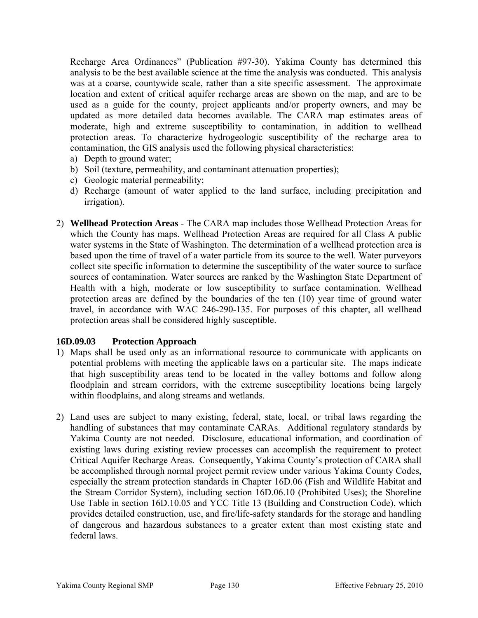Recharge Area Ordinances" (Publication #97-30). Yakima County has determined this analysis to be the best available science at the time the analysis was conducted. This analysis was at a coarse, countywide scale, rather than a site specific assessment. The approximate location and extent of critical aquifer recharge areas are shown on the map, and are to be used as a guide for the county, project applicants and/or property owners, and may be updated as more detailed data becomes available. The CARA map estimates areas of moderate, high and extreme susceptibility to contamination, in addition to wellhead protection areas. To characterize hydrogeologic susceptibility of the recharge area to contamination, the GIS analysis used the following physical characteristics:

- a) Depth to ground water;
- b) Soil (texture, permeability, and contaminant attenuation properties);
- c) Geologic material permeability;
- d) Recharge (amount of water applied to the land surface, including precipitation and irrigation).
- 2) **Wellhead Protection Areas** The CARA map includes those Wellhead Protection Areas for which the County has maps. Wellhead Protection Areas are required for all Class A public water systems in the State of Washington. The determination of a wellhead protection area is based upon the time of travel of a water particle from its source to the well. Water purveyors collect site specific information to determine the susceptibility of the water source to surface sources of contamination. Water sources are ranked by the Washington State Department of Health with a high, moderate or low susceptibility to surface contamination. Wellhead protection areas are defined by the boundaries of the ten (10) year time of ground water travel, in accordance with WAC 246-290-135. For purposes of this chapter, all wellhead protection areas shall be considered highly susceptible.

# **16D.09.03 Protection Approach**

- 1) Maps shall be used only as an informational resource to communicate with applicants on potential problems with meeting the applicable laws on a particular site. The maps indicate that high susceptibility areas tend to be located in the valley bottoms and follow along floodplain and stream corridors, with the extreme susceptibility locations being largely within floodplains, and along streams and wetlands.
- 2) Land uses are subject to many existing, federal, state, local, or tribal laws regarding the handling of substances that may contaminate CARAs. Additional regulatory standards by Yakima County are not needed. Disclosure, educational information, and coordination of existing laws during existing review processes can accomplish the requirement to protect Critical Aquifer Recharge Areas. Consequently, Yakima County's protection of CARA shall be accomplished through normal project permit review under various Yakima County Codes, especially the stream protection standards in Chapter 16D.06 (Fish and Wildlife Habitat and the Stream Corridor System), including section 16D.06.10 (Prohibited Uses); the Shoreline Use Table in section 16D.10.05 and YCC Title 13 (Building and Construction Code), which provides detailed construction, use, and fire/life-safety standards for the storage and handling of dangerous and hazardous substances to a greater extent than most existing state and federal laws.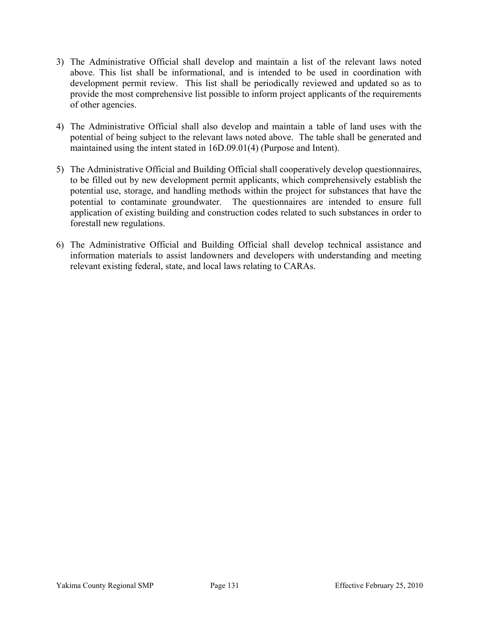- 3) The Administrative Official shall develop and maintain a list of the relevant laws noted above. This list shall be informational, and is intended to be used in coordination with development permit review. This list shall be periodically reviewed and updated so as to provide the most comprehensive list possible to inform project applicants of the requirements of other agencies.
- 4) The Administrative Official shall also develop and maintain a table of land uses with the potential of being subject to the relevant laws noted above. The table shall be generated and maintained using the intent stated in 16D.09.01(4) (Purpose and Intent).
- 5) The Administrative Official and Building Official shall cooperatively develop questionnaires, to be filled out by new development permit applicants, which comprehensively establish the potential use, storage, and handling methods within the project for substances that have the potential to contaminate groundwater. The questionnaires are intended to ensure full application of existing building and construction codes related to such substances in order to forestall new regulations.
- 6) The Administrative Official and Building Official shall develop technical assistance and information materials to assist landowners and developers with understanding and meeting relevant existing federal, state, and local laws relating to CARAs.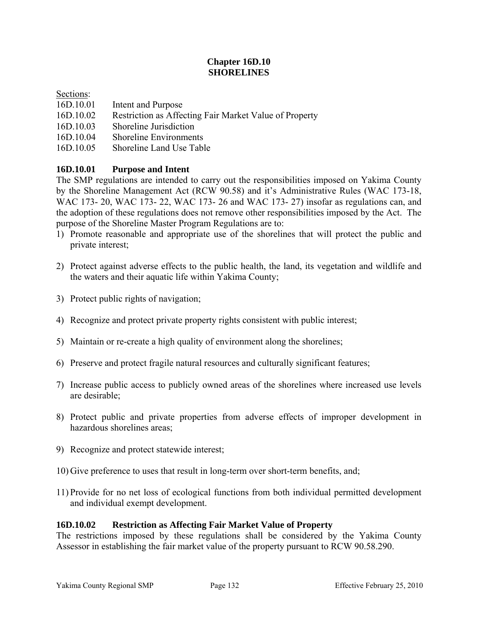# **Chapter 16D.10 SHORELINES**

### Sections:

- 16D.10.01 Intent and Purpose
- 16D.10.02 Restriction as Affecting Fair Market Value of Property
- 16D.10.03 Shoreline Jurisdiction
- 16D.10.04 Shoreline Environments
- 16D.10.05 Shoreline Land Use Table

# **16D.10.01 Purpose and Intent**

The SMP regulations are intended to carry out the responsibilities imposed on Yakima County by the Shoreline Management Act (RCW 90.58) and it's Administrative Rules (WAC 173-18, WAC 173- 20, WAC 173- 22, WAC 173- 26 and WAC 173- 27) insofar as regulations can, and the adoption of these regulations does not remove other responsibilities imposed by the Act. The purpose of the Shoreline Master Program Regulations are to:

- 1) Promote reasonable and appropriate use of the shorelines that will protect the public and private interest;
- 2) Protect against adverse effects to the public health, the land, its vegetation and wildlife and the waters and their aquatic life within Yakima County;
- 3) Protect public rights of navigation;
- 4) Recognize and protect private property rights consistent with public interest;
- 5) Maintain or re-create a high quality of environment along the shorelines;
- 6) Preserve and protect fragile natural resources and culturally significant features;
- 7) Increase public access to publicly owned areas of the shorelines where increased use levels are desirable;
- 8) Protect public and private properties from adverse effects of improper development in hazardous shorelines areas;
- 9) Recognize and protect statewide interest;
- 10) Give preference to uses that result in long-term over short-term benefits, and;
- 11) Provide for no net loss of ecological functions from both individual permitted development and individual exempt development.

#### **16D.10.02 Restriction as Affecting Fair Market Value of Property**

The restrictions imposed by these regulations shall be considered by the Yakima County Assessor in establishing the fair market value of the property pursuant to RCW 90.58.290.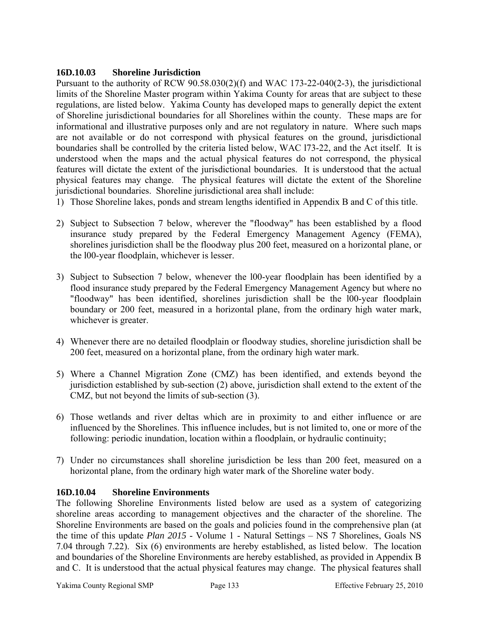# **16D.10.03 Shoreline Jurisdiction**

Pursuant to the authority of RCW 90.58.030(2)(f) and WAC 173-22-040(2-3), the jurisdictional limits of the Shoreline Master program within Yakima County for areas that are subject to these regulations, are listed below. Yakima County has developed maps to generally depict the extent of Shoreline jurisdictional boundaries for all Shorelines within the county. These maps are for informational and illustrative purposes only and are not regulatory in nature. Where such maps are not available or do not correspond with physical features on the ground, jurisdictional boundaries shall be controlled by the criteria listed below, WAC l73-22, and the Act itself. It is understood when the maps and the actual physical features do not correspond, the physical features will dictate the extent of the jurisdictional boundaries. It is understood that the actual physical features may change. The physical features will dictate the extent of the Shoreline jurisdictional boundaries. Shoreline jurisdictional area shall include:

- 1) Those Shoreline lakes, ponds and stream lengths identified in Appendix B and C of this title.
- 2) Subject to Subsection 7 below, wherever the "floodway" has been established by a flood insurance study prepared by the Federal Emergency Management Agency (FEMA), shorelines jurisdiction shall be the floodway plus 200 feet, measured on a horizontal plane, or the l00-year floodplain, whichever is lesser.
- 3) Subject to Subsection 7 below, whenever the l00-year floodplain has been identified by a flood insurance study prepared by the Federal Emergency Management Agency but where no "floodway" has been identified, shorelines jurisdiction shall be the l00-year floodplain boundary or 200 feet, measured in a horizontal plane, from the ordinary high water mark, whichever is greater.
- 4) Whenever there are no detailed floodplain or floodway studies, shoreline jurisdiction shall be 200 feet, measured on a horizontal plane, from the ordinary high water mark.
- 5) Where a Channel Migration Zone (CMZ) has been identified, and extends beyond the jurisdiction established by sub-section (2) above, jurisdiction shall extend to the extent of the CMZ, but not beyond the limits of sub-section (3).
- 6) Those wetlands and river deltas which are in proximity to and either influence or are influenced by the Shorelines. This influence includes, but is not limited to, one or more of the following: periodic inundation, location within a floodplain, or hydraulic continuity;
- 7) Under no circumstances shall shoreline jurisdiction be less than 200 feet, measured on a horizontal plane, from the ordinary high water mark of the Shoreline water body.

# **16D.10.04 Shoreline Environments**

The following Shoreline Environments listed below are used as a system of categorizing shoreline areas according to management objectives and the character of the shoreline. The Shoreline Environments are based on the goals and policies found in the comprehensive plan (at the time of this update *Plan 2015* - Volume 1 - Natural Settings – NS 7 Shorelines, Goals NS 7.04 through 7.22). Six (6) environments are hereby established, as listed below. The location and boundaries of the Shoreline Environments are hereby established, as provided in Appendix B and C. It is understood that the actual physical features may change. The physical features shall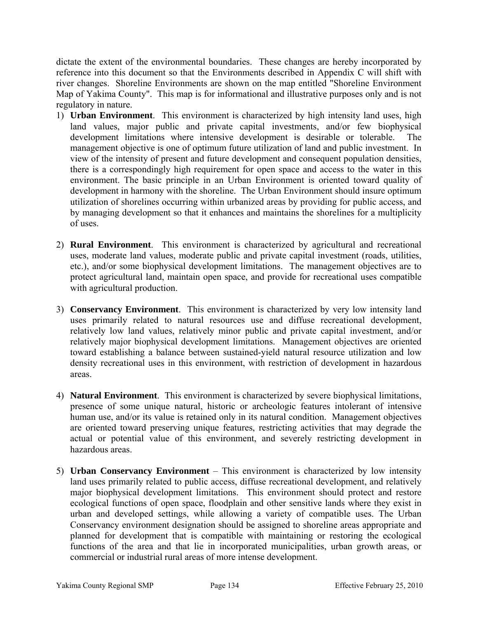dictate the extent of the environmental boundaries. These changes are hereby incorporated by reference into this document so that the Environments described in Appendix C will shift with river changes. Shoreline Environments are shown on the map entitled "Shoreline Environment Map of Yakima County". This map is for informational and illustrative purposes only and is not regulatory in nature.

- 1) **Urban Environment**. This environment is characterized by high intensity land uses, high land values, major public and private capital investments, and/or few biophysical development limitations where intensive development is desirable or tolerable. The management objective is one of optimum future utilization of land and public investment. In view of the intensity of present and future development and consequent population densities, there is a correspondingly high requirement for open space and access to the water in this environment. The basic principle in an Urban Environment is oriented toward quality of development in harmony with the shoreline. The Urban Environment should insure optimum utilization of shorelines occurring within urbanized areas by providing for public access, and by managing development so that it enhances and maintains the shorelines for a multiplicity of uses.
- 2) **Rural Environment**. This environment is characterized by agricultural and recreational uses, moderate land values, moderate public and private capital investment (roads, utilities, etc.), and/or some biophysical development limitations. The management objectives are to protect agricultural land, maintain open space, and provide for recreational uses compatible with agricultural production.
- 3) **Conservancy Environment**. This environment is characterized by very low intensity land uses primarily related to natural resources use and diffuse recreational development, relatively low land values, relatively minor public and private capital investment, and/or relatively major biophysical development limitations. Management objectives are oriented toward establishing a balance between sustained-yield natural resource utilization and low density recreational uses in this environment, with restriction of development in hazardous areas.
- 4) **Natural Environment**. This environment is characterized by severe biophysical limitations, presence of some unique natural, historic or archeologic features intolerant of intensive human use, and/or its value is retained only in its natural condition. Management objectives are oriented toward preserving unique features, restricting activities that may degrade the actual or potential value of this environment, and severely restricting development in hazardous areas.
- 5) **Urban Conservancy Environment** This environment is characterized by low intensity land uses primarily related to public access, diffuse recreational development, and relatively major biophysical development limitations. This environment should protect and restore ecological functions of open space, floodplain and other sensitive lands where they exist in urban and developed settings, while allowing a variety of compatible uses. The Urban Conservancy environment designation should be assigned to shoreline areas appropriate and planned for development that is compatible with maintaining or restoring the ecological functions of the area and that lie in incorporated municipalities, urban growth areas, or commercial or industrial rural areas of more intense development.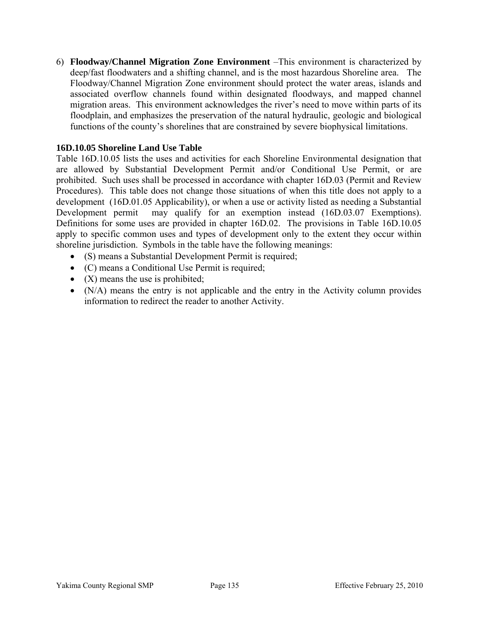6) **Floodway/Channel Migration Zone Environment** –This environment is characterized by deep/fast floodwaters and a shifting channel, and is the most hazardous Shoreline area. The Floodway/Channel Migration Zone environment should protect the water areas, islands and associated overflow channels found within designated floodways, and mapped channel migration areas. This environment acknowledges the river's need to move within parts of its floodplain, and emphasizes the preservation of the natural hydraulic, geologic and biological functions of the county's shorelines that are constrained by severe biophysical limitations.

### **16D.10.05 Shoreline Land Use Table**

Table 16D.10.05 lists the uses and activities for each Shoreline Environmental designation that are allowed by Substantial Development Permit and/or Conditional Use Permit, or are prohibited. Such uses shall be processed in accordance with chapter 16D.03 (Permit and Review Procedures). This table does not change those situations of when this title does not apply to a development (16D.01.05 Applicability), or when a use or activity listed as needing a Substantial Development permit may qualify for an exemption instead (16D.03.07 Exemptions). Definitions for some uses are provided in chapter 16D.02. The provisions in Table 16D.10.05 apply to specific common uses and types of development only to the extent they occur within shoreline jurisdiction. Symbols in the table have the following meanings:

- (S) means a Substantial Development Permit is required;
- (C) means a Conditional Use Permit is required;
- $(X)$  means the use is prohibited;
- (N/A) means the entry is not applicable and the entry in the Activity column provides information to redirect the reader to another Activity.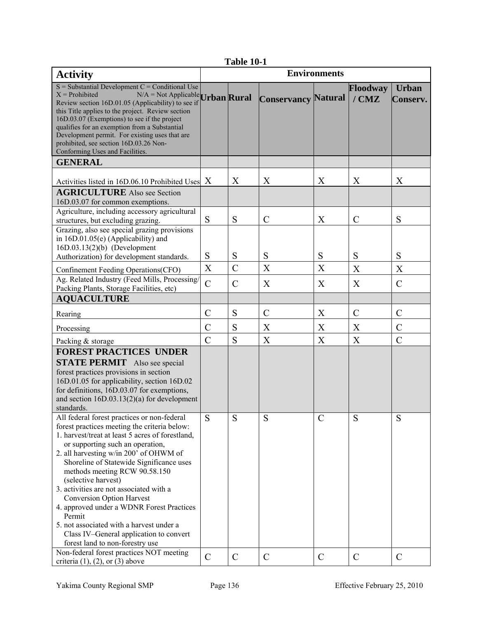| <b>Table 10-1</b> |  |
|-------------------|--|
|-------------------|--|

| <b>Activity</b>                                                                                                                                                                                                             |                  |                |                            | <b>Environments</b>       |                     |                          |
|-----------------------------------------------------------------------------------------------------------------------------------------------------------------------------------------------------------------------------|------------------|----------------|----------------------------|---------------------------|---------------------|--------------------------|
| $S =$ Substantial Development C = Conditional Use<br>$X =$ Prohibited<br>$N/A = Not \text{ Applied}$ Urban Rural<br>Review section 16D.01.05 (Applicability) to see if<br>this Title applies to the project. Review section |                  |                | <b>Conservancy Natural</b> |                           | Floodway<br>$/$ CMZ | <b>Urban</b><br>Conserv. |
| 16D.03.07 (Exemptions) to see if the project<br>qualifies for an exemption from a Substantial<br>Development permit. For existing uses that are<br>prohibited, see section 16D.03.26 Non-                                   |                  |                |                            |                           |                     |                          |
| Conforming Uses and Facilities.                                                                                                                                                                                             |                  |                |                            |                           |                     |                          |
| <b>GENERAL</b>                                                                                                                                                                                                              |                  |                |                            |                           |                     |                          |
| Activities listed in 16D.06.10 Prohibited Uses                                                                                                                                                                              | $\boldsymbol{X}$ | X              | X                          | X                         | X                   | X                        |
| <b>AGRICULTURE</b> Also see Section<br>16D.03.07 for common exemptions.                                                                                                                                                     |                  |                |                            |                           |                     |                          |
| Agriculture, including accessory agricultural<br>structures, but excluding grazing.                                                                                                                                         | S                | S              | $\mathcal{C}$              | X                         | $\mathcal{C}$       | S                        |
| Grazing, also see special grazing provisions<br>in 16D.01.05(e) (Applicability) and<br>$16D.03.13(2)(b)$ (Development                                                                                                       |                  |                |                            |                           |                     |                          |
| Authorization) for development standards.                                                                                                                                                                                   | S                | S              | S                          | S                         | S                   | S                        |
| Confinement Feeding Operations (CFO)                                                                                                                                                                                        | $\boldsymbol{X}$ | $\overline{C}$ | $\boldsymbol{X}$           | $\boldsymbol{\mathrm{X}}$ | X                   | X                        |
| Ag. Related Industry (Feed Mills, Processing/<br>Packing Plants, Storage Facilities, etc)                                                                                                                                   | $\overline{C}$   | $\mathcal{C}$  | X                          | X                         | X                   | $\mathcal{C}$            |
| <b>AQUACULTURE</b>                                                                                                                                                                                                          |                  |                |                            |                           |                     |                          |
| Rearing                                                                                                                                                                                                                     | $\overline{C}$   | S              | $\mathcal{C}$              | X                         | $\mathcal{C}$       | $\mathcal{C}$            |
| Processing                                                                                                                                                                                                                  | $\overline{C}$   | S              | X                          | $\boldsymbol{X}$          | X                   | $\mathcal{C}$            |
| Packing & storage                                                                                                                                                                                                           | $\overline{C}$   | S              | X                          | $\overline{X}$            | X                   | $\mathcal{C}$            |
| <b>FOREST PRACTICES UNDER</b>                                                                                                                                                                                               |                  |                |                            |                           |                     |                          |
| <b>STATE PERMIT</b> Also see special                                                                                                                                                                                        |                  |                |                            |                           |                     |                          |
| forest practices provisions in section                                                                                                                                                                                      |                  |                |                            |                           |                     |                          |
| 16D.01.05 for applicability, section 16D.02                                                                                                                                                                                 |                  |                |                            |                           |                     |                          |
| for definitions, 16D.03.07 for exemptions,                                                                                                                                                                                  |                  |                |                            |                           |                     |                          |
| and section $16D.03.13(2)(a)$ for development<br>standards.                                                                                                                                                                 |                  |                |                            |                           |                     |                          |
| All federal forest practices or non-federal                                                                                                                                                                                 | S                | S              | S                          | $\mathcal{C}$             | ${\bf S}$           | S                        |
| forest practices meeting the criteria below:                                                                                                                                                                                |                  |                |                            |                           |                     |                          |
| 1. harvest/treat at least 5 acres of forestland,                                                                                                                                                                            |                  |                |                            |                           |                     |                          |
| or supporting such an operation,                                                                                                                                                                                            |                  |                |                            |                           |                     |                          |
| 2. all harvesting w/in 200' of OHWM of                                                                                                                                                                                      |                  |                |                            |                           |                     |                          |
| Shoreline of Statewide Significance uses                                                                                                                                                                                    |                  |                |                            |                           |                     |                          |
| methods meeting RCW 90.58.150<br>(selective harvest)                                                                                                                                                                        |                  |                |                            |                           |                     |                          |
| 3. activities are not associated with a                                                                                                                                                                                     |                  |                |                            |                           |                     |                          |
| <b>Conversion Option Harvest</b>                                                                                                                                                                                            |                  |                |                            |                           |                     |                          |
| 4. approved under a WDNR Forest Practices                                                                                                                                                                                   |                  |                |                            |                           |                     |                          |
| Permit                                                                                                                                                                                                                      |                  |                |                            |                           |                     |                          |
| 5. not associated with a harvest under a                                                                                                                                                                                    |                  |                |                            |                           |                     |                          |
| Class IV-General application to convert                                                                                                                                                                                     |                  |                |                            |                           |                     |                          |
| forest land to non-forestry use                                                                                                                                                                                             |                  |                |                            |                           |                     |                          |
| Non-federal forest practices NOT meeting<br>criteria $(1)$ , $(2)$ , or $(3)$ above                                                                                                                                         | $\overline{C}$   | $\mathcal{C}$  | $\mathcal{C}$              | $\mathcal{C}$             | $\mathcal{C}$       | $\mathcal{C}$            |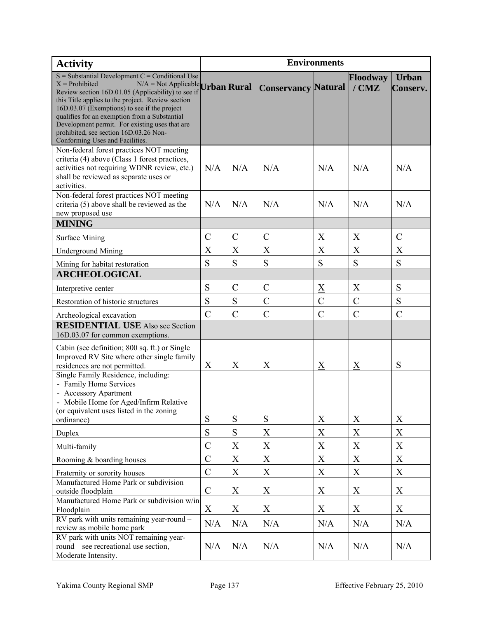| <b>Activity</b>                                                                                                                                                                                                                                                                                                                                                                                                                                             |               |               |                            | <b>Environments</b>       |                     |                          |
|-------------------------------------------------------------------------------------------------------------------------------------------------------------------------------------------------------------------------------------------------------------------------------------------------------------------------------------------------------------------------------------------------------------------------------------------------------------|---------------|---------------|----------------------------|---------------------------|---------------------|--------------------------|
| $S =$ Substantial Development C = Conditional Use<br>$X =$ Prohibited<br>$N/A = Not \text{ Applied Urban}$ Rural<br>Review section 16D.01.05 (Applicability) to see if<br>this Title applies to the project. Review section<br>16D.03.07 (Exemptions) to see if the project<br>qualifies for an exemption from a Substantial<br>Development permit. For existing uses that are<br>prohibited, see section 16D.03.26 Non-<br>Conforming Uses and Facilities. |               |               | <b>Conservancy Natural</b> |                           | Floodway<br>$/$ CMZ | <b>Urban</b><br>Conserv. |
| Non-federal forest practices NOT meeting<br>criteria (4) above (Class 1 forest practices,<br>activities not requiring WDNR review, etc.)<br>shall be reviewed as separate uses or<br>activities.                                                                                                                                                                                                                                                            | N/A           | N/A           | N/A                        | N/A                       | N/A                 | N/A                      |
| Non-federal forest practices NOT meeting<br>criteria (5) above shall be reviewed as the<br>new proposed use                                                                                                                                                                                                                                                                                                                                                 | N/A           | N/A           | N/A                        | N/A                       | N/A                 | N/A                      |
| <b>MINING</b>                                                                                                                                                                                                                                                                                                                                                                                                                                               |               |               |                            |                           |                     |                          |
| <b>Surface Mining</b>                                                                                                                                                                                                                                                                                                                                                                                                                                       | $\mathcal{C}$ | $\mathcal{C}$ | $\mathcal{C}$              | X                         | X                   | $\mathcal{C}$            |
| <b>Underground Mining</b>                                                                                                                                                                                                                                                                                                                                                                                                                                   | X             | X             | X                          | X                         | X                   | X                        |
| Mining for habitat restoration                                                                                                                                                                                                                                                                                                                                                                                                                              | S             | S             | S                          | S                         | S                   | S                        |
| <b>ARCHEOLOGICAL</b>                                                                                                                                                                                                                                                                                                                                                                                                                                        |               |               |                            |                           |                     |                          |
| Interpretive center                                                                                                                                                                                                                                                                                                                                                                                                                                         | S             | $\mathcal{C}$ | $\mathcal{C}$              | $\underline{X}$           | X                   | S                        |
| Restoration of historic structures                                                                                                                                                                                                                                                                                                                                                                                                                          | S             | ${\bf S}$     | $\mathcal{C}$              | $\overline{C}$            | $\mathcal{C}$       | S                        |
|                                                                                                                                                                                                                                                                                                                                                                                                                                                             | $\mathcal{C}$ |               |                            |                           |                     |                          |
| Archeological excavation<br><b>RESIDENTIAL USE</b> Also see Section<br>16D.03.07 for common exemptions.                                                                                                                                                                                                                                                                                                                                                     |               | $\mathcal{C}$ | $\mathcal{C}$              | $\mathcal{C}$             | $\mathcal{C}$       | $\mathcal{C}$            |
| Cabin (see definition; 800 sq. ft.) or Single<br>Improved RV Site where other single family<br>residences are not permitted.                                                                                                                                                                                                                                                                                                                                | X             | X             | X                          | $\overline{\mathrm{X}}$   | $\underline{X}$     | S                        |
| Single Family Residence, including:<br>- Family Home Services<br>- Accessory Apartment<br>- Mobile Home for Aged/Infirm Relative<br>(or equivalent uses listed in the zoning<br>ordinance)                                                                                                                                                                                                                                                                  | S             | S             | S                          | X                         | X                   | X                        |
| Duplex                                                                                                                                                                                                                                                                                                                                                                                                                                                      | S             | S             | X                          | $\mathbf X$               | $\mathbf X$         | X                        |
| Multi-family                                                                                                                                                                                                                                                                                                                                                                                                                                                | $\mathcal{C}$ | X             | X                          | X                         | X                   | X                        |
| Rooming & boarding houses                                                                                                                                                                                                                                                                                                                                                                                                                                   | $\mathcal{C}$ | X             | X                          | $\boldsymbol{\mathrm{X}}$ | $\mathbf X$         | X                        |
|                                                                                                                                                                                                                                                                                                                                                                                                                                                             | $\mathcal{C}$ | X             | X                          | $\boldsymbol{\mathrm{X}}$ | X                   | X                        |
| Fraternity or sorority houses<br>Manufactured Home Park or subdivision<br>outside floodplain                                                                                                                                                                                                                                                                                                                                                                | $\mathcal{C}$ | X             | X                          | X                         | X                   | X                        |
| Manufactured Home Park or subdivision w/in                                                                                                                                                                                                                                                                                                                                                                                                                  | X             | X             | X                          | X                         | X                   | X                        |
| Floodplain<br>RV park with units remaining year-round -                                                                                                                                                                                                                                                                                                                                                                                                     |               |               |                            |                           |                     |                          |
| review as mobile home park                                                                                                                                                                                                                                                                                                                                                                                                                                  | N/A           | N/A           | N/A                        | N/A                       | N/A                 | N/A                      |
| RV park with units NOT remaining year-<br>round – see recreational use section,<br>Moderate Intensity.                                                                                                                                                                                                                                                                                                                                                      | N/A           | N/A           | N/A                        | N/A                       | N/A                 | N/A                      |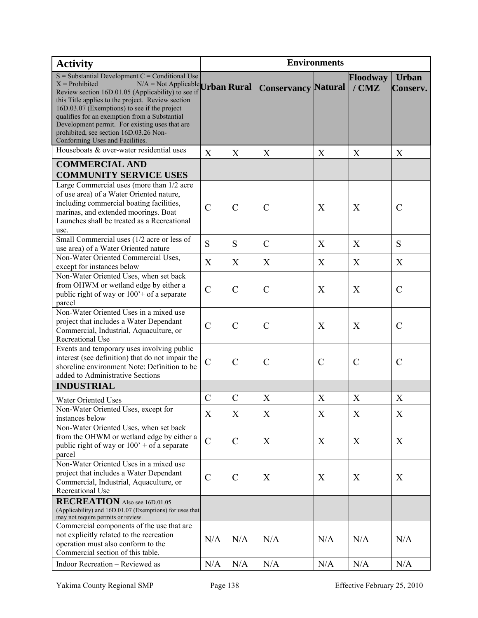| <b>Activity</b>                                                                                                                                                                                                                 | <b>Environments</b> |               |                            |               |                     |                          |
|---------------------------------------------------------------------------------------------------------------------------------------------------------------------------------------------------------------------------------|---------------------|---------------|----------------------------|---------------|---------------------|--------------------------|
| $S =$ Substantial Development C = Conditional Use<br>$X =$ Prohibited<br>$N/A = Not \text{ Applicable }$ Urban Rural<br>Review section 16D.01.05 (Applicability) to see if<br>this Title applies to the project. Review section |                     |               | <b>Conservancy Natural</b> |               | Floodway<br>$/$ CMZ | <b>Urban</b><br>Conserv. |
| 16D.03.07 (Exemptions) to see if the project<br>qualifies for an exemption from a Substantial<br>Development permit. For existing uses that are<br>prohibited, see section 16D.03.26 Non-<br>Conforming Uses and Facilities.    |                     |               |                            |               |                     |                          |
| Houseboats & over-water residential uses                                                                                                                                                                                        | X                   | X             | X                          | X             | X                   | X                        |
| <b>COMMERCIAL AND</b><br><b>COMMUNITY SERVICE USES</b>                                                                                                                                                                          |                     |               |                            |               |                     |                          |
| Large Commercial uses (more than 1/2 acre                                                                                                                                                                                       |                     |               |                            |               |                     |                          |
| of use area) of a Water Oriented nature,<br>including commercial boating facilities,<br>marinas, and extended moorings. Boat<br>Launches shall be treated as a Recreational<br>use.                                             | $\overline{C}$      | $\mathcal{C}$ | $\mathcal{C}$              | X             | X                   | $\mathcal{C}$            |
| Small Commercial uses (1/2 acre or less of                                                                                                                                                                                      |                     |               |                            |               |                     |                          |
| use area) of a Water Oriented nature                                                                                                                                                                                            | S                   | S             | $\mathcal{C}$              | X             | X                   | S                        |
| Non-Water Oriented Commercial Uses,<br>except for instances below                                                                                                                                                               | X                   | X             | X                          | X             | X                   | X                        |
| Non-Water Oriented Uses, when set back<br>from OHWM or wetland edge by either a<br>public right of way or $1003$ + of a separate<br>parcel                                                                                      | $\mathcal{C}$       | $\mathcal{C}$ | $\mathcal{C}$              | X             | X                   | $\mathcal{C}$            |
| Non-Water Oriented Uses in a mixed use<br>project that includes a Water Dependant<br>Commercial, Industrial, Aquaculture, or<br>Recreational Use                                                                                | $\mathcal{C}$       | $\mathcal{C}$ | $\mathcal{C}$              | X             | X                   | $\mathcal{C}$            |
| Events and temporary uses involving public<br>interest (see definition) that do not impair the<br>shoreline environment Note: Definition to be<br>added to Administrative Sections                                              | $\mathcal{C}$       | $\mathcal{C}$ | $\mathcal{C}$              | $\mathcal{C}$ | $\mathcal{C}$       | $\mathcal{C}$            |
| <b>INDUSTRIAL</b>                                                                                                                                                                                                               |                     |               |                            |               |                     |                          |
| Water Oriented Uses                                                                                                                                                                                                             | $\mathcal{C}$       | $\mathcal{C}$ | X                          | X             | X                   | X                        |
| Non-Water Oriented Uses, except for<br>instances below                                                                                                                                                                          | X                   | X             | X                          | X             | X                   | X                        |
| Non-Water Oriented Uses, when set back<br>from the OHWM or wetland edge by either a<br>public right of way or $100'$ + of a separate<br>parcel                                                                                  | $\overline{C}$      | $\mathcal{C}$ | X                          | X             | X                   | X                        |
| Non-Water Oriented Uses in a mixed use<br>project that includes a Water Dependant<br>Commercial, Industrial, Aquaculture, or<br>Recreational Use                                                                                | $\mathcal{C}$       | $\mathcal{C}$ | X                          | X             | X                   | X                        |
| <b>RECREATION</b> Also see 16D.01.05<br>(Applicability) and 16D.01.07 (Exemptions) for uses that<br>may not require permits or review.                                                                                          |                     |               |                            |               |                     |                          |
| Commercial components of the use that are<br>not explicitly related to the recreation<br>operation must also conform to the                                                                                                     | N/A                 | N/A           | N/A                        | N/A           | N/A                 | N/A                      |
| Commercial section of this table.<br>Indoor Recreation - Reviewed as                                                                                                                                                            | N/A                 | N/A           | N/A                        | N/A           | N/A                 | N/A                      |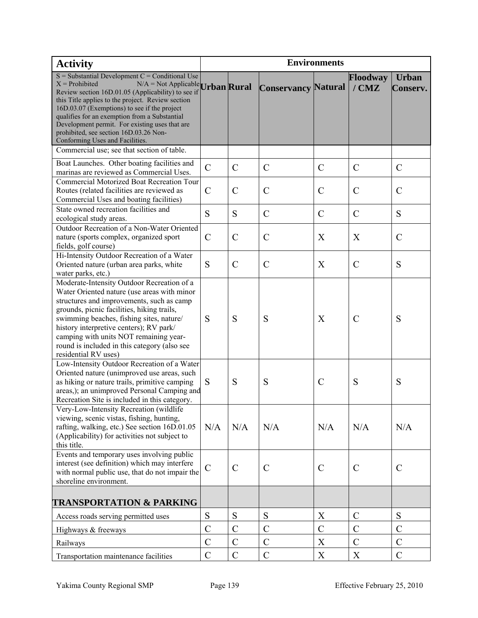| <b>Activity</b>                                                                                                                                                                                                                                                                                                                                                                                                                                              | <b>Environments</b> |                |                            |                |                     |                          |
|--------------------------------------------------------------------------------------------------------------------------------------------------------------------------------------------------------------------------------------------------------------------------------------------------------------------------------------------------------------------------------------------------------------------------------------------------------------|---------------------|----------------|----------------------------|----------------|---------------------|--------------------------|
| $S =$ Substantial Development $C =$ Conditional Use<br>$X =$ Prohibited<br>$N/A = Not \text{Applied}$ Urban Rural<br>Review section 16D.01.05 (Applicability) to see if<br>this Title applies to the project. Review section<br>16D.03.07 (Exemptions) to see if the project<br>qualifies for an exemption from a Substantial<br>Development permit. For existing uses that are<br>prohibited, see section 16D.03.26 Non-<br>Conforming Uses and Facilities. |                     |                | <b>Conservancy Natural</b> |                | Floodway<br>$/$ CMZ | <b>Urban</b><br>Conserv. |
| Commercial use; see that section of table.                                                                                                                                                                                                                                                                                                                                                                                                                   |                     |                |                            |                |                     |                          |
| Boat Launches. Other boating facilities and<br>marinas are reviewed as Commercial Uses.<br><b>Commercial Motorized Boat Recreation Tour</b>                                                                                                                                                                                                                                                                                                                  | $\mathcal{C}$       | $\mathcal{C}$  | $\mathcal{C}$              | $\mathcal{C}$  | $\mathcal{C}$       | $\mathcal{C}$            |
| Routes (related facilities are reviewed as<br>Commercial Uses and boating facilities)                                                                                                                                                                                                                                                                                                                                                                        | $\mathcal{C}$       | $\mathcal{C}$  | $\mathcal{C}$              | $\mathcal{C}$  | $\mathcal{C}$       | $\mathcal{C}$            |
| State owned recreation facilities and<br>ecological study areas.                                                                                                                                                                                                                                                                                                                                                                                             | S                   | S              | $\mathcal{C}$              | $\mathcal{C}$  | $\mathcal{C}$       | S                        |
| Outdoor Recreation of a Non-Water Oriented<br>nature (sports complex, organized sport<br>fields, golf course)                                                                                                                                                                                                                                                                                                                                                | $\mathcal{C}$       | $\mathcal{C}$  | $\mathcal{C}$              | X              | X                   | $\mathcal{C}$            |
| Hi-Intensity Outdoor Recreation of a Water<br>Oriented nature (urban area parks, white<br>water parks, etc.)                                                                                                                                                                                                                                                                                                                                                 | S                   | $\mathcal{C}$  | $\mathcal{C}$              | X              | $\mathcal{C}$       | S                        |
| Moderate-Intensity Outdoor Recreation of a<br>Water Oriented nature (use areas with minor<br>structures and improvements, such as camp<br>grounds, picnic facilities, hiking trails,<br>swimming beaches, fishing sites, nature/<br>history interpretive centers); RV park/<br>camping with units NOT remaining year-<br>round is included in this category (also see<br>residential RV uses)                                                                | S                   | S              | S                          | X              | $\mathcal{C}$       | S                        |
| Low-Intensity Outdoor Recreation of a Water<br>Oriented nature (unimproved use areas, such<br>as hiking or nature trails, primitive camping<br>areas,); an unimproved Personal Camping and<br>Recreation Site is included in this category.                                                                                                                                                                                                                  | S                   | S              | S                          | $\mathcal{C}$  | S                   | S                        |
| Very-Low-Intensity Recreation (wildlife)<br>viewing, scenic vistas, fishing, hunting,<br>rafting, walking, etc.) See section 16D.01.05<br>(Applicability) for activities not subject to<br>this title.                                                                                                                                                                                                                                                       | N/A                 | N/A            | N/A                        | N/A            | N/A                 | N/A                      |
| Events and temporary uses involving public<br>interest (see definition) which may interfere<br>with normal public use, that do not impair the<br>shoreline environment.                                                                                                                                                                                                                                                                                      | $\mathcal{C}$       | $\mathcal{C}$  | $\mathcal{C}$              | $\mathcal{C}$  | $\mathcal{C}$       | $\mathcal{C}$            |
| <b>TRANSPORTATION &amp; PARKING</b>                                                                                                                                                                                                                                                                                                                                                                                                                          |                     |                |                            |                |                     |                          |
| Access roads serving permitted uses                                                                                                                                                                                                                                                                                                                                                                                                                          | S                   | S              | S                          | X              | $\mathcal{C}$       | S                        |
| Highways & freeways                                                                                                                                                                                                                                                                                                                                                                                                                                          | $\overline{C}$      | $\overline{C}$ | $\mathcal{C}$              | $\overline{C}$ | $\overline{C}$      | $\mathcal{C}$            |
| Railways                                                                                                                                                                                                                                                                                                                                                                                                                                                     | $\mathcal{C}$       | $\mathcal{C}$  | $\mathcal{C}$              | X              | $\mathcal{C}$       | $\mathcal{C}$            |
| Transportation maintenance facilities                                                                                                                                                                                                                                                                                                                                                                                                                        | $\mathcal{C}$       | $\mathcal{C}$  | $\mathcal{C}$              | X              | X                   | $\mathcal{C}$            |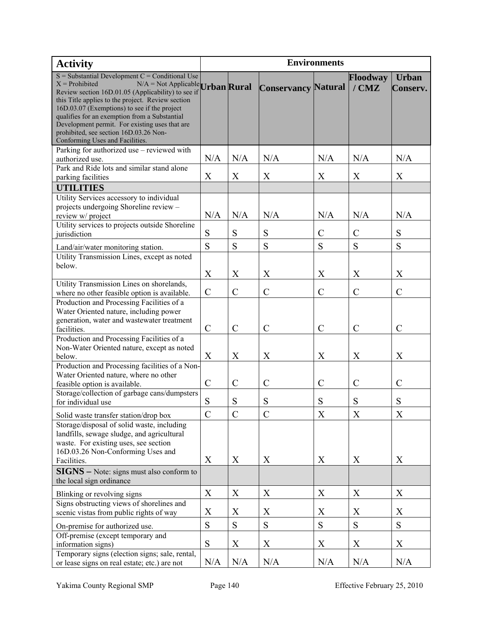| <b>Activity</b>                                                                                                  | <b>Environments</b> |                  |                            |               |               |               |
|------------------------------------------------------------------------------------------------------------------|---------------------|------------------|----------------------------|---------------|---------------|---------------|
| $S =$ Substantial Development C = Conditional Use                                                                |                     |                  |                            |               | Floodway      | <b>Urban</b>  |
| $X =$ Prohibited<br>$N/A = Not \text{Applied}$ Urban Rural<br>Review section 16D.01.05 (Applicability) to see if |                     |                  | <b>Conservancy Natural</b> |               | $/$ CMZ       | Conserv.      |
| this Title applies to the project. Review section                                                                |                     |                  |                            |               |               |               |
| 16D.03.07 (Exemptions) to see if the project                                                                     |                     |                  |                            |               |               |               |
| qualifies for an exemption from a Substantial                                                                    |                     |                  |                            |               |               |               |
| Development permit. For existing uses that are<br>prohibited, see section 16D.03.26 Non-                         |                     |                  |                            |               |               |               |
| Conforming Uses and Facilities.                                                                                  |                     |                  |                            |               |               |               |
| Parking for authorized use - reviewed with                                                                       |                     |                  |                            |               |               |               |
| authorized use.                                                                                                  | N/A                 | N/A              | N/A                        | N/A           | N/A           | N/A           |
| Park and Ride lots and similar stand alone                                                                       |                     |                  |                            |               |               |               |
| parking facilities                                                                                               | X                   | X                | X                          | X             | X             | X             |
| <b>UTILITIES</b>                                                                                                 |                     |                  |                            |               |               |               |
| Utility Services accessory to individual<br>projects undergoing Shoreline review -                               |                     |                  |                            |               |               |               |
| review w/ project                                                                                                | N/A                 | N/A              | N/A                        | N/A           | N/A           | N/A           |
| Utility services to projects outside Shoreline                                                                   |                     |                  |                            |               |               |               |
| jurisdiction                                                                                                     | ${\bf S}$           | S                | ${\bf S}$                  | $\mathcal{C}$ | $\mathcal{C}$ | S             |
| Land/air/water monitoring station.                                                                               | S                   | S                | S                          | S             | S             | S             |
| Utility Transmission Lines, except as noted                                                                      |                     |                  |                            |               |               |               |
| below.                                                                                                           |                     |                  |                            |               |               |               |
|                                                                                                                  | X                   | X                | X                          | X             | X             | X             |
| Utility Transmission Lines on shorelands,<br>where no other feasible option is available.                        | $\mathcal{C}$       | $\mathcal{C}$    | $\mathcal{C}$              | $\mathcal{C}$ | $\mathcal{C}$ | $\mathcal{C}$ |
| Production and Processing Facilities of a                                                                        |                     |                  |                            |               |               |               |
| Water Oriented nature, including power                                                                           |                     |                  |                            |               |               |               |
| generation, water and wastewater treatment                                                                       |                     |                  |                            |               |               |               |
| facilities.                                                                                                      | $\mathcal{C}$       | $\mathcal{C}$    | $\mathcal{C}$              | $\mathcal{C}$ | $\mathcal{C}$ | $\mathcal{C}$ |
| Production and Processing Facilities of a<br>Non-Water Oriented nature, except as noted                          |                     |                  |                            |               |               |               |
| below.                                                                                                           | X                   | $\boldsymbol{X}$ | X                          | X             | X             | X             |
| Production and Processing facilities of a Non-                                                                   |                     |                  |                            |               |               |               |
| Water Oriented nature, where no other                                                                            |                     |                  |                            |               |               |               |
| feasible option is available.                                                                                    | $\mathcal{C}$       | $\mathcal{C}$    | $\mathcal{C}$              | $\mathcal{C}$ | $\mathcal{C}$ | $\mathcal{C}$ |
| Storage/collection of garbage cans/dumpsters                                                                     | S                   | S                | S                          | S             | S             | S             |
| for individual use                                                                                               |                     |                  |                            |               |               |               |
| Solid waste transfer station/drop box                                                                            | $\mathcal{C}$       | $\mathcal{C}$    | $\mathcal{C}$              | X             | X             | X             |
| Storage/disposal of solid waste, including                                                                       |                     |                  |                            |               |               |               |
| landfills, sewage sludge, and agricultural<br>waste. For existing uses, see section                              |                     |                  |                            |               |               |               |
| 16D.03.26 Non-Conforming Uses and                                                                                |                     |                  |                            |               |               |               |
| Facilities.                                                                                                      | X                   | X                | X                          | X             | X             | X             |
| <b>SIGNS</b> - Note: signs must also conform to                                                                  |                     |                  |                            |               |               |               |
| the local sign ordinance                                                                                         |                     |                  |                            |               |               |               |
| Blinking or revolving signs                                                                                      | X                   | X                | X                          | X             | X             | X             |
| Signs obstructing views of shorelines and                                                                        |                     |                  |                            |               |               |               |
| scenic vistas from public rights of way                                                                          | X                   | X                | X                          | X             | X             | X             |
| On-premise for authorized use.                                                                                   | ${\bf S}$           | ${\bf S}$        | ${\bf S}$                  | S             | S             | S             |
| Off-premise (except temporary and                                                                                | ${\bf S}$           |                  | $\mathbf X$                | X             |               | $\mathbf X$   |
| information signs)<br>Temporary signs (election signs; sale, rental,                                             |                     | X                |                            |               | X             |               |
| or lease signs on real estate; etc.) are not                                                                     | N/A                 | N/A              | N/A                        | N/A           | N/A           | N/A           |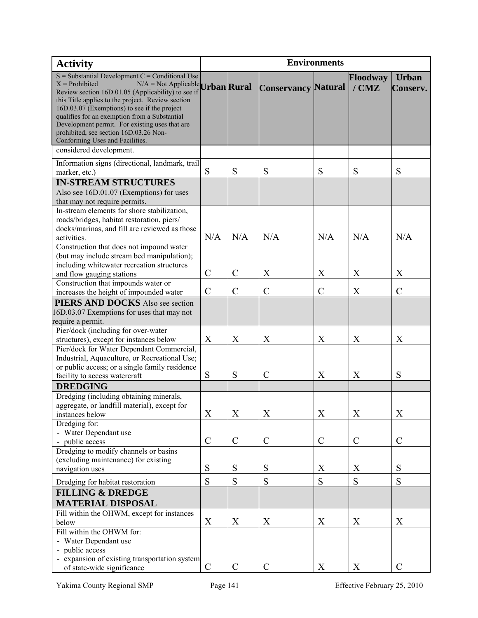| <b>Activity</b>                                                                                   | <b>Environments</b> |               |                            |               |               |               |
|---------------------------------------------------------------------------------------------------|---------------------|---------------|----------------------------|---------------|---------------|---------------|
| $S =$ Substantial Development $C =$ Conditional Use                                               |                     |               |                            |               | Floodway      | <b>Urban</b>  |
| $X =$ Prohibited<br>$N/A = Not \text{ Applied }$ Urban Rural                                      |                     |               | <b>Conservancy Natural</b> |               | $/$ CMZ       | Conserv.      |
| Review section 16D.01.05 (Applicability) to see if                                                |                     |               |                            |               |               |               |
| this Title applies to the project. Review section<br>16D.03.07 (Exemptions) to see if the project |                     |               |                            |               |               |               |
| qualifies for an exemption from a Substantial                                                     |                     |               |                            |               |               |               |
| Development permit. For existing uses that are                                                    |                     |               |                            |               |               |               |
| prohibited, see section 16D.03.26 Non-                                                            |                     |               |                            |               |               |               |
| Conforming Uses and Facilities.                                                                   |                     |               |                            |               |               |               |
| considered development.                                                                           |                     |               |                            |               |               |               |
| Information signs (directional, landmark, trail                                                   |                     |               |                            |               |               |               |
| marker, etc.)                                                                                     | S                   | S             | S                          | S             | S             | S             |
| <b>IN-STREAM STRUCTURES</b>                                                                       |                     |               |                            |               |               |               |
| Also see 16D.01.07 (Exemptions) for uses                                                          |                     |               |                            |               |               |               |
| that may not require permits.                                                                     |                     |               |                            |               |               |               |
| In-stream elements for shore stabilization,                                                       |                     |               |                            |               |               |               |
| roads/bridges, habitat restoration, piers/                                                        |                     |               |                            |               |               |               |
| docks/marinas, and fill are reviewed as those                                                     |                     |               |                            |               |               |               |
| activities.                                                                                       | N/A                 | N/A           | N/A                        | N/A           | N/A           | N/A           |
| Construction that does not impound water                                                          |                     |               |                            |               |               |               |
| (but may include stream bed manipulation);                                                        |                     |               |                            |               |               |               |
| including whitewater recreation structures                                                        | $\mathcal{C}$       | $\mathcal{C}$ | X                          | X             | X             | X             |
| and flow gauging stations                                                                         |                     |               |                            |               |               |               |
| Construction that impounds water or<br>increases the height of impounded water                    | $\mathcal{C}$       | $\mathcal{C}$ | $\mathcal{C}$              | $\mathcal{C}$ | X             | $\mathcal{C}$ |
|                                                                                                   |                     |               |                            |               |               |               |
| <b>PIERS AND DOCKS</b> Also see section                                                           |                     |               |                            |               |               |               |
| 16D.03.07 Exemptions for uses that may not                                                        |                     |               |                            |               |               |               |
| require a permit.<br>Pier/dock (including for over-water                                          |                     |               |                            |               |               |               |
| structures), except for instances below                                                           | X                   | X             | X                          | X             | X             | X             |
| Pier/dock for Water Dependant Commercial,                                                         |                     |               |                            |               |               |               |
| Industrial, Aquaculture, or Recreational Use;                                                     |                     |               |                            |               |               |               |
| or public access; or a single family residence                                                    |                     |               |                            |               |               |               |
| facility to access watercraft                                                                     | S                   | S             | $\mathcal{C}$              | X             | X             | S             |
| <b>DREDGING</b>                                                                                   |                     |               |                            |               |               |               |
| Dredging (including obtaining minerals,                                                           |                     |               |                            |               |               |               |
| aggregate, or landfill material), except for                                                      |                     |               |                            |               |               |               |
| instances below                                                                                   | X                   | X             | X                          | X             | X             | X             |
| Dredging for:                                                                                     |                     |               |                            |               |               |               |
| - Water Dependant use                                                                             |                     |               |                            |               |               |               |
| - public access                                                                                   | $\mathcal{C}$       | $\mathcal{C}$ | $\mathcal{C}$              | $\mathcal{C}$ | $\mathcal{C}$ | $\mathcal{C}$ |
| Dredging to modify channels or basins                                                             |                     |               |                            |               |               |               |
| (excluding maintenance) for existing                                                              |                     |               |                            |               |               |               |
| navigation uses                                                                                   | S                   | S             | ${\bf S}$                  | X             | X             | S             |
| Dredging for habitat restoration                                                                  | S                   | S             | S                          | S             | S             | S             |
| <b>FILLING &amp; DREDGE</b>                                                                       |                     |               |                            |               |               |               |
| <b>MATERIAL DISPOSAL</b>                                                                          |                     |               |                            |               |               |               |
| Fill within the OHWM, except for instances                                                        |                     |               |                            |               |               |               |
| below                                                                                             | X                   | X             | X                          | X             | X             | X             |
| Fill within the OHWM for:                                                                         |                     |               |                            |               |               |               |
| - Water Dependant use                                                                             |                     |               |                            |               |               |               |
| - public access                                                                                   |                     |               |                            |               |               |               |
| - expansion of existing transportation system                                                     |                     |               |                            |               |               |               |
| of state-wide significance                                                                        | $\mathcal{C}$       | $\mathcal{C}$ | $\mathcal{C}$              | X             | X             | $\mathcal{C}$ |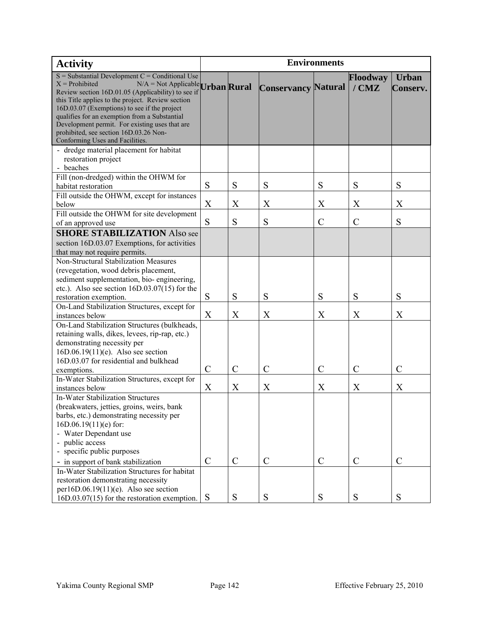| <b>Activity</b>                                                                                                     | <b>Environments</b> |               |                            |                |                     |                                 |
|---------------------------------------------------------------------------------------------------------------------|---------------------|---------------|----------------------------|----------------|---------------------|---------------------------------|
| $S =$ Substantial Development C = Conditional Use<br>$X =$ Prohibited<br>$N/A = Not \text{ Appliedble}$ Urban Rural |                     |               | <b>Conservancy Natural</b> |                | Floodway<br>$/$ CMZ | <b>Urban</b><br><b>Conserv.</b> |
| Review section 16D.01.05 (Applicability) to see if<br>this Title applies to the project. Review section             |                     |               |                            |                |                     |                                 |
| 16D.03.07 (Exemptions) to see if the project                                                                        |                     |               |                            |                |                     |                                 |
| qualifies for an exemption from a Substantial<br>Development permit. For existing uses that are                     |                     |               |                            |                |                     |                                 |
| prohibited, see section 16D.03.26 Non-                                                                              |                     |               |                            |                |                     |                                 |
| Conforming Uses and Facilities.                                                                                     |                     |               |                            |                |                     |                                 |
| - dredge material placement for habitat                                                                             |                     |               |                            |                |                     |                                 |
| restoration project<br>- beaches                                                                                    |                     |               |                            |                |                     |                                 |
| Fill (non-dredged) within the OHWM for                                                                              |                     |               |                            |                |                     |                                 |
| habitat restoration                                                                                                 | S                   | S             | S                          | S              | S                   | S                               |
| Fill outside the OHWM, except for instances                                                                         |                     |               |                            |                |                     |                                 |
| below                                                                                                               | X                   | X             | X                          | X              | X                   | X                               |
| Fill outside the OHWM for site development                                                                          | S                   |               |                            |                |                     |                                 |
| of an approved use                                                                                                  |                     | S             | S                          | C              | $\mathcal{C}$       | S                               |
| <b>SHORE STABILIZATION Also see</b><br>section 16D.03.07 Exemptions, for activities                                 |                     |               |                            |                |                     |                                 |
| that may not require permits.                                                                                       |                     |               |                            |                |                     |                                 |
| Non-Structural Stabilization Measures                                                                               |                     |               |                            |                |                     |                                 |
| (revegetation, wood debris placement,                                                                               |                     |               |                            |                |                     |                                 |
| sediment supplementation, bio-engineering,                                                                          |                     |               |                            |                |                     |                                 |
| etc.). Also see section $16D.03.07(15)$ for the                                                                     | S                   | S             | S                          | S              | S                   | S                               |
| restoration exemption.<br>On-Land Stabilization Structures, except for                                              |                     |               |                            |                |                     |                                 |
| instances below                                                                                                     | X                   | X             | X                          | X              | X                   | X                               |
| On-Land Stabilization Structures (bulkheads,                                                                        |                     |               |                            |                |                     |                                 |
| retaining walls, dikes, levees, rip-rap, etc.)                                                                      |                     |               |                            |                |                     |                                 |
| demonstrating necessity per                                                                                         |                     |               |                            |                |                     |                                 |
| $16D.06.19(11)$ (e). Also see section<br>16D.03.07 for residential and bulkhead                                     |                     |               |                            |                |                     |                                 |
| exemptions.                                                                                                         | $\mathcal{C}$       | $\mathcal{C}$ | $\mathcal{C}$              | $\overline{C}$ | $\mathcal{C}$       | $\mathcal{C}$                   |
| In-Water Stabilization Structures, except for                                                                       |                     |               |                            |                |                     |                                 |
| instances below                                                                                                     | X                   | X             | X                          | X              | X                   | X                               |
| <b>In-Water Stabilization Structures</b>                                                                            |                     |               |                            |                |                     |                                 |
| (breakwaters, jetties, groins, weirs, bank                                                                          |                     |               |                            |                |                     |                                 |
| barbs, etc.) demonstrating necessity per<br>$16D.06.19(11)(e)$ for:                                                 |                     |               |                            |                |                     |                                 |
| - Water Dependant use                                                                                               |                     |               |                            |                |                     |                                 |
| - public access                                                                                                     |                     |               |                            |                |                     |                                 |
| - specific public purposes                                                                                          |                     |               |                            |                |                     |                                 |
| - in support of bank stabilization                                                                                  | $\mathcal{C}$       | $\mathcal{C}$ | $\mathcal{C}$              | $\mathcal{C}$  | $\mathcal{C}$       | $\mathcal{C}$                   |
| In-Water Stabilization Structures for habitat                                                                       |                     |               |                            |                |                     |                                 |
| restoration demonstrating necessity<br>per16D.06.19 $(11)(e)$ . Also see section                                    |                     |               |                            |                |                     |                                 |
| $16D.03.07(15)$ for the restoration exemption.                                                                      | <sub>S</sub>        | ${\bf S}$     | ${\bf S}$                  | S              | S                   | S                               |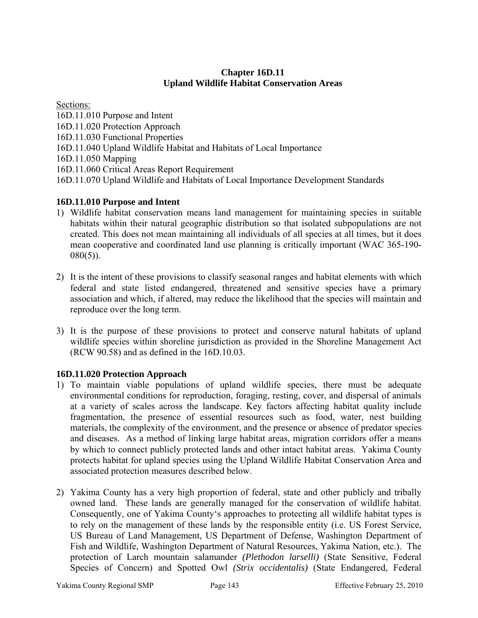# **Chapter 16D.11 Upland Wildlife Habitat Conservation Areas**

Sections:

- 16D.11.010 Purpose and Intent
- 16D.11.020 Protection Approach
- 16D.11.030 Functional Properties
- 16D.11.040 Upland Wildlife Habitat and Habitats of Local Importance
- 16D.11.050 Mapping
- 16D.11.060 Critical Areas Report Requirement
- 16D.11.070 Upland Wildlife and Habitats of Local Importance Development Standards

# **16D.11.010 Purpose and Intent**

- 1) Wildlife habitat conservation means land management for maintaining species in suitable habitats within their natural geographic distribution so that isolated subpopulations are not created. This does not mean maintaining all individuals of all species at all times, but it does mean cooperative and coordinated land use planning is critically important (WAC 365-190-  $080(5)$ ).
- 2) It is the intent of these provisions to classify seasonal ranges and habitat elements with which federal and state listed endangered, threatened and sensitive species have a primary association and which, if altered, may reduce the likelihood that the species will maintain and reproduce over the long term.
- 3) It is the purpose of these provisions to protect and conserve natural habitats of upland wildlife species within shoreline jurisdiction as provided in the Shoreline Management Act (RCW 90.58) and as defined in the 16D.10.03.

# **16D.11.020 Protection Approach**

- 1) To maintain viable populations of upland wildlife species, there must be adequate environmental conditions for reproduction, foraging, resting, cover, and dispersal of animals at a variety of scales across the landscape. Key factors affecting habitat quality include fragmentation, the presence of essential resources such as food, water, nest building materials, the complexity of the environment, and the presence or absence of predator species and diseases. As a method of linking large habitat areas, migration corridors offer a means by which to connect publicly protected lands and other intact habitat areas. Yakima County protects habitat for upland species using the Upland Wildlife Habitat Conservation Area and associated protection measures described below.
- 2) Yakima County has a very high proportion of federal, state and other publicly and tribally owned land. These lands are generally managed for the conservation of wildlife habitat. Consequently, one of Yakima County's approaches to protecting all wildlife habitat types is to rely on the management of these lands by the responsible entity (i.e. US Forest Service, US Bureau of Land Management, US Department of Defense, Washington Department of Fish and Wildlife, Washington Department of Natural Resources, Yakima Nation, etc.). The protection of Larch mountain salamander *(Plethodon larselli)* (State Sensitive, Federal Species of Concern) and Spotted Owl *(Strix occidentalis)* (State Endangered, Federal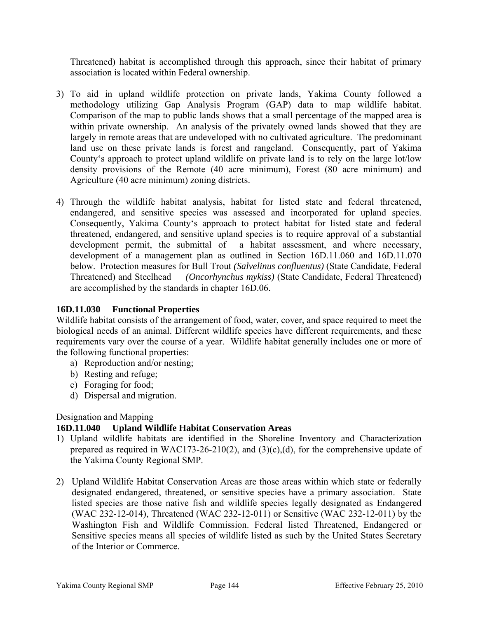Threatened) habitat is accomplished through this approach, since their habitat of primary association is located within Federal ownership.

- 3) To aid in upland wildlife protection on private lands, Yakima County followed a methodology utilizing Gap Analysis Program (GAP) data to map wildlife habitat. Comparison of the map to public lands shows that a small percentage of the mapped area is within private ownership. An analysis of the privately owned lands showed that they are largely in remote areas that are undeveloped with no cultivated agriculture. The predominant land use on these private lands is forest and rangeland. Consequently, part of Yakima County's approach to protect upland wildlife on private land is to rely on the large lot/low density provisions of the Remote (40 acre minimum), Forest (80 acre minimum) and Agriculture (40 acre minimum) zoning districts.
- 4) Through the wildlife habitat analysis, habitat for listed state and federal threatened, endangered, and sensitive species was assessed and incorporated for upland species. Consequently, Yakima County's approach to protect habitat for listed state and federal threatened, endangered, and sensitive upland species is to require approval of a substantial development permit, the submittal of a habitat assessment, and where necessary, development of a management plan as outlined in Section 16D.11.060 and 16D.11.070 below. Protection measures for Bull Trout *(Salvelinus confluentus)* (State Candidate, Federal Threatened) and Steelhead*(Oncorhynchus mykiss)* (State Candidate, Federal Threatened) are accomplished by the standards in chapter 16D.06.

# **16D.11.030 Functional Properties**

Wildlife habitat consists of the arrangement of food, water, cover, and space required to meet the biological needs of an animal. Different wildlife species have different requirements, and these requirements vary over the course of a year. Wildlife habitat generally includes one or more of the following functional properties:

- a) Reproduction and/or nesting;
- b) Resting and refuge;
- c) Foraging for food;
- d) Dispersal and migration.

#### Designation and Mapping

#### **16D.11.040 Upland Wildlife Habitat Conservation Areas**

- 1) Upland wildlife habitats are identified in the Shoreline Inventory and Characterization prepared as required in WAC173-26-210(2), and  $(3)(c)$ , (d), for the comprehensive update of the Yakima County Regional SMP.
- 2) Upland Wildlife Habitat Conservation Areas are those areas within which state or federally designated endangered, threatened, or sensitive species have a primary association. State listed species are those native fish and wildlife species legally designated as Endangered (WAC 232-12-014), Threatened (WAC 232-12-011) or Sensitive (WAC 232-12-011) by the Washington Fish and Wildlife Commission. Federal listed Threatened, Endangered or Sensitive species means all species of wildlife listed as such by the United States Secretary of the Interior or Commerce.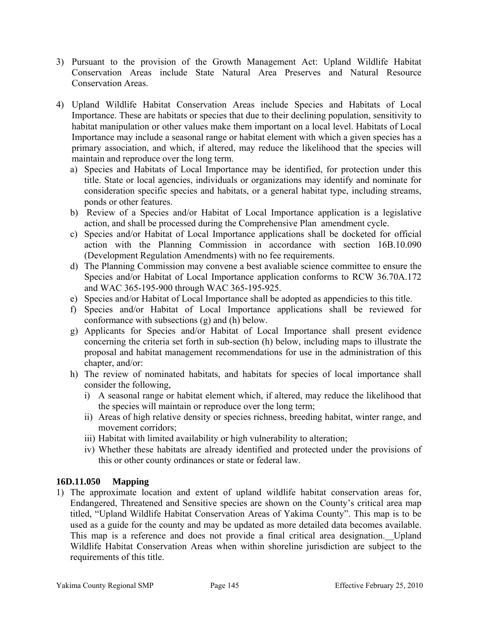- 3) Pursuant to the provision of the Growth Management Act: Upland Wildlife Habitat Conservation Areas include State Natural Area Preserves and Natural Resource Conservation Areas.
- 4) Upland Wildlife Habitat Conservation Areas include Species and Habitats of Local Importance. These are habitats or species that due to their declining population, sensitivity to habitat manipulation or other values make them important on a local level. Habitats of Local Importance may include a seasonal range or habitat element with which a given species has a primary association, and which, if altered, may reduce the likelihood that the species will maintain and reproduce over the long term.
	- a) Species and Habitats of Local Importance may be identified, for protection under this title. State or local agencies, individuals or organizations may identify and nominate for consideration specific species and habitats, or a general habitat type, including streams, ponds or other features.
	- b) Review of a Species and/or Habitat of Local Importance application is a legislative action, and shall be processed during the Comprehensive Plan amendment cycle.
	- c) Species and/or Habitat of Local Importance applications shall be docketed for official action with the Planning Commission in accordance with section 16B.10.090 (Development Regulation Amendments) with no fee requirements.
	- d) The Planning Commission may convene a best avaliable science committee to ensure the Species and/or Habitat of Local Importance application conforms to RCW 36.70A.172 and WAC 365-195-900 through WAC 365-195-925.
	- e) Species and/or Habitat of Local Importance shall be adopted as appendicies to this title.
	- f) Species and/or Habitat of Local Importance applications shall be reviewed for conformance with subsections (g) and (h) below.
	- g) Applicants for Species and/or Habitat of Local Importance shall present evidence concerning the criteria set forth in sub-section (h) below, including maps to illustrate the proposal and habitat management recommendations for use in the administration of this chapter, and/or:
	- h) The review of nominated habitats, and habitats for species of local importance shall consider the following,
		- i) A seasonal range or habitat element which, if altered, may reduce the likelihood that the species will maintain or reproduce over the long term;
		- ii) Areas of high relative density or species richness, breeding habitat, winter range, and movement corridors;
		- iii) Habitat with limited availability or high vulnerability to alteration;
		- iv) Whether these habitats are already identified and protected under the provisions of this or other county ordinances or state or federal law.

# **16D.11.050 Mapping**

1) The approximate location and extent of upland wildlife habitat conservation areas for, Endangered, Threatened and Sensitive species are shown on the County's critical area map titled, "Upland Wildlife Habitat Conservation Areas of Yakima County". This map is to be used as a guide for the county and may be updated as more detailed data becomes available. This map is a reference and does not provide a final critical area designation. Upland Wildlife Habitat Conservation Areas when within shoreline jurisdiction are subject to the requirements of this title.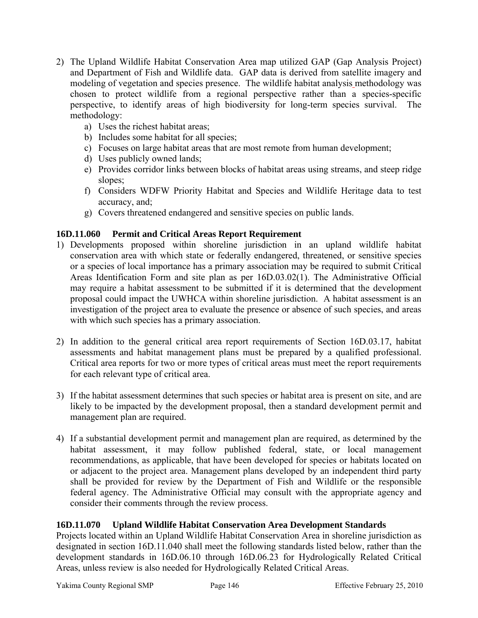- 2) The Upland Wildlife Habitat Conservation Area map utilized GAP (Gap Analysis Project) and Department of Fish and Wildlife data. GAP data is derived from satellite imagery and modeling of vegetation and species presence. The wildlife habitat analysis methodology was chosen to protect wildlife from a regional perspective rather than a species-specific perspective, to identify areas of high biodiversity for long-term species survival. The methodology:
	- a) Uses the richest habitat areas;
	- b) Includes some habitat for all species;
	- c) Focuses on large habitat areas that are most remote from human development;
	- d) Uses publicly owned lands;
	- e) Provides corridor links between blocks of habitat areas using streams, and steep ridge slopes;
	- f) Considers WDFW Priority Habitat and Species and Wildlife Heritage data to test accuracy, and;
	- g) Covers threatened endangered and sensitive species on public lands.

# **16D.11.060 Permit and Critical Areas Report Requirement**

- 1) Developments proposed within shoreline jurisdiction in an upland wildlife habitat conservation area with which state or federally endangered, threatened, or sensitive species or a species of local importance has a primary association may be required to submit Critical Areas Identification Form and site plan as per 16D.03.02(1). The Administrative Official may require a habitat assessment to be submitted if it is determined that the development proposal could impact the UWHCA within shoreline jurisdiction. A habitat assessment is an investigation of the project area to evaluate the presence or absence of such species, and areas with which such species has a primary association.
- 2) In addition to the general critical area report requirements of Section 16D.03.17, habitat assessments and habitat management plans must be prepared by a qualified professional. Critical area reports for two or more types of critical areas must meet the report requirements for each relevant type of critical area.
- 3) If the habitat assessment determines that such species or habitat area is present on site, and are likely to be impacted by the development proposal, then a standard development permit and management plan are required.
- 4) If a substantial development permit and management plan are required, as determined by the habitat assessment, it may follow published federal, state, or local management recommendations, as applicable, that have been developed for species or habitats located on or adjacent to the project area. Management plans developed by an independent third party shall be provided for review by the Department of Fish and Wildlife or the responsible federal agency. The Administrative Official may consult with the appropriate agency and consider their comments through the review process.

## **16D.11.070 Upland Wildlife Habitat Conservation Area Development Standards**

Projects located within an Upland Wildlife Habitat Conservation Area in shoreline jurisdiction as designated in section 16D.11.040 shall meet the following standards listed below, rather than the development standards in 16D.06.10 through 16D.06.23 for Hydrologically Related Critical Areas, unless review is also needed for Hydrologically Related Critical Areas.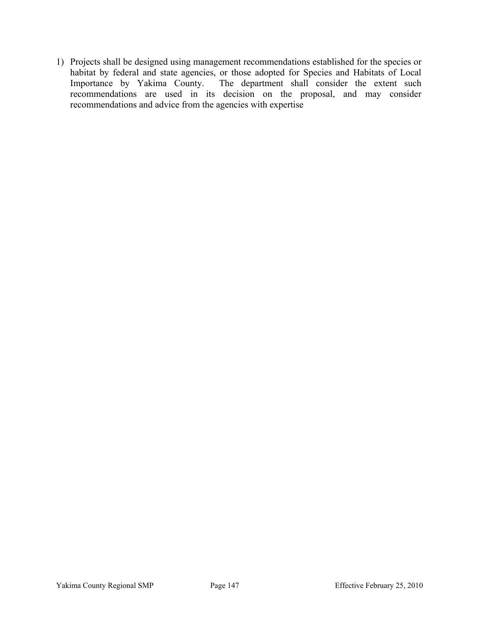1) Projects shall be designed using management recommendations established for the species or habitat by federal and state agencies, or those adopted for Species and Habitats of Local Importance by Yakima County. The department shall consider the extent such recommendations are used in its decision on the proposal, and may consider recommendations and advice from the agencies with expertise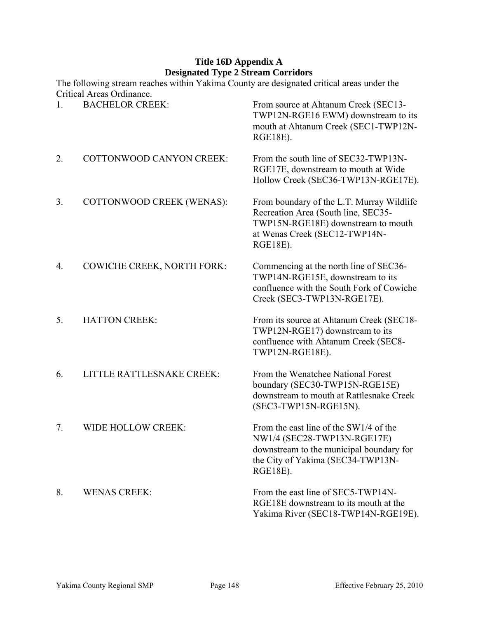# **Title 16D Appendix A Designated Type 2 Stream Corridors**

|              | The following stream reaches within Yakima County are designated critical areas under the<br>Critical Areas Ordinance. |                                                                                                                                                                     |
|--------------|------------------------------------------------------------------------------------------------------------------------|---------------------------------------------------------------------------------------------------------------------------------------------------------------------|
| $\mathbf{1}$ | <b>BACHELOR CREEK:</b>                                                                                                 | From source at Ahtanum Creek (SEC13-<br>TWP12N-RGE16 EWM) downstream to its<br>mouth at Ahtanum Creek (SEC1-TWP12N-<br><b>RGE18E).</b>                              |
| 2.           | <b>COTTONWOOD CANYON CREEK:</b>                                                                                        | From the south line of SEC32-TWP13N-<br>RGE17E, downstream to mouth at Wide<br>Hollow Creek (SEC36-TWP13N-RGE17E).                                                  |
| 3.           | COTTONWOOD CREEK (WENAS):                                                                                              | From boundary of the L.T. Murray Wildlife<br>Recreation Area (South line, SEC35-<br>TWP15N-RGE18E) downstream to mouth<br>at Wenas Creek (SEC12-TWP14N-<br>RGE18E). |
| 4.           | <b>COWICHE CREEK, NORTH FORK:</b>                                                                                      | Commencing at the north line of SEC36-<br>TWP14N-RGE15E, downstream to its<br>confluence with the South Fork of Cowiche<br>Creek (SEC3-TWP13N-RGE17E).              |
| 5.           | <b>HATTON CREEK:</b>                                                                                                   | From its source at Ahtanum Creek (SEC18-<br>TWP12N-RGE17) downstream to its<br>confluence with Ahtanum Creek (SEC8-<br>TWP12N-RGE18E).                              |
| 6.           | <b>LITTLE RATTLESNAKE CREEK:</b>                                                                                       | From the Wenatchee National Forest<br>boundary (SEC30-TWP15N-RGE15E)<br>downstream to mouth at Rattlesnake Creek<br>(SEC3-TWP15N-RGE15N).                           |
| 7.           | WIDE HOLLOW CREEK:                                                                                                     | From the east line of the SW1/4 of the<br>NW1/4 (SEC28-TWP13N-RGE17E)<br>downstream to the municipal boundary for<br>the City of Yakima (SEC34-TWP13N-<br>RGE18E).  |
| 8.           | <b>WENAS CREEK:</b>                                                                                                    | From the east line of SEC5-TWP14N-<br>RGE18E downstream to its mouth at the<br>Yakima River (SEC18-TWP14N-RGE19E).                                                  |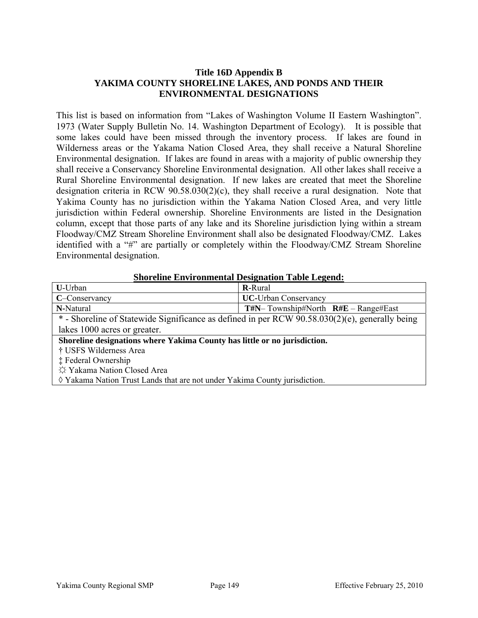### **Title 16D Appendix B YAKIMA COUNTY SHORELINE LAKES, AND PONDS AND THEIR ENVIRONMENTAL DESIGNATIONS**

This list is based on information from "Lakes of Washington Volume II Eastern Washington". 1973 (Water Supply Bulletin No. 14. Washington Department of Ecology). It is possible that some lakes could have been missed through the inventory process. If lakes are found in Wilderness areas or the Yakama Nation Closed Area, they shall receive a Natural Shoreline Environmental designation. If lakes are found in areas with a majority of public ownership they shall receive a Conservancy Shoreline Environmental designation. All other lakes shall receive a Rural Shoreline Environmental designation. If new lakes are created that meet the Shoreline designation criteria in RCW 90.58.030(2)(c), they shall receive a rural designation. Note that Yakima County has no jurisdiction within the Yakama Nation Closed Area, and very little jurisdiction within Federal ownership. Shoreline Environments are listed in the Designation column, except that those parts of any lake and its Shoreline jurisdiction lying within a stream Floodway/CMZ Stream Shoreline Environment shall also be designated Floodway/CMZ. Lakes identified with a "#" are partially or completely within the Floodway/CMZ Stream Shoreline Environmental designation.

#### **Shoreline Environmental Designation Table Legend:**

| U-Urban                                                                                        | <b>R-Rural</b>                              |  |  |  |  |
|------------------------------------------------------------------------------------------------|---------------------------------------------|--|--|--|--|
| C-Conservancy                                                                                  | <b>UC-Urban Conservancy</b>                 |  |  |  |  |
| N-Natural                                                                                      | $T\#N$ – Township#North $R\#E$ – Range#East |  |  |  |  |
| * - Shoreline of Statewide Significance as defined in per RCW 90.58.030(2)(e), generally being |                                             |  |  |  |  |
| lakes 1000 acres or greater.                                                                   |                                             |  |  |  |  |
| Shoreline designations where Yakima County has little or no jurisdiction.                      |                                             |  |  |  |  |
| † USFS Wilderness Area                                                                         |                                             |  |  |  |  |
| <b>‡ Federal Ownership</b>                                                                     |                                             |  |  |  |  |
| ☆ Yakama Nation Closed Area                                                                    |                                             |  |  |  |  |
| ♦ Yakama Nation Trust Lands that are not under Yakima County jurisdiction.                     |                                             |  |  |  |  |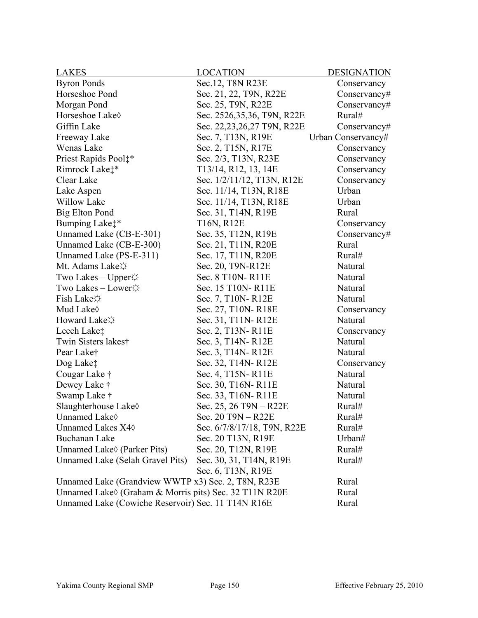| <b>LAKES</b>                                                                           | <b>LOCATION</b>             | <b>DESIGNATION</b> |  |
|----------------------------------------------------------------------------------------|-----------------------------|--------------------|--|
| <b>Byron Ponds</b>                                                                     | Sec. 12, T8N R23E           | Conservancy        |  |
| Horseshoe Pond                                                                         | Sec. 21, 22, T9N, R22E      | Conservancy#       |  |
| Morgan Pond                                                                            | Sec. 25, T9N, R22E          | $Conservancy\#$    |  |
| Horseshoe Lake <sup><math>\diamond</math></sup>                                        | Sec. 2526,35,36, T9N, R22E  | Rural#             |  |
| Giffin Lake                                                                            | Sec. 22,23,26,27 T9N, R22E  | Conservancy#       |  |
| Freeway Lake                                                                           | Sec. 7, T13N, R19E          | Urban Conservancy# |  |
| Wenas Lake                                                                             | Sec. 2, T15N, R17E          | Conservancy        |  |
| Priest Rapids Pool:*                                                                   | Sec. 2/3, T13N, R23E        | Conservancy        |  |
| Rimrock Lake <sup>*</sup>                                                              | T13/14, R12, 13, 14E        | Conservancy        |  |
| Clear Lake                                                                             | Sec. 1/2/11/12, T13N, R12E  | Conservancy        |  |
| Lake Aspen                                                                             | Sec. 11/14, T13N, R18E      | Urban              |  |
| <b>Willow Lake</b>                                                                     | Sec. 11/14, T13N, R18E      | Urban              |  |
| <b>Big Elton Pond</b>                                                                  | Sec. 31, T14N, R19E         | Rural              |  |
| Bumping Lake <sup>**</sup>                                                             | T16N, R12E                  | Conservancy        |  |
| Unnamed Lake (CB-E-301)                                                                | Sec. 35, T12N, R19E         | Conservancy#       |  |
| Unnamed Lake (CB-E-300)                                                                | Sec. 21, T11N, R20E         | Rural              |  |
| Unnamed Lake (PS-E-311)                                                                | Sec. 17, T11N, R20E         | Rural#             |  |
| Mt. Adams Lake $\uparrow$                                                              | Sec. 20, T9N-R12E           | Natural            |  |
| Two Lakes – Upper $\hat{\varphi}$                                                      | Sec. 8 T10N-R11E            | Natural            |  |
| Two Lakes – Lower $\uparrow$                                                           | Sec. 15 T10N-R11E           | Natural            |  |
| <b>Fish Lake</b> ☆                                                                     | Sec. 7, T10N-R12E           | Natural            |  |
| Mud Lake $\Diamond$                                                                    | Sec. 27, T10N-R18E          | Conservancy        |  |
| Howard Lake $\uparrow$                                                                 | Sec. 31, T11N-R12E          | Natural            |  |
| Leech Lake <sup>*</sup>                                                                | Sec. 2, T13N-R11E           | Conservancy        |  |
| Twin Sisters lakes†                                                                    | Sec. 3, T14N-R12E           | Natural            |  |
| Pear Lake <sup>†</sup>                                                                 | Sec. 3, T14N-R12E           | Natural            |  |
| Dog Lake‡                                                                              | Sec. 32, T14N-R12E          | Conservancy        |  |
| Cougar Lake †                                                                          | Sec. 4, T15N-R11E           | Natural            |  |
| Dewey Lake †                                                                           | Sec. 30, T16N-R11E          | Natural            |  |
| Swamp Lake $\dagger$                                                                   | Sec. 33, T16N-R11E          | Natural            |  |
| Slaughterhouse Lake                                                                    | Sec. 25, 26 T9N – R22E      | Rural#             |  |
| Unnamed Lake <sup><math>\diamond</math></sup>                                          | Sec. 20 T9N - R22E          | Rural#             |  |
| Unnamed Lakes X40                                                                      | Sec. 6/7/8/17/18, T9N, R22E | Rural#             |  |
| <b>Buchanan Lake</b>                                                                   | Sec. 20 T13N, R19E          | Urban#             |  |
| Unnamed Lake <sup><math>\Diamond</math></sup> (Parker Pits)                            | Sec. 20, T12N, R19E         | Rural#             |  |
| Unnamed Lake (Selah Gravel Pits)                                                       | Sec. 30, 31, T14N, R19E     | Rural#             |  |
|                                                                                        | Sec. 6, T13N, R19E          |                    |  |
| Unnamed Lake (Grandview WWTP x3) Sec. 2, T8N, R23E                                     |                             | Rural              |  |
| Unnamed Lake <sup><math>\Diamond</math></sup> (Graham & Morris pits) Sec. 32 T11N R20E |                             | Rural              |  |
| Unnamed Lake (Cowiche Reservoir) Sec. 11 T14N R16E<br>Rural                            |                             |                    |  |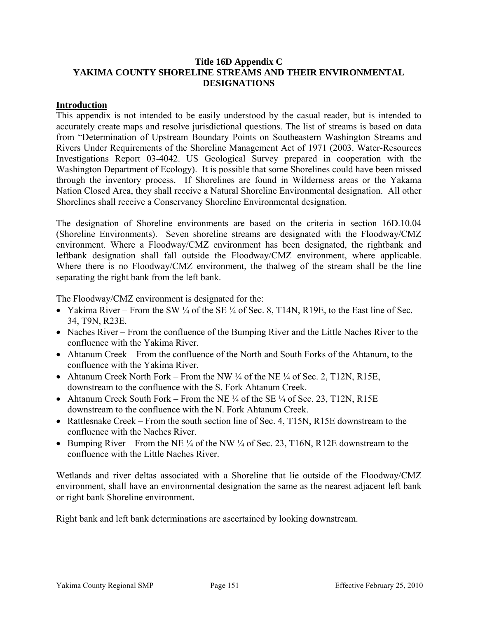### **Title 16D Appendix C YAKIMA COUNTY SHORELINE STREAMS AND THEIR ENVIRONMENTAL DESIGNATIONS**

#### **Introduction**

This appendix is not intended to be easily understood by the casual reader, but is intended to accurately create maps and resolve jurisdictional questions. The list of streams is based on data from "Determination of Upstream Boundary Points on Southeastern Washington Streams and Rivers Under Requirements of the Shoreline Management Act of 1971 (2003. Water-Resources Investigations Report 03-4042. US Geological Survey prepared in cooperation with the Washington Department of Ecology). It is possible that some Shorelines could have been missed through the inventory process. If Shorelines are found in Wilderness areas or the Yakama Nation Closed Area, they shall receive a Natural Shoreline Environmental designation. All other Shorelines shall receive a Conservancy Shoreline Environmental designation.

The designation of Shoreline environments are based on the criteria in section 16D.10.04 (Shoreline Environments). Seven shoreline streams are designated with the Floodway/CMZ environment. Where a Floodway/CMZ environment has been designated, the rightbank and leftbank designation shall fall outside the Floodway/CMZ environment, where applicable. Where there is no Floodway/CMZ environment, the thalweg of the stream shall be the line separating the right bank from the left bank.

The Floodway/CMZ environment is designated for the:

- Yakima River From the SW  $\frac{1}{4}$  of the SE  $\frac{1}{4}$  of Sec. 8, T14N, R19E, to the East line of Sec. 34, T9N, R23E.
- Naches River From the confluence of the Bumping River and the Little Naches River to the confluence with the Yakima River.
- Ahtanum Creek From the confluence of the North and South Forks of the Ahtanum, to the confluence with the Yakima River.
- Ahtanum Creek North Fork From the NW  $\frac{1}{4}$  of the NE  $\frac{1}{4}$  of Sec. 2, T12N, R15E, downstream to the confluence with the S. Fork Ahtanum Creek.
- Ahtanum Creek South Fork From the NE  $\frac{1}{4}$  of the SE  $\frac{1}{4}$  of Sec. 23, T12N, R15E downstream to the confluence with the N. Fork Ahtanum Creek.
- Rattlesnake Creek From the south section line of Sec. 4, T15N, R15E downstream to the confluence with the Naches River.
- Bumping River From the NE  $\frac{1}{4}$  of the NW  $\frac{1}{4}$  of Sec. 23, T16N, R12E downstream to the confluence with the Little Naches River.

Wetlands and river deltas associated with a Shoreline that lie outside of the Floodway/CMZ environment, shall have an environmental designation the same as the nearest adjacent left bank or right bank Shoreline environment.

Right bank and left bank determinations are ascertained by looking downstream.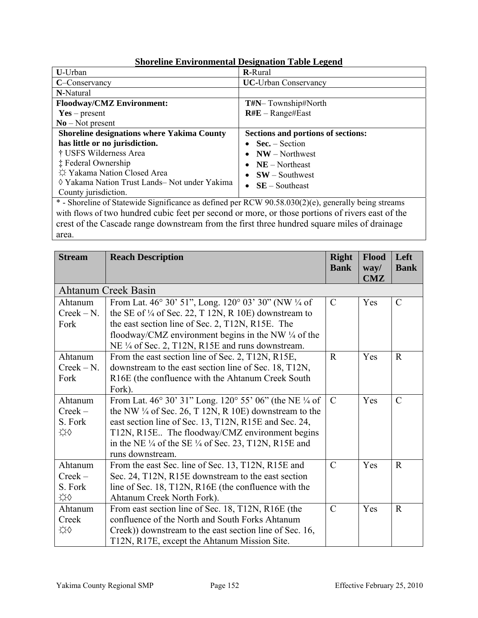|                                                                                                                                                                                                                                                                                                                   | оногонне ентигипении в социалон таме ведена |  |  |
|-------------------------------------------------------------------------------------------------------------------------------------------------------------------------------------------------------------------------------------------------------------------------------------------------------------------|---------------------------------------------|--|--|
| U-Urban                                                                                                                                                                                                                                                                                                           | <b>R-Rural</b>                              |  |  |
| C-Conservancy                                                                                                                                                                                                                                                                                                     | <b>UC-Urban Conservancy</b>                 |  |  |
| N-Natural                                                                                                                                                                                                                                                                                                         |                                             |  |  |
| <b>Floodway/CMZ Environment:</b>                                                                                                                                                                                                                                                                                  | T#N-Township#North                          |  |  |
| $Yes - present$                                                                                                                                                                                                                                                                                                   | $R#E - Range \#East$                        |  |  |
| $No - Not present$                                                                                                                                                                                                                                                                                                |                                             |  |  |
| <b>Shoreline designations where Yakima County</b>                                                                                                                                                                                                                                                                 | Sections and portions of sections:          |  |  |
| has little or no jurisdiction.                                                                                                                                                                                                                                                                                    | $Sec. - Section$                            |  |  |
| † USFS Wilderness Area                                                                                                                                                                                                                                                                                            | $NW - Northwest$                            |  |  |
| <b>‡ Federal Ownership</b>                                                                                                                                                                                                                                                                                        | $NE - Northeast$                            |  |  |
| ☆ Yakama Nation Closed Area                                                                                                                                                                                                                                                                                       | $SW - Southwest$                            |  |  |
| ◊ Yakama Nation Trust Lands– Not under Yakima                                                                                                                                                                                                                                                                     | $SE -$ Southeast                            |  |  |
| County jurisdiction.                                                                                                                                                                                                                                                                                              |                                             |  |  |
| * - Shoreline of Statewide Significance as defined per RCW 90.58.030(2)(e), generally being streams                                                                                                                                                                                                               |                                             |  |  |
| $\mathcal{A}$ and $\mathcal{C}$ and $\mathcal{C}$ and $\mathcal{C}$ and $\mathcal{C}$ and $\mathcal{C}$ and $\mathcal{C}$ and $\mathcal{C}$ and $\mathcal{C}$ and $\mathcal{C}$ and $\mathcal{C}$ and $\mathcal{C}$ and $\mathcal{C}$ and $\mathcal{C}$ and $\mathcal{C}$ and $\mathcal{C}$ and $\mathcal{C}$ and |                                             |  |  |

# **Shoreline Environmental Designation Table Legend**

with flows of two hundred cubic feet per second or more, or those portions of rivers east of the crest of the Cascade range downstream from the first three hundred square miles of drainage area.

| <b>Stream</b>                       | <b>Reach Description</b>                                                                                                                                                                                                                                                                                                                 | <b>Right</b><br><b>Bank</b> | <b>Flood</b><br>way/<br>CMZ | Left<br><b>Bank</b> |
|-------------------------------------|------------------------------------------------------------------------------------------------------------------------------------------------------------------------------------------------------------------------------------------------------------------------------------------------------------------------------------------|-----------------------------|-----------------------------|---------------------|
|                                     | <b>Ahtanum Creek Basin</b>                                                                                                                                                                                                                                                                                                               |                             |                             |                     |
| Ahtanum<br>$Creek - N.$<br>Fork     | From Lat. 46° 30' 51", Long. 120° 03' 30" (NW ¼ of<br>the SE of $\frac{1}{4}$ of Sec. 22, T 12N, R 10E) downstream to<br>the east section line of Sec. 2, T12N, R15E. The<br>floodway/CMZ environment begins in the NW $\frac{1}{4}$ of the<br>NE 1/4 of Sec. 2, T12N, R15E and runs downstream.                                         | $\mathcal{C}$               | Yes                         | $\mathcal{C}$       |
| Ahtanum<br>$Creek - N.$<br>Fork     | From the east section line of Sec. 2, T12N, R15E,<br>downstream to the east section line of Sec. 18, T12N,<br>R16E (the confluence with the Ahtanum Creek South<br>Fork).                                                                                                                                                                | $\mathbf R$                 | Yes                         | $\mathbf R$         |
| Ahtanum<br>$Creek -$<br>S. Fork<br> | From Lat. 46° 30' 31" Long. 120° 55' 06" (the NE 1/4 of<br>the NW $\frac{1}{4}$ of Sec. 26, T 12N, R 10E) downstream to the<br>east section line of Sec. 13, T12N, R15E and Sec. 24,<br>T12N, R15E The floodway/CMZ environment begins<br>in the NE $\frac{1}{4}$ of the SE $\frac{1}{4}$ of Sec. 23, T12N, R15E and<br>runs downstream. | $\mathcal{C}$               | Yes                         | $\mathcal{C}$       |
| Ahtanum<br>$Creek -$<br>S. Fork<br> | From the east Sec. line of Sec. 13, T12N, R15E and<br>Sec. 24, T12N, R15E downstream to the east section<br>line of Sec. 18, T12N, R16E (the confluence with the<br>Ahtanum Creek North Fork).                                                                                                                                           | $\mathcal{C}$               | Yes                         | $\mathbf{R}$        |
| Ahtanum<br>Creek<br>                | From east section line of Sec. 18, T12N, R16E (the<br>confluence of the North and South Forks Ahtanum<br>Creek)) downstream to the east section line of Sec. 16,<br>T12N, R17E, except the Ahtanum Mission Site.                                                                                                                         | $\mathcal{C}$               | Yes                         | $\mathbf R$         |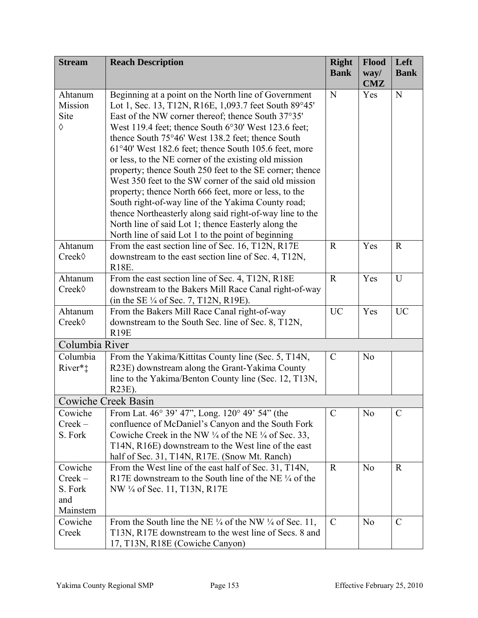| <b>Stream</b>       | <b>Reach Description</b>                                                                                  | <b>Right</b><br><b>Bank</b> | Flood<br>way/<br>CMZ | Left<br><b>Bank</b> |
|---------------------|-----------------------------------------------------------------------------------------------------------|-----------------------------|----------------------|---------------------|
| Ahtanum             | Beginning at a point on the North line of Government                                                      | N                           | Yes                  | ${\bf N}$           |
| Mission             | Lot 1, Sec. 13, T12N, R16E, 1,093.7 feet South 89°45'                                                     |                             |                      |                     |
| Site                | East of the NW corner thereof; thence South 37°35'                                                        |                             |                      |                     |
| $\Diamond$          | West 119.4 feet; thence South $6^{\circ}30'$ West 123.6 feet;                                             |                             |                      |                     |
|                     | thence South 75°46' West 138.2 feet; thence South                                                         |                             |                      |                     |
|                     | 61°40' West 182.6 feet; thence South 105.6 feet, more                                                     |                             |                      |                     |
|                     | or less, to the NE corner of the existing old mission                                                     |                             |                      |                     |
|                     | property; thence South 250 feet to the SE corner; thence                                                  |                             |                      |                     |
|                     | West 350 feet to the SW corner of the said old mission                                                    |                             |                      |                     |
|                     | property; thence North 666 feet, more or less, to the                                                     |                             |                      |                     |
|                     | South right-of-way line of the Yakima County road;                                                        |                             |                      |                     |
|                     | thence Northeasterly along said right-of-way line to the                                                  |                             |                      |                     |
|                     | North line of said Lot 1; thence Easterly along the                                                       |                             |                      |                     |
|                     | North line of said Lot 1 to the point of beginning                                                        |                             |                      |                     |
| Ahtanum             | From the east section line of Sec. 16, T12N, R17E                                                         | $\mathbf R$                 | Yes                  | $\mathbf R$         |
| Creek◊              | downstream to the east section line of Sec. 4, T12N,<br><b>R18E.</b>                                      |                             |                      |                     |
|                     |                                                                                                           | $\mathbf R$                 | Yes                  | U                   |
| Ahtanum<br>Creek◊   | From the east section line of Sec. 4, T12N, R18E<br>downstream to the Bakers Mill Race Canal right-of-way |                             |                      |                     |
|                     | (in the SE $\frac{1}{4}$ of Sec. 7, T12N, R19E).                                                          |                             |                      |                     |
| Ahtanum             | From the Bakers Mill Race Canal right-of-way                                                              | <b>UC</b>                   | Yes                  | <b>UC</b>           |
| Creek◊              | downstream to the South Sec. line of Sec. 8, T12N,                                                        |                             |                      |                     |
|                     | R19E                                                                                                      |                             |                      |                     |
| Columbia River      |                                                                                                           |                             |                      |                     |
| Columbia            | From the Yakima/Kittitas County line (Sec. 5, T14N,                                                       | $\mathcal{C}$               | N <sub>o</sub>       |                     |
| River* <sup>*</sup> | R23E) downstream along the Grant-Yakima County                                                            |                             |                      |                     |
|                     | line to the Yakima/Benton County line (Sec. 12, T13N,                                                     |                             |                      |                     |
|                     | R23E).                                                                                                    |                             |                      |                     |
|                     | Cowiche Creek Basin                                                                                       |                             |                      |                     |
| Cowiche             | From Lat. 46° 39' 47", Long. 120° 49' 54" (the                                                            | $\mathcal{C}$               | N <sub>o</sub>       | $\mathcal{C}$       |
| $Creek -$           | confluence of McDaniel's Canyon and the South Fork                                                        |                             |                      |                     |
| S. Fork             | Cowiche Creek in the NW $\frac{1}{4}$ of the NE $\frac{1}{4}$ of Sec. 33,                                 |                             |                      |                     |
|                     | T14N, R16E) downstream to the West line of the east                                                       |                             |                      |                     |
|                     | half of Sec. 31, T14N, R17E. (Snow Mt. Ranch)                                                             |                             |                      |                     |
| Cowiche             | From the West line of the east half of Sec. 31, T14N,                                                     | $\mathbf R$                 | N <sub>o</sub>       | $\mathbf R$         |
| $Creek -$           | R17E downstream to the South line of the NE 1/4 of the                                                    |                             |                      |                     |
| S. Fork             | NW 1/4 of Sec. 11, T13N, R17E                                                                             |                             |                      |                     |
| and                 |                                                                                                           |                             |                      |                     |
| Mainstem            |                                                                                                           |                             |                      |                     |
| Cowiche             | From the South line the NE $\frac{1}{4}$ of the NW $\frac{1}{4}$ of Sec. 11,                              | $\mathcal{C}$               | N <sub>0</sub>       | $\mathcal{C}$       |
| Creek               | T13N, R17E downstream to the west line of Secs. 8 and                                                     |                             |                      |                     |
|                     | 17, T13N, R18E (Cowiche Canyon)                                                                           |                             |                      |                     |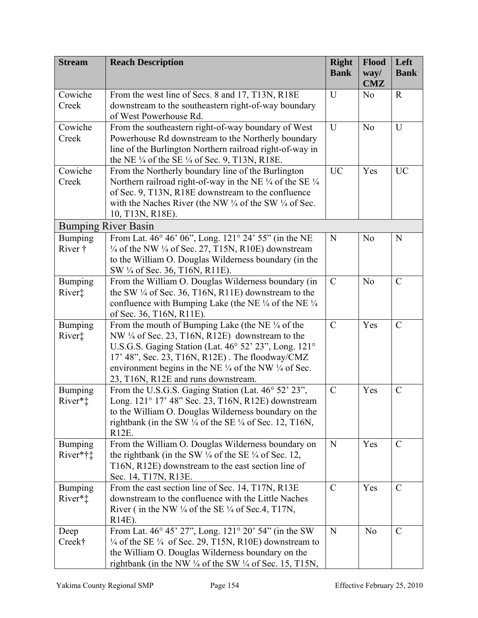| <b>Stream</b>              | <b>Reach Description</b>                                                                                                          | <b>Right</b><br><b>Bank</b> | Flood<br>way/  | Left<br><b>Bank</b> |
|----------------------------|-----------------------------------------------------------------------------------------------------------------------------------|-----------------------------|----------------|---------------------|
|                            |                                                                                                                                   |                             | <b>CMZ</b>     |                     |
| Cowiche                    | From the west line of Secs. 8 and 17, T13N, R18E                                                                                  | U                           | N <sub>o</sub> | $\mathbf R$         |
| Creek                      | downstream to the southeastern right-of-way boundary<br>of West Powerhouse Rd.                                                    |                             |                |                     |
| Cowiche                    | From the southeastern right-of-way boundary of West                                                                               | U                           | N <sub>o</sub> | U                   |
| Creek                      | Powerhouse Rd downstream to the Northerly boundary                                                                                |                             |                |                     |
|                            | line of the Burlington Northern railroad right-of-way in                                                                          |                             |                |                     |
|                            | the NE $\frac{1}{4}$ of the SE $\frac{1}{4}$ of Sec. 9, T13N, R18E.                                                               |                             |                |                     |
| Cowiche                    | From the Northerly boundary line of the Burlington                                                                                | <b>UC</b>                   | Yes            | <b>UC</b>           |
| Creek                      | Northern railroad right-of-way in the NE $\frac{1}{4}$ of the SE $\frac{1}{4}$                                                    |                             |                |                     |
|                            | of Sec. 9, T13N, R18E downstream to the confluence                                                                                |                             |                |                     |
|                            | with the Naches River (the NW $\frac{1}{4}$ of the SW $\frac{1}{4}$ of Sec.                                                       |                             |                |                     |
|                            | 10, T13N, R18E).                                                                                                                  |                             |                |                     |
|                            | <b>Bumping River Basin</b>                                                                                                        |                             |                |                     |
| <b>Bumping</b>             | From Lat. 46° 46' 06", Long. 121° 24' 55" (in the NE                                                                              | N                           | N <sub>o</sub> | $\mathbf N$         |
| River †                    | $\frac{1}{4}$ of the NW $\frac{1}{4}$ of Sec. 27, T15N, R10E) downstream<br>to the William O. Douglas Wilderness boundary (in the |                             |                |                     |
|                            | SW 1/4 of Sec. 36, T16N, R11E).                                                                                                   |                             |                |                     |
| Bumping                    | From the William O. Douglas Wilderness boundary (in                                                                               | $\mathcal{C}$               | N <sub>o</sub> | $\mathcal{C}$       |
| River‡                     | the SW $\frac{1}{4}$ of Sec. 36, T16N, R11E) downstream to the                                                                    |                             |                |                     |
|                            | confluence with Bumping Lake (the NE $\frac{1}{4}$ of the NE $\frac{1}{4}$                                                        |                             |                |                     |
|                            | of Sec. 36, T16N, R11E).                                                                                                          |                             |                |                     |
| <b>Bumping</b>             | From the mouth of Bumping Lake (the NE $\frac{1}{4}$ of the                                                                       | $\mathcal{C}$               | Yes            | $\mathcal{C}$       |
| River‡                     | NW 1/4 of Sec. 23, T16N, R12E) downstream to the                                                                                  |                             |                |                     |
|                            | U.S.G.S. Gaging Station (Lat. 46° 52' 23", Long. 121°<br>17' 48", Sec. 23, T16N, R12E). The floodway/CMZ                          |                             |                |                     |
|                            | environment begins in the NE $\frac{1}{4}$ of the NW $\frac{1}{4}$ of Sec.                                                        |                             |                |                     |
|                            | 23, T16N, R12E and runs downstream.                                                                                               |                             |                |                     |
| <b>Bumping</b>             | From the U.S.G.S. Gaging Station (Lat. 46° 52' 23",                                                                               | $\mathcal{C}$               | Yes            | $\mathcal{C}$       |
| River* <sup>*</sup>        | Long. 121° 17' 48" Sec. 23, T16N, R12E) downstream                                                                                |                             |                |                     |
|                            | to the William O. Douglas Wilderness boundary on the                                                                              |                             |                |                     |
|                            | rightbank (in the SW $\frac{1}{4}$ of the SE $\frac{1}{4}$ of Sec. 12, T16N,                                                      |                             |                |                     |
|                            | R12E.                                                                                                                             | N                           |                | $\mathcal{C}$       |
| <b>Bumping</b><br>River*†‡ | From the William O. Douglas Wilderness boundary on<br>the rightbank (in the SW $\frac{1}{4}$ of the SE $\frac{1}{4}$ of Sec. 12,  |                             | Yes            |                     |
|                            | T16N, R12E) downstream to the east section line of                                                                                |                             |                |                     |
|                            | Sec. 14, T17N, R13E.                                                                                                              |                             |                |                     |
| <b>Bumping</b>             | From the east section line of Sec. 14, T17N, R13E                                                                                 | $\mathcal{C}$               | Yes            | $\mathcal{C}$       |
| River*‡                    | downstream to the confluence with the Little Naches                                                                               |                             |                |                     |
|                            | River (in the NW $\frac{1}{4}$ of the SE $\frac{1}{4}$ of Sec.4, T17N,                                                            |                             |                |                     |
|                            | $R14E$ ).                                                                                                                         |                             |                |                     |
| Deep                       | From Lat. 46° 45' 27", Long. 121° 20' 54" (in the SW                                                                              | N                           | N <sub>o</sub> | $\mathcal{C}$       |
| Creek†                     | $\frac{1}{4}$ of the SE $\frac{1}{4}$ of Sec. 29, T15N, R10E) downstream to                                                       |                             |                |                     |
|                            | the William O. Douglas Wilderness boundary on the                                                                                 |                             |                |                     |
|                            | rightbank (in the NW $\frac{1}{4}$ of the SW $\frac{1}{4}$ of Sec. 15, T15N,                                                      |                             |                |                     |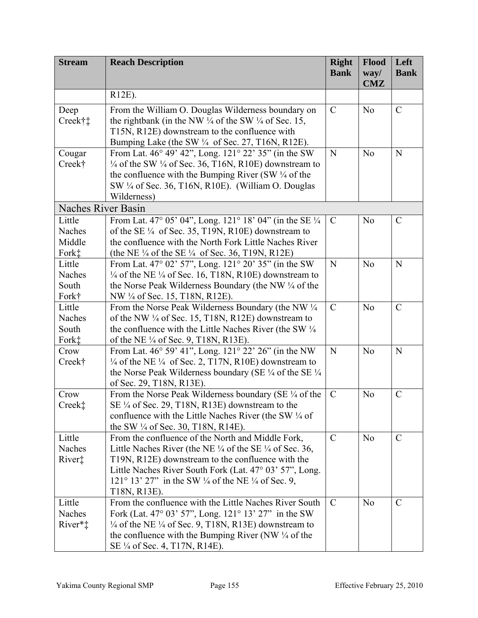| <b>Stream</b>             | <b>Reach Description</b>                                                                                                           | <b>Right</b><br><b>Bank</b> | Flood<br>way/  | Left<br><b>Bank</b> |
|---------------------------|------------------------------------------------------------------------------------------------------------------------------------|-----------------------------|----------------|---------------------|
|                           |                                                                                                                                    |                             | <b>CMZ</b>     |                     |
|                           | R12E).                                                                                                                             |                             |                |                     |
| Deep                      | From the William O. Douglas Wilderness boundary on                                                                                 | $\mathcal{C}$               | N <sub>o</sub> | $\mathcal{C}$       |
| Creek†‡                   | the rightbank (in the NW $\frac{1}{4}$ of the SW $\frac{1}{4}$ of Sec. 15,                                                         |                             |                |                     |
|                           | T15N, R12E) downstream to the confluence with                                                                                      |                             |                |                     |
|                           | Bumping Lake (the SW 1/4 of Sec. 27, T16N, R12E).                                                                                  |                             |                |                     |
| Cougar                    | From Lat. 46° 49' 42", Long. 121° 22' 35" (in the SW                                                                               | N                           | N <sub>o</sub> | $\mathbf N$         |
| Creek†                    | $\frac{1}{4}$ of the SW $\frac{1}{4}$ of Sec. 36, T16N, R10E) downstream to                                                        |                             |                |                     |
|                           | the confluence with the Bumping River (SW $\frac{1}{4}$ of the                                                                     |                             |                |                     |
|                           | SW 1/4 of Sec. 36, T16N, R10E). (William O. Douglas                                                                                |                             |                |                     |
|                           | Wilderness)                                                                                                                        |                             |                |                     |
| <b>Naches River Basin</b> |                                                                                                                                    |                             |                |                     |
| Little<br>Naches          | From Lat. 47° 05' 04", Long. 121° 18' 04" (in the SE 1/4<br>of the SE $\frac{1}{4}$ of Sec. 35, T19N, R10E) downstream to          | $\mathcal{C}$               | N <sub>o</sub> | $\mathcal{C}$       |
| Middle                    | the confluence with the North Fork Little Naches River                                                                             |                             |                |                     |
| Fork <sup>*</sup>         | (the NE $\frac{1}{4}$ of the SE $\frac{1}{4}$ of Sec. 36, T19N, R12E)                                                              |                             |                |                     |
| Little                    | From Lat. 47° 02' 57", Long. 121° 20' 35" (in the SW                                                                               | N                           | N <sub>o</sub> | N                   |
| Naches                    | $\frac{1}{4}$ of the NE $\frac{1}{4}$ of Sec. 16, T18N, R10E) downstream to                                                        |                             |                |                     |
| South                     | the Norse Peak Wilderness Boundary (the NW $\frac{1}{4}$ of the                                                                    |                             |                |                     |
| Fork†                     | NW 1/4 of Sec. 15, T18N, R12E).                                                                                                    |                             |                |                     |
| Little                    | From the Norse Peak Wilderness Boundary (the NW 1/4                                                                                | $\mathcal{C}$               | N <sub>o</sub> | $\mathcal{C}$       |
| Naches                    | of the NW ¼ of Sec. 15, T18N, R12E) downstream to                                                                                  |                             |                |                     |
| South                     | the confluence with the Little Naches River (the SW 1/4)                                                                           |                             |                |                     |
| Fork <sup>*</sup>         | of the NE 1/4 of Sec. 9, T18N, R13E).                                                                                              |                             |                |                     |
| Crow                      | From Lat. 46° 59' 41", Long. 121° 22' 26" (in the NW                                                                               | N                           | N <sub>o</sub> | $\mathbf N$         |
| Creek†                    | $\frac{1}{4}$ of the NE $\frac{1}{4}$ of Sec. 2, T17N, R10E) downstream to                                                         |                             |                |                     |
|                           | the Norse Peak Wilderness boundary (SE $\frac{1}{4}$ of the SE $\frac{1}{4}$                                                       |                             |                |                     |
|                           | of Sec. 29, T18N, R13E).                                                                                                           |                             |                |                     |
| Crow                      | From the Norse Peak Wilderness boundary (SE $\frac{1}{4}$ of the                                                                   | $\mathcal{C}$               | N <sub>o</sub> | $\mathcal{C}$       |
| Creek‡                    | SE 1/4 of Sec. 29, T18N, R13E) downstream to the                                                                                   |                             |                |                     |
|                           | confluence with the Little Naches River (the SW 1/4 of                                                                             |                             |                |                     |
|                           | the SW $\frac{1}{4}$ of Sec. 30, T18N, R14E).                                                                                      |                             |                |                     |
| Little                    | From the confluence of the North and Middle Fork,                                                                                  | $\mathcal{C}$               | N <sub>o</sub> | $\mathcal{C}$       |
| Naches<br>River‡          | Little Naches River (the NE $\frac{1}{4}$ of the SE $\frac{1}{4}$ of Sec. 36,<br>T19N, R12E) downstream to the confluence with the |                             |                |                     |
|                           | Little Naches River South Fork (Lat. 47° 03' 57", Long.                                                                            |                             |                |                     |
|                           | 121° 13' 27" in the SW $\frac{1}{4}$ of the NE $\frac{1}{4}$ of Sec. 9,                                                            |                             |                |                     |
|                           | T18N, R13E).                                                                                                                       |                             |                |                     |
| Little                    | From the confluence with the Little Naches River South                                                                             | $\mathcal{C}$               | N <sub>0</sub> | $\mathcal{C}$       |
| Naches                    | Fork (Lat. 47° 03' 57", Long. 121° 13' 27" in the SW                                                                               |                             |                |                     |
| River* <sup>†</sup>       | $\frac{1}{4}$ of the NE $\frac{1}{4}$ of Sec. 9, T18N, R13E) downstream to                                                         |                             |                |                     |
|                           | the confluence with the Bumping River (NW $\frac{1}{4}$ of the                                                                     |                             |                |                     |
|                           | SE 1/4 of Sec. 4, T17N, R14E).                                                                                                     |                             |                |                     |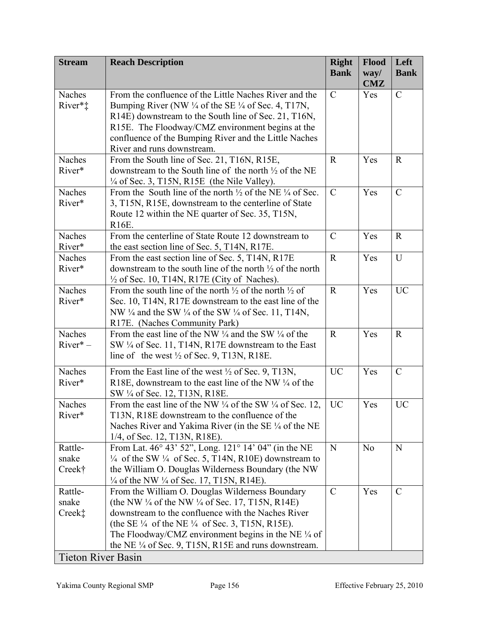| <b>Stream</b>                                           | <b>Reach Description</b>                                                                                                                                                                                                                                                                                                                                                           | <b>Right</b><br><b>Bank</b> | <b>Flood</b><br>way/<br>CMZ | Left<br><b>Bank</b> |
|---------------------------------------------------------|------------------------------------------------------------------------------------------------------------------------------------------------------------------------------------------------------------------------------------------------------------------------------------------------------------------------------------------------------------------------------------|-----------------------------|-----------------------------|---------------------|
| Naches<br>River*‡                                       | From the confluence of the Little Naches River and the<br>Bumping River (NW $\frac{1}{4}$ of the SE $\frac{1}{4}$ of Sec. 4, T17N,<br>R14E) downstream to the South line of Sec. 21, T16N,<br>R15E. The Floodway/CMZ environment begins at the<br>confluence of the Bumping River and the Little Naches<br>River and runs downstream.                                              | $\mathcal{C}$               | Yes                         | $\mathcal{C}$       |
| Naches<br>River*                                        | From the South line of Sec. 21, T16N, R15E,<br>downstream to the South line of the north $\frac{1}{2}$ of the NE<br>$\frac{1}{4}$ of Sec. 3, T15N, R15E (the Nile Valley).                                                                                                                                                                                                         | $\mathbf R$                 | Yes                         | $\mathbf R$         |
| Naches<br>River*                                        | From the South line of the north $\frac{1}{2}$ of the NE $\frac{1}{4}$ of Sec.<br>3, T15N, R15E, downstream to the centerline of State<br>Route 12 within the NE quarter of Sec. 35, T15N,<br>R16E.                                                                                                                                                                                | $\overline{C}$              | Yes                         | $\overline{C}$      |
| <b>Naches</b><br>River*                                 | From the centerline of State Route 12 downstream to<br>the east section line of Sec. 5, T14N, R17E.                                                                                                                                                                                                                                                                                | $\mathcal{C}$               | Yes                         | $\mathbf R$         |
| <b>Naches</b><br>River*                                 | From the east section line of Sec. 5, T14N, R17E<br>downstream to the south line of the north $\frac{1}{2}$ of the north<br>$\frac{1}{2}$ of Sec. 10, T14N, R17E (City of Naches).                                                                                                                                                                                                 | $\mathbf R$                 | Yes                         | U                   |
| Naches<br>River*                                        | From the south line of the north $\frac{1}{2}$ of the north $\frac{1}{2}$ of<br>Sec. 10, T14N, R17E downstream to the east line of the<br>NW $\frac{1}{4}$ and the SW $\frac{1}{4}$ of the SW $\frac{1}{4}$ of Sec. 11, T14N,<br>R17E. (Naches Community Park)                                                                                                                     | $\mathbf R$                 | Yes                         | <b>UC</b>           |
| <b>Naches</b><br>$River^*$ –                            | From the east line of the NW $\frac{1}{4}$ and the SW $\frac{1}{4}$ of the<br>SW 1/4 of Sec. 11, T14N, R17E downstream to the East<br>line of the west $\frac{1}{2}$ of Sec. 9, T13N, R18E.                                                                                                                                                                                        | $\mathbf R$                 | Yes                         | $\mathbf R$         |
| Naches<br>River*                                        | From the East line of the west 1/2 of Sec. 9, T13N,<br>R18E, downstream to the east line of the NW $\frac{1}{4}$ of the<br>SW 1/4 of Sec. 12, T13N, R18E.                                                                                                                                                                                                                          | <b>UC</b>                   | Yes                         | $\mathcal{C}$       |
| Naches<br>River*                                        | From the east line of the NW $\frac{1}{4}$ of the SW $\frac{1}{4}$ of Sec. 12,<br>T13N, R18E downstream to the confluence of the<br>Naches River and Yakima River (in the SE $\frac{1}{4}$ of the NE<br>1/4, of Sec. 12, T13N, R18E).                                                                                                                                              | <b>UC</b>                   | Yes                         | <b>UC</b>           |
| Rattle-<br>snake<br>Creek†                              | From Lat. 46° 43' 52", Long. 121° 14' 04" (in the NE<br>$\frac{1}{4}$ of the SW $\frac{1}{4}$ of Sec. 5, T14N, R10E) downstream to<br>the William O. Douglas Wilderness Boundary (the NW<br>$\frac{1}{4}$ of the NW $\frac{1}{4}$ of Sec. 17, T15N, R14E).                                                                                                                         | N                           | N <sub>0</sub>              | N                   |
| Rattle-<br>snake<br>Creek‡<br><b>Tieton River Basin</b> | From the William O. Douglas Wilderness Boundary<br>(the NW $\frac{1}{4}$ of the NW $\frac{1}{4}$ of Sec. 17, T15N, R14E)<br>downstream to the confluence with the Naches River<br>(the SE $\frac{1}{4}$ of the NE $\frac{1}{4}$ of Sec. 3, T15N, R15E).<br>The Floodway/CMZ environment begins in the NE $\frac{1}{4}$ of<br>the NE 1/4 of Sec. 9, T15N, R15E and runs downstream. | $\mathcal{C}$               | Yes                         | $\mathcal{C}$       |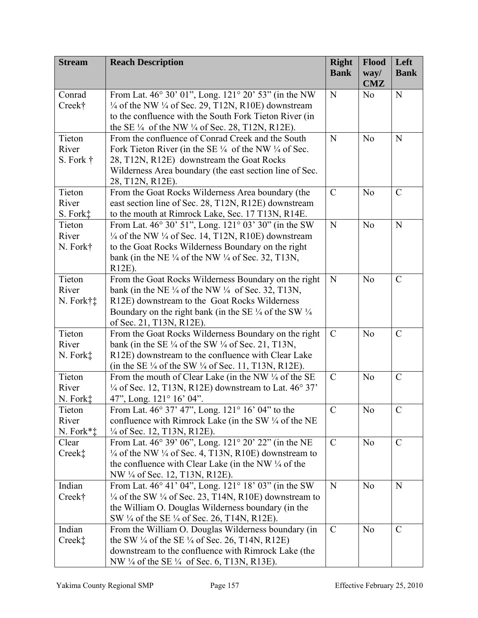| <b>Bank</b><br>way/<br><b>Bank</b><br>CMZ<br>From Lat. 46° 30' 01", Long. 121° 20' 53" (in the NW<br>Conrad<br>N<br>$\mathbf N$<br>N <sub>o</sub><br>$\frac{1}{4}$ of the NW $\frac{1}{4}$ of Sec. 29, T12N, R10E) downstream<br>Creek†<br>to the confluence with the South Fork Tieton River (in<br>the SE $\frac{1}{4}$ of the NW $\frac{1}{4}$ of Sec. 28, T12N, R12E).<br>Tieton<br>From the confluence of Conrad Creek and the South<br>N<br>N <sub>o</sub><br>N<br>River<br>Fork Tieton River (in the SE $\frac{1}{4}$ of the NW $\frac{1}{4}$ of Sec.<br>28, T12N, R12E) downstream the Goat Rocks<br>S. Fork $\dagger$<br>Wilderness Area boundary (the east section line of Sec.<br>28, T12N, R12E).<br>Tieton<br>$\mathcal{C}$<br>From the Goat Rocks Wilderness Area boundary (the<br>$\mathcal{C}$<br>N <sub>o</sub><br>River<br>east section line of Sec. 28, T12N, R12E) downstream<br>S. Fork‡<br>to the mouth at Rimrock Lake, Sec. 17 T13N, R14E.<br>From Lat. 46° 30' 51", Long. 121° 03' 30" (in the SW<br>N<br>${\bf N}$<br>Tieton<br>N <sub>o</sub><br>River<br>$\frac{1}{4}$ of the NW $\frac{1}{4}$ of Sec. 14, T12N, R10E) downstream<br>to the Goat Rocks Wilderness Boundary on the right<br>N. Fork†<br>bank (in the NE $\frac{1}{4}$ of the NW $\frac{1}{4}$ of Sec. 32, T13N,<br>R12E).<br>Tieton<br>From the Goat Rocks Wilderness Boundary on the right<br>N<br>N <sub>o</sub><br>$\mathcal{C}$<br>River<br>bank (in the NE $\frac{1}{4}$ of the NW $\frac{1}{4}$ of Sec. 32, T13N,<br>N. Fork†‡<br>R12E) downstream to the Goat Rocks Wilderness<br>Boundary on the right bank (in the SE $\frac{1}{4}$ of the SW $\frac{1}{4}$<br>of Sec. 21, T13N, R12E).<br>Tieton<br>$\mathcal{C}$<br>From the Goat Rocks Wilderness Boundary on the right<br>$\mathcal{C}$<br>N <sub>o</sub><br>River<br>bank (in the SE $\frac{1}{4}$ of the SW $\frac{1}{4}$ of Sec. 21, T13N, |
|-------------------------------------------------------------------------------------------------------------------------------------------------------------------------------------------------------------------------------------------------------------------------------------------------------------------------------------------------------------------------------------------------------------------------------------------------------------------------------------------------------------------------------------------------------------------------------------------------------------------------------------------------------------------------------------------------------------------------------------------------------------------------------------------------------------------------------------------------------------------------------------------------------------------------------------------------------------------------------------------------------------------------------------------------------------------------------------------------------------------------------------------------------------------------------------------------------------------------------------------------------------------------------------------------------------------------------------------------------------------------------------------------------------------------------------------------------------------------------------------------------------------------------------------------------------------------------------------------------------------------------------------------------------------------------------------------------------------------------------------------------------------------------------------------------------------------------------------------------------------------------------------------------|
|                                                                                                                                                                                                                                                                                                                                                                                                                                                                                                                                                                                                                                                                                                                                                                                                                                                                                                                                                                                                                                                                                                                                                                                                                                                                                                                                                                                                                                                                                                                                                                                                                                                                                                                                                                                                                                                                                                       |
|                                                                                                                                                                                                                                                                                                                                                                                                                                                                                                                                                                                                                                                                                                                                                                                                                                                                                                                                                                                                                                                                                                                                                                                                                                                                                                                                                                                                                                                                                                                                                                                                                                                                                                                                                                                                                                                                                                       |
|                                                                                                                                                                                                                                                                                                                                                                                                                                                                                                                                                                                                                                                                                                                                                                                                                                                                                                                                                                                                                                                                                                                                                                                                                                                                                                                                                                                                                                                                                                                                                                                                                                                                                                                                                                                                                                                                                                       |
|                                                                                                                                                                                                                                                                                                                                                                                                                                                                                                                                                                                                                                                                                                                                                                                                                                                                                                                                                                                                                                                                                                                                                                                                                                                                                                                                                                                                                                                                                                                                                                                                                                                                                                                                                                                                                                                                                                       |
|                                                                                                                                                                                                                                                                                                                                                                                                                                                                                                                                                                                                                                                                                                                                                                                                                                                                                                                                                                                                                                                                                                                                                                                                                                                                                                                                                                                                                                                                                                                                                                                                                                                                                                                                                                                                                                                                                                       |
|                                                                                                                                                                                                                                                                                                                                                                                                                                                                                                                                                                                                                                                                                                                                                                                                                                                                                                                                                                                                                                                                                                                                                                                                                                                                                                                                                                                                                                                                                                                                                                                                                                                                                                                                                                                                                                                                                                       |
|                                                                                                                                                                                                                                                                                                                                                                                                                                                                                                                                                                                                                                                                                                                                                                                                                                                                                                                                                                                                                                                                                                                                                                                                                                                                                                                                                                                                                                                                                                                                                                                                                                                                                                                                                                                                                                                                                                       |
|                                                                                                                                                                                                                                                                                                                                                                                                                                                                                                                                                                                                                                                                                                                                                                                                                                                                                                                                                                                                                                                                                                                                                                                                                                                                                                                                                                                                                                                                                                                                                                                                                                                                                                                                                                                                                                                                                                       |
|                                                                                                                                                                                                                                                                                                                                                                                                                                                                                                                                                                                                                                                                                                                                                                                                                                                                                                                                                                                                                                                                                                                                                                                                                                                                                                                                                                                                                                                                                                                                                                                                                                                                                                                                                                                                                                                                                                       |
|                                                                                                                                                                                                                                                                                                                                                                                                                                                                                                                                                                                                                                                                                                                                                                                                                                                                                                                                                                                                                                                                                                                                                                                                                                                                                                                                                                                                                                                                                                                                                                                                                                                                                                                                                                                                                                                                                                       |
|                                                                                                                                                                                                                                                                                                                                                                                                                                                                                                                                                                                                                                                                                                                                                                                                                                                                                                                                                                                                                                                                                                                                                                                                                                                                                                                                                                                                                                                                                                                                                                                                                                                                                                                                                                                                                                                                                                       |
|                                                                                                                                                                                                                                                                                                                                                                                                                                                                                                                                                                                                                                                                                                                                                                                                                                                                                                                                                                                                                                                                                                                                                                                                                                                                                                                                                                                                                                                                                                                                                                                                                                                                                                                                                                                                                                                                                                       |
|                                                                                                                                                                                                                                                                                                                                                                                                                                                                                                                                                                                                                                                                                                                                                                                                                                                                                                                                                                                                                                                                                                                                                                                                                                                                                                                                                                                                                                                                                                                                                                                                                                                                                                                                                                                                                                                                                                       |
|                                                                                                                                                                                                                                                                                                                                                                                                                                                                                                                                                                                                                                                                                                                                                                                                                                                                                                                                                                                                                                                                                                                                                                                                                                                                                                                                                                                                                                                                                                                                                                                                                                                                                                                                                                                                                                                                                                       |
|                                                                                                                                                                                                                                                                                                                                                                                                                                                                                                                                                                                                                                                                                                                                                                                                                                                                                                                                                                                                                                                                                                                                                                                                                                                                                                                                                                                                                                                                                                                                                                                                                                                                                                                                                                                                                                                                                                       |
|                                                                                                                                                                                                                                                                                                                                                                                                                                                                                                                                                                                                                                                                                                                                                                                                                                                                                                                                                                                                                                                                                                                                                                                                                                                                                                                                                                                                                                                                                                                                                                                                                                                                                                                                                                                                                                                                                                       |
|                                                                                                                                                                                                                                                                                                                                                                                                                                                                                                                                                                                                                                                                                                                                                                                                                                                                                                                                                                                                                                                                                                                                                                                                                                                                                                                                                                                                                                                                                                                                                                                                                                                                                                                                                                                                                                                                                                       |
|                                                                                                                                                                                                                                                                                                                                                                                                                                                                                                                                                                                                                                                                                                                                                                                                                                                                                                                                                                                                                                                                                                                                                                                                                                                                                                                                                                                                                                                                                                                                                                                                                                                                                                                                                                                                                                                                                                       |
|                                                                                                                                                                                                                                                                                                                                                                                                                                                                                                                                                                                                                                                                                                                                                                                                                                                                                                                                                                                                                                                                                                                                                                                                                                                                                                                                                                                                                                                                                                                                                                                                                                                                                                                                                                                                                                                                                                       |
|                                                                                                                                                                                                                                                                                                                                                                                                                                                                                                                                                                                                                                                                                                                                                                                                                                                                                                                                                                                                                                                                                                                                                                                                                                                                                                                                                                                                                                                                                                                                                                                                                                                                                                                                                                                                                                                                                                       |
|                                                                                                                                                                                                                                                                                                                                                                                                                                                                                                                                                                                                                                                                                                                                                                                                                                                                                                                                                                                                                                                                                                                                                                                                                                                                                                                                                                                                                                                                                                                                                                                                                                                                                                                                                                                                                                                                                                       |
|                                                                                                                                                                                                                                                                                                                                                                                                                                                                                                                                                                                                                                                                                                                                                                                                                                                                                                                                                                                                                                                                                                                                                                                                                                                                                                                                                                                                                                                                                                                                                                                                                                                                                                                                                                                                                                                                                                       |
|                                                                                                                                                                                                                                                                                                                                                                                                                                                                                                                                                                                                                                                                                                                                                                                                                                                                                                                                                                                                                                                                                                                                                                                                                                                                                                                                                                                                                                                                                                                                                                                                                                                                                                                                                                                                                                                                                                       |
|                                                                                                                                                                                                                                                                                                                                                                                                                                                                                                                                                                                                                                                                                                                                                                                                                                                                                                                                                                                                                                                                                                                                                                                                                                                                                                                                                                                                                                                                                                                                                                                                                                                                                                                                                                                                                                                                                                       |
| N. Fork $\ddagger$<br>R12E) downstream to the confluence with Clear Lake                                                                                                                                                                                                                                                                                                                                                                                                                                                                                                                                                                                                                                                                                                                                                                                                                                                                                                                                                                                                                                                                                                                                                                                                                                                                                                                                                                                                                                                                                                                                                                                                                                                                                                                                                                                                                              |
| (in the SE $\frac{1}{4}$ of the SW $\frac{1}{4}$ of Sec. 11, T13N, R12E).                                                                                                                                                                                                                                                                                                                                                                                                                                                                                                                                                                                                                                                                                                                                                                                                                                                                                                                                                                                                                                                                                                                                                                                                                                                                                                                                                                                                                                                                                                                                                                                                                                                                                                                                                                                                                             |
| Tieton<br>From the mouth of Clear Lake (in the NW 1/4 of the SE<br>$\mathcal{C}$<br>N <sub>o</sub><br>$\mathcal{C}$                                                                                                                                                                                                                                                                                                                                                                                                                                                                                                                                                                                                                                                                                                                                                                                                                                                                                                                                                                                                                                                                                                                                                                                                                                                                                                                                                                                                                                                                                                                                                                                                                                                                                                                                                                                   |
| River<br>$\frac{1}{4}$ of Sec. 12, T13N, R12E) downstream to Lat. 46° 37'                                                                                                                                                                                                                                                                                                                                                                                                                                                                                                                                                                                                                                                                                                                                                                                                                                                                                                                                                                                                                                                                                                                                                                                                                                                                                                                                                                                                                                                                                                                                                                                                                                                                                                                                                                                                                             |
| N. Fork‡<br>47", Long. $121^{\circ} 16' 04"$ .                                                                                                                                                                                                                                                                                                                                                                                                                                                                                                                                                                                                                                                                                                                                                                                                                                                                                                                                                                                                                                                                                                                                                                                                                                                                                                                                                                                                                                                                                                                                                                                                                                                                                                                                                                                                                                                        |
| From Lat. 46° 37' 47", Long. 121° 16' 04" to the<br>$\mathcal{C}$<br>Tieton<br>No<br>$\mathcal{C}_{0}^{0}$                                                                                                                                                                                                                                                                                                                                                                                                                                                                                                                                                                                                                                                                                                                                                                                                                                                                                                                                                                                                                                                                                                                                                                                                                                                                                                                                                                                                                                                                                                                                                                                                                                                                                                                                                                                            |
| River<br>confluence with Rimrock Lake (in the SW $\frac{1}{4}$ of the NE                                                                                                                                                                                                                                                                                                                                                                                                                                                                                                                                                                                                                                                                                                                                                                                                                                                                                                                                                                                                                                                                                                                                                                                                                                                                                                                                                                                                                                                                                                                                                                                                                                                                                                                                                                                                                              |
| $N.$ Fork $*$ $\ddagger$<br>$\frac{1}{4}$ of Sec. 12, T13N, R12E).                                                                                                                                                                                                                                                                                                                                                                                                                                                                                                                                                                                                                                                                                                                                                                                                                                                                                                                                                                                                                                                                                                                                                                                                                                                                                                                                                                                                                                                                                                                                                                                                                                                                                                                                                                                                                                    |
| From Lat. 46° 39' 06", Long. 121° 20' 22" (in the NE<br>$\mathcal{C}$<br>$\mathcal{C}$<br>N <sub>o</sub><br>Clear                                                                                                                                                                                                                                                                                                                                                                                                                                                                                                                                                                                                                                                                                                                                                                                                                                                                                                                                                                                                                                                                                                                                                                                                                                                                                                                                                                                                                                                                                                                                                                                                                                                                                                                                                                                     |
| Creek‡<br>$\frac{1}{4}$ of the NW $\frac{1}{4}$ of Sec. 4, T13N, R10E) downstream to                                                                                                                                                                                                                                                                                                                                                                                                                                                                                                                                                                                                                                                                                                                                                                                                                                                                                                                                                                                                                                                                                                                                                                                                                                                                                                                                                                                                                                                                                                                                                                                                                                                                                                                                                                                                                  |
| the confluence with Clear Lake (in the NW $\frac{1}{4}$ of the                                                                                                                                                                                                                                                                                                                                                                                                                                                                                                                                                                                                                                                                                                                                                                                                                                                                                                                                                                                                                                                                                                                                                                                                                                                                                                                                                                                                                                                                                                                                                                                                                                                                                                                                                                                                                                        |
| NW 1/4 of Sec. 12, T13N, R12E).                                                                                                                                                                                                                                                                                                                                                                                                                                                                                                                                                                                                                                                                                                                                                                                                                                                                                                                                                                                                                                                                                                                                                                                                                                                                                                                                                                                                                                                                                                                                                                                                                                                                                                                                                                                                                                                                       |
| Indian<br>From Lat. 46° 41' 04", Long. 121° 18' 03" (in the SW<br>N<br>N<br>N <sub>o</sub>                                                                                                                                                                                                                                                                                                                                                                                                                                                                                                                                                                                                                                                                                                                                                                                                                                                                                                                                                                                                                                                                                                                                                                                                                                                                                                                                                                                                                                                                                                                                                                                                                                                                                                                                                                                                            |
| $\frac{1}{4}$ of the SW $\frac{1}{4}$ of Sec. 23, T14N, R10E) downstream to<br>Creek†                                                                                                                                                                                                                                                                                                                                                                                                                                                                                                                                                                                                                                                                                                                                                                                                                                                                                                                                                                                                                                                                                                                                                                                                                                                                                                                                                                                                                                                                                                                                                                                                                                                                                                                                                                                                                 |
| the William O. Douglas Wilderness boundary (in the                                                                                                                                                                                                                                                                                                                                                                                                                                                                                                                                                                                                                                                                                                                                                                                                                                                                                                                                                                                                                                                                                                                                                                                                                                                                                                                                                                                                                                                                                                                                                                                                                                                                                                                                                                                                                                                    |
| SW 1/4 of the SE 1/4 of Sec. 26, T14N, R12E).<br>Indian<br>$\mathcal{C}$<br>$\mathcal{C}$                                                                                                                                                                                                                                                                                                                                                                                                                                                                                                                                                                                                                                                                                                                                                                                                                                                                                                                                                                                                                                                                                                                                                                                                                                                                                                                                                                                                                                                                                                                                                                                                                                                                                                                                                                                                             |
| From the William O. Douglas Wilderness boundary (in<br>N <sub>o</sub><br>the SW $\frac{1}{4}$ of the SE $\frac{1}{4}$ of Sec. 26, T14N, R12E)<br>Creek‡                                                                                                                                                                                                                                                                                                                                                                                                                                                                                                                                                                                                                                                                                                                                                                                                                                                                                                                                                                                                                                                                                                                                                                                                                                                                                                                                                                                                                                                                                                                                                                                                                                                                                                                                               |
| downstream to the confluence with Rimrock Lake (the                                                                                                                                                                                                                                                                                                                                                                                                                                                                                                                                                                                                                                                                                                                                                                                                                                                                                                                                                                                                                                                                                                                                                                                                                                                                                                                                                                                                                                                                                                                                                                                                                                                                                                                                                                                                                                                   |
| NW 1/4 of the SE 1/4 of Sec. 6, T13N, R13E).                                                                                                                                                                                                                                                                                                                                                                                                                                                                                                                                                                                                                                                                                                                                                                                                                                                                                                                                                                                                                                                                                                                                                                                                                                                                                                                                                                                                                                                                                                                                                                                                                                                                                                                                                                                                                                                          |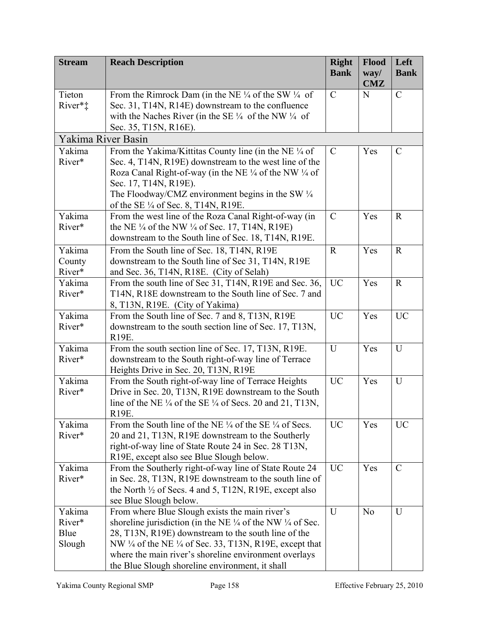| <b>Stream</b>       | <b>Reach Description</b>                                                                                                               | <b>Right</b><br><b>Bank</b> | <b>Flood</b><br>way/ | Left<br><b>Bank</b> |
|---------------------|----------------------------------------------------------------------------------------------------------------------------------------|-----------------------------|----------------------|---------------------|
|                     |                                                                                                                                        |                             | CMZ                  |                     |
| Tieton              | From the Rimrock Dam (in the NE $\frac{1}{4}$ of the SW $\frac{1}{4}$ of                                                               | $\mathcal{C}$               | N                    | $\mathcal{C}$       |
| River* <sup>*</sup> | Sec. 31, T14N, R14E) downstream to the confluence                                                                                      |                             |                      |                     |
|                     | with the Naches River (in the SE $\frac{1}{4}$ of the NW $\frac{1}{4}$ of<br>Sec. 35, T15N, R16E).                                     |                             |                      |                     |
| Yakima River Basin  |                                                                                                                                        |                             |                      |                     |
| Yakima              | From the Yakima/Kittitas County line (in the NE 1/4 of                                                                                 | $\mathcal{C}$               | Yes                  | $\mathcal{C}$       |
| River*              | Sec. 4, T14N, R19E) downstream to the west line of the                                                                                 |                             |                      |                     |
|                     | Roza Canal Right-of-way (in the NE $\frac{1}{4}$ of the NW $\frac{1}{4}$ of                                                            |                             |                      |                     |
|                     | Sec. 17, T14N, R19E).                                                                                                                  |                             |                      |                     |
|                     | The Floodway/CMZ environment begins in the SW $\frac{1}{4}$<br>of the SE 1/4 of Sec. 8, T14N, R19E.                                    |                             |                      |                     |
| Yakima              | From the west line of the Roza Canal Right-of-way (in                                                                                  | $\mathcal{C}$               | Yes                  | $\mathbf R$         |
| River*              | the NE $\frac{1}{4}$ of the NW $\frac{1}{4}$ of Sec. 17, T14N, R19E)                                                                   |                             |                      |                     |
|                     | downstream to the South line of Sec. 18, T14N, R19E.                                                                                   |                             |                      |                     |
| Yakima              | From the South line of Sec. 18, T14N, R19E                                                                                             | $\mathbf{R}$                | Yes                  | $\mathbf R$         |
| County              | downstream to the South line of Sec 31, T14N, R19E                                                                                     |                             |                      |                     |
| River*              | and Sec. 36, T14N, R18E. (City of Selah)                                                                                               |                             |                      |                     |
| Yakima              | From the south line of Sec 31, T14N, R19E and Sec. 36,                                                                                 | <b>UC</b>                   | Yes                  | $\mathbf R$         |
| River*              | T14N, R18E downstream to the South line of Sec. 7 and<br>8, T13N, R19E. (City of Yakima)                                               |                             |                      |                     |
| Yakima              | From the South line of Sec. 7 and 8, T13N, R19E                                                                                        | <b>UC</b>                   | Yes                  | <b>UC</b>           |
| River*              | downstream to the south section line of Sec. 17, T13N,                                                                                 |                             |                      |                     |
|                     | R19E.                                                                                                                                  |                             |                      |                     |
| Yakima              | From the south section line of Sec. 17, T13N, R19E.                                                                                    | U                           | Yes                  | U                   |
| River*              | downstream to the South right-of-way line of Terrace                                                                                   |                             |                      |                     |
| Yakima              | Heights Drive in Sec. 20, T13N, R19E<br>From the South right-of-way line of Terrace Heights                                            | <b>UC</b>                   | Yes                  | U                   |
| River*              | Drive in Sec. 20, T13N, R19E downstream to the South                                                                                   |                             |                      |                     |
|                     | line of the NE $\frac{1}{4}$ of the SE $\frac{1}{4}$ of Secs. 20 and 21, T13N.                                                         |                             |                      |                     |
|                     | R19E.                                                                                                                                  |                             |                      |                     |
| Yakima              | From the South line of the NE $\frac{1}{4}$ of the SE $\frac{1}{4}$ of Secs.                                                           | <b>UC</b>                   | Yes                  | <b>UC</b>           |
| River*              | 20 and 21, T13N, R19E downstream to the Southerly                                                                                      |                             |                      |                     |
|                     | right-of-way line of State Route 24 in Sec. 28 T13N,<br>R19E, except also see Blue Slough below.                                       |                             |                      |                     |
| Yakima              | From the Southerly right-of-way line of State Route 24                                                                                 | <b>UC</b>                   | Yes                  | $\mathcal{C}$       |
| River*              | in Sec. 28, T13N, R19E downstream to the south line of                                                                                 |                             |                      |                     |
|                     | the North $\frac{1}{2}$ of Secs. 4 and 5, T12N, R19E, except also                                                                      |                             |                      |                     |
|                     | see Blue Slough below.                                                                                                                 |                             |                      |                     |
| Yakima              | From where Blue Slough exists the main river's                                                                                         | U                           | N <sub>o</sub>       | U                   |
| River*<br>Blue      | shoreline jurisdiction (in the NE $\frac{1}{4}$ of the NW $\frac{1}{4}$ of Sec.<br>28, T13N, R19E) downstream to the south line of the |                             |                      |                     |
| Slough              | NW $\frac{1}{4}$ of the NE $\frac{1}{4}$ of Sec. 33, T13N, R19E, except that                                                           |                             |                      |                     |
|                     | where the main river's shoreline environment overlays                                                                                  |                             |                      |                     |
|                     | the Blue Slough shoreline environment, it shall                                                                                        |                             |                      |                     |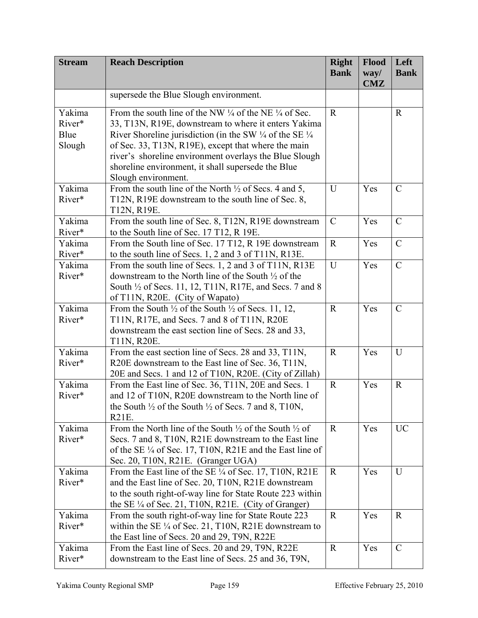| <b>Stream</b> | <b>Reach Description</b>                                                                                                     | <b>Right</b><br><b>Bank</b> | Flood<br>way/ | Left<br><b>Bank</b> |
|---------------|------------------------------------------------------------------------------------------------------------------------------|-----------------------------|---------------|---------------------|
|               |                                                                                                                              |                             | <b>CMZ</b>    |                     |
|               | supersede the Blue Slough environment.                                                                                       |                             |               |                     |
| Yakima        | From the south line of the NW $\frac{1}{4}$ of the NE $\frac{1}{4}$ of Sec.                                                  | $\mathbf R$                 |               | $\mathbf R$         |
| River*        | 33, T13N, R19E, downstream to where it enters Yakima                                                                         |                             |               |                     |
| Blue          | River Shoreline jurisdiction (in the SW $\frac{1}{4}$ of the SE $\frac{1}{4}$                                                |                             |               |                     |
| Slough        | of Sec. 33, T13N, R19E), except that where the main                                                                          |                             |               |                     |
|               | river's shoreline environment overlays the Blue Slough                                                                       |                             |               |                     |
|               | shoreline environment, it shall supersede the Blue<br>Slough environment.                                                    |                             |               |                     |
| Yakima        | From the south line of the North $\frac{1}{2}$ of Secs. 4 and 5,                                                             | U                           | Yes           | $\mathcal{C}$       |
| River*        | T12N, R19E downstream to the south line of Sec. 8,                                                                           |                             |               |                     |
|               | T12N, R19E.                                                                                                                  |                             |               |                     |
| Yakima        | From the south line of Sec. 8, T12N, R19E downstream                                                                         | $\mathcal{C}$               | Yes           | $\mathcal{C}$       |
| River*        | to the South line of Sec. 17 T12, R 19E.                                                                                     |                             |               |                     |
| Yakima        | From the South line of Sec. 17 T12, R 19E downstream                                                                         | $\mathbf R$                 | Yes           | $\mathcal{C}$       |
| River*        | to the south line of Secs. 1, 2 and 3 of T11N, R13E.                                                                         |                             |               |                     |
| Yakima        | From the south line of Secs. 1, 2 and 3 of T11N, R13E                                                                        | U                           | Yes           | $\mathcal{C}$       |
| River*        | downstream to the North line of the South $\frac{1}{2}$ of the                                                               |                             |               |                     |
|               | South <sup>1</sup> / <sub>2</sub> of Secs. 11, 12, T11N, R17E, and Secs. 7 and 8                                             |                             |               |                     |
|               | of T11N, R20E. (City of Wapato)                                                                                              |                             |               |                     |
| Yakima        | From the South $\frac{1}{2}$ of the South $\frac{1}{2}$ of Secs. 11, 12,                                                     | $\mathbf R$                 | Yes           | $\mathcal{C}$       |
| River*        | T11N, R17E, and Secs. 7 and 8 of T11N, R20E<br>downstream the east section line of Secs. 28 and 33,                          |                             |               |                     |
|               | T11N, R20E.                                                                                                                  |                             |               |                     |
| Yakima        | From the east section line of Secs. 28 and 33, T11N,                                                                         | $\mathbf R$                 | Yes           | U                   |
| River*        | R20E downstream to the East line of Sec. 36, T11N,                                                                           |                             |               |                     |
|               | 20E and Secs. 1 and 12 of T10N, R20E. (City of Zillah)                                                                       |                             |               |                     |
| Yakima        | From the East line of Sec. 36, T11N, 20E and Secs. 1                                                                         | $\mathbf R$                 | Yes           | $\mathbf R$         |
| River*        | and 12 of T10N, R20E downstream to the North line of                                                                         |                             |               |                     |
|               | the South 1/2 of the South 1/2 of Secs. 7 and 8, T10N,                                                                       |                             |               |                     |
|               | R21E.                                                                                                                        |                             |               |                     |
| Yakima        | From the North line of the South $\frac{1}{2}$ of the South $\frac{1}{2}$ of                                                 | $\mathbf R$                 | Yes           | <b>UC</b>           |
| River*        | Secs. 7 and 8, T10N, R21E downstream to the East line<br>of the SE $\frac{1}{4}$ of Sec. 17, T10N, R21E and the East line of |                             |               |                     |
|               | Sec. 20, T10N, R21E. (Granger UGA)                                                                                           |                             |               |                     |
| Yakima        | From the East line of the SE ¼ of Sec. 17, T10N, R21E                                                                        | $\mathbf R$                 | Yes           | U                   |
| River*        | and the East line of Sec. 20, T10N, R21E downstream                                                                          |                             |               |                     |
|               | to the south right-of-way line for State Route 223 within                                                                    |                             |               |                     |
|               | the SE $\frac{1}{4}$ of Sec. 21, T10N, R21E. (City of Granger)                                                               |                             |               |                     |
| Yakima        | From the south right-of-way line for State Route 223                                                                         | $\mathbf R$                 | Yes           | $\mathbf R$         |
| River*        | within the SE $\frac{1}{4}$ of Sec. 21, T10N, R21E downstream to                                                             |                             |               |                     |
|               | the East line of Secs. 20 and 29, T9N, R22E                                                                                  |                             |               |                     |
| Yakima        | From the East line of Secs. 20 and 29, T9N, R22E                                                                             | $\mathbf R$                 | Yes           | $\mathcal{C}$       |
| River*        | downstream to the East line of Secs. 25 and 36, T9N,                                                                         |                             |               |                     |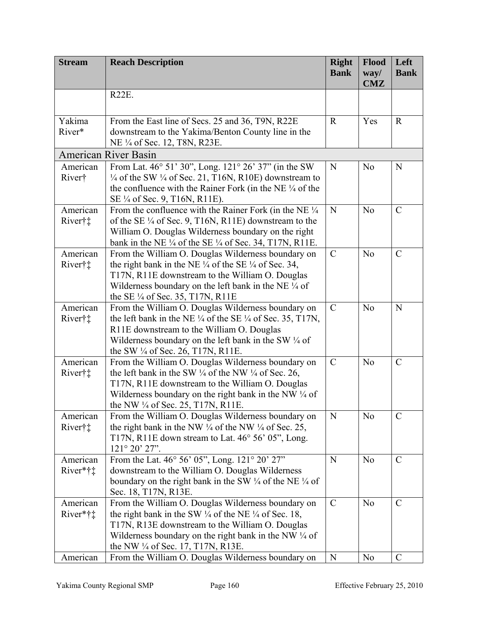| <b>Stream</b>        | <b>Reach Description</b>                                                                                                                                                                                                                                                                               | <b>Right</b><br><b>Bank</b> | Flood<br>way/<br><b>CMZ</b> | Left<br><b>Bank</b> |
|----------------------|--------------------------------------------------------------------------------------------------------------------------------------------------------------------------------------------------------------------------------------------------------------------------------------------------------|-----------------------------|-----------------------------|---------------------|
|                      | <b>R22E.</b>                                                                                                                                                                                                                                                                                           |                             |                             |                     |
| Yakima<br>River*     | From the East line of Secs. 25 and 36, T9N, R22E<br>downstream to the Yakima/Benton County line in the<br>NE 1/4 of Sec. 12, T8N, R23E.                                                                                                                                                                | $\mathbf R$                 | Yes                         | $\mathbf R$         |
|                      | <b>American River Basin</b>                                                                                                                                                                                                                                                                            |                             |                             |                     |
| American<br>River†   | From Lat. 46° 51' 30", Long. 121° 26' 37" (in the SW<br>$\frac{1}{4}$ of the SW $\frac{1}{4}$ of Sec. 21, T16N, R10E) downstream to<br>the confluence with the Rainer Fork (in the NE $\frac{1}{4}$ of the<br>SE 1/4 of Sec. 9, T16N, R11E).                                                           | N                           | N <sub>0</sub>              | N                   |
| American<br>River†‡  | From the confluence with the Rainer Fork (in the NE 1/4<br>of the SE 1/4 of Sec. 9, T16N, R11E) downstream to the<br>William O. Douglas Wilderness boundary on the right<br>bank in the NE $\frac{1}{4}$ of the SE $\frac{1}{4}$ of Sec. 34, T17N, R11E.                                               | N                           | N <sub>0</sub>              | $\mathcal{C}$       |
| American<br>River†‡  | From the William O. Douglas Wilderness boundary on<br>the right bank in the NE $\frac{1}{4}$ of the SE $\frac{1}{4}$ of Sec. 34,<br>T17N, R11E downstream to the William O. Douglas<br>Wilderness boundary on the left bank in the NE $\frac{1}{4}$ of<br>the SE $\frac{1}{4}$ of Sec. 35, T17N, R11E  | $\mathcal{C}$               | N <sub>o</sub>              | $\mathcal{C}$       |
| American<br>River†‡  | From the William O. Douglas Wilderness boundary on<br>the left bank in the NE $\frac{1}{4}$ of the SE $\frac{1}{4}$ of Sec. 35, T17N,<br>R11E downstream to the William O. Douglas<br>Wilderness boundary on the left bank in the SW $\frac{1}{4}$ of<br>the SW $\frac{1}{4}$ of Sec. 26, T17N, R11E.  | $\mathcal{C}$               | N <sub>o</sub>              | N                   |
| American<br>River†‡  | From the William O. Douglas Wilderness boundary on<br>the left bank in the SW $\frac{1}{4}$ of the NW $\frac{1}{4}$ of Sec. 26,<br>T17N, R11E downstream to the William O. Douglas<br>Wilderness boundary on the right bank in the NW $\frac{1}{4}$ of<br>the NW $\frac{1}{4}$ of Sec. 25, T17N, R11E. | $\mathcal{C}$               | N <sub>o</sub>              | $\mathcal{C}$       |
| American<br>River†‡  | From the William O. Douglas Wilderness boundary on<br>the right bank in the NW $\frac{1}{4}$ of the NW $\frac{1}{4}$ of Sec. 25,<br>T17N, R11E down stream to Lat. $46^{\circ}$ 56' 05", Long.<br>121° 20' 27".                                                                                        | N                           | N <sub>0</sub>              | $\mathcal{C}$       |
| American<br>River*†‡ | From the Lat. 46° 56' 05", Long. 121° 20' 27"<br>downstream to the William O. Douglas Wilderness<br>boundary on the right bank in the SW $\frac{1}{4}$ of the NE $\frac{1}{4}$ of<br>Sec. 18, T17N, R13E.                                                                                              | N                           | N <sub>o</sub>              | $\mathcal{C}$       |
| American<br>River*†‡ | From the William O. Douglas Wilderness boundary on<br>the right bank in the SW $\frac{1}{4}$ of the NE $\frac{1}{4}$ of Sec. 18,<br>T17N, R13E downstream to the William O. Douglas<br>Wilderness boundary on the right bank in the NW $\frac{1}{4}$ of<br>the NW 1/4 of Sec. 17, T17N, R13E.          | $\mathcal{C}$               | N <sub>o</sub>              | $\mathcal{C}$       |
| American             | From the William O. Douglas Wilderness boundary on                                                                                                                                                                                                                                                     | N                           | N <sub>o</sub>              | $\mathcal{C}$       |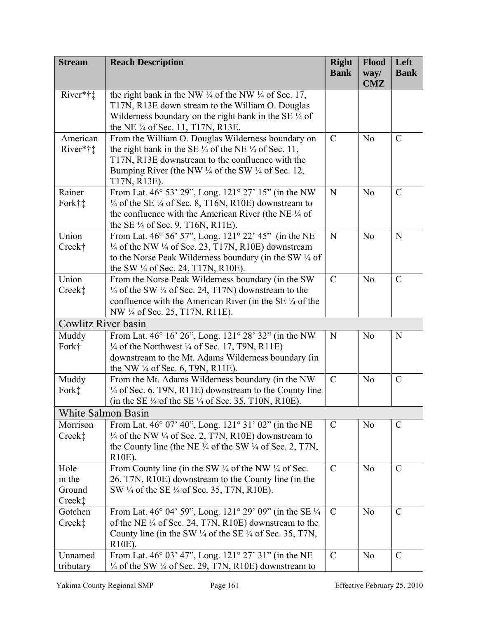| <b>Stream</b>                      | <b>Reach Description</b>                                                                                                                                                                                                                                                        | <b>Right</b><br><b>Bank</b> | Flood<br>way/<br><b>CMZ</b> | Left<br><b>Bank</b> |
|------------------------------------|---------------------------------------------------------------------------------------------------------------------------------------------------------------------------------------------------------------------------------------------------------------------------------|-----------------------------|-----------------------------|---------------------|
| River*†‡                           | the right bank in the NW $\frac{1}{4}$ of the NW $\frac{1}{4}$ of Sec. 17,<br>T17N, R13E down stream to the William O. Douglas<br>Wilderness boundary on the right bank in the SE 1/4 of<br>the NE $\frac{1}{4}$ of Sec. 11, T17N, R13E.                                        |                             |                             |                     |
| American<br>River*† $\ddagger$     | From the William O. Douglas Wilderness boundary on<br>the right bank in the SE $\frac{1}{4}$ of the NE $\frac{1}{4}$ of Sec. 11,<br>T17N, R13E downstream to the confluence with the<br>Bumping River (the NW $\frac{1}{4}$ of the SW $\frac{1}{4}$ of Sec. 12,<br>T17N, R13E). | $\mathcal{C}$               | N <sub>0</sub>              | $\mathcal{C}$       |
| Rainer<br>Fork†‡                   | From Lat. 46° 53' 29", Long. 121° 27' 15" (in the NW<br>$\frac{1}{4}$ of the SE $\frac{1}{4}$ of Sec. 8, T16N, R10E) downstream to<br>the confluence with the American River (the NE $\frac{1}{4}$ of<br>the SE $\frac{1}{4}$ of Sec. 9, T16N, R11E).                           | N                           | N <sub>o</sub>              | $\mathcal{C}$       |
| Union<br>Creek†                    | From Lat. 46° 56' 57", Long. 121° 22' 45" (in the NE<br>$\frac{1}{4}$ of the NW $\frac{1}{4}$ of Sec. 23, T17N, R10E) downstream<br>to the Norse Peak Wilderness boundary (in the SW $\frac{1}{4}$ of<br>the SW $\frac{1}{4}$ of Sec. 24, T17N, R10E).                          | N                           | N <sub>o</sub>              | $\mathbf N$         |
| Union<br>Creek‡                    | From the Norse Peak Wilderness boundary (in the SW<br>1/4 of the SW 1/4 of Sec. 24, T17N) downstream to the<br>confluence with the American River (in the SE $\frac{1}{4}$ of the<br>NW 1/4 of Sec. 25, T17N, R11E).                                                            | $\mathcal{C}$               | N <sub>0</sub>              | $\mathcal{C}$       |
| Cowlitz River basin                |                                                                                                                                                                                                                                                                                 |                             |                             |                     |
| Muddy<br>Fork†                     | From Lat. 46° 16' 26", Long. 121° 28' 32" (in the NW<br>$\frac{1}{4}$ of the Northwest $\frac{1}{4}$ of Sec. 17, T9N, R11E)<br>downstream to the Mt. Adams Wilderness boundary (in<br>the NW $\frac{1}{4}$ of Sec. 6, T9N, R11E).                                               | N                           | N <sub>0</sub>              | N                   |
| Muddy<br>Fork <sup>*</sup>         | From the Mt. Adams Wilderness boundary (in the NW<br>$\frac{1}{4}$ of Sec. 6, T9N, R11E) downstream to the County line<br>(in the SE 1/4 of the SE 1/4 of Sec. 35, T10N, R10E).                                                                                                 | $\mathcal{C}$               | N <sub>0</sub>              | $\mathcal{C}$       |
| White Salmon Basin                 |                                                                                                                                                                                                                                                                                 |                             |                             |                     |
| Morrison<br>Creek <sup>*</sup>     | From Lat. 46° 07' 40", Long. 121° 31' 02" (in the NE<br>$\frac{1}{4}$ of the NW $\frac{1}{4}$ of Sec. 2, T7N, R10E) downstream to<br>the County line (the NE $\frac{1}{4}$ of the SW $\frac{1}{4}$ of Sec. 2, T7N,<br>R <sub>10</sub> E).                                       | $\mathcal{C}$               | N <sub>0</sub>              | $\mathcal{C}$       |
| Hole<br>in the<br>Ground<br>Creek‡ | From County line (in the SW $\frac{1}{4}$ of the NW $\frac{1}{4}$ of Sec.<br>26, T7N, R10E) downstream to the County line (in the<br>SW 1/4 of the SE 1/4 of Sec. 35, T7N, R10E).                                                                                               | $\mathcal{C}$               | N <sub>o</sub>              | $\mathcal{C}$       |
| Gotchen<br>Creek‡                  | From Lat. 46° 04' 59", Long. 121° 29' 09" (in the SE 1/4)<br>of the NE 1/4 of Sec. 24, T7N, R10E) downstream to the<br>County line (in the SW $\frac{1}{4}$ of the SE $\frac{1}{4}$ of Sec. 35, T7N,<br>R <sub>10</sub> E).                                                     | $\mathcal{C}$               | N <sub>o</sub>              | $\mathcal{C}$       |
| Unnamed<br>tributary               | From Lat. 46° 03' 47", Long. 121 <sup>°</sup> 27' 31" (in the NE<br>$\frac{1}{4}$ of the SW $\frac{1}{4}$ of Sec. 29, T7N, R10E) downstream to                                                                                                                                  | $\mathcal{C}$               | N <sub>0</sub>              | $\mathcal{C}$       |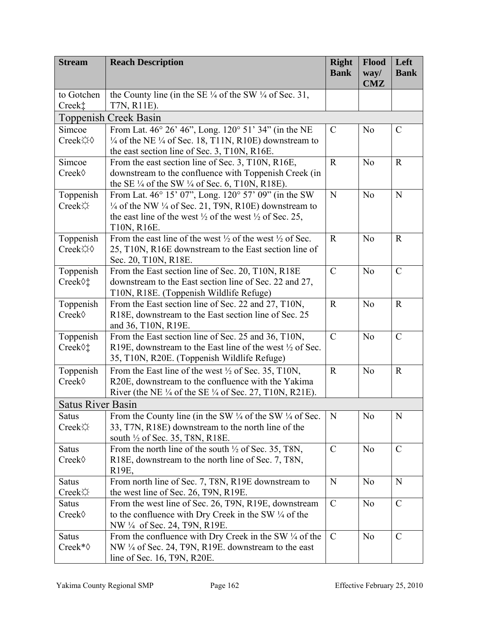| <b>CMZ</b><br>the County line (in the SE $\frac{1}{4}$ of the SW $\frac{1}{4}$ of Sec. 31,<br>to Gotchen<br>Creek‡<br>T7N, R11E).<br><b>Toppenish Creek Basin</b><br>From Lat. 46° 26' 46", Long. 120° 51' 34" (in the NE<br>$\mathcal{C}$<br>$\mathcal{C}$<br>Simcoe<br>N <sub>0</sub><br>Creek☆◇<br>$\frac{1}{4}$ of the NE $\frac{1}{4}$ of Sec. 18, T11N, R10E) downstream to<br>the east section line of Sec. 3, T10N, R16E.<br>From the east section line of Sec. 3, T10N, R16E,<br>$\mathbf{R}$<br>N <sub>o</sub><br>$\mathbf R$<br>Simcoe<br>downstream to the confluence with Toppenish Creek (in<br>Creek◊<br>the SE $\frac{1}{4}$ of the SW $\frac{1}{4}$ of Sec. 6, T10N, R18E).<br>From Lat. 46° 15' 07", Long. 120° 57' 09" (in the SW<br>N<br>Toppenish<br>N <sub>o</sub><br>$\mathbf N$<br>$\frac{1}{4}$ of the NW $\frac{1}{4}$ of Sec. 21, T9N, R10E) downstream to<br>Creek<br>the east line of the west $\frac{1}{2}$ of the west $\frac{1}{2}$ of Sec. 25,<br>T10N, R16E.<br>Toppenish<br>From the east line of the west $\frac{1}{2}$ of the west $\frac{1}{2}$ of Sec.<br>N <sub>o</sub><br>$\mathbf R$<br>$\mathbf R$<br>Creek☆◇<br>25, T10N, R16E downstream to the East section line of<br>Sec. 20, T10N, R18E.<br>$\mathcal{C}$<br>Toppenish<br>$\mathcal{C}$<br>N <sub>o</sub><br>From the East section line of Sec. 20, T10N, R18E<br>downstream to the East section line of Sec. 22 and 27,<br>Creek 0:<br>T10N, R18E. (Toppenish Wildlife Refuge)<br>Toppenish<br>From the East section line of Sec. 22 and 27, T10N,<br>$\mathbf R$<br>N <sub>o</sub><br>$\mathbf R$<br>Creek◊<br>R18E, downstream to the East section line of Sec. 25<br>and 36, T10N, R19E.<br>Toppenish<br>$\mathcal{C}$<br>N <sub>o</sub><br>$\mathcal{C}$<br>From the East section line of Sec. 25 and 36, T10N,<br>R19E, downstream to the East line of the west $\frac{1}{2}$ of Sec.<br>Creek 0:<br>35, T10N, R20E. (Toppenish Wildlife Refuge)<br>From the East line of the west $\frac{1}{2}$ of Sec. 35, T10N,<br>$\mathbf R$<br>$\mathbf R$<br>Toppenish<br>N <sub>o</sub><br>Creek◊<br>R20E, downstream to the confluence with the Yakima<br>River (the NE $\frac{1}{4}$ of the SE $\frac{1}{4}$ of Sec. 27, T10N, R21E).<br><b>Satus River Basin</b><br>From the County line (in the SW $\frac{1}{4}$ of the SW $\frac{1}{4}$ of Sec.<br>N<br>N <sub>o</sub><br>N<br><b>Satus</b><br>Creek<br>33, T7N, R18E) downstream to the north line of the<br>south <sup>1</sup> / <sub>2</sub> of Sec. 35, T8N, R18E.<br>$\mathcal{C}$<br>N <sub>o</sub><br>$\mathcal{C}$<br>Satus<br>From the north line of the south $\frac{1}{2}$ of Sec. 35, T8N,<br>Creek<br>R18E, downstream to the north line of Sec. 7, T8N,<br>R <sub>19</sub> E,<br>From north line of Sec. 7, T8N, R19E downstream to<br>N<br>Satus<br>N<br>N <sub>o</sub><br>Creek<br>the west line of Sec. 26, T9N, R19E. | <b>Stream</b> | <b>Reach Description</b> | <b>Right</b><br><b>Bank</b> | Flood<br>way/ | Left<br><b>Bank</b> |
|---------------------------------------------------------------------------------------------------------------------------------------------------------------------------------------------------------------------------------------------------------------------------------------------------------------------------------------------------------------------------------------------------------------------------------------------------------------------------------------------------------------------------------------------------------------------------------------------------------------------------------------------------------------------------------------------------------------------------------------------------------------------------------------------------------------------------------------------------------------------------------------------------------------------------------------------------------------------------------------------------------------------------------------------------------------------------------------------------------------------------------------------------------------------------------------------------------------------------------------------------------------------------------------------------------------------------------------------------------------------------------------------------------------------------------------------------------------------------------------------------------------------------------------------------------------------------------------------------------------------------------------------------------------------------------------------------------------------------------------------------------------------------------------------------------------------------------------------------------------------------------------------------------------------------------------------------------------------------------------------------------------------------------------------------------------------------------------------------------------------------------------------------------------------------------------------------------------------------------------------------------------------------------------------------------------------------------------------------------------------------------------------------------------------------------------------------------------------------------------------------------------------------------------------------------------------------------------------------------------------------------------------------------------------------------------------------------------------------------------------------------------------------------------------------------------------------------------------------------------------------------------------|---------------|--------------------------|-----------------------------|---------------|---------------------|
|                                                                                                                                                                                                                                                                                                                                                                                                                                                                                                                                                                                                                                                                                                                                                                                                                                                                                                                                                                                                                                                                                                                                                                                                                                                                                                                                                                                                                                                                                                                                                                                                                                                                                                                                                                                                                                                                                                                                                                                                                                                                                                                                                                                                                                                                                                                                                                                                                                                                                                                                                                                                                                                                                                                                                                                                                                                                                             |               |                          |                             |               |                     |
|                                                                                                                                                                                                                                                                                                                                                                                                                                                                                                                                                                                                                                                                                                                                                                                                                                                                                                                                                                                                                                                                                                                                                                                                                                                                                                                                                                                                                                                                                                                                                                                                                                                                                                                                                                                                                                                                                                                                                                                                                                                                                                                                                                                                                                                                                                                                                                                                                                                                                                                                                                                                                                                                                                                                                                                                                                                                                             |               |                          |                             |               |                     |
|                                                                                                                                                                                                                                                                                                                                                                                                                                                                                                                                                                                                                                                                                                                                                                                                                                                                                                                                                                                                                                                                                                                                                                                                                                                                                                                                                                                                                                                                                                                                                                                                                                                                                                                                                                                                                                                                                                                                                                                                                                                                                                                                                                                                                                                                                                                                                                                                                                                                                                                                                                                                                                                                                                                                                                                                                                                                                             |               |                          |                             |               |                     |
|                                                                                                                                                                                                                                                                                                                                                                                                                                                                                                                                                                                                                                                                                                                                                                                                                                                                                                                                                                                                                                                                                                                                                                                                                                                                                                                                                                                                                                                                                                                                                                                                                                                                                                                                                                                                                                                                                                                                                                                                                                                                                                                                                                                                                                                                                                                                                                                                                                                                                                                                                                                                                                                                                                                                                                                                                                                                                             |               |                          |                             |               |                     |
|                                                                                                                                                                                                                                                                                                                                                                                                                                                                                                                                                                                                                                                                                                                                                                                                                                                                                                                                                                                                                                                                                                                                                                                                                                                                                                                                                                                                                                                                                                                                                                                                                                                                                                                                                                                                                                                                                                                                                                                                                                                                                                                                                                                                                                                                                                                                                                                                                                                                                                                                                                                                                                                                                                                                                                                                                                                                                             |               |                          |                             |               |                     |
|                                                                                                                                                                                                                                                                                                                                                                                                                                                                                                                                                                                                                                                                                                                                                                                                                                                                                                                                                                                                                                                                                                                                                                                                                                                                                                                                                                                                                                                                                                                                                                                                                                                                                                                                                                                                                                                                                                                                                                                                                                                                                                                                                                                                                                                                                                                                                                                                                                                                                                                                                                                                                                                                                                                                                                                                                                                                                             |               |                          |                             |               |                     |
|                                                                                                                                                                                                                                                                                                                                                                                                                                                                                                                                                                                                                                                                                                                                                                                                                                                                                                                                                                                                                                                                                                                                                                                                                                                                                                                                                                                                                                                                                                                                                                                                                                                                                                                                                                                                                                                                                                                                                                                                                                                                                                                                                                                                                                                                                                                                                                                                                                                                                                                                                                                                                                                                                                                                                                                                                                                                                             |               |                          |                             |               |                     |
|                                                                                                                                                                                                                                                                                                                                                                                                                                                                                                                                                                                                                                                                                                                                                                                                                                                                                                                                                                                                                                                                                                                                                                                                                                                                                                                                                                                                                                                                                                                                                                                                                                                                                                                                                                                                                                                                                                                                                                                                                                                                                                                                                                                                                                                                                                                                                                                                                                                                                                                                                                                                                                                                                                                                                                                                                                                                                             |               |                          |                             |               |                     |
|                                                                                                                                                                                                                                                                                                                                                                                                                                                                                                                                                                                                                                                                                                                                                                                                                                                                                                                                                                                                                                                                                                                                                                                                                                                                                                                                                                                                                                                                                                                                                                                                                                                                                                                                                                                                                                                                                                                                                                                                                                                                                                                                                                                                                                                                                                                                                                                                                                                                                                                                                                                                                                                                                                                                                                                                                                                                                             |               |                          |                             |               |                     |
|                                                                                                                                                                                                                                                                                                                                                                                                                                                                                                                                                                                                                                                                                                                                                                                                                                                                                                                                                                                                                                                                                                                                                                                                                                                                                                                                                                                                                                                                                                                                                                                                                                                                                                                                                                                                                                                                                                                                                                                                                                                                                                                                                                                                                                                                                                                                                                                                                                                                                                                                                                                                                                                                                                                                                                                                                                                                                             |               |                          |                             |               |                     |
|                                                                                                                                                                                                                                                                                                                                                                                                                                                                                                                                                                                                                                                                                                                                                                                                                                                                                                                                                                                                                                                                                                                                                                                                                                                                                                                                                                                                                                                                                                                                                                                                                                                                                                                                                                                                                                                                                                                                                                                                                                                                                                                                                                                                                                                                                                                                                                                                                                                                                                                                                                                                                                                                                                                                                                                                                                                                                             |               |                          |                             |               |                     |
|                                                                                                                                                                                                                                                                                                                                                                                                                                                                                                                                                                                                                                                                                                                                                                                                                                                                                                                                                                                                                                                                                                                                                                                                                                                                                                                                                                                                                                                                                                                                                                                                                                                                                                                                                                                                                                                                                                                                                                                                                                                                                                                                                                                                                                                                                                                                                                                                                                                                                                                                                                                                                                                                                                                                                                                                                                                                                             |               |                          |                             |               |                     |
|                                                                                                                                                                                                                                                                                                                                                                                                                                                                                                                                                                                                                                                                                                                                                                                                                                                                                                                                                                                                                                                                                                                                                                                                                                                                                                                                                                                                                                                                                                                                                                                                                                                                                                                                                                                                                                                                                                                                                                                                                                                                                                                                                                                                                                                                                                                                                                                                                                                                                                                                                                                                                                                                                                                                                                                                                                                                                             |               |                          |                             |               |                     |
|                                                                                                                                                                                                                                                                                                                                                                                                                                                                                                                                                                                                                                                                                                                                                                                                                                                                                                                                                                                                                                                                                                                                                                                                                                                                                                                                                                                                                                                                                                                                                                                                                                                                                                                                                                                                                                                                                                                                                                                                                                                                                                                                                                                                                                                                                                                                                                                                                                                                                                                                                                                                                                                                                                                                                                                                                                                                                             |               |                          |                             |               |                     |
|                                                                                                                                                                                                                                                                                                                                                                                                                                                                                                                                                                                                                                                                                                                                                                                                                                                                                                                                                                                                                                                                                                                                                                                                                                                                                                                                                                                                                                                                                                                                                                                                                                                                                                                                                                                                                                                                                                                                                                                                                                                                                                                                                                                                                                                                                                                                                                                                                                                                                                                                                                                                                                                                                                                                                                                                                                                                                             |               |                          |                             |               |                     |
|                                                                                                                                                                                                                                                                                                                                                                                                                                                                                                                                                                                                                                                                                                                                                                                                                                                                                                                                                                                                                                                                                                                                                                                                                                                                                                                                                                                                                                                                                                                                                                                                                                                                                                                                                                                                                                                                                                                                                                                                                                                                                                                                                                                                                                                                                                                                                                                                                                                                                                                                                                                                                                                                                                                                                                                                                                                                                             |               |                          |                             |               |                     |
|                                                                                                                                                                                                                                                                                                                                                                                                                                                                                                                                                                                                                                                                                                                                                                                                                                                                                                                                                                                                                                                                                                                                                                                                                                                                                                                                                                                                                                                                                                                                                                                                                                                                                                                                                                                                                                                                                                                                                                                                                                                                                                                                                                                                                                                                                                                                                                                                                                                                                                                                                                                                                                                                                                                                                                                                                                                                                             |               |                          |                             |               |                     |
|                                                                                                                                                                                                                                                                                                                                                                                                                                                                                                                                                                                                                                                                                                                                                                                                                                                                                                                                                                                                                                                                                                                                                                                                                                                                                                                                                                                                                                                                                                                                                                                                                                                                                                                                                                                                                                                                                                                                                                                                                                                                                                                                                                                                                                                                                                                                                                                                                                                                                                                                                                                                                                                                                                                                                                                                                                                                                             |               |                          |                             |               |                     |
|                                                                                                                                                                                                                                                                                                                                                                                                                                                                                                                                                                                                                                                                                                                                                                                                                                                                                                                                                                                                                                                                                                                                                                                                                                                                                                                                                                                                                                                                                                                                                                                                                                                                                                                                                                                                                                                                                                                                                                                                                                                                                                                                                                                                                                                                                                                                                                                                                                                                                                                                                                                                                                                                                                                                                                                                                                                                                             |               |                          |                             |               |                     |
|                                                                                                                                                                                                                                                                                                                                                                                                                                                                                                                                                                                                                                                                                                                                                                                                                                                                                                                                                                                                                                                                                                                                                                                                                                                                                                                                                                                                                                                                                                                                                                                                                                                                                                                                                                                                                                                                                                                                                                                                                                                                                                                                                                                                                                                                                                                                                                                                                                                                                                                                                                                                                                                                                                                                                                                                                                                                                             |               |                          |                             |               |                     |
|                                                                                                                                                                                                                                                                                                                                                                                                                                                                                                                                                                                                                                                                                                                                                                                                                                                                                                                                                                                                                                                                                                                                                                                                                                                                                                                                                                                                                                                                                                                                                                                                                                                                                                                                                                                                                                                                                                                                                                                                                                                                                                                                                                                                                                                                                                                                                                                                                                                                                                                                                                                                                                                                                                                                                                                                                                                                                             |               |                          |                             |               |                     |
|                                                                                                                                                                                                                                                                                                                                                                                                                                                                                                                                                                                                                                                                                                                                                                                                                                                                                                                                                                                                                                                                                                                                                                                                                                                                                                                                                                                                                                                                                                                                                                                                                                                                                                                                                                                                                                                                                                                                                                                                                                                                                                                                                                                                                                                                                                                                                                                                                                                                                                                                                                                                                                                                                                                                                                                                                                                                                             |               |                          |                             |               |                     |
|                                                                                                                                                                                                                                                                                                                                                                                                                                                                                                                                                                                                                                                                                                                                                                                                                                                                                                                                                                                                                                                                                                                                                                                                                                                                                                                                                                                                                                                                                                                                                                                                                                                                                                                                                                                                                                                                                                                                                                                                                                                                                                                                                                                                                                                                                                                                                                                                                                                                                                                                                                                                                                                                                                                                                                                                                                                                                             |               |                          |                             |               |                     |
|                                                                                                                                                                                                                                                                                                                                                                                                                                                                                                                                                                                                                                                                                                                                                                                                                                                                                                                                                                                                                                                                                                                                                                                                                                                                                                                                                                                                                                                                                                                                                                                                                                                                                                                                                                                                                                                                                                                                                                                                                                                                                                                                                                                                                                                                                                                                                                                                                                                                                                                                                                                                                                                                                                                                                                                                                                                                                             |               |                          |                             |               |                     |
|                                                                                                                                                                                                                                                                                                                                                                                                                                                                                                                                                                                                                                                                                                                                                                                                                                                                                                                                                                                                                                                                                                                                                                                                                                                                                                                                                                                                                                                                                                                                                                                                                                                                                                                                                                                                                                                                                                                                                                                                                                                                                                                                                                                                                                                                                                                                                                                                                                                                                                                                                                                                                                                                                                                                                                                                                                                                                             |               |                          |                             |               |                     |
|                                                                                                                                                                                                                                                                                                                                                                                                                                                                                                                                                                                                                                                                                                                                                                                                                                                                                                                                                                                                                                                                                                                                                                                                                                                                                                                                                                                                                                                                                                                                                                                                                                                                                                                                                                                                                                                                                                                                                                                                                                                                                                                                                                                                                                                                                                                                                                                                                                                                                                                                                                                                                                                                                                                                                                                                                                                                                             |               |                          |                             |               |                     |
|                                                                                                                                                                                                                                                                                                                                                                                                                                                                                                                                                                                                                                                                                                                                                                                                                                                                                                                                                                                                                                                                                                                                                                                                                                                                                                                                                                                                                                                                                                                                                                                                                                                                                                                                                                                                                                                                                                                                                                                                                                                                                                                                                                                                                                                                                                                                                                                                                                                                                                                                                                                                                                                                                                                                                                                                                                                                                             |               |                          |                             |               |                     |
|                                                                                                                                                                                                                                                                                                                                                                                                                                                                                                                                                                                                                                                                                                                                                                                                                                                                                                                                                                                                                                                                                                                                                                                                                                                                                                                                                                                                                                                                                                                                                                                                                                                                                                                                                                                                                                                                                                                                                                                                                                                                                                                                                                                                                                                                                                                                                                                                                                                                                                                                                                                                                                                                                                                                                                                                                                                                                             |               |                          |                             |               |                     |
|                                                                                                                                                                                                                                                                                                                                                                                                                                                                                                                                                                                                                                                                                                                                                                                                                                                                                                                                                                                                                                                                                                                                                                                                                                                                                                                                                                                                                                                                                                                                                                                                                                                                                                                                                                                                                                                                                                                                                                                                                                                                                                                                                                                                                                                                                                                                                                                                                                                                                                                                                                                                                                                                                                                                                                                                                                                                                             |               |                          |                             |               |                     |
|                                                                                                                                                                                                                                                                                                                                                                                                                                                                                                                                                                                                                                                                                                                                                                                                                                                                                                                                                                                                                                                                                                                                                                                                                                                                                                                                                                                                                                                                                                                                                                                                                                                                                                                                                                                                                                                                                                                                                                                                                                                                                                                                                                                                                                                                                                                                                                                                                                                                                                                                                                                                                                                                                                                                                                                                                                                                                             |               |                          |                             |               |                     |
|                                                                                                                                                                                                                                                                                                                                                                                                                                                                                                                                                                                                                                                                                                                                                                                                                                                                                                                                                                                                                                                                                                                                                                                                                                                                                                                                                                                                                                                                                                                                                                                                                                                                                                                                                                                                                                                                                                                                                                                                                                                                                                                                                                                                                                                                                                                                                                                                                                                                                                                                                                                                                                                                                                                                                                                                                                                                                             |               |                          |                             |               |                     |
|                                                                                                                                                                                                                                                                                                                                                                                                                                                                                                                                                                                                                                                                                                                                                                                                                                                                                                                                                                                                                                                                                                                                                                                                                                                                                                                                                                                                                                                                                                                                                                                                                                                                                                                                                                                                                                                                                                                                                                                                                                                                                                                                                                                                                                                                                                                                                                                                                                                                                                                                                                                                                                                                                                                                                                                                                                                                                             |               |                          |                             |               |                     |
|                                                                                                                                                                                                                                                                                                                                                                                                                                                                                                                                                                                                                                                                                                                                                                                                                                                                                                                                                                                                                                                                                                                                                                                                                                                                                                                                                                                                                                                                                                                                                                                                                                                                                                                                                                                                                                                                                                                                                                                                                                                                                                                                                                                                                                                                                                                                                                                                                                                                                                                                                                                                                                                                                                                                                                                                                                                                                             |               |                          |                             |               |                     |
|                                                                                                                                                                                                                                                                                                                                                                                                                                                                                                                                                                                                                                                                                                                                                                                                                                                                                                                                                                                                                                                                                                                                                                                                                                                                                                                                                                                                                                                                                                                                                                                                                                                                                                                                                                                                                                                                                                                                                                                                                                                                                                                                                                                                                                                                                                                                                                                                                                                                                                                                                                                                                                                                                                                                                                                                                                                                                             |               |                          |                             |               |                     |
|                                                                                                                                                                                                                                                                                                                                                                                                                                                                                                                                                                                                                                                                                                                                                                                                                                                                                                                                                                                                                                                                                                                                                                                                                                                                                                                                                                                                                                                                                                                                                                                                                                                                                                                                                                                                                                                                                                                                                                                                                                                                                                                                                                                                                                                                                                                                                                                                                                                                                                                                                                                                                                                                                                                                                                                                                                                                                             |               |                          |                             |               |                     |
|                                                                                                                                                                                                                                                                                                                                                                                                                                                                                                                                                                                                                                                                                                                                                                                                                                                                                                                                                                                                                                                                                                                                                                                                                                                                                                                                                                                                                                                                                                                                                                                                                                                                                                                                                                                                                                                                                                                                                                                                                                                                                                                                                                                                                                                                                                                                                                                                                                                                                                                                                                                                                                                                                                                                                                                                                                                                                             |               |                          |                             |               |                     |
| $\mathcal{C}$<br>From the west line of Sec. 26, T9N, R19E, downstream<br>$\mathcal{C}$<br><b>Satus</b><br>N <sub>o</sub>                                                                                                                                                                                                                                                                                                                                                                                                                                                                                                                                                                                                                                                                                                                                                                                                                                                                                                                                                                                                                                                                                                                                                                                                                                                                                                                                                                                                                                                                                                                                                                                                                                                                                                                                                                                                                                                                                                                                                                                                                                                                                                                                                                                                                                                                                                                                                                                                                                                                                                                                                                                                                                                                                                                                                                    |               |                          |                             |               |                     |
| to the confluence with Dry Creek in the SW $\frac{1}{4}$ of the<br>Creek                                                                                                                                                                                                                                                                                                                                                                                                                                                                                                                                                                                                                                                                                                                                                                                                                                                                                                                                                                                                                                                                                                                                                                                                                                                                                                                                                                                                                                                                                                                                                                                                                                                                                                                                                                                                                                                                                                                                                                                                                                                                                                                                                                                                                                                                                                                                                                                                                                                                                                                                                                                                                                                                                                                                                                                                                    |               |                          |                             |               |                     |
| NW 1/4 of Sec. 24, T9N, R19E.                                                                                                                                                                                                                                                                                                                                                                                                                                                                                                                                                                                                                                                                                                                                                                                                                                                                                                                                                                                                                                                                                                                                                                                                                                                                                                                                                                                                                                                                                                                                                                                                                                                                                                                                                                                                                                                                                                                                                                                                                                                                                                                                                                                                                                                                                                                                                                                                                                                                                                                                                                                                                                                                                                                                                                                                                                                               |               |                          |                             |               |                     |
| From the confluence with Dry Creek in the SW $\frac{1}{4}$ of the<br>$\mathcal{C}$<br>N <sub>o</sub><br>$\mathcal{C}$<br><b>Satus</b><br>NW 1/4 of Sec. 24, T9N, R19E. downstream to the east<br>Creek* $\diamond$                                                                                                                                                                                                                                                                                                                                                                                                                                                                                                                                                                                                                                                                                                                                                                                                                                                                                                                                                                                                                                                                                                                                                                                                                                                                                                                                                                                                                                                                                                                                                                                                                                                                                                                                                                                                                                                                                                                                                                                                                                                                                                                                                                                                                                                                                                                                                                                                                                                                                                                                                                                                                                                                          |               |                          |                             |               |                     |
| line of Sec. 16, T9N, R20E.                                                                                                                                                                                                                                                                                                                                                                                                                                                                                                                                                                                                                                                                                                                                                                                                                                                                                                                                                                                                                                                                                                                                                                                                                                                                                                                                                                                                                                                                                                                                                                                                                                                                                                                                                                                                                                                                                                                                                                                                                                                                                                                                                                                                                                                                                                                                                                                                                                                                                                                                                                                                                                                                                                                                                                                                                                                                 |               |                          |                             |               |                     |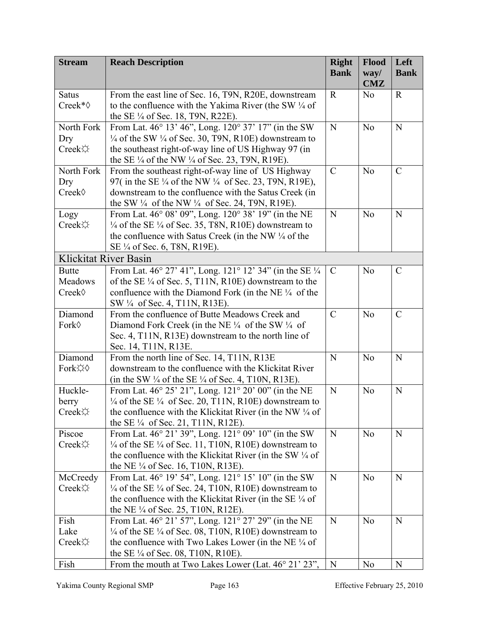| <b>Stream</b>                | <b>Reach Description</b>                                                                                                                 | <b>Right</b>  | <b>Flood</b>       | Left           |
|------------------------------|------------------------------------------------------------------------------------------------------------------------------------------|---------------|--------------------|----------------|
|                              |                                                                                                                                          | <b>Bank</b>   | way/<br><b>CMZ</b> | <b>Bank</b>    |
| <b>Satus</b>                 | From the east line of Sec. 16, T9N, R20E, downstream                                                                                     | $\mathbf R$   | N <sub>0</sub>     | $\mathbf R$    |
| Creek* $\diamond$            | to the confluence with the Yakima River (the SW $\frac{1}{4}$ of                                                                         |               |                    |                |
|                              | the SE $\frac{1}{4}$ of Sec. 18, T9N, R22E).                                                                                             |               |                    |                |
| North Fork                   | From Lat. 46° 13' 46", Long. 120° 37' 17" (in the SW                                                                                     | N             | N <sub>o</sub>     | ${\bf N}$      |
| Dry                          | $\frac{1}{4}$ of the SW $\frac{1}{4}$ of Sec. 30, T9N, R10E) downstream to                                                               |               |                    |                |
| Creek                        | the southeast right-of-way line of US Highway 97 (in                                                                                     |               |                    |                |
|                              | the SE $\frac{1}{4}$ of the NW $\frac{1}{4}$ of Sec. 23, T9N, R19E).                                                                     |               |                    |                |
| North Fork                   | From the southeast right-of-way line of US Highway                                                                                       | $\mathcal{C}$ | N <sub>0</sub>     | $\mathcal{C}$  |
| Dry<br>Creek◊                | 97(in the SE ¼ of the NW ¼ of Sec. 23, T9N, R19E),<br>downstream to the confluence with the Satus Creek (in                              |               |                    |                |
|                              |                                                                                                                                          |               |                    |                |
| Logy                         | the SW $\frac{1}{4}$ of the NW $\frac{1}{4}$ of Sec. 24, T9N, R19E).<br>From Lat. 46° 08' 09", Long. 120° 38' 19" (in the NE             | N             | N <sub>0</sub>     | N              |
| Creek☆                       | $\frac{1}{4}$ of the SE $\frac{1}{4}$ of Sec. 35, T8N, R10E) downstream to                                                               |               |                    |                |
|                              | the confluence with Satus Creek (in the NW 1/4 of the                                                                                    |               |                    |                |
|                              | SE 1/4 of Sec. 6, T8N, R19E).                                                                                                            |               |                    |                |
| <b>Klickitat River Basin</b> |                                                                                                                                          |               |                    |                |
| <b>Butte</b>                 | From Lat. 46° 27' 41", Long. 121° 12' 34" (in the SE 1/4                                                                                 | $\mathcal{C}$ | N <sub>0</sub>     | $\mathcal{C}$  |
| Meadows                      | of the SE $\frac{1}{4}$ of Sec. 5, T11N, R10E) downstream to the                                                                         |               |                    |                |
| Creek◊                       | confluence with the Diamond Fork (in the NE $\frac{1}{4}$ of the                                                                         |               |                    |                |
|                              | SW 1/4 of Sec. 4, T11N, R13E).                                                                                                           |               |                    |                |
| Diamond                      | From the confluence of Butte Meadows Creek and                                                                                           | $\mathcal{C}$ | N <sub>o</sub>     | $\overline{C}$ |
| Fork◊                        | Diamond Fork Creek (in the NE $\frac{1}{4}$ of the SW $\frac{1}{4}$ of                                                                   |               |                    |                |
|                              | Sec. 4, T11N, R13E) downstream to the north line of                                                                                      |               |                    |                |
|                              | Sec. 14, T11N, R13E.                                                                                                                     |               |                    |                |
| Diamond                      | From the north line of Sec. 14, T11N, R13E                                                                                               | N             | N <sub>o</sub>     | $\mathbf N$    |
| Fork☆◇                       | downstream to the confluence with the Klickitat River                                                                                    |               |                    |                |
|                              | (in the SW $\frac{1}{4}$ of the SE $\frac{1}{4}$ of Sec. 4, T10N, R13E).                                                                 |               |                    |                |
| Huckle-                      | From Lat. 46° 25' 21", Long. 121° 20' 00" (in the NE                                                                                     | N             | N <sub>o</sub>     | N              |
| berry                        | $\frac{1}{4}$ of the SE $\frac{1}{4}$ of Sec. 20, T11N, R10E) downstream to                                                              |               |                    |                |
| Creek☆                       | the confluence with the Klickitat River (in the NW 1/4 of                                                                                |               |                    |                |
|                              | the SE $\frac{1}{4}$ of Sec. 21, T11N, R12E).                                                                                            |               |                    |                |
| Piscoe                       | From Lat. 46° 21' 39", Long. 121° 09' 10" (in the SW                                                                                     | N             | N <sub>0</sub>     | ${\bf N}$      |
| Creek☆                       | $\frac{1}{4}$ of the SE $\frac{1}{4}$ of Sec. 11, T10N, R10E) downstream to<br>the confluence with the Klickitat River (in the SW 1/4 of |               |                    |                |
|                              | the NE $\frac{1}{4}$ of Sec. 16, T10N, R13E).                                                                                            |               |                    |                |
| McCreedy                     | From Lat. 46° 19' 54", Long. 121° 15' 10" (in the SW                                                                                     | N             | N <sub>o</sub>     | ${\bf N}$      |
| Creek☆                       | $\frac{1}{4}$ of the SE $\frac{1}{4}$ of Sec. 24, T10N, R10E) downstream to                                                              |               |                    |                |
|                              | the confluence with the Klickitat River (in the SE $\frac{1}{4}$ of                                                                      |               |                    |                |
|                              | the NE 1/4 of Sec. 25, T10N, R12E).                                                                                                      |               |                    |                |
| Fish                         | From Lat. 46° 21' 57", Long. 121° 27' 29" (in the NE                                                                                     | N             | N <sub>o</sub>     | ${\bf N}$      |
| Lake                         | $\frac{1}{4}$ of the SE $\frac{1}{4}$ of Sec. 08, T10N, R10E) downstream to                                                              |               |                    |                |
| Creek                        | the confluence with Two Lakes Lower (in the NE $\frac{1}{4}$ of                                                                          |               |                    |                |
|                              | the SE $\frac{1}{4}$ of Sec. 08, T10N, R10E).                                                                                            |               |                    |                |
| Fish                         | From the mouth at Two Lakes Lower (Lat. 46° 21' 23",                                                                                     | N             | N <sub>0</sub>     | N              |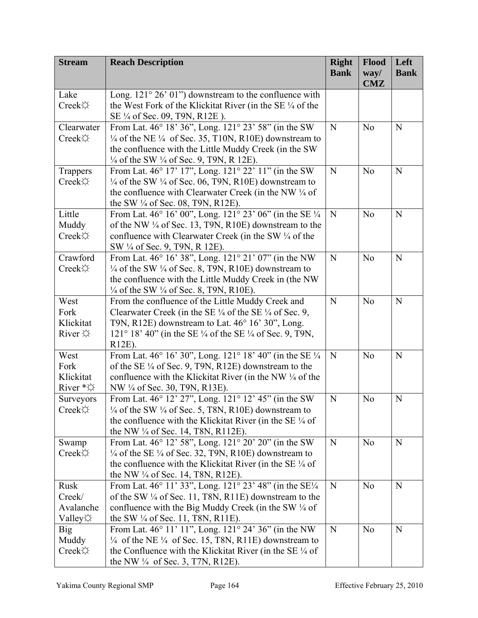| <b>Stream</b>          | <b>Reach Description</b>                                                                                                                         | <b>Right</b><br><b>Bank</b> | Flood<br>way/  | Left<br><b>Bank</b> |
|------------------------|--------------------------------------------------------------------------------------------------------------------------------------------------|-----------------------------|----------------|---------------------|
|                        |                                                                                                                                                  |                             | <b>CMZ</b>     |                     |
| Lake                   | Long. $121^{\circ} 26' 01'$ downstream to the confluence with                                                                                    |                             |                |                     |
| Creek☆                 | the West Fork of the Klickitat River (in the SE 1/4 of the                                                                                       |                             |                |                     |
|                        | SE 1/4 of Sec. 09, T9N, R12E).                                                                                                                   |                             |                |                     |
| Clearwater             | From Lat. 46° 18' 36", Long. 121° 23' 58" (in the SW                                                                                             | N                           | N <sub>0</sub> | N                   |
| Creek                  | $\frac{1}{4}$ of the NE $\frac{1}{4}$ of Sec. 35, T10N, R10E) downstream to                                                                      |                             |                |                     |
|                        | the confluence with the Little Muddy Creek (in the SW                                                                                            |                             |                |                     |
|                        | $\frac{1}{4}$ of the SW $\frac{1}{4}$ of Sec. 9, T9N, R 12E).<br>From Lat. 46° 17' 17", Long. 121° 22' 11" (in the SW                            | N                           | N <sub>0</sub> | ${\bf N}$           |
| Trappers<br>Creek☆     | $\frac{1}{4}$ of the SW $\frac{1}{4}$ of Sec. 06, T9N, R10E) downstream to                                                                       |                             |                |                     |
|                        | the confluence with Clearwater Creek (in the NW 1/4 of                                                                                           |                             |                |                     |
|                        | the SW $\frac{1}{4}$ of Sec. 08, T9N, R12E).                                                                                                     |                             |                |                     |
| Little                 | From Lat. 46° 16' 00", Long. 121° 23' 06" (in the SE 1/4                                                                                         | N                           | N <sub>o</sub> | N                   |
| Muddy                  | of the NW ¼ of Sec. 13, T9N, R10E) downstream to the                                                                                             |                             |                |                     |
| Creek☆                 | confluence with Clearwater Creek (in the SW 1/4 of the                                                                                           |                             |                |                     |
|                        | SW 1/4 of Sec. 9, T9N, R 12E).                                                                                                                   |                             |                |                     |
| Crawford               | From Lat. 46° 16' 38", Long. 121° 21' 07" (in the NW                                                                                             | N                           | N <sub>o</sub> | ${\bf N}$           |
| Creek                  | $\frac{1}{4}$ of the SW $\frac{1}{4}$ of Sec. 8, T9N, R10E) downstream to                                                                        |                             |                |                     |
|                        | the confluence with the Little Muddy Creek in (the NW                                                                                            |                             |                |                     |
|                        | $\frac{1}{4}$ of the SW $\frac{1}{4}$ of Sec. 8, T9N, R10E).                                                                                     |                             |                |                     |
| West                   | From the confluence of the Little Muddy Creek and                                                                                                | N                           | N <sub>o</sub> | N                   |
| Fork                   | Clearwater Creek (in the SE $\frac{1}{4}$ of the SE $\frac{1}{4}$ of Sec. 9,                                                                     |                             |                |                     |
| Klickitat              | T9N, R12E) downstream to Lat. 46° 16' 30", Long.                                                                                                 |                             |                |                     |
| River $\varphi$        | 121° 18' 40" (in the SE ¼ of the SE ¼ of Sec. 9, T9N,                                                                                            |                             |                |                     |
|                        | R12E).                                                                                                                                           |                             |                |                     |
| West                   | From Lat. 46° 16' 30", Long. 121° 18' 40" (in the SE 1/4                                                                                         | N                           | N <sub>o</sub> | $\mathbf N$         |
| Fork                   | of the SE $\frac{1}{4}$ of Sec. 9, T9N, R12E) downstream to the                                                                                  |                             |                |                     |
| Klickitat              | confluence with the Klickitat River (in the NW 1/4 of the                                                                                        |                             |                |                     |
| River $*\varphi$       | NW 1/4 of Sec. 30, T9N, R13E).                                                                                                                   |                             |                |                     |
| Surveyors              | From Lat. 46° 12' 27", Long. 121° 12' 45" (in the SW                                                                                             | N                           | N <sub>0</sub> | N                   |
| Creek☆                 | $\frac{1}{4}$ of the SW $\frac{1}{4}$ of Sec. 5, T8N, R10E) downstream to<br>the confluence with the Klickitat River (in the SE $\frac{1}{4}$ of |                             |                |                     |
|                        | the NW ¼ of Sec. 14, T8N, R112E).                                                                                                                |                             |                |                     |
| Swamp                  | From Lat. 46° 12' 58", Long. 121° 20' 20" (in the SW                                                                                             | N                           | N <sub>0</sub> | $\mathbf N$         |
| $Creek$ $\diamondsuit$ | $\frac{1}{4}$ of the SE $\frac{1}{4}$ of Sec. 32, T9N, R10E) downstream to                                                                       |                             |                |                     |
|                        | the confluence with the Klickitat River (in the SE 1/4 of                                                                                        |                             |                |                     |
|                        | the NW $\frac{1}{4}$ of Sec. 14, T8N, R12E).                                                                                                     |                             |                |                     |
| Rusk                   | From Lat. 46° 11' 33", Long. 121° 23' 48" (in the SE1/4                                                                                          | N                           | N <sub>0</sub> | ${\bf N}$           |
| Creek/                 | of the SW $\frac{1}{4}$ of Sec. 11, T8N, R11E) downstream to the                                                                                 |                             |                |                     |
| Avalanche              | confluence with the Big Muddy Creek (in the SW 1/4 of                                                                                            |                             |                |                     |
| Valley $\varphi$       | the SW $\frac{1}{4}$ of Sec. 11, T8N, R11E).                                                                                                     |                             |                |                     |
| <b>Big</b>             | From Lat. 46° 11' 11", Long. 121° 24' 36" (in the NW                                                                                             | N                           | N <sub>0</sub> | ${\bf N}$           |
| Muddy                  | $\frac{1}{4}$ of the NE $\frac{1}{4}$ of Sec. 15, T8N, R11E) downstream to                                                                       |                             |                |                     |
| Creek☆                 | the Confluence with the Klickitat River (in the SE $\frac{1}{4}$ of                                                                              |                             |                |                     |
|                        | the NW $\frac{1}{4}$ of Sec. 3, T7N, R12E).                                                                                                      |                             |                |                     |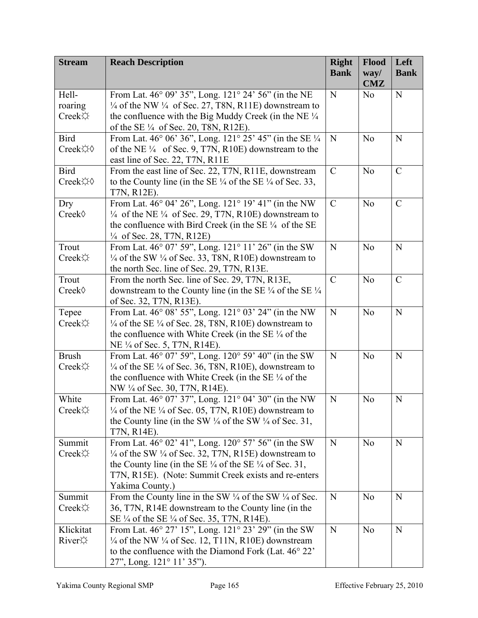| <b>Stream</b>   | <b>Reach Description</b>                                                              | <b>Right</b>  | Flood              | Left          |
|-----------------|---------------------------------------------------------------------------------------|---------------|--------------------|---------------|
|                 |                                                                                       | <b>Bank</b>   | way/<br><b>CMZ</b> | <b>Bank</b>   |
| Hell-           | From Lat. 46° 09' 35", Long. 121° 24' 56" (in the NE                                  | N             | N <sub>0</sub>     | ${\bf N}$     |
| roaring         | $\frac{1}{4}$ of the NW $\frac{1}{4}$ of Sec. 27, T8N, R11E) downstream to            |               |                    |               |
| Creek☆          | the confluence with the Big Muddy Creek (in the NE $\frac{1}{4}$                      |               |                    |               |
|                 | of the SE $\frac{1}{4}$ of Sec. 20, T8N, R12E).                                       |               |                    |               |
| <b>Bird</b>     | From Lat. 46° 06' 36", Long. 121° 25' 45" (in the SE 1/4                              | N             | N <sub>0</sub>     | N             |
| Creek☆◇         | of the NE $\frac{1}{4}$ of Sec. 9, T7N, R10E) downstream to the                       |               |                    |               |
|                 | east line of Sec. 22, T7N, R11E                                                       |               |                    |               |
| <b>Bird</b>     | From the east line of Sec. 22, T7N, R11E, downstream                                  | $\mathcal{C}$ | N <sub>0</sub>     | $\mathcal{C}$ |
| Creek☆◇         | to the County line (in the SE $\frac{1}{4}$ of the SE $\frac{1}{4}$ of Sec. 33,       |               |                    |               |
|                 | T7N, R12E).                                                                           |               |                    |               |
| Dry             | From Lat. 46° 04' 26", Long. 121° 19' 41" (in the NW                                  | $\mathcal{C}$ | N <sub>o</sub>     | $\mathcal{C}$ |
| Creek◊          | $\frac{1}{4}$ of the NE $\frac{1}{4}$ of Sec. 29, T7N, R10E) downstream to            |               |                    |               |
|                 | the confluence with Bird Creek (in the SE $\frac{1}{4}$ of the SE                     |               |                    |               |
|                 | $\frac{1}{4}$ of Sec. 28, T7N, R12E)                                                  |               |                    |               |
| Trout           | From Lat. 46° 07' 59", Long. 121° 11' 26" (in the SW                                  | N             | N <sub>o</sub>     | ${\bf N}$     |
| Creek☆          | $\frac{1}{4}$ of the SW $\frac{1}{4}$ of Sec. 33, T8N, R10E) downstream to            |               |                    |               |
|                 | the north Sec. line of Sec. 29, T7N, R13E.                                            |               |                    |               |
| Trout           | From the north Sec. line of Sec. 29, T7N, R13E,                                       | $\mathcal{C}$ | N <sub>o</sub>     | $\mathcal{C}$ |
| Creek◊          | downstream to the County line (in the SE $\frac{1}{4}$ of the SE $\frac{1}{4}$        |               |                    |               |
|                 | of Sec. 32, T7N, R13E).                                                               |               |                    |               |
| Tepee           | From Lat. 46° 08' 55", Long. 121° 03' 24" (in the NW                                  | N             | N <sub>o</sub>     | ${\bf N}$     |
| Creek☆          | $\frac{1}{4}$ of the SE $\frac{1}{4}$ of Sec. 28, T8N, R10E) downstream to            |               |                    |               |
|                 | the confluence with White Creek (in the SE $\frac{1}{4}$ of the                       |               |                    |               |
| <b>Brush</b>    | NE 1/4 of Sec. 5, T7N, R14E).<br>From Lat. 46° 07' 59", Long. 120° 59' 40" (in the SW | N             | N <sub>o</sub>     | $\mathbf N$   |
| Creek           | $\frac{1}{4}$ of the SE $\frac{1}{4}$ of Sec. 36, T8N, R10E), downstream to           |               |                    |               |
|                 | the confluence with White Creek (in the SE $\frac{1}{4}$ of the                       |               |                    |               |
|                 | NW 1/4 of Sec. 30, T7N, R14E).                                                        |               |                    |               |
| White           | From Lat. 46° 07' 37", Long. 121° 04' 30" (in the NW                                  | N             | N <sub>0</sub>     | $\mathbf N$   |
| Creek☆          | $\frac{1}{4}$ of the NE $\frac{1}{4}$ of Sec. 05, T7N, R10E) downstream to            |               |                    |               |
|                 | the County line (in the SW $\frac{1}{4}$ of the SW $\frac{1}{4}$ of Sec. 31,          |               |                    |               |
|                 | T7N, R14E).                                                                           |               |                    |               |
| Summit          | From Lat. 46° 02' 41", Long. 120° 57' 56" (in the SW                                  | N             | N <sub>0</sub>     | ${\bf N}$     |
| Creek☆          | $\frac{1}{4}$ of the SW $\frac{1}{4}$ of Sec. 32, T7N, R15E) downstream to            |               |                    |               |
|                 | the County line (in the SE $\frac{1}{4}$ of the SE $\frac{1}{4}$ of Sec. 31,          |               |                    |               |
|                 | T7N, R15E). (Note: Summit Creek exists and re-enters                                  |               |                    |               |
|                 | Yakima County.)                                                                       |               |                    |               |
| Summit          | From the County line in the SW $\frac{1}{4}$ of the SW $\frac{1}{4}$ of Sec.          | N             | N <sub>o</sub>     | $\mathbf N$   |
| Creek☆          | 36, T7N, R14E downstream to the County line (in the                                   |               |                    |               |
|                 | SE 1/4 of the SE 1/4 of Sec. 35, T7N, R14E).                                          |               |                    |               |
| Klickitat       | From Lat. 46° 27' 15", Long. 121° 23' 29" (in the SW                                  | N             | N <sub>o</sub>     | $\mathbf N$   |
| River $\varphi$ | $\frac{1}{4}$ of the NW $\frac{1}{4}$ of Sec. 12, T11N, R10E) downstream              |               |                    |               |
|                 | to the confluence with the Diamond Fork (Lat. 46° 22'                                 |               |                    |               |
|                 | 27", Long. 121° 11' 35").                                                             |               |                    |               |